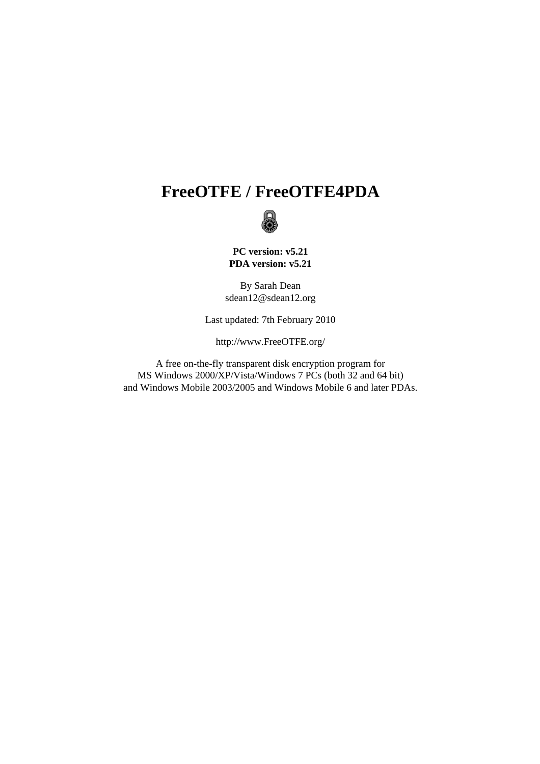# **FreeOTFE / FreeOTFE4PDA**



**PC version: v5.21 PDA version: v5.21**

By Sarah Dean sdean12@sdean12.org

Last updated: 7th February 2010

http://www.FreeOTFE.org/

A free on-the-fly transparent disk encryption program for MS Windows 2000/XP/Vista/Windows 7 PCs (both 32 and 64 bit) and Windows Mobile 2003/2005 and Windows Mobile 6 and later PDAs.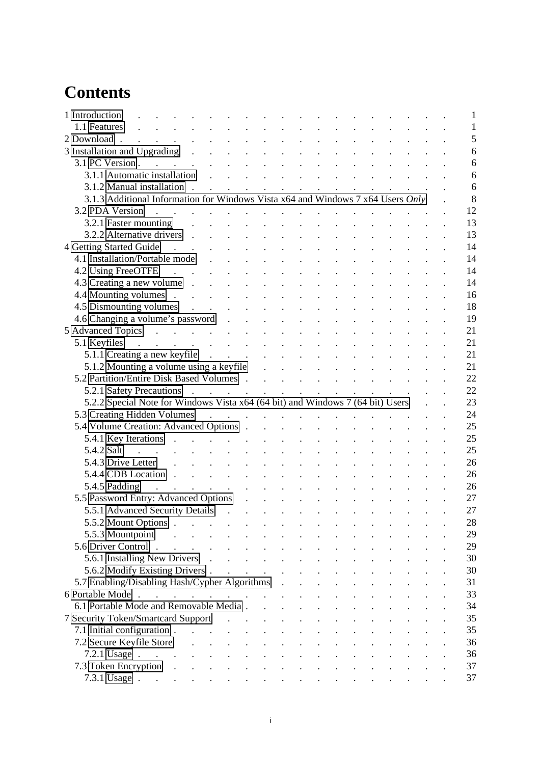# **Contents**

| 1 Introduction                                                                                                                                                                                                                                                 |                                                                                                                                                                                                                                           | $\mathbf{1}$                                       |
|----------------------------------------------------------------------------------------------------------------------------------------------------------------------------------------------------------------------------------------------------------------|-------------------------------------------------------------------------------------------------------------------------------------------------------------------------------------------------------------------------------------------|----------------------------------------------------|
| 1.1 Features                                                                                                                                                                                                                                                   |                                                                                                                                                                                                                                           | $\mathbf{1}$                                       |
| 2 Download.<br>a construction of the construction of the construction of the construction of the construction of the construction of the construction of the construction of the construction of the construction of the construction of the                   |                                                                                                                                                                                                                                           | 5                                                  |
| 3 Installation and Upgrading (a) and (b) and (b) and (c) and (c) and (c) and (c) and (c) and (c) and (c) and (c) and (c) and (c) and (c) and (c) and (c) and (c) and (c) and (c) and (c) and (c) and (c) and (c) and (c) and (                                 |                                                                                                                                                                                                                                           | $\overline{6}$                                     |
| $3.1$ PC Version                                                                                                                                                                                                                                               | and a series of the contract of the contract of the contract of the contract of the contract of the contract of                                                                                                                           | 6                                                  |
| 3.1.1 Automatic installation                                                                                                                                                                                                                                   | $\mathcal{L}^{\mathcal{A}}$ . The set of the set of the set of the set of the set of the set of the set of the set of the set of the set of the set of the set of the set of the set of the set of the set of the set of the set of the s | 6                                                  |
| 3.1.2 Manual installation.<br>$\mathbf{L}^{\text{max}}$ and $\mathbf{L}^{\text{max}}$<br>$\Delta \sim 10^4$<br>$\mathbf{r}$                                                                                                                                    | $\mathcal{L}^{\text{max}}(\mathcal{L}^{\text{max}}(\mathcal{L}^{\text{max}}))$                                                                                                                                                            | 6<br>$\mathbf{L} = \mathbf{L}$                     |
| 3.1.3 Additional Information for Windows Vista x64 and Windows 7 x64 Users Only                                                                                                                                                                                |                                                                                                                                                                                                                                           | 8                                                  |
| 3.2 PDA Version<br>the contract of the contract of the contract of the contract of the contract of the contract of the contract of                                                                                                                             |                                                                                                                                                                                                                                           | 12                                                 |
| 3.2.1 Faster mounting                                                                                                                                                                                                                                          |                                                                                                                                                                                                                                           | 13                                                 |
| 3.2.2 Alternative drivers.<br>$\mathbf{r}$ $\mathbf{r}$                                                                                                                                                                                                        |                                                                                                                                                                                                                                           | 13                                                 |
| 4 Getting Started Guide<br>$\mathcal{L}^{\text{max}}$ , where $\mathcal{L}^{\text{max}}$<br>$\mathcal{L}(\mathcal{L})$ and $\mathcal{L}(\mathcal{L})$                                                                                                          |                                                                                                                                                                                                                                           | 14                                                 |
| 4.1 Installation/Portable mode                                                                                                                                                                                                                                 | <u> 1990 - Johann Johann Stoff, martin Stoff, martin Stoff, martin Stoff, martin Stoff, martin Stoff, martin Stoff, martin Stoff, martin Stoff, martin Stoff, martin Stoff, martin Stoff, martin Stoff, martin Stoff, martin Sto</u>      | 14                                                 |
|                                                                                                                                                                                                                                                                |                                                                                                                                                                                                                                           | 14                                                 |
| 4.2 Using FreeOTFE<br>and the contract of the contract of the contract of the contract of                                                                                                                                                                      |                                                                                                                                                                                                                                           |                                                    |
|                                                                                                                                                                                                                                                                |                                                                                                                                                                                                                                           | 14                                                 |
| 4.4 Mounting volumes                                                                                                                                                                                                                                           |                                                                                                                                                                                                                                           | 16                                                 |
| 4.5 Dismounting volumes                                                                                                                                                                                                                                        |                                                                                                                                                                                                                                           | 18                                                 |
|                                                                                                                                                                                                                                                                |                                                                                                                                                                                                                                           | 19                                                 |
| 5 Advanced Topics                                                                                                                                                                                                                                              |                                                                                                                                                                                                                                           | 21                                                 |
| $5.1$ Keyfiles                                                                                                                                                                                                                                                 |                                                                                                                                                                                                                                           | 21                                                 |
| 5.1.1 Creating a new keyfile                                                                                                                                                                                                                                   | $\mathbf{r} = \mathbf{r} + \mathbf{r}$                                                                                                                                                                                                    | 21                                                 |
|                                                                                                                                                                                                                                                                |                                                                                                                                                                                                                                           | 21                                                 |
| 5.2 Partition/Entire Disk Based Volumes                                                                                                                                                                                                                        |                                                                                                                                                                                                                                           | 22                                                 |
|                                                                                                                                                                                                                                                                |                                                                                                                                                                                                                                           | 22                                                 |
| 5.2.2 Special Note for Windows Vista x64 (64 bit) and Windows 7 (64 bit) Users .                                                                                                                                                                               |                                                                                                                                                                                                                                           | 23                                                 |
| 5.3 Creating Hidden Volumes                                                                                                                                                                                                                                    |                                                                                                                                                                                                                                           | 24                                                 |
| 5.4 Volume Creation: Advanced Options                                                                                                                                                                                                                          |                                                                                                                                                                                                                                           | 25                                                 |
|                                                                                                                                                                                                                                                                |                                                                                                                                                                                                                                           | 25                                                 |
| and the contract of the contract of the contract of the contract of the contract of the contract of the contract of the contract of the contract of the contract of the contract of the contract of the contract of the contra<br>5.4.2 Salt                   |                                                                                                                                                                                                                                           | 25                                                 |
| 5.4.3 Drive Letter<br>$\mathcal{L}(\mathbf{r})$ . The contract of the contract of the contract of the contract of the contract of the contract of the contract of the contract of the contract of the contract of the contract of the contract of the contract |                                                                                                                                                                                                                                           | 26                                                 |
| 5.4.4 CDB Location.<br>$\mathcal{L}^{\mathcal{L}}$ , and $\mathcal{L}^{\mathcal{L}}$ , and $\mathcal{L}^{\mathcal{L}}$                                                                                                                                         |                                                                                                                                                                                                                                           | 26                                                 |
| 5.4.5 Padding<br>the contract of the contract of the contract of                                                                                                                                                                                               |                                                                                                                                                                                                                                           | 26                                                 |
| 5.5 Password Entry: Advanced Options                                                                                                                                                                                                                           |                                                                                                                                                                                                                                           | 27                                                 |
| 5.5.1 Advanced Security Details                                                                                                                                                                                                                                | $\sim$ 100 $\sim$                                                                                                                                                                                                                         | 27<br>$\ddot{\phantom{a}}$<br>$\ddot{\phantom{a}}$ |
| 5.5.2 Mount Options                                                                                                                                                                                                                                            |                                                                                                                                                                                                                                           | 28                                                 |
| 5.5.3 Mountpoint<br><b>Contract Contract</b>                                                                                                                                                                                                                   |                                                                                                                                                                                                                                           | 29                                                 |
|                                                                                                                                                                                                                                                                |                                                                                                                                                                                                                                           |                                                    |
| 5.6 Driver Control                                                                                                                                                                                                                                             |                                                                                                                                                                                                                                           | 29                                                 |
|                                                                                                                                                                                                                                                                |                                                                                                                                                                                                                                           | 30                                                 |
|                                                                                                                                                                                                                                                                |                                                                                                                                                                                                                                           | 30                                                 |
| 5.7 Enabling/Disabling Hash/Cypher Algorithms                                                                                                                                                                                                                  |                                                                                                                                                                                                                                           | 31                                                 |
| 6 Portable Mode                                                                                                                                                                                                                                                |                                                                                                                                                                                                                                           | 33                                                 |
| 6.1 Portable Mode and Removable Media                                                                                                                                                                                                                          |                                                                                                                                                                                                                                           | 34                                                 |
| 7 Security Token/Smartcard Support                                                                                                                                                                                                                             |                                                                                                                                                                                                                                           | 35                                                 |
| 7.1 Initial configuration                                                                                                                                                                                                                                      |                                                                                                                                                                                                                                           | 35                                                 |
|                                                                                                                                                                                                                                                                |                                                                                                                                                                                                                                           | 36                                                 |
| 7.2.1 Usage $\cdot$                                                                                                                                                                                                                                            |                                                                                                                                                                                                                                           | 36                                                 |
|                                                                                                                                                                                                                                                                |                                                                                                                                                                                                                                           | 37                                                 |
|                                                                                                                                                                                                                                                                | 7.3.1 Usage $\cdots$ $\cdots$ $\cdots$ $\cdots$ $\cdots$ $\cdots$ $\cdots$ $\cdots$ $\cdots$                                                                                                                                              | 37                                                 |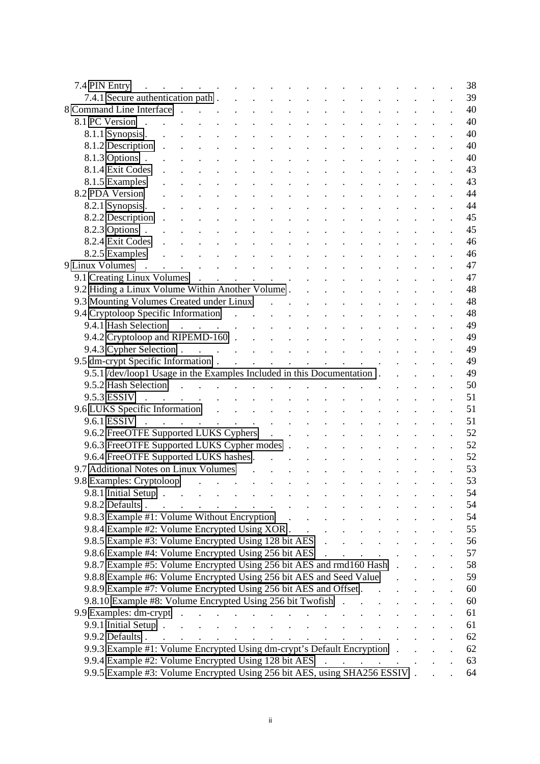| 7.4 PIN Entry                                                                                                                                                                                                                                                                                                                                                                                                                                                                |                            |                                                                                    | 38                         |
|------------------------------------------------------------------------------------------------------------------------------------------------------------------------------------------------------------------------------------------------------------------------------------------------------------------------------------------------------------------------------------------------------------------------------------------------------------------------------|----------------------------|------------------------------------------------------------------------------------|----------------------------|
| 7.4.1 Secure authentication path.<br>and the contract of the contract of the contract of the contract of the contract of the contract of the contract of the contract of the contract of the contract of the contract of the contract of the contract of the contra                                                                                                                                                                                                          |                            |                                                                                    | 39                         |
| 8 Command Line Interface .<br>and the second contract of the second contract of the second contract of the second contract of the second contract of the second contract of the second contract of the second contract of the second contract of the second                                                                                                                                                                                                                  |                            |                                                                                    | 40                         |
| <u> 1990 - Johann Johann Stoff, market fan de Amerikaanske kommer oantal it fan de Amerikaanske kommer oantal it f</u><br>8.1 PC Version.                                                                                                                                                                                                                                                                                                                                    |                            |                                                                                    | 40                         |
| 8.1.1 Synopsis.                                                                                                                                                                                                                                                                                                                                                                                                                                                              |                            |                                                                                    | 40                         |
| ini iliyofanyika katalog asl nashrida nashrida nashrida nashrida nashrida nashrida nashrida nashrida nashrida<br>Ma'lumot<br>8.1.2 Description<br>$\ddot{\phantom{a}}$                                                                                                                                                                                                                                                                                                       |                            |                                                                                    | 40                         |
| and the contract of the contract of the contract of the contract of the contract of the contract of the contract of the contract of the contract of the contract of the contract of the contract of the contract of the contra<br>8.1.3 Options .                                                                                                                                                                                                                            |                            |                                                                                    | 40                         |
| 8.1.4 Exit Codes<br><u>na manazarta da sensa da sensa da sensa de la característica de la característica de la característica de la c</u>                                                                                                                                                                                                                                                                                                                                    |                            |                                                                                    | 43                         |
| 8.1.5 Examples                                                                                                                                                                                                                                                                                                                                                                                                                                                               |                            |                                                                                    | 43                         |
| 8.2 PDA Version                                                                                                                                                                                                                                                                                                                                                                                                                                                              |                            |                                                                                    | 44                         |
| and a series of the contract of the contract of the contract of<br>8.2.1 Synopsis.                                                                                                                                                                                                                                                                                                                                                                                           |                            |                                                                                    | 44                         |
| and the contract of the contract of the contract of the contract of the contract of the contract of the contract of the contract of the contract of the contract of the contract of the contract of the contract of the contra<br>8.2.2 Description.                                                                                                                                                                                                                         |                            |                                                                                    | 45                         |
| <u> 1914 - Johann Johann Stoff, market fan de Amerikaanske kommunister oant it fan de Amerikaanske kommunister fan </u><br>8.2.3 Options .                                                                                                                                                                                                                                                                                                                                   |                            |                                                                                    | 45                         |
| <u>na na manang mga sangayon ng mga sangayon ng mga sangayon ng mga sangayon ng mga sangayon ng mga sangayon ng mga sangayon ng mga sangayon ng mga sangayon ng mga sangayon ng mga sangayon ng mga sangayon ng mga sangayon ng </u><br>8.2.4 Exit Codes                                                                                                                                                                                                                     |                            |                                                                                    | 46                         |
|                                                                                                                                                                                                                                                                                                                                                                                                                                                                              |                            |                                                                                    | 46                         |
| 8.2.5 Examples<br>9 Linux Volumes<br>9 Linux Volumes                                                                                                                                                                                                                                                                                                                                                                                                                         |                            |                                                                                    | 47                         |
|                                                                                                                                                                                                                                                                                                                                                                                                                                                                              |                            |                                                                                    | 47                         |
|                                                                                                                                                                                                                                                                                                                                                                                                                                                                              |                            |                                                                                    | 48                         |
| 9.2 Hiding a Linux Volume Within Another Volume                                                                                                                                                                                                                                                                                                                                                                                                                              |                            |                                                                                    |                            |
|                                                                                                                                                                                                                                                                                                                                                                                                                                                                              |                            |                                                                                    | 48                         |
| 9.4 Cryptoloop Specific Information<br>9.4.1 Hash Selection                                                                                                                                                                                                                                                                                                                                                                                                                  |                            |                                                                                    | 48                         |
|                                                                                                                                                                                                                                                                                                                                                                                                                                                                              |                            |                                                                                    | 49                         |
|                                                                                                                                                                                                                                                                                                                                                                                                                                                                              |                            |                                                                                    | 49                         |
|                                                                                                                                                                                                                                                                                                                                                                                                                                                                              |                            |                                                                                    | 49                         |
|                                                                                                                                                                                                                                                                                                                                                                                                                                                                              |                            |                                                                                    | 49                         |
| 9.5.1 /dev/loop1 Usage in the Examples Included in this Documentation.                                                                                                                                                                                                                                                                                                                                                                                                       |                            |                                                                                    | 49                         |
| 9.5.2 Hash Selection.<br>and the company of the company of the company of                                                                                                                                                                                                                                                                                                                                                                                                    |                            |                                                                                    | 50                         |
| 9.5.3 ESSIV<br>and the second contract of the second contract of the second contract of the second contract of the second contract of the second contract of the second contract of the second contract of the second contract of the second                                                                                                                                                                                                                                 |                            |                                                                                    | 51                         |
| 9.6 LUKS Specific Information and the contract of the contract of the contract of the contract of the contract of the contract of the contract of the contract of the contract of the contract of the contract of the contract                                                                                                                                                                                                                                               |                            |                                                                                    | 51                         |
| and the contract of the contract of the contract of the contract of the contract of the contract of the contract of the contract of the contract of the contract of the contract of the contract of the contract of the contra<br>9.6.1 ESSIV                                                                                                                                                                                                                                |                            |                                                                                    | 51                         |
| 9.6.2 FreeOTFE Supported LUKS Cyphers                                                                                                                                                                                                                                                                                                                                                                                                                                        |                            |                                                                                    | 52                         |
| 9.6.3 FreeOTFE Supported LUKS Cypher modes                                                                                                                                                                                                                                                                                                                                                                                                                                   |                            |                                                                                    | 52                         |
| 9.6.4 FreeOTFE Supported LUKS hashes.<br>$\mathcal{L}(\mathbf{r}) = \mathcal{L}(\mathbf{r})$ . The contribution of the contribution of the contribution of the contribution of the contribution of the contribution of the contribution of the contribution of the contribution of the contrib                                                                                                                                                                               |                            |                                                                                    | 52                         |
| 9.7 Additional Notes on Linux Volumes<br>$\mathcal{L}(\mathbf{r},\mathbf{r})$ . The contribution of the contribution of the contribution of the contribution of the contribution of the contribution of the contribution of the contribution of the contribution of the contribution o                                                                                                                                                                                       |                            |                                                                                    | 53                         |
| 9.8 Examples: Cryptoloop                                                                                                                                                                                                                                                                                                                                                                                                                                                     |                            |                                                                                    | 53                         |
| 9.8.1 Initial Setup $\ldots$ $\ldots$ $\ldots$ $\ldots$ $\ldots$ $\ldots$ $\ldots$                                                                                                                                                                                                                                                                                                                                                                                           |                            |                                                                                    | 54                         |
| 9.8.2 Defaults                                                                                                                                                                                                                                                                                                                                                                                                                                                               |                            | $\mathbf{r}^{\prime}=\mathbf{r}^{\prime}$ , where $\mathbf{r}^{\prime}=\mathbf{r}$ | 54                         |
| 9.8.3 Example #1: Volume Without Encryption                                                                                                                                                                                                                                                                                                                                                                                                                                  |                            |                                                                                    | 54                         |
| 9.8.4 Example #2: Volume Encrypted Using XOR                                                                                                                                                                                                                                                                                                                                                                                                                                 |                            | $\mathcal{L}^{\text{max}}$ , where $\mathcal{L}^{\text{max}}$                      | 55                         |
| 9.8.5 Example #3: Volume Encrypted Using 128 bit AES                                                                                                                                                                                                                                                                                                                                                                                                                         | $\mathcal{L}^{\text{max}}$ |                                                                                    | 56                         |
| 9.8.6 Example #4: Volume Encrypted Using 256 bit AES                                                                                                                                                                                                                                                                                                                                                                                                                         |                            |                                                                                    | 57                         |
| 9.8.7 Example #5: Volume Encrypted Using 256 bit AES and rmd160 Hash.                                                                                                                                                                                                                                                                                                                                                                                                        |                            |                                                                                    | 58                         |
|                                                                                                                                                                                                                                                                                                                                                                                                                                                                              |                            |                                                                                    |                            |
| 9.8.8 Example #6: Volume Encrypted Using 256 bit AES and Seed Value                                                                                                                                                                                                                                                                                                                                                                                                          |                            |                                                                                    | 59<br>$\ddot{\phantom{a}}$ |
| 9.8.9 Example #7: Volume Encrypted Using 256 bit AES and Offset                                                                                                                                                                                                                                                                                                                                                                                                              |                            |                                                                                    | 60<br>$\ddot{\phantom{a}}$ |
| 9.8.10 Example #8: Volume Encrypted Using 256 bit Twofish                                                                                                                                                                                                                                                                                                                                                                                                                    |                            |                                                                                    | 60                         |
| 9.9 Examples: dm-crypt                                                                                                                                                                                                                                                                                                                                                                                                                                                       |                            |                                                                                    | 61                         |
| 9.9.1 Initial Setup $\ldots$ $\ldots$ $\ldots$ $\ldots$ $\ldots$ $\ldots$ $\ldots$ $\ldots$ $\ldots$                                                                                                                                                                                                                                                                                                                                                                         |                            |                                                                                    | 61                         |
| 9.9.2 Defaults $\therefore$ $\therefore$ $\therefore$ $\therefore$ $\therefore$ $\therefore$ $\therefore$ $\therefore$ $\therefore$ $\therefore$ $\therefore$ $\therefore$ $\therefore$ $\therefore$ $\therefore$ $\therefore$ $\therefore$ $\therefore$ $\therefore$ $\therefore$ $\therefore$ $\therefore$ $\therefore$ $\therefore$ $\therefore$ $\therefore$ $\therefore$ $\therefore$ $\therefore$ $\therefore$ $\therefore$ $\therefore$ $\therefore$ $\therefore$ $\$ |                            |                                                                                    | 62                         |
| 9.9.3 Example #1: Volume Encrypted Using dm-crypt's Default Encryption                                                                                                                                                                                                                                                                                                                                                                                                       |                            |                                                                                    | 62                         |
|                                                                                                                                                                                                                                                                                                                                                                                                                                                                              |                            |                                                                                    | 63                         |
| 9.9.5 Example #3: Volume Encrypted Using 256 bit AES, using SHA256 ESSIV                                                                                                                                                                                                                                                                                                                                                                                                     |                            |                                                                                    | 64                         |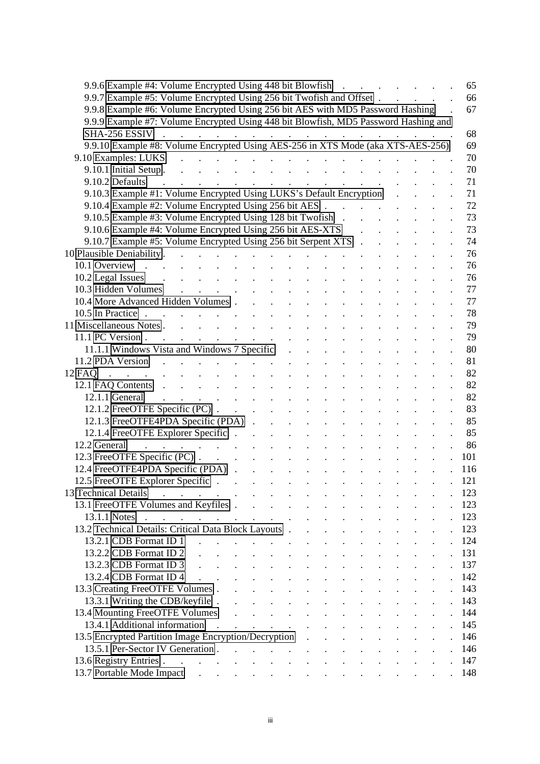| 9.9.6 Example #4: Volume Encrypted Using 448 bit Blowfish                                                                                                                                                                                                      |  |  |  | $\mathcal{L}^{\text{max}}$ and $\mathcal{L}^{\text{max}}$ |                                                                                                         |  |  | 65  |
|----------------------------------------------------------------------------------------------------------------------------------------------------------------------------------------------------------------------------------------------------------------|--|--|--|-----------------------------------------------------------|---------------------------------------------------------------------------------------------------------|--|--|-----|
| 9.9.7 Example #5: Volume Encrypted Using 256 bit Twofish and Offset.                                                                                                                                                                                           |  |  |  |                                                           |                                                                                                         |  |  | 66  |
| 9.9.8 Example #6: Volume Encrypted Using 256 bit AES with MD5 Password Hashing                                                                                                                                                                                 |  |  |  |                                                           |                                                                                                         |  |  | 67  |
| 9.9.9 Example #7: Volume Encrypted Using 448 bit Blowfish, MD5 Password Hashing and                                                                                                                                                                            |  |  |  |                                                           |                                                                                                         |  |  |     |
| $SHA-256 ESSIV$                                                                                                                                                                                                                                                |  |  |  |                                                           |                                                                                                         |  |  | 68  |
| 9.9.10 Example #8: Volume Encrypted Using AES-256 in XTS Mode (aka XTS-AES-256)                                                                                                                                                                                |  |  |  |                                                           |                                                                                                         |  |  | 69  |
| 9.10 Examples: LUKS<br>the contract of the contract of the contract of the contract of the contract of                                                                                                                                                         |  |  |  |                                                           |                                                                                                         |  |  | 70  |
| 9.10.1 Initial Setup.<br>and a series of the contract of the contract of the contract of the contract of the contract of the contract of                                                                                                                       |  |  |  |                                                           |                                                                                                         |  |  | 70  |
| 9.10.2 Defaults<br>the contract of the contract of the contract of the contract of the contract of the contract of the contract of                                                                                                                             |  |  |  |                                                           |                                                                                                         |  |  | 71  |
| 9.10.3 Example #1: Volume Encrypted Using LUKS's Default Encryption                                                                                                                                                                                            |  |  |  |                                                           |                                                                                                         |  |  | 71  |
| 9.10.4 Example #2: Volume Encrypted Using 256 bit AES                                                                                                                                                                                                          |  |  |  |                                                           |                                                                                                         |  |  | 72  |
| 9.10.5 Example #3: Volume Encrypted Using 128 bit Twofish.                                                                                                                                                                                                     |  |  |  |                                                           | $\mathcal{L}^{\text{max}}(\mathcal{L}^{\text{max}}(\mathcal{L}^{\text{max}}(\mathcal{L}^{\text{max}}))$ |  |  | 73  |
| 9.10.6 Example #4: Volume Encrypted Using 256 bit AES-XTS                                                                                                                                                                                                      |  |  |  |                                                           | $\mathbf{r} = \mathbf{r} \cdot \mathbf{r}$ and $\mathbf{r} = \mathbf{r} \cdot \mathbf{r}$               |  |  | 73  |
| 9.10.7 Example #5: Volume Encrypted Using 256 bit Serpent XTS                                                                                                                                                                                                  |  |  |  |                                                           |                                                                                                         |  |  | 74  |
|                                                                                                                                                                                                                                                                |  |  |  |                                                           |                                                                                                         |  |  | 76  |
| and a strong control of the state of the state of the<br>10.1 Overview                                                                                                                                                                                         |  |  |  |                                                           |                                                                                                         |  |  | 76  |
| and the contract of the contract of the contract of the<br>10.2 Legal Issues .                                                                                                                                                                                 |  |  |  |                                                           |                                                                                                         |  |  | 76  |
| <u> 1905 - Johann Johann Johann Johann Johann Johann Johann Johann Johann Johann Johann Johann Johann Johann Johann Johann Johann Johann Johann Johann Johann Johann Johann Johann Johann Johann Johann Johann Johann Johann Joh</u><br>10.3 Hidden Volumes    |  |  |  |                                                           |                                                                                                         |  |  | 77  |
|                                                                                                                                                                                                                                                                |  |  |  |                                                           |                                                                                                         |  |  | 77  |
| 10.5 In Practice $\cdots$ $\cdots$ $\cdots$ $\cdots$ $\cdots$ $\cdots$ $\cdots$ $\cdots$                                                                                                                                                                       |  |  |  |                                                           |                                                                                                         |  |  | 78  |
| and a series of the contract of the series of<br>11 Miscellaneous Notes.                                                                                                                                                                                       |  |  |  |                                                           |                                                                                                         |  |  | 79  |
| 11.1 PC Version.<br>and a series of the contract of the contract of the contract of                                                                                                                                                                            |  |  |  |                                                           |                                                                                                         |  |  | 79  |
|                                                                                                                                                                                                                                                                |  |  |  |                                                           |                                                                                                         |  |  | 80  |
| and the contract of the contract of the contract of the contract of the contract of the contract of the contract of the contract of the contract of the contract of the contract of the contract of the contract of the contra<br>11.2 PDA Version             |  |  |  |                                                           |                                                                                                         |  |  | 81  |
| <u>a carrier a carrier a carrier a carrier a</u><br>$12 \text{ FAQ}$<br>$\mathcal{L}^{\text{max}}$                                                                                                                                                             |  |  |  |                                                           |                                                                                                         |  |  | 82  |
| 12.1 FAQ Contents residence and the contents of the contents of the contents of the content of the content of the content of the content of the content of the content of the content of the content of the content of the con                                 |  |  |  |                                                           |                                                                                                         |  |  | 82  |
| the contract of the contract of the contract of the contract of<br>12.1.1 General                                                                                                                                                                              |  |  |  |                                                           |                                                                                                         |  |  | 82  |
| 12.1.2 FreeOTFE Specific (PC).                                                                                                                                                                                                                                 |  |  |  |                                                           |                                                                                                         |  |  | 83  |
| 12.1.3 FreeOTFE4PDA Specific (PDA)                                                                                                                                                                                                                             |  |  |  |                                                           |                                                                                                         |  |  | 85  |
|                                                                                                                                                                                                                                                                |  |  |  |                                                           |                                                                                                         |  |  | 85  |
| 12.2 General                                                                                                                                                                                                                                                   |  |  |  |                                                           |                                                                                                         |  |  | 86  |
| المواطن والمتعاون والمتعاون والمتعاون والمتعاون والمتعاونة والأراد وأواليها                                                                                                                                                                                    |  |  |  |                                                           |                                                                                                         |  |  | 101 |
|                                                                                                                                                                                                                                                                |  |  |  |                                                           |                                                                                                         |  |  |     |
| 12.4 FreeOTFE4PDA Specific (PDA)                                                                                                                                                                                                                               |  |  |  |                                                           |                                                                                                         |  |  | 116 |
| 12.5 FreeOTFE Explorer Specific                                                                                                                                                                                                                                |  |  |  |                                                           |                                                                                                         |  |  | 121 |
| 13 Technical Details<br>the contract of the contract of the contract of the contract of                                                                                                                                                                        |  |  |  |                                                           |                                                                                                         |  |  | 123 |
| 13.1 FreeOTFE Volumes and Keyfiles                                                                                                                                                                                                                             |  |  |  |                                                           |                                                                                                         |  |  | 123 |
| 13.1.1 Notes<br>and the contract of the contract of the contract of the contract of the contract of the contract of the contract of the contract of the contract of the contract of the contract of the contract of the contract of the contra<br>$\mathbf{r}$ |  |  |  |                                                           |                                                                                                         |  |  | 123 |
|                                                                                                                                                                                                                                                                |  |  |  |                                                           |                                                                                                         |  |  | 123 |
| and the contract of the contract of the contract of the contract of the contract of the contract of the contract of the contract of the contract of the contract of the contract of the contract of the contract of the contra<br>13.2.1 CDB Format ID 1       |  |  |  |                                                           |                                                                                                         |  |  | 124 |
| 13.2.2 CDB Format ID 2                                                                                                                                                                                                                                         |  |  |  |                                                           |                                                                                                         |  |  | 131 |
| 13.2.3 CDB Format ID 3                                                                                                                                                                                                                                         |  |  |  |                                                           |                                                                                                         |  |  | 137 |
| 13.2.4 CDB Format ID 4<br>and a series of the company of the series of the                                                                                                                                                                                     |  |  |  |                                                           |                                                                                                         |  |  | 142 |
| 13.3 Creating FreeOTFE Volumes                                                                                                                                                                                                                                 |  |  |  |                                                           |                                                                                                         |  |  | 143 |
| 13.3.1 Writing the CDB/keyfile                                                                                                                                                                                                                                 |  |  |  |                                                           |                                                                                                         |  |  | 143 |
| 13.4 Mounting FreeOTFE Volumes (a) Allen Counting FreeOTFE Volumes                                                                                                                                                                                             |  |  |  |                                                           |                                                                                                         |  |  | 144 |
| 13.4.1 Additional information                                                                                                                                                                                                                                  |  |  |  |                                                           |                                                                                                         |  |  | 145 |
| 13.5 Encrypted Partition Image Encryption/Decryption                                                                                                                                                                                                           |  |  |  |                                                           |                                                                                                         |  |  | 146 |
| 13.5.1 Per-Sector IV Generation                                                                                                                                                                                                                                |  |  |  |                                                           |                                                                                                         |  |  | 146 |
|                                                                                                                                                                                                                                                                |  |  |  |                                                           |                                                                                                         |  |  | 147 |
|                                                                                                                                                                                                                                                                |  |  |  |                                                           |                                                                                                         |  |  | 148 |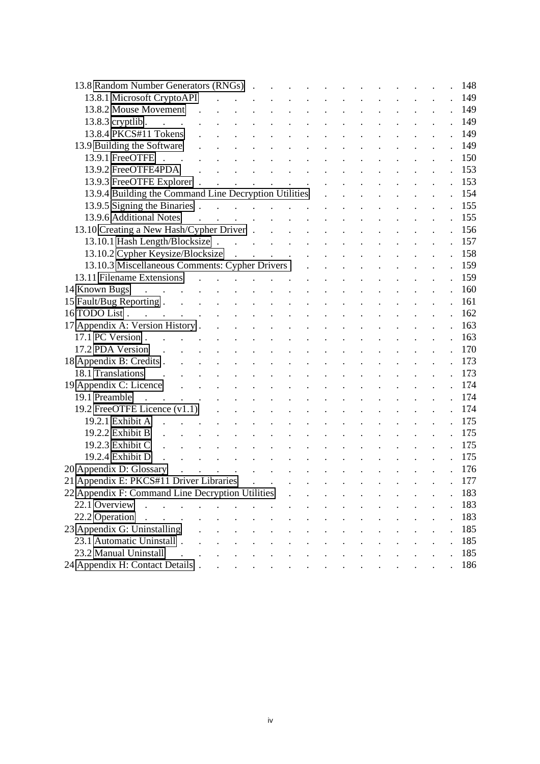| 13.8 Random Number Generators (RNGs)                                                                                                                                                                                                                                                                                                                                                                                                                                                            |                                        |                                     |                                                                                                                                                                                                                                                                                                                                                                                                                                      |                    |              |        |                            |        |  |  |  | 148 |
|-------------------------------------------------------------------------------------------------------------------------------------------------------------------------------------------------------------------------------------------------------------------------------------------------------------------------------------------------------------------------------------------------------------------------------------------------------------------------------------------------|----------------------------------------|-------------------------------------|--------------------------------------------------------------------------------------------------------------------------------------------------------------------------------------------------------------------------------------------------------------------------------------------------------------------------------------------------------------------------------------------------------------------------------------|--------------------|--------------|--------|----------------------------|--------|--|--|--|-----|
| 13.8.1 Microsoft CryptoAPI                                                                                                                                                                                                                                                                                                                                                                                                                                                                      |                                        |                                     |                                                                                                                                                                                                                                                                                                                                                                                                                                      |                    |              |        |                            |        |  |  |  | 149 |
| 13.8.2 Mouse Movement                                                                                                                                                                                                                                                                                                                                                                                                                                                                           | $\sim$                                 |                                     |                                                                                                                                                                                                                                                                                                                                                                                                                                      |                    |              |        |                            |        |  |  |  | 149 |
| $13.8.3$ cryptlib.<br>$\mathcal{L}^{\text{max}}$ , $\mathcal{L}^{\text{max}}$                                                                                                                                                                                                                                                                                                                                                                                                                   |                                        |                                     |                                                                                                                                                                                                                                                                                                                                                                                                                                      |                    |              |        |                            |        |  |  |  | 149 |
| 13.8.4 PKCS#11 Tokens                                                                                                                                                                                                                                                                                                                                                                                                                                                                           |                                        |                                     |                                                                                                                                                                                                                                                                                                                                                                                                                                      |                    |              |        |                            |        |  |  |  | 149 |
| 13.9 Building the Software                                                                                                                                                                                                                                                                                                                                                                                                                                                                      |                                        |                                     |                                                                                                                                                                                                                                                                                                                                                                                                                                      |                    |              |        |                            |        |  |  |  | 149 |
| 13.9.1 FreeOTFE .<br>$\mathbb{R}^2$                                                                                                                                                                                                                                                                                                                                                                                                                                                             |                                        |                                     |                                                                                                                                                                                                                                                                                                                                                                                                                                      |                    |              |        |                            |        |  |  |  | 150 |
| 13.9.2 FreeOTFE4PDA                                                                                                                                                                                                                                                                                                                                                                                                                                                                             |                                        |                                     |                                                                                                                                                                                                                                                                                                                                                                                                                                      |                    |              |        |                            |        |  |  |  | 153 |
| 13.9.3 FreeOTFE Explorer.                                                                                                                                                                                                                                                                                                                                                                                                                                                                       |                                        | $\mathbb{R}^{\mathbb{Z}^2}$         |                                                                                                                                                                                                                                                                                                                                                                                                                                      | $\Delta \sim 10^4$ | $\mathbf{L}$ |        | $\mathcal{L}^{\text{max}}$ |        |  |  |  | 153 |
| 13.9.4 Building the Command Line Decryption Utilities                                                                                                                                                                                                                                                                                                                                                                                                                                           |                                        |                                     |                                                                                                                                                                                                                                                                                                                                                                                                                                      |                    |              |        |                            |        |  |  |  | 154 |
| 13.9.5 Signing the Binaries.                                                                                                                                                                                                                                                                                                                                                                                                                                                                    |                                        |                                     | $\mathbf{1}^{\prime}$ , $\mathbf{1}^{\prime}$ , $\mathbf{1}^{\prime}$ , $\mathbf{1}^{\prime}$ , $\mathbf{1}^{\prime}$ , $\mathbf{1}^{\prime}$ , $\mathbf{1}^{\prime}$ , $\mathbf{1}^{\prime}$                                                                                                                                                                                                                                        |                    |              |        |                            |        |  |  |  | 155 |
| 13.9.6 Additional Notes                                                                                                                                                                                                                                                                                                                                                                                                                                                                         |                                        |                                     | $\label{eq:2.1} \begin{array}{cccccccccccccc} \mathbf{1} & \mathbf{1} & \mathbf{1} & \mathbf{1} & \mathbf{1} & \mathbf{1} & \mathbf{1} & \mathbf{1} & \mathbf{1} & \mathbf{1} & \mathbf{1} & \mathbf{1} & \mathbf{1} & \mathbf{1} & \mathbf{1} & \mathbf{1} & \mathbf{1} & \mathbf{1} & \mathbf{1} & \mathbf{1} & \mathbf{1} & \mathbf{1} & \mathbf{1} & \mathbf{1} & \mathbf{1} & \mathbf{1} & \mathbf{1} & \mathbf{1} & \mathbf{1$ |                    |              |        |                            |        |  |  |  | 155 |
| 13.10 Creating a New Hash/Cypher Driver                                                                                                                                                                                                                                                                                                                                                                                                                                                         |                                        |                                     |                                                                                                                                                                                                                                                                                                                                                                                                                                      |                    |              |        |                            |        |  |  |  | 156 |
| 13.10.1 Hash Length/Blocksize                                                                                                                                                                                                                                                                                                                                                                                                                                                                   |                                        |                                     |                                                                                                                                                                                                                                                                                                                                                                                                                                      |                    |              |        |                            |        |  |  |  | 157 |
| 13.10.2 Cypher Keysize/Blocksize                                                                                                                                                                                                                                                                                                                                                                                                                                                                |                                        |                                     | $\mathcal{A}^{\mathcal{A}}$ , and $\mathcal{A}^{\mathcal{A}}$ , and $\mathcal{A}^{\mathcal{A}}$                                                                                                                                                                                                                                                                                                                                      |                    |              |        |                            |        |  |  |  | 158 |
| 13.10.3 Miscellaneous Comments: Cypher Drivers                                                                                                                                                                                                                                                                                                                                                                                                                                                  |                                        |                                     |                                                                                                                                                                                                                                                                                                                                                                                                                                      |                    |              |        |                            |        |  |  |  | 159 |
| 13.11 Filename Extensions                                                                                                                                                                                                                                                                                                                                                                                                                                                                       |                                        |                                     | $\mathcal{L}^{\mathcal{A}}$ . The set of the set of $\mathcal{L}^{\mathcal{A}}$                                                                                                                                                                                                                                                                                                                                                      |                    |              |        |                            |        |  |  |  | 159 |
| $\mathcal{L}^{\mathcal{L}}$ , and $\mathcal{L}^{\mathcal{L}}$ , and $\mathcal{L}^{\mathcal{L}}$ , and $\mathcal{L}^{\mathcal{L}}$ , and $\mathcal{L}^{\mathcal{L}}$<br>14 Known Bugs                                                                                                                                                                                                                                                                                                            |                                        |                                     |                                                                                                                                                                                                                                                                                                                                                                                                                                      |                    |              |        |                            |        |  |  |  | 160 |
| 15 Fault/Bug Reporting                                                                                                                                                                                                                                                                                                                                                                                                                                                                          |                                        | $\mathbb{R}^{n}$ . $\mathbb{R}^{n}$ |                                                                                                                                                                                                                                                                                                                                                                                                                                      |                    |              |        |                            |        |  |  |  | 161 |
| $\mathcal{L}^{\mathcal{L}}$ . The set of the set of the set of the set of the $\mathcal{L}^{\mathcal{L}}$<br>16 TODO List.                                                                                                                                                                                                                                                                                                                                                                      |                                        |                                     |                                                                                                                                                                                                                                                                                                                                                                                                                                      |                    |              |        |                            |        |  |  |  | 162 |
| 17 Appendix A: Version History.                                                                                                                                                                                                                                                                                                                                                                                                                                                                 |                                        | $\sim$ $\sim$                       | $\sim 1$                                                                                                                                                                                                                                                                                                                                                                                                                             |                    |              |        |                            |        |  |  |  | 163 |
| 17.1 PC Version.<br>$\mathcal{L}(\mathcal{L}^{\mathcal{L}}(\mathcal{L}^{\mathcal{L}}(\mathcal{L}^{\mathcal{L}}(\mathcal{L}^{\mathcal{L}}(\mathcal{L}^{\mathcal{L}}(\mathcal{L}^{\mathcal{L}}(\mathcal{L}^{\mathcal{L}}(\mathcal{L}^{\mathcal{L}}(\mathcal{L}^{\mathcal{L}}(\mathcal{L}^{\mathcal{L}}(\mathcal{L}^{\mathcal{L}}(\mathcal{L}^{\mathcal{L}}(\mathcal{L}^{\mathcal{L}}(\mathcal{L}^{\mathcal{L}}(\mathcal{L}^{\mathcal{L}}(\mathcal{L}^{\mathcal{L}}(\mathcal{L}$<br>$\mathbb{R}^2$ |                                        |                                     |                                                                                                                                                                                                                                                                                                                                                                                                                                      |                    | $\mathbf{r}$ | $\sim$ |                            | $\sim$ |  |  |  | 163 |
| 17.2 PDA Version<br>$\mathbf{r}$ , $\mathbf{r}$ , $\mathbf{r}$ , $\mathbf{r}$                                                                                                                                                                                                                                                                                                                                                                                                                   |                                        |                                     |                                                                                                                                                                                                                                                                                                                                                                                                                                      |                    |              |        |                            |        |  |  |  | 170 |
| 18 Appendix B: Credits.<br>$\mathbf{r}$                                                                                                                                                                                                                                                                                                                                                                                                                                                         | $\mathbf{r}$                           |                                     |                                                                                                                                                                                                                                                                                                                                                                                                                                      |                    |              |        |                            |        |  |  |  | 173 |
| 18.1 Translations                                                                                                                                                                                                                                                                                                                                                                                                                                                                               |                                        |                                     |                                                                                                                                                                                                                                                                                                                                                                                                                                      |                    |              |        |                            |        |  |  |  | 173 |
| 19 Appendix C: Licence<br>$\ddot{\phantom{a}}$                                                                                                                                                                                                                                                                                                                                                                                                                                                  | $\sim$ $\sim$                          | $\mathbf{L}^{\text{max}}$           |                                                                                                                                                                                                                                                                                                                                                                                                                                      |                    |              |        |                            |        |  |  |  | 174 |
| 19.1 Preamble<br>$\mathbf{r}$ , $\mathbf{r}$ , $\mathbf{r}$ , $\mathbf{r}$                                                                                                                                                                                                                                                                                                                                                                                                                      |                                        |                                     |                                                                                                                                                                                                                                                                                                                                                                                                                                      |                    |              |        |                            |        |  |  |  | 174 |
| 19.2 FreeOTFE Licence (v1.1)                                                                                                                                                                                                                                                                                                                                                                                                                                                                    |                                        |                                     |                                                                                                                                                                                                                                                                                                                                                                                                                                      |                    |              |        |                            |        |  |  |  | 174 |
| 19.2.1 Exhibit A                                                                                                                                                                                                                                                                                                                                                                                                                                                                                |                                        |                                     |                                                                                                                                                                                                                                                                                                                                                                                                                                      |                    |              |        |                            |        |  |  |  | 175 |
| 19.2.2 Exhibit B                                                                                                                                                                                                                                                                                                                                                                                                                                                                                |                                        |                                     |                                                                                                                                                                                                                                                                                                                                                                                                                                      |                    |              |        |                            |        |  |  |  | 175 |
| 19.2.3 Exhibit C                                                                                                                                                                                                                                                                                                                                                                                                                                                                                |                                        |                                     |                                                                                                                                                                                                                                                                                                                                                                                                                                      |                    |              |        |                            |        |  |  |  | 175 |
| 19.2.4 Exhibit D<br>$\mathbb{R}^2$<br>$\ddot{\phantom{a}}$                                                                                                                                                                                                                                                                                                                                                                                                                                      |                                        |                                     |                                                                                                                                                                                                                                                                                                                                                                                                                                      |                    |              |        |                            |        |  |  |  | 175 |
| 20 Appendix D: Glossary<br>$\mathbf{L} = \mathbf{L}$                                                                                                                                                                                                                                                                                                                                                                                                                                            |                                        | $\mathbf{L}$                        |                                                                                                                                                                                                                                                                                                                                                                                                                                      |                    |              |        |                            |        |  |  |  | 176 |
| 21 Appendix E: PKCS#11 Driver Libraries                                                                                                                                                                                                                                                                                                                                                                                                                                                         |                                        |                                     |                                                                                                                                                                                                                                                                                                                                                                                                                                      |                    |              |        |                            |        |  |  |  | 177 |
| 22 Appendix F: Command Line Decryption Utilities                                                                                                                                                                                                                                                                                                                                                                                                                                                |                                        |                                     |                                                                                                                                                                                                                                                                                                                                                                                                                                      |                    |              |        |                            |        |  |  |  | 183 |
| 22.1 Overview                                                                                                                                                                                                                                                                                                                                                                                                                                                                                   | $\mathbf{r}$ . The set of $\mathbf{r}$ |                                     | $\sim$ $\sim$                                                                                                                                                                                                                                                                                                                                                                                                                        |                    |              |        |                            |        |  |  |  | 183 |
| 22.2 Operation<br>$\mathbf{r} = \mathbf{r}$                                                                                                                                                                                                                                                                                                                                                                                                                                                     | $\mathbf{r}$                           |                                     |                                                                                                                                                                                                                                                                                                                                                                                                                                      |                    |              |        |                            |        |  |  |  | 183 |
| 23 Appendix G: Uninstalling                                                                                                                                                                                                                                                                                                                                                                                                                                                                     |                                        |                                     |                                                                                                                                                                                                                                                                                                                                                                                                                                      |                    |              |        |                            |        |  |  |  | 185 |
| 23.1 Automatic Uninstall.                                                                                                                                                                                                                                                                                                                                                                                                                                                                       |                                        |                                     |                                                                                                                                                                                                                                                                                                                                                                                                                                      |                    |              |        |                            |        |  |  |  | 185 |
| 23.2 Manual Uninstall                                                                                                                                                                                                                                                                                                                                                                                                                                                                           |                                        |                                     |                                                                                                                                                                                                                                                                                                                                                                                                                                      |                    |              |        |                            |        |  |  |  | 185 |
| 24 Appendix H: Contact Details.                                                                                                                                                                                                                                                                                                                                                                                                                                                                 |                                        |                                     | $\mathbf{r}$ , and $\mathbf{r}$ , and $\mathbf{r}$ , and $\mathbf{r}$ , and $\mathbf{r}$                                                                                                                                                                                                                                                                                                                                             |                    |              |        |                            |        |  |  |  | 186 |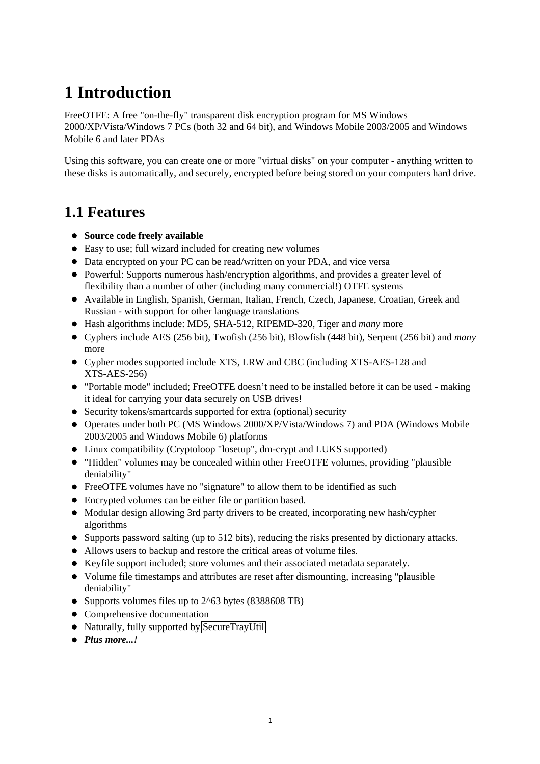# <span id="page-6-0"></span>**1 Introduction**

FreeOTFE: A free "on-the-fly" transparent disk encryption program for MS Windows 2000/XP/Vista/Windows 7 PCs (both 32 and 64 bit), and Windows Mobile 2003/2005 and Windows Mobile 6 and later PDAs

Using this software, you can create one or more "virtual disks" on your computer - anything written to these disks is automatically, and securely, encrypted before being stored on your computers hard drive.

## <span id="page-6-1"></span>**1.1 Features**

- **Source code freely available**
- Easy to use; full wizard included for creating new volumes
- Data encrypted on your PC can be read/written on your PDA, and vice versa
- Powerful: Supports numerous hash/encryption algorithms, and provides a greater level of flexibility than a number of other (including many commercial!) OTFE systems
- Available in English, Spanish, German, Italian, French, Czech, Japanese, Croatian, Greek and Russian - with support for other language translations
- Hash algorithms include: MD5, SHA-512, RIPEMD-320, Tiger and *many* more
- Cyphers include AES (256 bit), Twofish (256 bit), Blowfish (448 bit), Serpent (256 bit) and *many* more
- Cypher modes supported include XTS, LRW and CBC (including XTS-AES-128 and XTS-AES-256)
- "Portable mode" included; FreeOTFE doesn't need to be installed before it can be used making it ideal for carrying your data securely on USB drives!
- Security tokens/smartcards supported for extra (optional) security
- Operates under both PC (MS Windows 2000/XP/Vista/Windows 7) and PDA (Windows Mobile 2003/2005 and Windows Mobile 6) platforms
- Linux compatibility (Cryptoloop "losetup", dm-crypt and LUKS supported)
- "Hidden" volumes may be concealed within other FreeOTFE volumes, providing "plausible deniability"
- FreeOTFE volumes have no "signature" to allow them to be identified as such
- Encrypted volumes can be either file or partition based.
- Modular design allowing 3rd party drivers to be created, incorporating new hash/cypher algorithms
- Supports password salting (up to 512 bits), reducing the risks presented by dictionary attacks.
- Allows users to backup and restore the critical areas of volume files.
- Keyfile support included; store volumes and their associated metadata separately.
- Volume file timestamps and attributes are reset after dismounting, increasing "plausible deniability"
- Supports volumes files up to 2^63 bytes (8388608 TB)
- Comprehensive documentation
- Naturally, fully supported by [SecureTrayUtil.](http://www.SDean12.org/SecureTrayUtil.htm)
- *Plus more...!*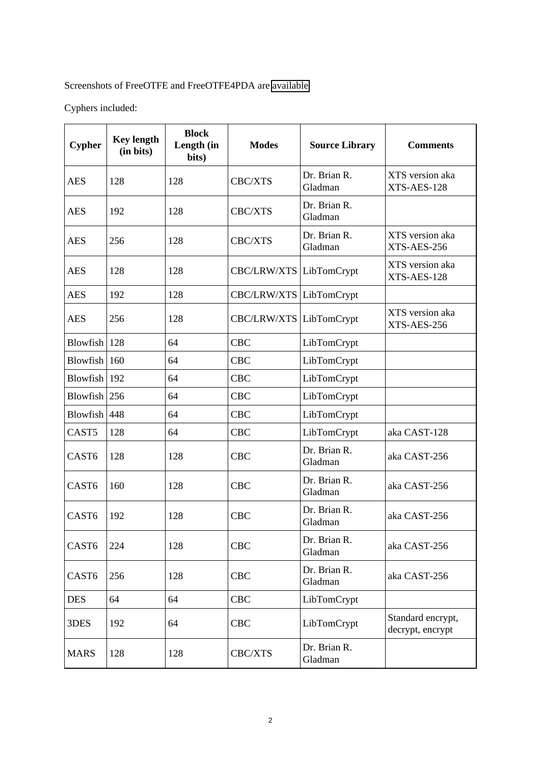#### Screenshots of FreeOTFE and FreeOTFE4PDA are [available](http://www.FreeOTFE.org/screenshots_pc_main.html)

Cyphers included:

| <b>Cypher</b>     | <b>Key length</b><br>(in bits) | <b>Block</b><br>Length (in<br>bits) | <b>Modes</b>            | <b>Source Library</b>   | <b>Comments</b>                       |
|-------------------|--------------------------------|-------------------------------------|-------------------------|-------------------------|---------------------------------------|
| <b>AES</b>        | 128                            | 128                                 | CBC/XTS                 | Dr. Brian R.<br>Gladman | XTS version aka<br>XTS-AES-128        |
| <b>AES</b>        | 192                            | 128                                 | CBC/XTS                 | Dr. Brian R.<br>Gladman |                                       |
| <b>AES</b>        | 256                            | 128                                 | CBC/XTS                 | Dr. Brian R.<br>Gladman | XTS version aka<br>XTS-AES-256        |
| <b>AES</b>        | 128                            | 128                                 | CBC/LRW/XTS LibTomCrypt |                         | XTS version aka<br>XTS-AES-128        |
| <b>AES</b>        | 192                            | 128                                 | CBC/LRW/XTS LibTomCrypt |                         |                                       |
| <b>AES</b>        | 256                            | 128                                 | <b>CBC/LRW/XTS</b>      | LibTomCrypt             | XTS version aka<br>XTS-AES-256        |
| Blowfish $ 128$   |                                | 64                                  | <b>CBC</b>              | LibTomCrypt             |                                       |
| Blowfish $ 160$   |                                | 64                                  | <b>CBC</b>              | LibTomCrypt             |                                       |
| Blowfish 192      |                                | 64                                  | <b>CBC</b>              | LibTomCrypt             |                                       |
| Blowfish $256$    |                                | 64                                  | <b>CBC</b>              | LibTomCrypt             |                                       |
| Blowfish $ 448$   |                                | 64                                  | <b>CBC</b>              | LibTomCrypt             |                                       |
| CAST <sub>5</sub> | 128                            | 64                                  | <b>CBC</b>              | LibTomCrypt             | aka CAST-128                          |
| CAST <sub>6</sub> | 128                            | 128                                 | <b>CBC</b>              | Dr. Brian R.<br>Gladman | aka CAST-256                          |
| CAST <sub>6</sub> | 160                            | 128                                 | <b>CBC</b>              | Dr. Brian R.<br>Gladman | aka CAST-256                          |
| CAST <sub>6</sub> | 192                            | 128                                 | <b>CBC</b>              | Dr. Brian R.<br>Gladman | aka CAST-256                          |
| CAST6             | 224                            | 128                                 | <b>CBC</b>              | Dr. Brian R.<br>Gladman | aka CAST-256                          |
| CAST <sub>6</sub> | 256                            | 128                                 | <b>CBC</b>              | Dr. Brian R.<br>Gladman | aka CAST-256                          |
| <b>DES</b>        | 64                             | 64                                  | <b>CBC</b>              | LibTomCrypt             |                                       |
| 3DES              | 192                            | 64                                  | <b>CBC</b>              | LibTomCrypt             | Standard encrypt,<br>decrypt, encrypt |
| <b>MARS</b>       | 128                            | 128                                 | CBC/XTS                 | Dr. Brian R.<br>Gladman |                                       |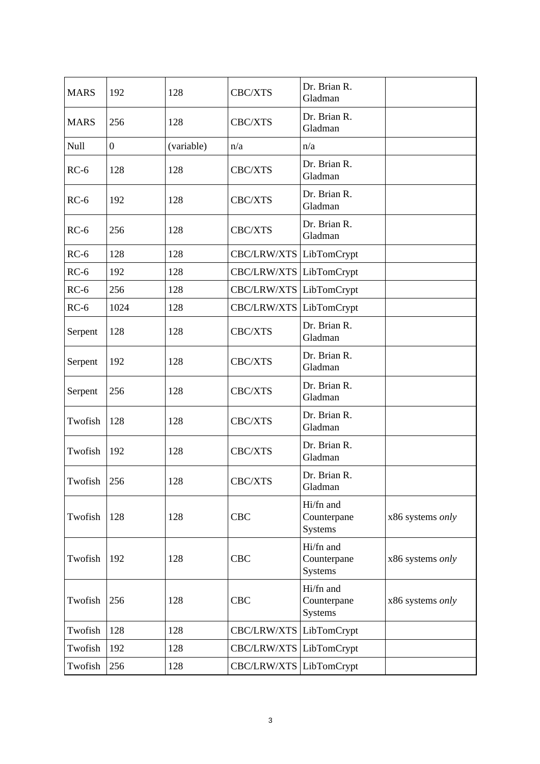| <b>MARS</b>     | 192              | 128        | CBC/XTS        | Dr. Brian R.<br>Gladman                    |                  |
|-----------------|------------------|------------|----------------|--------------------------------------------|------------------|
| <b>MARS</b>     | 256              | 128        | CBC/XTS        | Dr. Brian R.<br>Gladman                    |                  |
| Null            | $\boldsymbol{0}$ | (variable) | n/a            | n/a                                        |                  |
| $RC-6$          | 128              | 128        | CBC/XTS        | Dr. Brian R.<br>Gladman                    |                  |
| $RC-6$          | 192              | 128        | CBC/XTS        | Dr. Brian R.<br>Gladman                    |                  |
| $RC-6$          | 256              | 128        | CBC/XTS        | Dr. Brian R.<br>Gladman                    |                  |
| $RC-6$          | 128              | 128        | CBC/LRW/XTS    | LibTomCrypt                                |                  |
| $RC-6$          | 192              | 128        | CBC/LRW/XTS    | LibTomCrypt                                |                  |
| $RC-6$          | 256              | 128        | CBC/LRW/XTS    | LibTomCrypt                                |                  |
| $RC-6$          | 1024             | 128        | CBC/LRW/XTS    | LibTomCrypt                                |                  |
| Serpent         | 128              | 128        | CBC/XTS        | Dr. Brian R.<br>Gladman                    |                  |
| Serpent         | 192              | 128        | CBC/XTS        | Dr. Brian R.<br>Gladman                    |                  |
| Serpent         | 256              | 128        | CBC/XTS        | Dr. Brian R.<br>Gladman                    |                  |
| Twofish         | 128              | 128        | CBC/XTS        | Dr. Brian R.<br>Gladman                    |                  |
| Twofish         | 192              | 128        | CBC/XTS        | Dr. Brian R.<br>Gladman                    |                  |
| Twofish $ 256 $ |                  | 128        | <b>CBC/XTS</b> | Dr. Brian R.<br>Gladman                    |                  |
| Twofish         | 128              | 128        | <b>CBC</b>     | Hi/fn and<br>Counterpane<br><b>Systems</b> | x86 systems only |
| Twofish         | 192              | 128        | <b>CBC</b>     | Hi/fn and<br>Counterpane<br><b>Systems</b> | x86 systems only |
| Twofish         | 256              | 128        | <b>CBC</b>     | Hi/fn and<br>Counterpane<br>Systems        | x86 systems only |
| Twofish         | 128              | 128        | CBC/LRW/XTS    | LibTomCrypt                                |                  |
| Twofish         | 192              | 128        | CBC/LRW/XTS    | LibTomCrypt                                |                  |
| Twofish         | 256              | 128        | CBC/LRW/XTS    | LibTomCrypt                                |                  |
|                 |                  |            |                |                                            |                  |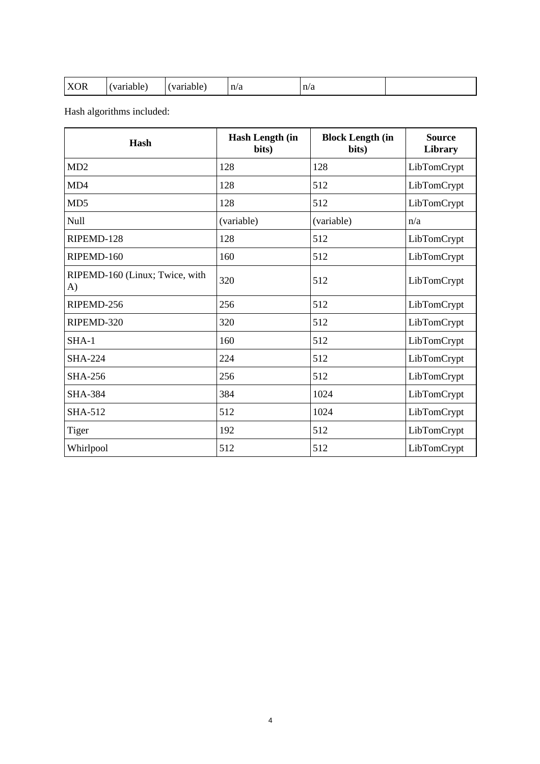| <b>XOR</b> | $10.444 \wedge 10^{-1}$<br>iabie | variable ! | n/a | n/a<br>$\sim$ |  |
|------------|----------------------------------|------------|-----|---------------|--|
|------------|----------------------------------|------------|-----|---------------|--|

Hash algorithms included:

| Hash                                 | <b>Hash Length (in</b><br>bits) | <b>Block Length (in</b><br>bits) | <b>Source</b><br>Library |
|--------------------------------------|---------------------------------|----------------------------------|--------------------------|
| MD <sub>2</sub>                      | 128                             | 128                              | LibTomCrypt              |
| MD4                                  | 128                             | 512                              | LibTomCrypt              |
| MD5                                  | 128                             | 512                              | LibTomCrypt              |
| Null                                 | (variable)                      | (variable)                       | n/a                      |
| RIPEMD-128                           | 128                             | 512                              | LibTomCrypt              |
| RIPEMD-160                           | 160                             | 512                              | LibTomCrypt              |
| RIPEMD-160 (Linux; Twice, with<br>A) | 320                             | 512                              | LibTomCrypt              |
| RIPEMD-256                           | 256                             | 512                              | LibTomCrypt              |
| RIPEMD-320                           | 320                             | 512                              | LibTomCrypt              |
| $SHA-1$                              | 160                             | 512                              | LibTomCrypt              |
| <b>SHA-224</b>                       | 224                             | 512                              | LibTomCrypt              |
| <b>SHA-256</b>                       | 256                             | 512                              | LibTomCrypt              |
| <b>SHA-384</b>                       | 384                             | 1024                             | LibTomCrypt              |
| <b>SHA-512</b>                       | 512                             | 1024                             | LibTomCrypt              |
| Tiger                                | 192                             | 512                              | LibTomCrypt              |
| Whirlpool                            | 512                             | 512                              | LibTomCrypt              |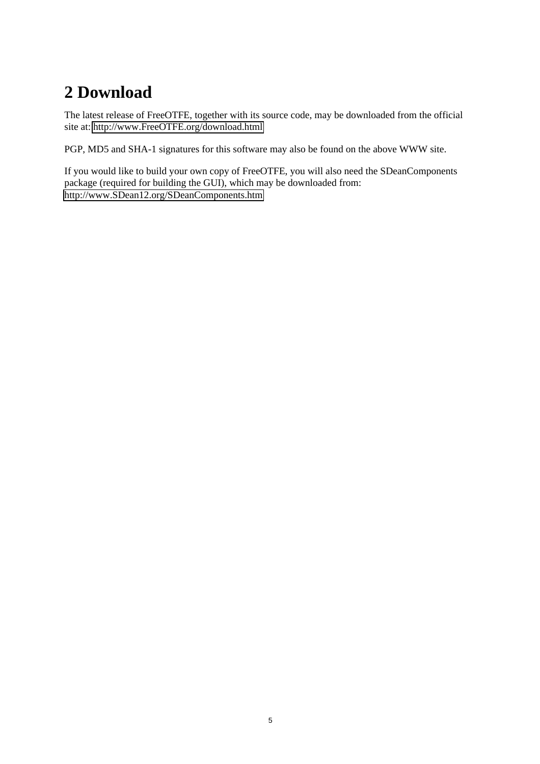# <span id="page-10-0"></span>**2 Download**

The latest release of FreeOTFE, together with its source code, may be downloaded from the official site at:<http://www.FreeOTFE.org/download.html>

PGP, MD5 and SHA-1 signatures for this software may also be found on the above WWW site.

If you would like to build your own copy of FreeOTFE, you will also need the SDeanComponents package (required for building the GUI), which may be downloaded from: <http://www.SDean12.org/SDeanComponents.htm>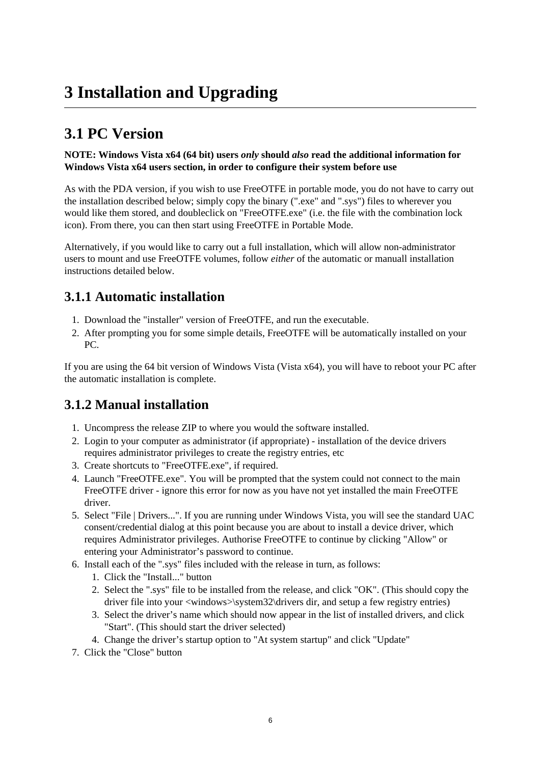# <span id="page-11-0"></span>**3 Installation and Upgrading**

## <span id="page-11-1"></span>**3.1 PC Version**

#### **NOTE: Windows Vista x64 (64 bit) users** *only* **should** *also* **read the additional information for Windows Vista x64 users section, in order to configure their system before use**

As with the PDA version, if you wish to use FreeOTFE in portable mode, you do not have to carry out the installation described below; simply copy the binary (".exe" and ".sys") files to wherever you would like them stored, and doubleclick on "FreeOTFE.exe" (i.e. the file with the combination lock icon). From there, you can then start using FreeOTFE in Portable Mode.

Alternatively, if you would like to carry out a full installation, which will allow non-administrator users to mount and use FreeOTFE volumes, follow *either* of the automatic or manuall installation instructions detailed below.

### <span id="page-11-2"></span>**3.1.1 Automatic installation**

- 1. Download the "installer" version of FreeOTFE, and run the executable.
- 2. After prompting you for some simple details, FreeOTFE will be automatically installed on your PC.

If you are using the 64 bit version of Windows Vista (Vista x64), you will have to reboot your PC after the automatic installation is complete.

### <span id="page-11-3"></span>**3.1.2 Manual installation**

- 1. Uncompress the release ZIP to where you would the software installed.
- 2. Login to your computer as administrator (if appropriate) installation of the device drivers requires administrator privileges to create the registry entries, etc
- 3. Create shortcuts to "FreeOTFE.exe", if required.
- 4. Launch "FreeOTFE.exe". You will be prompted that the system could not connect to the main FreeOTFE driver - ignore this error for now as you have not yet installed the main FreeOTFE driver.
- 5. Select "File | Drivers...". If you are running under Windows Vista, you will see the standard UAC consent/credential dialog at this point because you are about to install a device driver, which requires Administrator privileges. Authorise FreeOTFE to continue by clicking "Allow" or entering your Administrator's password to continue.
- 6. Install each of the ".sys" files included with the release in turn, as follows:
	- 1. Click the "Install..." button
	- 2. Select the ".sys" file to be installed from the release, and click "OK". (This should copy the driver file into your <windows>\system32\drivers dir, and setup a few registry entries)
	- 3. Select the driver's name which should now appear in the list of installed drivers, and click "Start". (This should start the driver selected)
	- 4. Change the driver's startup option to "At system startup" and click "Update"
- 7. Click the "Close" button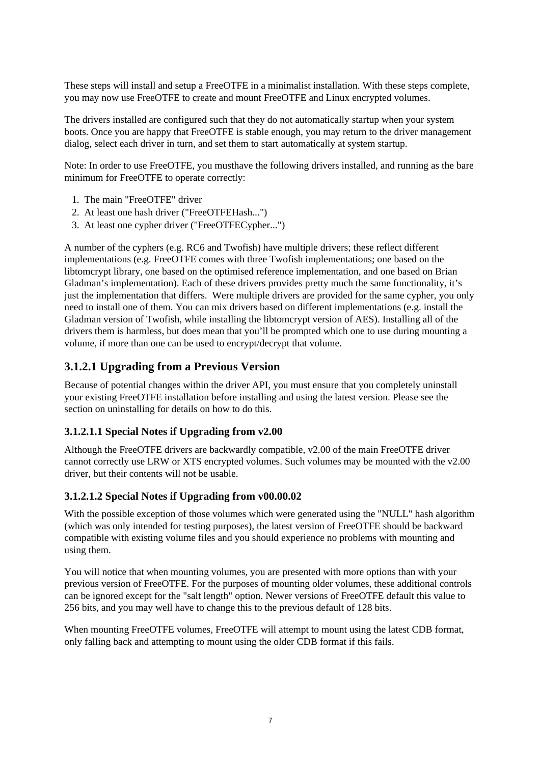These steps will install and setup a FreeOTFE in a minimalist installation. With these steps complete, you may now use FreeOTFE to create and mount FreeOTFE and Linux encrypted volumes.

The drivers installed are configured such that they do not automatically startup when your system boots. Once you are happy that FreeOTFE is stable enough, you may return to the driver management dialog, select each driver in turn, and set them to start automatically at system startup.

Note: In order to use FreeOTFE, you musthave the following drivers installed, and running as the bare minimum for FreeOTFE to operate correctly:

- 1. The main "FreeOTFE" driver
- 2. At least one hash driver ("FreeOTFEHash...")
- 3. At least one cypher driver ("FreeOTFECypher...")

A number of the cyphers (e.g. RC6 and Twofish) have multiple drivers; these reflect different implementations (e.g. FreeOTFE comes with three Twofish implementations; one based on the libtomcrypt library, one based on the optimised reference implementation, and one based on Brian Gladman's implementation). Each of these drivers provides pretty much the same functionality, it's just the implementation that differs. Were multiple drivers are provided for the same cypher, you only need to install one of them. You can mix drivers based on different implementations (e.g. install the Gladman version of Twofish, while installing the libtomcrypt version of AES). Installing all of the drivers them is harmless, but does mean that you'll be prompted which one to use during mounting a volume, if more than one can be used to encrypt/decrypt that volume.

#### **3.1.2.1 Upgrading from a Previous Version**

Because of potential changes within the driver API, you must ensure that you completely uninstall your existing FreeOTFE installation before installing and using the latest version. Please see the section on uninstalling for details on how to do this.

#### **3.1.2.1.1 Special Notes if Upgrading from v2.00**

Although the FreeOTFE drivers are backwardly compatible, v2.00 of the main FreeOTFE driver cannot correctly use LRW or XTS encrypted volumes. Such volumes may be mounted with the v2.00 driver, but their contents will not be usable.

#### **3.1.2.1.2 Special Notes if Upgrading from v00.00.02**

With the possible exception of those volumes which were generated using the "NULL" hash algorithm (which was only intended for testing purposes), the latest version of FreeOTFE should be backward compatible with existing volume files and you should experience no problems with mounting and using them.

You will notice that when mounting volumes, you are presented with more options than with your previous version of FreeOTFE. For the purposes of mounting older volumes, these additional controls can be ignored except for the "salt length" option. Newer versions of FreeOTFE default this value to 256 bits, and you may well have to change this to the previous default of 128 bits.

When mounting FreeOTFE volumes, FreeOTFE will attempt to mount using the latest CDB format, only falling back and attempting to mount using the older CDB format if this fails.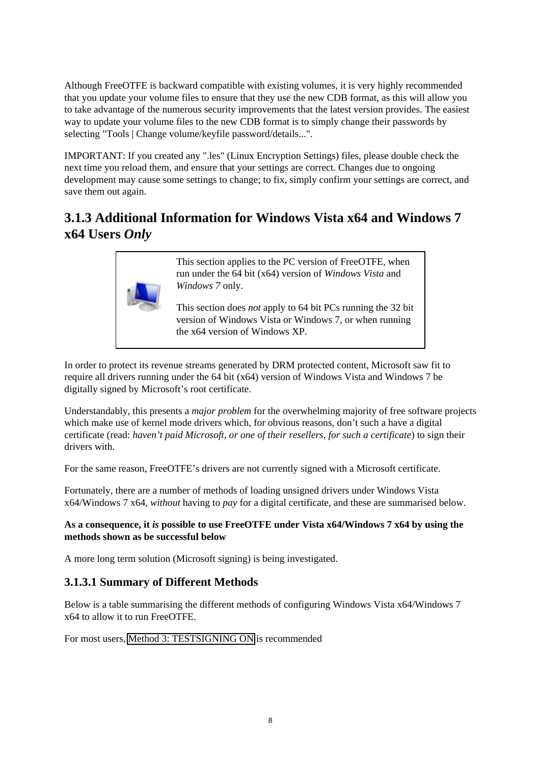Although FreeOTFE is backward compatible with existing volumes, it is very highly recommended that you update your volume files to ensure that they use the new CDB format, as this will allow you to take advantage of the numerous security improvements that the latest version provides. The easiest way to update your volume files to the new CDB format is to simply change their passwords by selecting "Tools | Change volume/keyfile password/details...".

IMPORTANT: If you created any ".les" (Linux Encryption Settings) files, please double check the next time you reload them, and ensure that your settings are correct. Changes due to ongoing development may cause some settings to change; to fix, simply confirm your settings are correct, and save them out again.

## <span id="page-13-0"></span>**3.1.3 Additional Information for Windows Vista x64 and Windows 7 x64 Users** *Only*



This section applies to the PC version of FreeOTFE, when run under the 64 bit (x64) version of *Windows Vista* and *Windows 7* only.

This section does *not* apply to 64 bit PCs running the 32 bit version of Windows Vista or Windows 7, or when running the x64 version of Windows XP.

In order to protect its revenue streams generated by DRM protected content, Microsoft saw fit to require all drivers running under the 64 bit (x64) version of Windows Vista and Windows 7 be digitally signed by Microsoft's root certificate.

Understandably, this presents a *major problem* for the overwhelming majority of free software projects which make use of kernel mode drivers which, for obvious reasons, don't such a have a digital certificate (read: *haven't paid Microsoft, or one of their resellers, for such a certificate*) to sign their drivers with.

For the same reason, FreeOTFE's drivers are not currently signed with a Microsoft certificate.

Fortunately, there are a number of methods of loading unsigned drivers under Windows Vista x64/Windows 7 x64, *without* having to *pay* for a digital certificate, and these are summarised below.

#### **As a consequence, it** *is* **possible to use FreeOTFE under Vista x64/Windows 7 x64 by using the methods shown as be successful below**

A more long term solution (Microsoft signing) is being investigated.

### **3.1.3.1 Summary of Different Methods**

Below is a table summarising the different methods of configuring Windows Vista x64/Windows 7 x64 to allow it to run FreeOTFE.

For most users, [Method 3: TESTSIGNING ON](#page-15-0) is recommended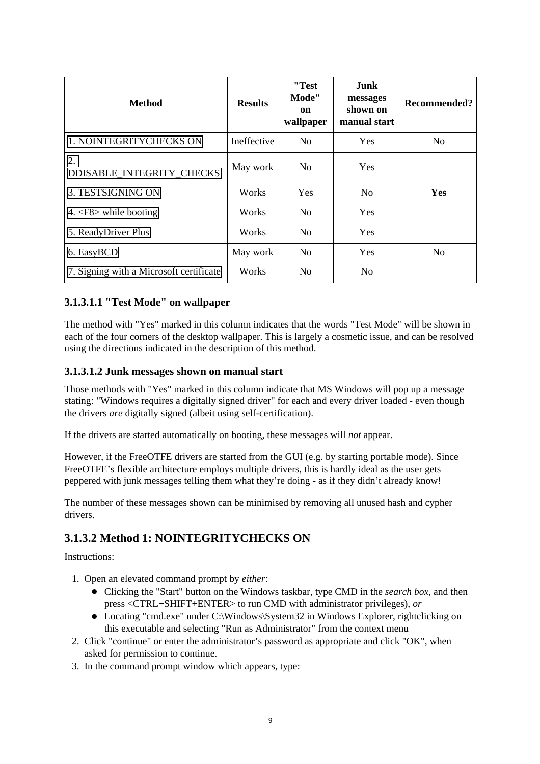| <b>Method</b>                           | <b>Results</b> | "Test<br>Mode"<br>on<br>wallpaper | Junk<br>messages<br>shown on<br>manual start | Recommended?   |
|-----------------------------------------|----------------|-----------------------------------|----------------------------------------------|----------------|
| 1. NOINTEGRITYCHECKS ON                 | Ineffective    | N <sub>0</sub>                    | <b>Yes</b>                                   | N <sub>o</sub> |
| 2.<br>DDISABLE_INTEGRITY_CHECKS         | May work       | No.                               | Yes                                          |                |
| 3. TESTSIGNING ON                       | Works          | Yes                               | N <sub>0</sub>                               | Yes            |
| 4. $\langle$ F8> while booting          | Works          | N <sub>0</sub>                    | <b>Yes</b>                                   |                |
| 5. ReadyDriver Plus                     | Works          | N <sub>0</sub>                    | Yes                                          |                |
| 6. EasyBCD                              | May work       | No                                | <b>Yes</b>                                   | N <sub>o</sub> |
| 7. Signing with a Microsoft certificate | Works          | N <sub>0</sub>                    | N <sub>o</sub>                               |                |

#### **3.1.3.1.1 "Test Mode" on wallpaper**

The method with "Yes" marked in this column indicates that the words "Test Mode" will be shown in each of the four corners of the desktop wallpaper. This is largely a cosmetic issue, and can be resolved using the directions indicated in the description of this method.

#### **3.1.3.1.2 Junk messages shown on manual start**

Those methods with "Yes" marked in this column indicate that MS Windows will pop up a message stating: "Windows requires a digitally signed driver" for each and every driver loaded - even though the drivers *are* digitally signed (albeit using self-certification).

If the drivers are started automatically on booting, these messages will *not* appear.

However, if the FreeOTFE drivers are started from the GUI (e.g. by starting portable mode). Since FreeOTFE's flexible architecture employs multiple drivers, this is hardly ideal as the user gets peppered with junk messages telling them what they're doing - as if they didn't already know!

The number of these messages shown can be minimised by removing all unused hash and cypher drivers.

### <span id="page-14-0"></span>**3.1.3.2 Method 1: NOINTEGRITYCHECKS ON**

Instructions:

- 1. Open an elevated command prompt by *either*:
	- Clicking the "Start" button on the Windows taskbar, type CMD in the *search box*, and then press <CTRL+SHIFT+ENTER> to run CMD with administrator privileges), *or*
	- Locating "cmd.exe" under C:\Windows\System32 in Windows Explorer, rightclicking on this executable and selecting "Run as Administrator" from the context menu
- 2. Click "continue" or enter the administrator's password as appropriate and click "OK", when asked for permission to continue.
- 3. In the command prompt window which appears, type: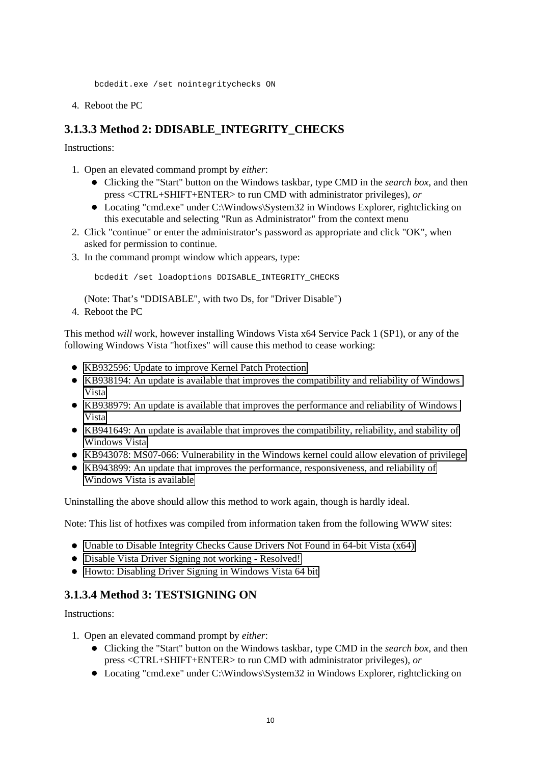bcdedit.exe /set nointegritychecks ON

4. Reboot the PC

#### <span id="page-15-1"></span>**3.1.3.3 Method 2: DDISABLE\_INTEGRITY\_CHECKS**

Instructions:

- 1. Open an elevated command prompt by *either*:
	- Clicking the "Start" button on the Windows taskbar, type CMD in the *search box*, and then press <CTRL+SHIFT+ENTER> to run CMD with administrator privileges), *or*
	- Locating "cmd.exe" under C:\Windows\System32 in Windows Explorer, rightclicking on this executable and selecting "Run as Administrator" from the context menu
- 2. Click "continue" or enter the administrator's password as appropriate and click "OK", when asked for permission to continue.
- 3. In the command prompt window which appears, type:

bcdedit /set loadoptions DDISABLE\_INTEGRITY\_CHECKS

(Note: That's "DDISABLE", with two Ds, for "Driver Disable")

4. Reboot the PC

This method *will* work, however installing Windows Vista x64 Service Pack 1 (SP1), or any of the following Windows Vista "hotfixes" will cause this method to cease working:

- [KB932596: Update to improve Kernel Patch Protection](http://support.microsoft.com/kb/932596)
- [KB938194: An update is available that improves the compatibility and reliability of Windows](http://support.microsoft.com/kb/938194)  [Vista](http://support.microsoft.com/kb/938194)
- [KB938979: An update is available that improves the performance and reliability of Windows](http://support.microsoft.com/kb/938979)  [Vista](http://support.microsoft.com/kb/938979)
- [KB941649: An update is available that improves the compatibility, reliability, and stability of](http://support.microsoft.com/kb/941649) [Windows Vista](http://support.microsoft.com/kb/941649)
- KB943078: MS07-066: Vulnerability in the Windows kernel could allow elevation of privilege
- [KB943899: An update that improves the performance, responsiveness, and reliability of](http://support.microsoft.com/kb/943899) [Windows Vista is available](http://support.microsoft.com/kb/943899)

Uninstalling the above should allow this method to work again, though is hardly ideal.

Note: This list of hotfixes was compiled from information taken from the following WWW sites:

- [Unable to Disable Integrity Checks Cause Drivers Not Found in 64-bit Vista \(x64\)](http://www.mydigitallife.info/2008/02/26/unable-to-disable-integrity-checks-cause-drivers-not-found-in-64-bit-vista-x64/)
- [Disable Vista Driver Signing not working Resolved!](http://www.pronetworks.org/forum/post-750198.html&sid=ad70ccdfad11e388c3f1549a5410a3df)
- [Howto: Disabling Driver Signing in Windows Vista 64 bit](http://thebackroomtech.wordpress.com/2007/11/05/howto-disabling-driver-signing-in-windows-vista-64-bit/)

#### <span id="page-15-0"></span>**3.1.3.4 Method 3: TESTSIGNING ON**

Instructions:

- 1. Open an elevated command prompt by *either*:
	- Clicking the "Start" button on the Windows taskbar, type CMD in the *search box*, and then press <CTRL+SHIFT+ENTER> to run CMD with administrator privileges), *or*
	- Locating "cmd.exe" under C:\Windows\System32 in Windows Explorer, rightclicking on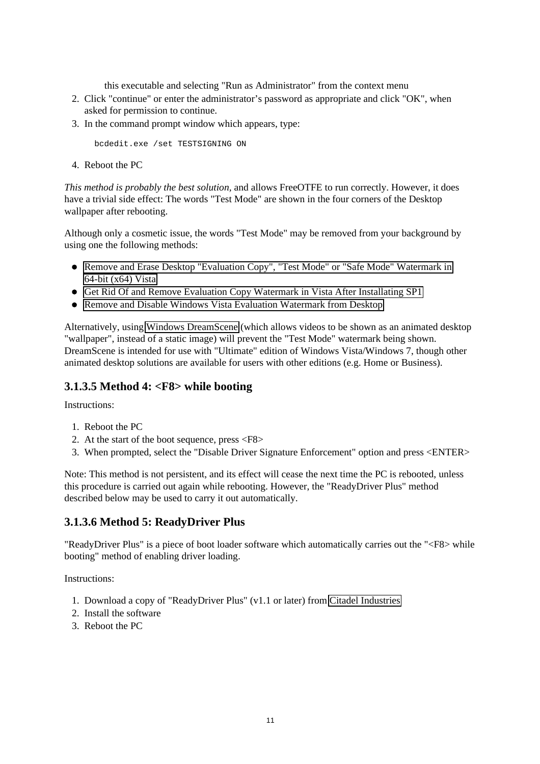this executable and selecting "Run as Administrator" from the context menu

- 2. Click "continue" or enter the administrator's password as appropriate and click "OK", when asked for permission to continue.
- 3. In the command prompt window which appears, type:

bcdedit.exe /set TESTSIGNING ON

4. Reboot the PC

*This method is probably the best solution,* and allows FreeOTFE to run correctly. However, it does have a trivial side effect: The words "Test Mode" are shown in the four corners of the Desktop wallpaper after rebooting.

Although only a cosmetic issue, the words "Test Mode" may be removed from your background by using one the following methods:

- [Remove and Erase Desktop "Evaluation Copy", "Test Mode" or "Safe Mode" Watermark in](http://www.mydigitallife.info/2008/01/09/remove-and-erase-desktop-evaluation-copy-test-mode-or-safe-mode-watermark-in-64-bit-x64-vista/) [64-bit \(x64\) Vista](http://www.mydigitallife.info/2008/01/09/remove-and-erase-desktop-evaluation-copy-test-mode-or-safe-mode-watermark-in-64-bit-x64-vista/)
- [Get Rid Of and Remove Evaluation Copy Watermark in Vista After Installating SP1](http://www.mydigitallife.info/2007/11/03/get-rid-of-and-remove-evaluation-copy-watermark-in-vista-after-installating-sp1/)
- [Remove and Disable Windows Vista Evaluation Watermark from Desktop](http://www.mydigitallife.info/2006/11/23/remove-and-disable-windows-vista-evaluation-watermark-from-desktop/)

Alternatively, using [Windows DreamScene](http://windowshelp.microsoft.com/Windows/en-US/Help/51a8bdac-cd66-4ae3-afdf-6c6dcf804b991033.mspx) (which allows videos to be shown as an animated desktop "wallpaper", instead of a static image) will prevent the "Test Mode" watermark being shown. DreamScene is intended for use with "Ultimate" edition of Windows Vista/Windows 7, though other animated desktop solutions are available for users with other editions (e.g. Home or Business).

#### <span id="page-16-0"></span>**3.1.3.5 Method 4: <F8> while booting**

Instructions:

- 1. Reboot the PC
- 2. At the start of the boot sequence, press <F8>
- 3. When prompted, select the "Disable Driver Signature Enforcement" option and press <ENTER>

Note: This method is not persistent, and its effect will cease the next time the PC is rebooted, unless this procedure is carried out again while rebooting. However, the "ReadyDriver Plus" method described below may be used to carry it out automatically.

### <span id="page-16-1"></span>**3.1.3.6 Method 5: ReadyDriver Plus**

"ReadyDriver Plus" is a piece of boot loader software which automatically carries out the "<F8> while booting" method of enabling driver loading.

Instructions:

- 1. Download a copy of "ReadyDriver Plus" (v1.1 or later) from [Citadel Industries](http://citadel.x10hosting.com/readydriverplus/)
- 2. Install the software
- <span id="page-16-2"></span>3. Reboot the PC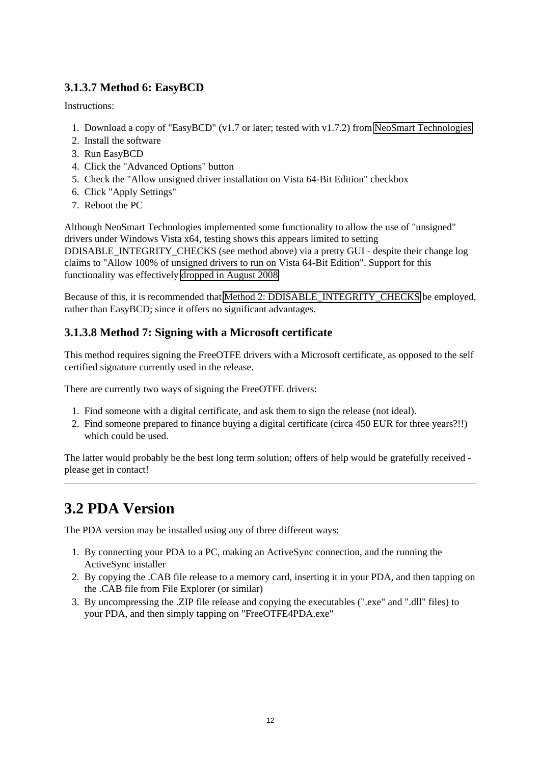### **3.1.3.7 Method 6: EasyBCD**

Instructions:

- 1. Download a copy of "EasyBCD" (v1.7 or later; tested with v1.7.2) from [NeoSmart Technologies](http://neosmart.net/)
- 2. Install the software
- 3. Run EasyBCD
- 4. Click the "Advanced Options" button
- 5. Check the "Allow unsigned driver installation on Vista 64-Bit Edition" checkbox
- 6. Click "Apply Settings"
- 7. Reboot the PC

Although NeoSmart Technologies implemented some functionality to allow the use of "unsigned" drivers under Windows Vista x64, testing shows this appears limited to setting DDISABLE\_INTEGRITY\_CHECKS (see method above) via a pretty GUI - despite their change log claims to "Allow 100% of unsigned drivers to run on Vista 64-Bit Edition". Support for this functionality was effectively [dropped in August 2008](http://neosmart.net/blog/2007/want-to-permanently-disable-driver-verification-in-vista-x64/) 

Because of this, it is recommended that [Method 2: DDISABLE\\_INTEGRITY\\_CHECKS](#page-15-1) be employed, rather than EasyBCD; since it offers no significant advantages.

### <span id="page-17-1"></span>**3.1.3.8 Method 7: Signing with a Microsoft certificate**

This method requires signing the FreeOTFE drivers with a Microsoft certificate, as opposed to the self certified signature currently used in the release.

There are currently two ways of signing the FreeOTFE drivers:

- 1. Find someone with a digital certificate, and ask them to sign the release (not ideal).
- 2. Find someone prepared to finance buying a digital certificate (circa 450 EUR for three years?!!) which could be used.

The latter would probably be the best long term solution; offers of help would be gratefully received please get in contact!

## <span id="page-17-0"></span>**3.2 PDA Version**

The PDA version may be installed using any of three different ways:

- 1. By connecting your PDA to a PC, making an ActiveSync connection, and the running the ActiveSync installer
- 2. By copying the .CAB file release to a memory card, inserting it in your PDA, and then tapping on the .CAB file from File Explorer (or similar)
- 3. By uncompressing the .ZIP file release and copying the executables (".exe" and ".dll" files) to your PDA, and then simply tapping on "FreeOTFE4PDA.exe"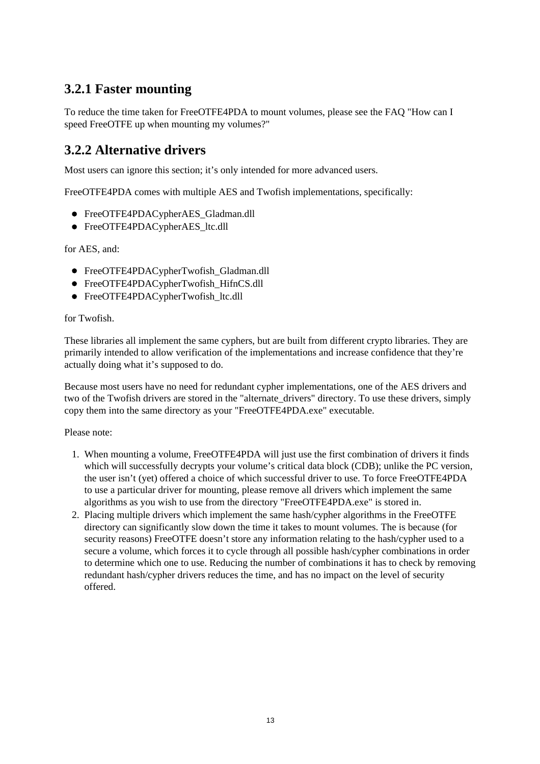### <span id="page-18-0"></span>**3.2.1 Faster mounting**

To reduce the time taken for FreeOTFE4PDA to mount volumes, please see the FAQ "How can I speed FreeOTFE up when mounting my volumes?"

### <span id="page-18-1"></span>**3.2.2 Alternative drivers**

Most users can ignore this section; it's only intended for more advanced users.

FreeOTFE4PDA comes with multiple AES and Twofish implementations, specifically:

- FreeOTFE4PDACypherAES Gladman.dll
- FreeOTFE4PDACypherAES ltc.dll

for AES, and:

- FreeOTFE4PDACypherTwofish\_Gladman.dll
- FreeOTFE4PDACypherTwofish HifnCS.dll
- FreeOTFE4PDACypherTwofish ltc.dll

#### for Twofish.

These libraries all implement the same cyphers, but are built from different crypto libraries. They are primarily intended to allow verification of the implementations and increase confidence that they're actually doing what it's supposed to do.

Because most users have no need for redundant cypher implementations, one of the AES drivers and two of the Twofish drivers are stored in the "alternate\_drivers" directory. To use these drivers, simply copy them into the same directory as your "FreeOTFE4PDA.exe" executable.

#### Please note:

- 1. When mounting a volume, FreeOTFE4PDA will just use the first combination of drivers it finds which will successfully decrypts your volume's critical data block (CDB); unlike the PC version, the user isn't (yet) offered a choice of which successful driver to use. To force FreeOTFE4PDA to use a particular driver for mounting, please remove all drivers which implement the same algorithms as you wish to use from the directory "FreeOTFE4PDA.exe" is stored in.
- 2. Placing multiple drivers which implement the same hash/cypher algorithms in the FreeOTFE directory can significantly slow down the time it takes to mount volumes. The is because (for security reasons) FreeOTFE doesn't store any information relating to the hash/cypher used to a secure a volume, which forces it to cycle through all possible hash/cypher combinations in order to determine which one to use. Reducing the number of combinations it has to check by removing redundant hash/cypher drivers reduces the time, and has no impact on the level of security offered.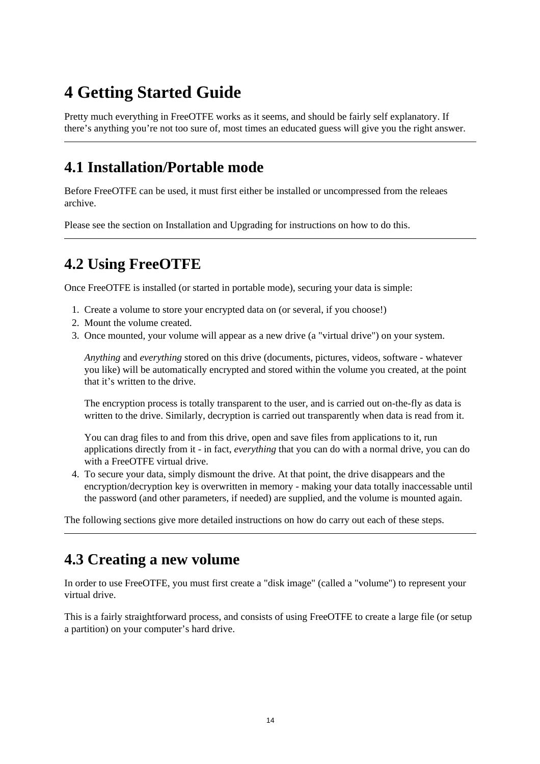# <span id="page-19-0"></span>**4 Getting Started Guide**

Pretty much everything in FreeOTFE works as it seems, and should be fairly self explanatory. If there's anything you're not too sure of, most times an educated guess will give you the right answer.

## <span id="page-19-1"></span>**4.1 Installation/Portable mode**

Before FreeOTFE can be used, it must first either be installed or uncompressed from the releaes archive.

Please see the section on Installation and Upgrading for instructions on how to do this.

## <span id="page-19-2"></span>**4.2 Using FreeOTFE**

Once FreeOTFE is installed (or started in portable mode), securing your data is simple:

- 1. Create a volume to store your encrypted data on (or several, if you choose!)
- 2. Mount the volume created.
- 3. Once mounted, your volume will appear as a new drive (a "virtual drive") on your system.

*Anything* and *everything* stored on this drive (documents, pictures, videos, software - whatever you like) will be automatically encrypted and stored within the volume you created, at the point that it's written to the drive.

The encryption process is totally transparent to the user, and is carried out on-the-fly as data is written to the drive. Similarly, decryption is carried out transparently when data is read from it.

You can drag files to and from this drive, open and save files from applications to it, run applications directly from it - in fact, *everything* that you can do with a normal drive, you can do with a FreeOTFE virtual drive.

4. To secure your data, simply dismount the drive. At that point, the drive disappears and the encryption/decryption key is overwritten in memory - making your data totally inaccessable until the password (and other parameters, if needed) are supplied, and the volume is mounted again.

The following sections give more detailed instructions on how do carry out each of these steps.

## <span id="page-19-3"></span>**4.3 Creating a new volume**

In order to use FreeOTFE, you must first create a "disk image" (called a "volume") to represent your virtual drive.

This is a fairly straightforward process, and consists of using FreeOTFE to create a large file (or setup a partition) on your computer's hard drive.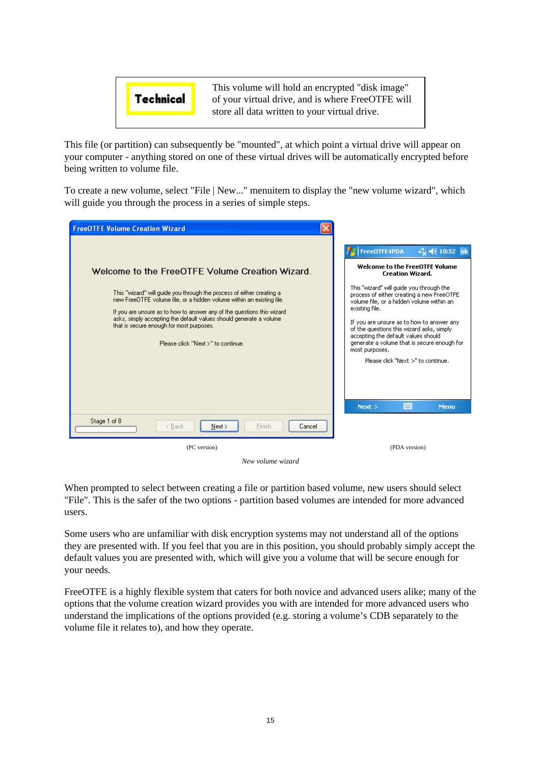

This file (or partition) can subsequently be "mounted", at which point a virtual drive will appear on your computer - anything stored on one of these virtual drives will be automatically encrypted before being written to volume file.

To create a new volume, select "File | New..." menuitem to display the "new volume wizard", which will guide you through the process in a series of simple steps.



*New volume wizard*

When prompted to select between creating a file or partition based volume, new users should select "File". This is the safer of the two options - partition based volumes are intended for more advanced users.

Some users who are unfamiliar with disk encryption systems may not understand all of the options they are presented with. If you feel that you are in this position, you should probably simply accept the default values you are presented with, which will give you a volume that will be secure enough for your needs.

FreeOTFE is a highly flexible system that caters for both novice and advanced users alike; many of the options that the volume creation wizard provides you with are intended for more advanced users who understand the implications of the options provided (e.g. storing a volume's CDB separately to the volume file it relates to), and how they operate.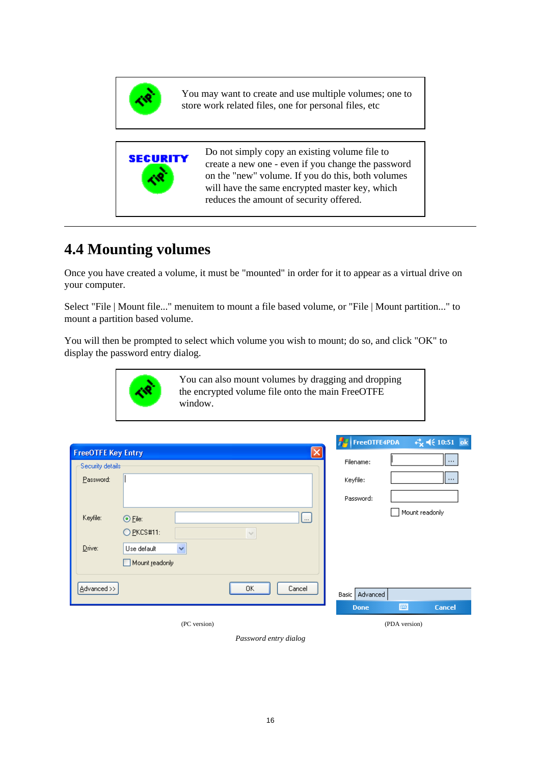<span id="page-21-0"></span>

You may want to create and use multiple volumes; one to store work related files, one for personal files, etc



## **4.4 Mounting volumes**

Once you have created a volume, it must be "mounted" in order for it to appear as a virtual drive on your computer.

Select "File | Mount file..." menuitem to mount a file based volume, or "File | Mount partition..." to mount a partition based volume.

You will then be prompted to select which volume you wish to mount; do so, and click "OK" to display the password entry dialog.



|                           |                |              |        |                       | <b>FEE</b> FreeOTFE4PDA | $\frac{1}{2}$ $\frac{1}{2}$ (4) $\frac{1}{2}$ (10:51) ok |
|---------------------------|----------------|--------------|--------|-----------------------|-------------------------|----------------------------------------------------------|
| <b>FreeOTFE Key Entry</b> |                |              |        | $\left[\times\right]$ |                         |                                                          |
| Security details          |                |              |        |                       | Filename:               | l m                                                      |
| Password:                 |                |              |        |                       | Keyfile:                | 1.                                                       |
|                           |                |              |        |                       | Password:               |                                                          |
| Keyfile:                  | $\odot$ File:  |              |        | L                     |                         | Mount readonly                                           |
|                           | $Q$ PKCS#11:   |              | $\sim$ |                       |                         |                                                          |
| Drive:                    | Use default    | $\checkmark$ |        |                       |                         |                                                          |
|                           | Mount readonly |              |        |                       |                         |                                                          |
|                           |                |              |        |                       |                         |                                                          |
| Advanced >>               |                |              | ΟK     | Cancel                | Basic   Advanced        |                                                          |
|                           |                |              |        |                       | <b>Done</b>             | 圏<br><b>Cancel</b>                                       |
|                           |                | (PC version) |        |                       |                         | (PDA version)                                            |

*Password entry dialog*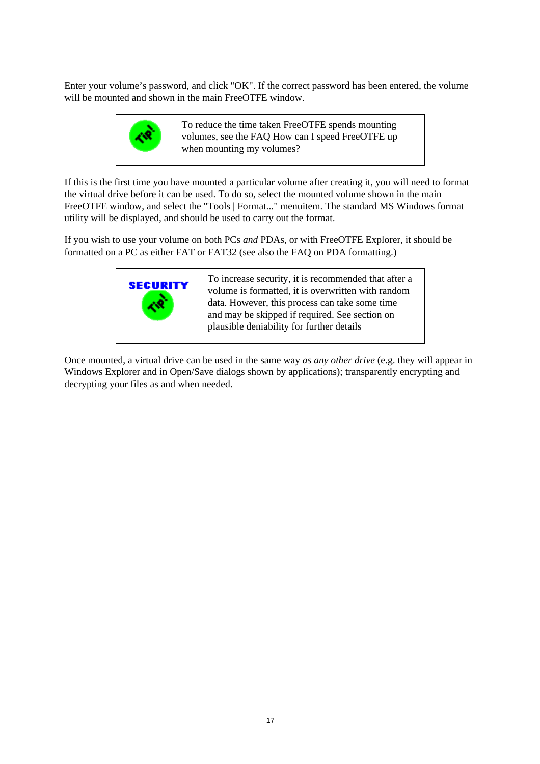Enter your volume's password, and click "OK". If the correct password has been entered, the volume will be mounted and shown in the main FreeOTFE window.



To reduce the time taken FreeOTFE spends mounting volumes, see the FAQ How can I speed FreeOTFE up when mounting my volumes?

If this is the first time you have mounted a particular volume after creating it, you will need to format the virtual drive before it can be used. To do so, select the mounted volume shown in the main FreeOTFE window, and select the "Tools | Format..." menuitem. The standard MS Windows format utility will be displayed, and should be used to carry out the format.

If you wish to use your volume on both PCs *and* PDAs, or with FreeOTFE Explorer, it should be formatted on a PC as either FAT or FAT32 (see also the FAQ on PDA formatting.)



To increase security, it is recommended that after a volume is formatted, it is overwritten with random data. However, this process can take some time and may be skipped if required. See section on plausible deniability for further details

Once mounted, a virtual drive can be used in the same way *as any other drive* (e.g. they will appear in Windows Explorer and in Open/Save dialogs shown by applications); transparently encrypting and decrypting your files as and when needed.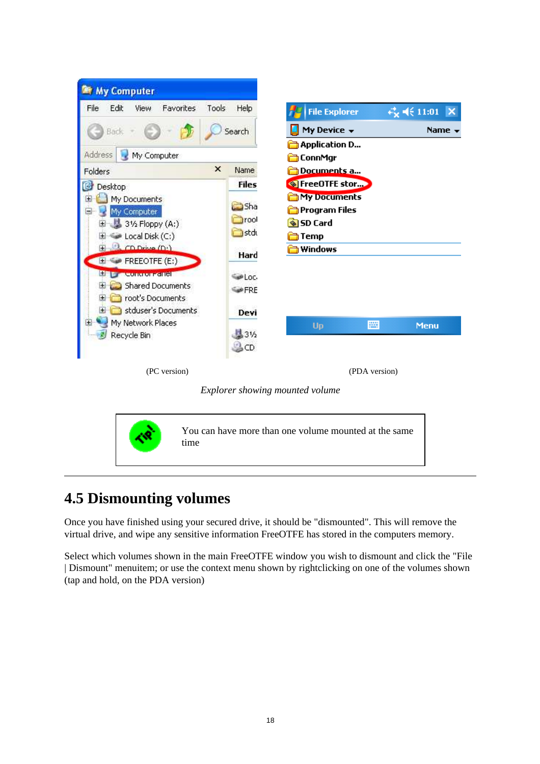<span id="page-23-0"></span>



You can have more than one volume mounted at the same time

## **4.5 Dismounting volumes**

Once you have finished using your secured drive, it should be "dismounted". This will remove the virtual drive, and wipe any sensitive information FreeOTFE has stored in the computers memory.

Select which volumes shown in the main FreeOTFE window you wish to dismount and click the "File | Dismount" menuitem; or use the context menu shown by rightclicking on one of the volumes shown (tap and hold, on the PDA version)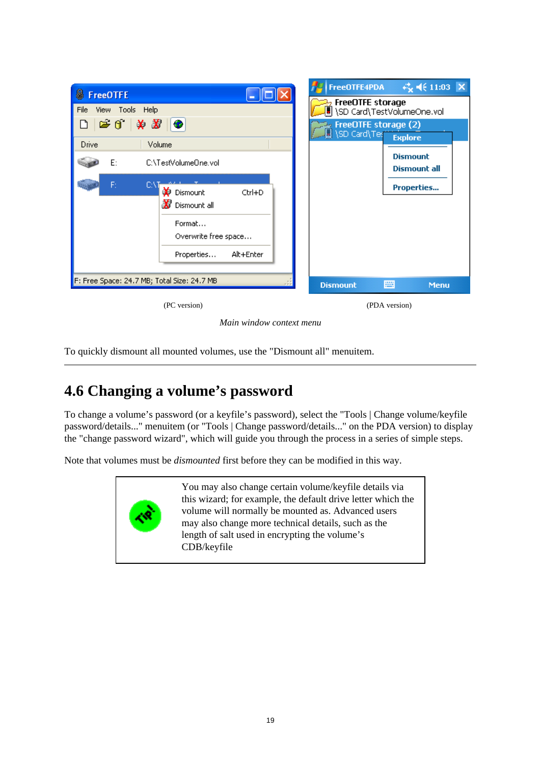

*Main window context menu*

To quickly dismount all mounted volumes, use the "Dismount all" menuitem.

## <span id="page-24-0"></span>**4.6 Changing a volume's password**

To change a volume's password (or a keyfile's password), select the "Tools | Change volume/keyfile password/details..." menuitem (or "Tools | Change password/details..." on the PDA version) to display the "change password wizard", which will guide you through the process in a series of simple steps.

Note that volumes must be *dismounted* first before they can be modified in this way.



You may also change certain volume/keyfile details via this wizard; for example, the default drive letter which the volume will normally be mounted as. Advanced users may also change more technical details, such as the length of salt used in encrypting the volume's CDB/keyfile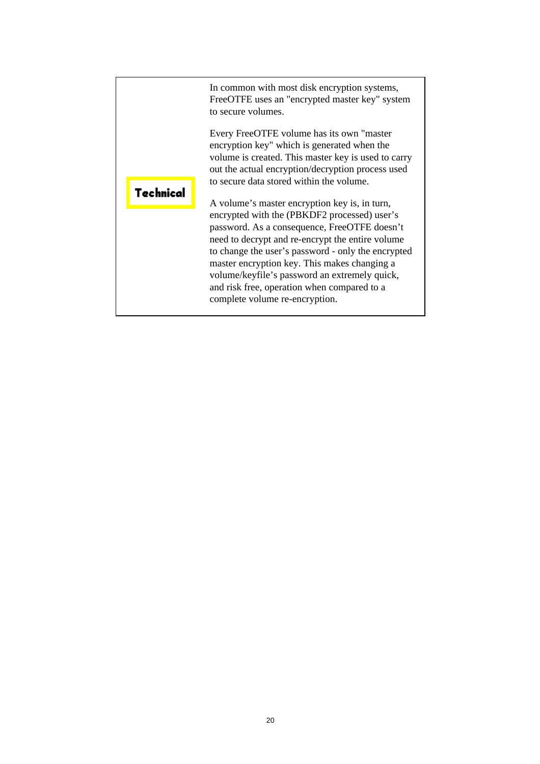|           | In common with most disk encryption systems,<br>FreeOTFE uses an "encrypted master key" system<br>to secure volumes.                                                                                                                                                                                                                                                                     |
|-----------|------------------------------------------------------------------------------------------------------------------------------------------------------------------------------------------------------------------------------------------------------------------------------------------------------------------------------------------------------------------------------------------|
| Technical | Every FreeOTFE volume has its own "master"<br>encryption key" which is generated when the<br>volume is created. This master key is used to carry<br>out the actual encryption/decryption process used<br>to secure data stored within the volume.<br>A volume's master encryption key is, in turn,                                                                                       |
|           | encrypted with the (PBKDF2 processed) user's<br>password. As a consequence, FreeOTFE doesn't<br>need to decrypt and re-encrypt the entire volume<br>to change the user's password - only the encrypted<br>master encryption key. This makes changing a<br>volume/keyfile's password an extremely quick,<br>and risk free, operation when compared to a<br>complete volume re-encryption. |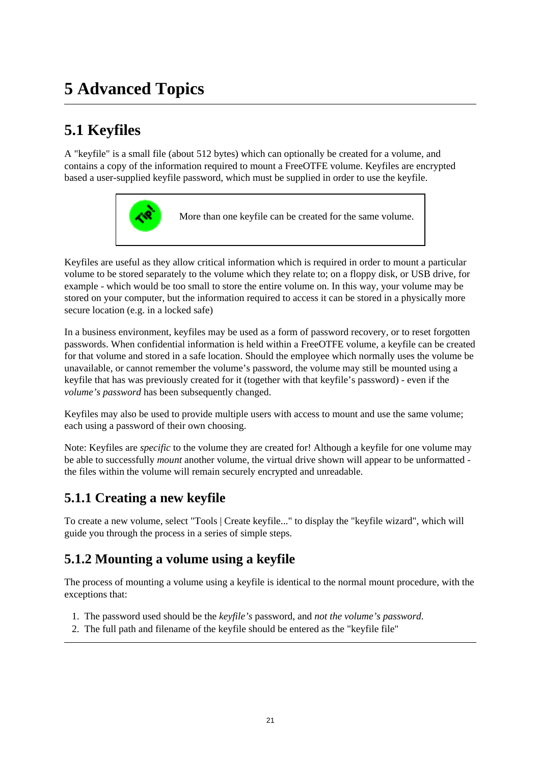# <span id="page-26-0"></span>**5 Advanced Topics**

## <span id="page-26-1"></span>**5.1 Keyfiles**

A "keyfile" is a small file (about 512 bytes) which can optionally be created for a volume, and contains a copy of the information required to mount a FreeOTFE volume. Keyfiles are encrypted based a user-supplied keyfile password, which must be supplied in order to use the keyfile.



More than one keyfile can be created for the same volume.

Keyfiles are useful as they allow critical information which is required in order to mount a particular volume to be stored separately to the volume which they relate to; on a floppy disk, or USB drive, for example - which would be too small to store the entire volume on. In this way, your volume may be stored on your computer, but the information required to access it can be stored in a physically more secure location (e.g. in a locked safe)

In a business environment, keyfiles may be used as a form of password recovery, or to reset forgotten passwords. When confidential information is held within a FreeOTFE volume, a keyfile can be created for that volume and stored in a safe location. Should the employee which normally uses the volume be unavailable, or cannot remember the volume's password, the volume may still be mounted using a keyfile that has was previously created for it (together with that keyfile's password) - even if the *volume's password* has been subsequently changed.

Keyfiles may also be used to provide multiple users with access to mount and use the same volume; each using a password of their own choosing.

Note: Keyfiles are *specific* to the volume they are created for! Although a keyfile for one volume may be able to successfully *mount* another volume, the virtual drive shown will appear to be unformatted the files within the volume will remain securely encrypted and unreadable.

### <span id="page-26-2"></span>**5.1.1 Creating a new keyfile**

To create a new volume, select "Tools | Create keyfile..." to display the "keyfile wizard", which will guide you through the process in a series of simple steps.

### <span id="page-26-3"></span>**5.1.2 Mounting a volume using a keyfile**

The process of mounting a volume using a keyfile is identical to the normal mount procedure, with the exceptions that:

- 1. The password used should be the *keyfile's* password, and *not the volume's password*.
- 2. The full path and filename of the keyfile should be entered as the "keyfile file"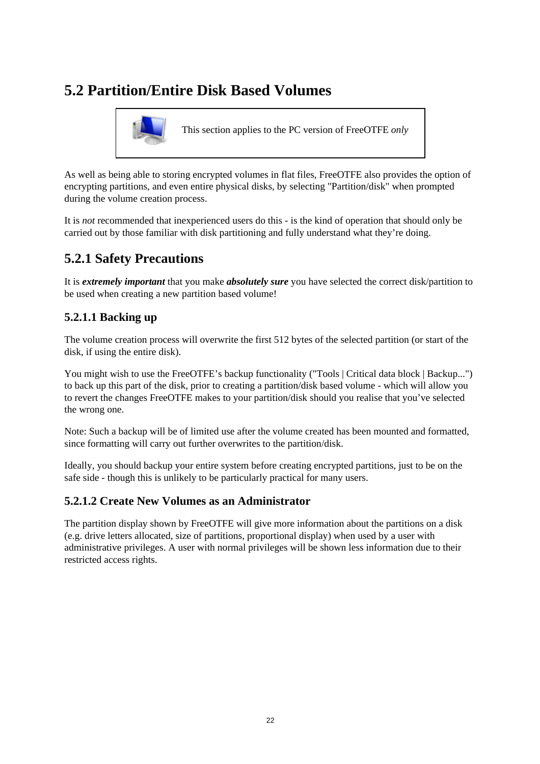## <span id="page-27-0"></span>**5.2 Partition/Entire Disk Based Volumes**



This section applies to the PC version of FreeOTFE *only*

As well as being able to storing encrypted volumes in flat files, FreeOTFE also provides the option of encrypting partitions, and even entire physical disks, by selecting "Partition/disk" when prompted during the volume creation process.

It is *not* recommended that inexperienced users do this - is the kind of operation that should only be carried out by those familiar with disk partitioning and fully understand what they're doing.

## <span id="page-27-1"></span>**5.2.1 Safety Precautions**

It is *extremely important* that you make *absolutely sure* you have selected the correct disk/partition to be used when creating a new partition based volume!

### **5.2.1.1 Backing up**

The volume creation process will overwrite the first 512 bytes of the selected partition (or start of the disk, if using the entire disk).

You might wish to use the FreeOTFE's backup functionality ("Tools | Critical data block | Backup...") to back up this part of the disk, prior to creating a partition/disk based volume - which will allow you to revert the changes FreeOTFE makes to your partition/disk should you realise that you've selected the wrong one.

Note: Such a backup will be of limited use after the volume created has been mounted and formatted, since formatting will carry out further overwrites to the partition/disk.

Ideally, you should backup your entire system before creating encrypted partitions, just to be on the safe side - though this is unlikely to be particularly practical for many users.

### **5.2.1.2 Create New Volumes as an Administrator**

The partition display shown by FreeOTFE will give more information about the partitions on a disk (e.g. drive letters allocated, size of partitions, proportional display) when used by a user with administrative privileges. A user with normal privileges will be shown less information due to their restricted access rights.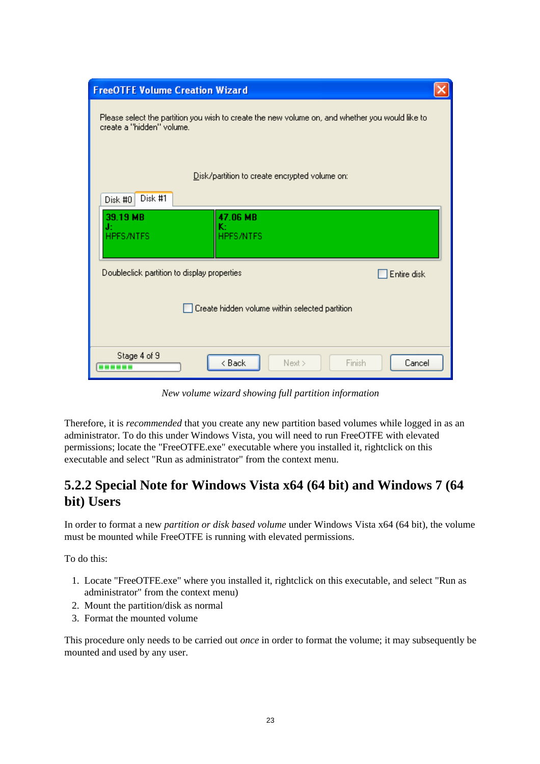| <b>FreeOTFE Volume Creation Wizard</b>                                                                                       |  |
|------------------------------------------------------------------------------------------------------------------------------|--|
| Please select the partition you wish to create the new volume on, and whether you would like to<br>create a "hidden" volume. |  |
| Disk/partition to create encrypted volume on:<br>Disk #1<br>Disk #0                                                          |  |
| 47.06 MB<br>39.19 MB<br>κ÷<br>J:<br><b>HPFS/NTFS</b><br><b>HPFS/NTFS</b>                                                     |  |
| Doubleclick partition to display properties<br>Entire disk                                                                   |  |
| Create hidden volume within selected partition                                                                               |  |
| Stage 4 of 9<br>< Back<br>Finish<br>Cancel<br>Next ><br>.                                                                    |  |

*New volume wizard showing full partition information*

Therefore, it is *recommended* that you create any new partition based volumes while logged in as an administrator. To do this under Windows Vista, you will need to run FreeOTFE with elevated permissions; locate the "FreeOTFE.exe" executable where you installed it, rightclick on this executable and select "Run as administrator" from the context menu.

### <span id="page-28-0"></span>**5.2.2 Special Note for Windows Vista x64 (64 bit) and Windows 7 (64 bit) Users**

In order to format a new *partition or disk based volume* under Windows Vista x64 (64 bit), the volume must be mounted while FreeOTFE is running with elevated permissions.

To do this:

- 1. Locate "FreeOTFE.exe" where you installed it, rightclick on this executable, and select "Run as administrator" from the context menu)
- 2. Mount the partition/disk as normal
- 3. Format the mounted volume

This procedure only needs to be carried out *once* in order to format the volume; it may subsequently be mounted and used by any user.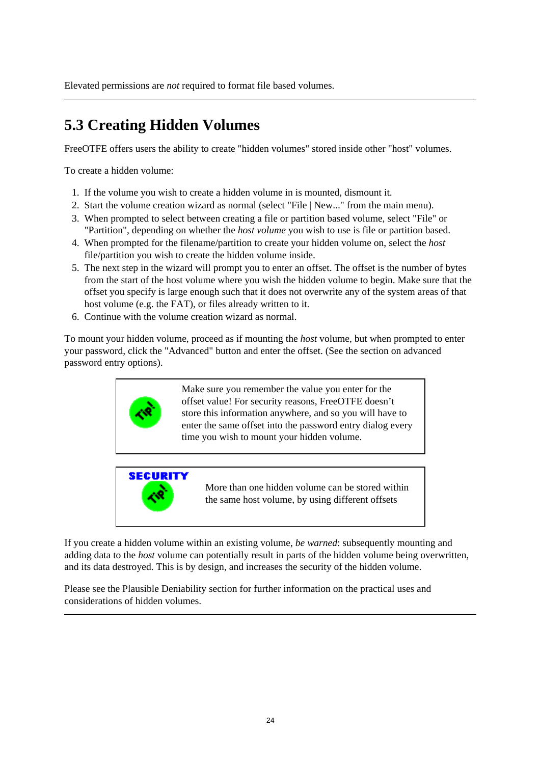Elevated permissions are *not* required to format file based volumes.

## <span id="page-29-0"></span>**5.3 Creating Hidden Volumes**

FreeOTFE offers users the ability to create "hidden volumes" stored inside other "host" volumes.

To create a hidden volume:

- 1. If the volume you wish to create a hidden volume in is mounted, dismount it.
- 2. Start the volume creation wizard as normal (select "File | New..." from the main menu).
- 3. When prompted to select between creating a file or partition based volume, select "File" or "Partition", depending on whether the *host volume* you wish to use is file or partition based.
- 4. When prompted for the filename/partition to create your hidden volume on, select the *host* file/partition you wish to create the hidden volume inside.
- 5. The next step in the wizard will prompt you to enter an offset. The offset is the number of bytes from the start of the host volume where you wish the hidden volume to begin. Make sure that the offset you specify is large enough such that it does not overwrite any of the system areas of that host volume (e.g. the FAT), or files already written to it.
- 6. Continue with the volume creation wizard as normal.

To mount your hidden volume, proceed as if mounting the *host* volume, but when prompted to enter your password, click the "Advanced" button and enter the offset. (See the section on advanced password entry options).



Make sure you remember the value you enter for the offset value! For security reasons, FreeOTFE doesn't store this information anywhere, and so you will have to enter the same offset into the password entry dialog every time you wish to mount your hidden volume.



More than one hidden volume can be stored within the same host volume, by using different offsets

If you create a hidden volume within an existing volume, *be warned*: subsequently mounting and adding data to the *host* volume can potentially result in parts of the hidden volume being overwritten, and its data destroyed. This is by design, and increases the security of the hidden volume.

Please see the Plausible Deniability section for further information on the practical uses and considerations of hidden volumes.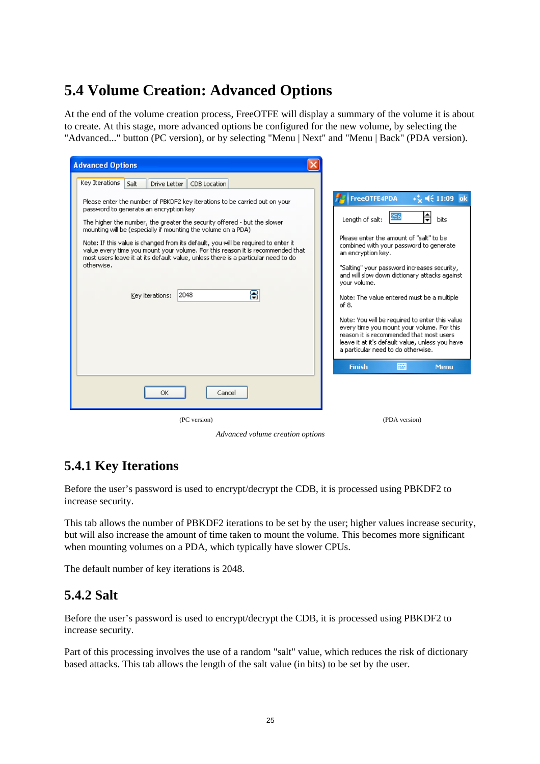## <span id="page-30-0"></span>**5.4 Volume Creation: Advanced Options**

At the end of the volume creation process, FreeOTFE will display a summary of the volume it is about to create. At this stage, more advanced options be configured for the new volume, by selecting the "Advanced..." button (PC version), or by selecting "Menu | Next" and "Menu | Back" (PDA version).

| <b>Advanced Options</b>                                                                                                                                                                                                                                                                                                                                                                                                                                                                                                                                                     |                                                                                                                                                                                                                                                                                                                                                                                                                                                                                                                                                                                                                            |
|-----------------------------------------------------------------------------------------------------------------------------------------------------------------------------------------------------------------------------------------------------------------------------------------------------------------------------------------------------------------------------------------------------------------------------------------------------------------------------------------------------------------------------------------------------------------------------|----------------------------------------------------------------------------------------------------------------------------------------------------------------------------------------------------------------------------------------------------------------------------------------------------------------------------------------------------------------------------------------------------------------------------------------------------------------------------------------------------------------------------------------------------------------------------------------------------------------------------|
| Key Iterations<br>Salt<br>Drive Letter<br>CDB Location                                                                                                                                                                                                                                                                                                                                                                                                                                                                                                                      |                                                                                                                                                                                                                                                                                                                                                                                                                                                                                                                                                                                                                            |
| Please enter the number of PBKDF2 key iterations to be carried out on your<br>password to generate an encryption key<br>The higher the number, the greater the security offered - but the slower<br>mounting will be (especially if mounting the volume on a PDA)<br>Note: If this value is changed from its default, you will be required to enter it<br>value every time you mount your volume. For this reason it is recommended that<br>most users leave it at its default value, unless there is a particular need to do<br>otherwise.<br>8<br>2048<br>Key iterations: | FreeOTFE4PDA<br>⊫<br>256<br>Length of salt:<br>bits<br>Please enter the amount of "salt" to be<br>combined with your password to generate<br>an encryption key.<br>"Salting" your password increases security,<br>and will slow down dictionary attacks against<br>your volume.<br>Note: The value entered must be a multiple<br>of 8.<br>Note: You will be required to enter this value<br>every time you mount your volume. For this<br>reason it is recommended that most users<br>leave it at it's default value, unless you have<br>a particular need to do otherwise.<br><b>POST</b><br><b>Finish</b><br><b>Menu</b> |
| Cancel<br>ОК                                                                                                                                                                                                                                                                                                                                                                                                                                                                                                                                                                |                                                                                                                                                                                                                                                                                                                                                                                                                                                                                                                                                                                                                            |
| (PC version)                                                                                                                                                                                                                                                                                                                                                                                                                                                                                                                                                                | (PDA version)                                                                                                                                                                                                                                                                                                                                                                                                                                                                                                                                                                                                              |

*Advanced volume creation options*

### <span id="page-30-1"></span>**5.4.1 Key Iterations**

Before the user's password is used to encrypt/decrypt the CDB, it is processed using PBKDF2 to increase security.

This tab allows the number of PBKDF2 iterations to be set by the user; higher values increase security, but will also increase the amount of time taken to mount the volume. This becomes more significant when mounting volumes on a PDA, which typically have slower CPUs.

The default number of key iterations is 2048.

### <span id="page-30-2"></span>**5.4.2 Salt**

Before the user's password is used to encrypt/decrypt the CDB, it is processed using PBKDF2 to increase security.

Part of this processing involves the use of a random "salt" value, which reduces the risk of dictionary based attacks. This tab allows the length of the salt value (in bits) to be set by the user.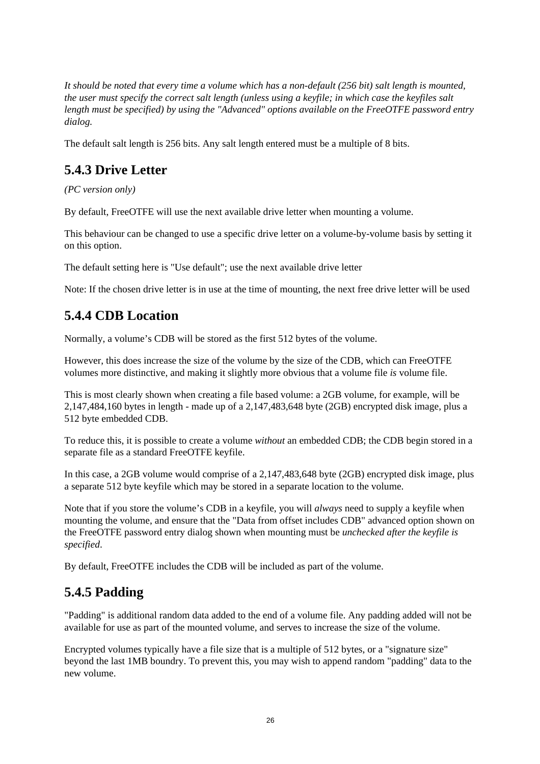*It should be noted that every time a volume which has a non-default (256 bit) salt length is mounted, the user must specify the correct salt length (unless using a keyfile; in which case the keyfiles salt length must be specified) by using the "Advanced" options available on the FreeOTFE password entry dialog.*

The default salt length is 256 bits. Any salt length entered must be a multiple of 8 bits.

### <span id="page-31-0"></span>**5.4.3 Drive Letter**

*(PC version only)*

By default, FreeOTFE will use the next available drive letter when mounting a volume.

This behaviour can be changed to use a specific drive letter on a volume-by-volume basis by setting it on this option.

The default setting here is "Use default"; use the next available drive letter

Note: If the chosen drive letter is in use at the time of mounting, the next free drive letter will be used

### <span id="page-31-1"></span>**5.4.4 CDB Location**

Normally, a volume's CDB will be stored as the first 512 bytes of the volume.

However, this does increase the size of the volume by the size of the CDB, which can FreeOTFE volumes more distinctive, and making it slightly more obvious that a volume file *is* volume file.

This is most clearly shown when creating a file based volume: a 2GB volume, for example, will be 2,147,484,160 bytes in length - made up of a 2,147,483,648 byte (2GB) encrypted disk image, plus a 512 byte embedded CDB.

To reduce this, it is possible to create a volume *without* an embedded CDB; the CDB begin stored in a separate file as a standard FreeOTFE keyfile.

In this case, a 2GB volume would comprise of a 2,147,483,648 byte (2GB) encrypted disk image, plus a separate 512 byte keyfile which may be stored in a separate location to the volume.

Note that if you store the volume's CDB in a keyfile, you will *always* need to supply a keyfile when mounting the volume, and ensure that the "Data from offset includes CDB" advanced option shown on the FreeOTFE password entry dialog shown when mounting must be *unchecked after the keyfile is specified*.

By default, FreeOTFE includes the CDB will be included as part of the volume.

### <span id="page-31-2"></span>**5.4.5 Padding**

"Padding" is additional random data added to the end of a volume file. Any padding added will not be available for use as part of the mounted volume, and serves to increase the size of the volume.

Encrypted volumes typically have a file size that is a multiple of 512 bytes, or a "signature size" beyond the last 1MB boundry. To prevent this, you may wish to append random "padding" data to the new volume.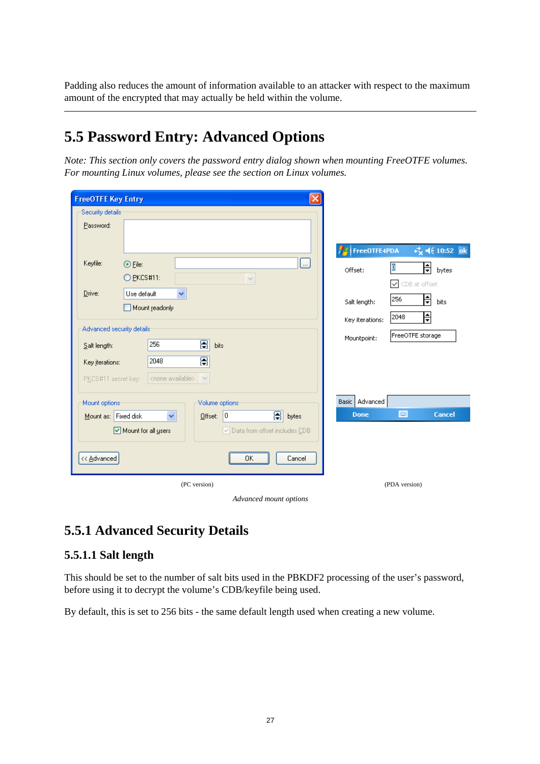Padding also reduces the amount of information available to an attacker with respect to the maximum amount of the encrypted that may actually be held within the volume.

## <span id="page-32-0"></span>**5.5 Password Entry: Advanced Options**

*Note: This section only covers the password entry dialog shown when mounting FreeOTFE volumes. For mounting Linux volumes, please see the section on Linux volumes.*

| <b>FreeOTFE Key Entry</b>              |                                                                                                                    |                                                        |  |  |
|----------------------------------------|--------------------------------------------------------------------------------------------------------------------|--------------------------------------------------------|--|--|
| Security details:                      |                                                                                                                    |                                                        |  |  |
| Password:                              |                                                                                                                    | $\epsilon_{\mathsf{X}}^*$ = ( 10:52 ok<br>FreeOTFE4PDA |  |  |
| Keyfile:                               | $\overline{\phantom{a}}$<br>$\odot$ File:<br>$Q$ PKCS#11:<br>$\vee$                                                | ╞<br>Offset:<br>bytes<br>CDB at offset<br>$\checkmark$ |  |  |
| Drive:                                 | Use default<br>v<br>Mount readonly                                                                                 | ╞<br>256<br>Salt length:<br>bits<br>ł<br>2048          |  |  |
| Salt length:                           | Advanced security details:<br>B<br>256<br>bits                                                                     | Key iterations:<br>FreeOTFE storage<br>Mountpoint:     |  |  |
| Key iterations:<br>PKCS#11 secret key: | 8<br>2048<br><none available=""><br/><math display="inline">\vee</math></none>                                     |                                                        |  |  |
| Mount options                          | Volume options                                                                                                     | Basic   Advanced                                       |  |  |
| Mount as: Fixed disk<br><< Advanced    | 8<br>0<br>$\checkmark$<br>bytes<br>Offset:<br>Data from offset includes CDB<br>Mount for all users<br>0K<br>Cancel | 圏<br><b>Cancel</b><br><b>Done</b>                      |  |  |
|                                        |                                                                                                                    |                                                        |  |  |
|                                        | (PC version)                                                                                                       | (PDA version)                                          |  |  |
| Advanced mount options                 |                                                                                                                    |                                                        |  |  |

## <span id="page-32-1"></span>**5.5.1 Advanced Security Details**

### **5.5.1.1 Salt length**

This should be set to the number of salt bits used in the PBKDF2 processing of the user's password, before using it to decrypt the volume's CDB/keyfile being used.

By default, this is set to 256 bits - the same default length used when creating a new volume.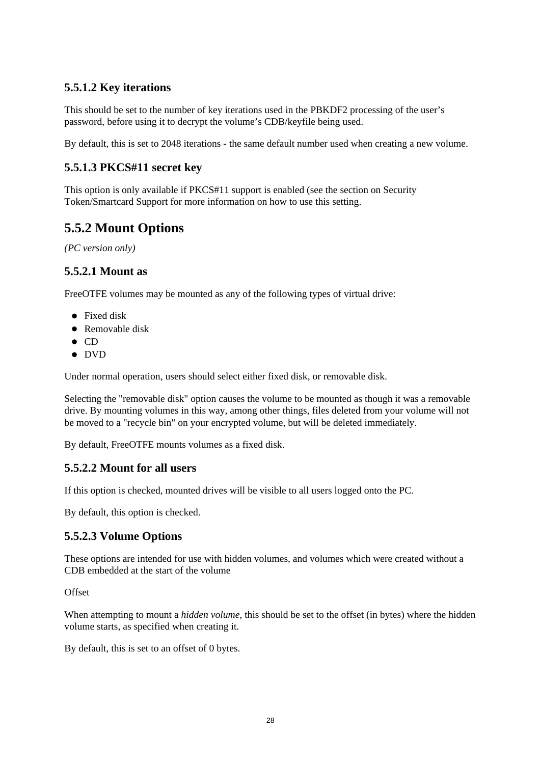### **5.5.1.2 Key iterations**

This should be set to the number of key iterations used in the PBKDF2 processing of the user's password, before using it to decrypt the volume's CDB/keyfile being used.

By default, this is set to 2048 iterations - the same default number used when creating a new volume.

### **5.5.1.3 PKCS#11 secret key**

This option is only available if PKCS#11 support is enabled (see the section on Security Token/Smartcard Support for more information on how to use this setting.

### <span id="page-33-0"></span>**5.5.2 Mount Options**

*(PC version only)*

#### **5.5.2.1 Mount as**

FreeOTFE volumes may be mounted as any of the following types of virtual drive:

- Fixed disk
- Removable disk
- $\bullet$  CD
- DVD

Under normal operation, users should select either fixed disk, or removable disk.

Selecting the "removable disk" option causes the volume to be mounted as though it was a removable drive. By mounting volumes in this way, among other things, files deleted from your volume will not be moved to a "recycle bin" on your encrypted volume, but will be deleted immediately.

By default, FreeOTFE mounts volumes as a fixed disk.

### **5.5.2.2 Mount for all users**

If this option is checked, mounted drives will be visible to all users logged onto the PC.

By default, this option is checked.

### **5.5.2.3 Volume Options**

These options are intended for use with hidden volumes, and volumes which were created without a CDB embedded at the start of the volume

**Offset** 

When attempting to mount a *hidden volume*, this should be set to the offset (in bytes) where the hidden volume starts, as specified when creating it.

By default, this is set to an offset of 0 bytes.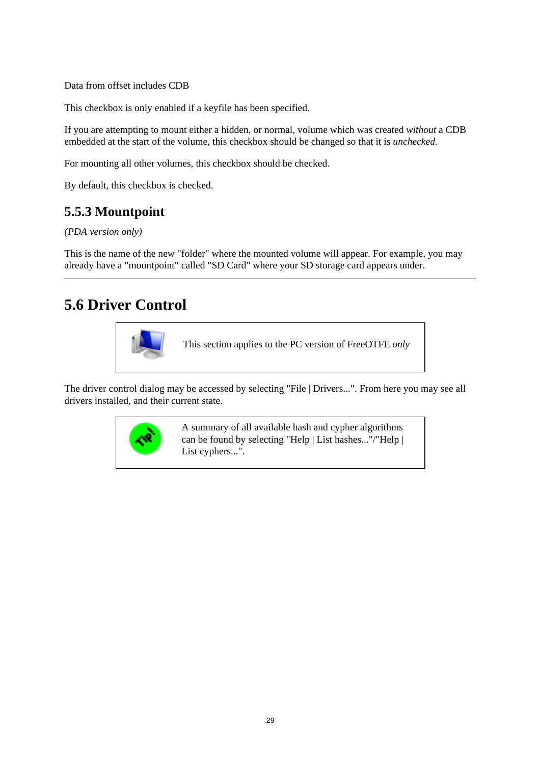Data from offset includes CDB

This checkbox is only enabled if a keyfile has been specified.

If you are attempting to mount either a hidden, or normal, volume which was created *without* a CDB embedded at the start of the volume, this checkbox should be changed so that it is *unchecked*.

For mounting all other volumes, this checkbox should be checked.

By default, this checkbox is checked.

### <span id="page-34-0"></span>**5.5.3 Mountpoint**

*(PDA version only)*

This is the name of the new "folder" where the mounted volume will appear. For example, you may already have a "mountpoint" called "SD Card" where your SD storage card appears under.

## <span id="page-34-1"></span>**5.6 Driver Control**



This section applies to the PC version of FreeOTFE *only*

The driver control dialog may be accessed by selecting "File | Drivers...". From here you may see all drivers installed, and their current state.



A summary of all available hash and cypher algorithms can be found by selecting "Help | List hashes..."/"Help | List cyphers...".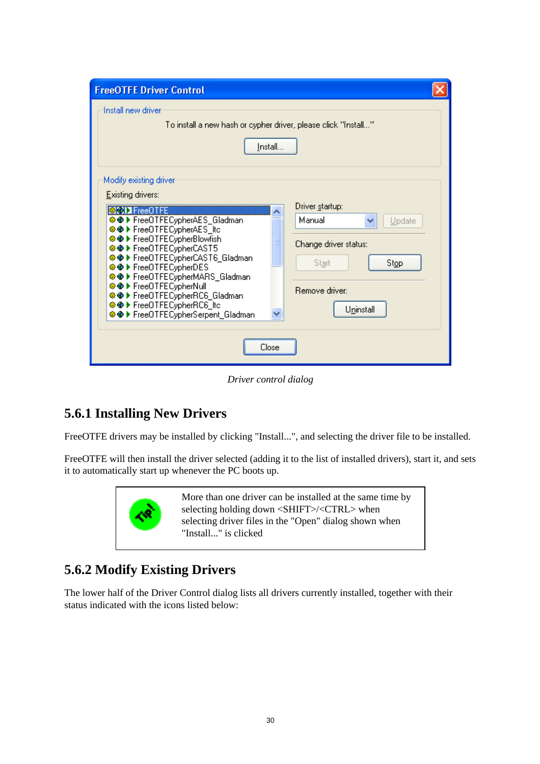<span id="page-35-1"></span>

| <b>FreeOTFE Driver Control</b>                                                                                                                                                                                                                                                                                                                                                                                                                         |                                                                                                              |  |  |
|--------------------------------------------------------------------------------------------------------------------------------------------------------------------------------------------------------------------------------------------------------------------------------------------------------------------------------------------------------------------------------------------------------------------------------------------------------|--------------------------------------------------------------------------------------------------------------|--|--|
| Install new driver<br>To install a new hash or cypher driver, please click "Install"<br>Install                                                                                                                                                                                                                                                                                                                                                        |                                                                                                              |  |  |
| Modify existing driver<br><b>Existing drivers:</b><br><b>OCD</b> Free OTFE<br><b>OO</b> ▶ FreeOTFECypherAES_Gladman<br><b>OO</b> ▶ FreeOTFECypherAES Itc<br><b>OO</b> ▶ FreeOTFECypherBlowfish<br><b>OO</b> ▶ FreeOTFECypherCAST6_Gladman<br><b>OO</b> ▶ FreeOTFECypherDES<br><b>OO</b> ▶ FreeOTFECypherMARS_Gladman<br><b>OO</b> ▶ FreeOTFECypherRC6_Gladman<br><b>OOD</b> FreeOTFECypherRC6_ltc<br><b>OOD</b> FreeOTFECypherSerpent_Gladman<br>Close | Driver startup:<br>Manual<br>Update<br>Change driver status:<br>Stop<br>Start<br>Remove driver:<br>Uninstall |  |  |

*Driver control dialog*

## <span id="page-35-0"></span>**5.6.1 Installing New Drivers**

FreeOTFE drivers may be installed by clicking "Install...", and selecting the driver file to be installed.

FreeOTFE will then install the driver selected (adding it to the list of installed drivers), start it, and sets it to automatically start up whenever the PC boots up.



## **5.6.2 Modify Existing Drivers**

The lower half of the Driver Control dialog lists all drivers currently installed, together with their status indicated with the icons listed below: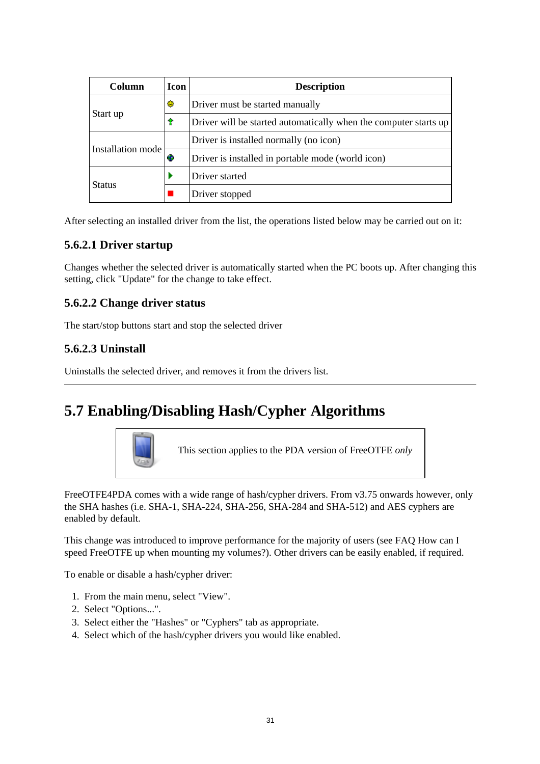| Column            | <b>Icon</b> | <b>Description</b>                                               |
|-------------------|-------------|------------------------------------------------------------------|
|                   | ۰           | Driver must be started manually                                  |
| Start up<br>Ŷ     |             | Driver will be started automatically when the computer starts up |
|                   |             | Driver is installed normally (no icon)                           |
| Installation mode | æ           | Driver is installed in portable mode (world icon)                |
|                   |             | Driver started                                                   |
| <b>Status</b>     |             | Driver stopped                                                   |

After selecting an installed driver from the list, the operations listed below may be carried out on it:

#### **5.6.2.1 Driver startup**

Changes whether the selected driver is automatically started when the PC boots up. After changing this setting, click "Update" for the change to take effect.

#### **5.6.2.2 Change driver status**

The start/stop buttons start and stop the selected driver

#### **5.6.2.3 Uninstall**

Uninstalls the selected driver, and removes it from the drivers list.

# **5.7 Enabling/Disabling Hash/Cypher Algorithms**



This section applies to the PDA version of FreeOTFE *only*

FreeOTFE4PDA comes with a wide range of hash/cypher drivers. From v3.75 onwards however, only the SHA hashes (i.e. SHA-1, SHA-224, SHA-256, SHA-284 and SHA-512) and AES cyphers are enabled by default.

This change was introduced to improve performance for the majority of users (see FAQ How can I speed FreeOTFE up when mounting my volumes?). Other drivers can be easily enabled, if required.

To enable or disable a hash/cypher driver:

- 1. From the main menu, select "View".
- 2. Select "Options...".
- 3. Select either the "Hashes" or "Cyphers" tab as appropriate.
- 4. Select which of the hash/cypher drivers you would like enabled.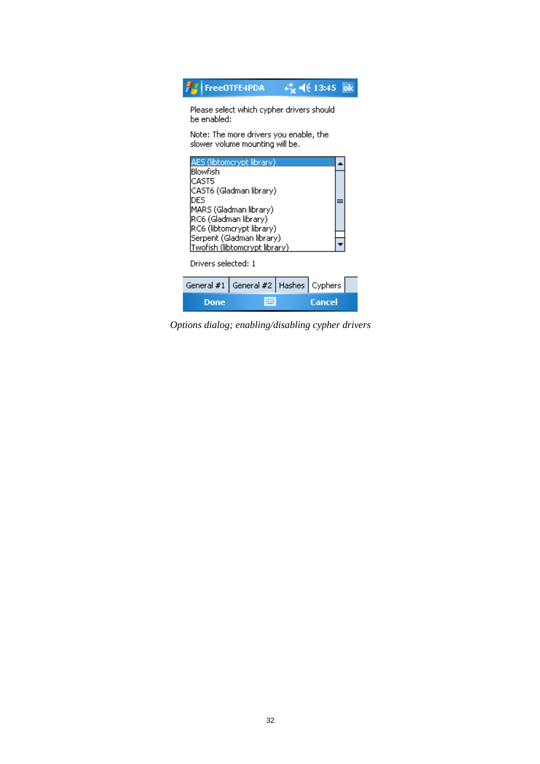|                                                                                                                                                                                                                                                                                         | FreeOTFE4PDA                               |  | + <del>(</del> 13:45 ok |
|-----------------------------------------------------------------------------------------------------------------------------------------------------------------------------------------------------------------------------------------------------------------------------------------|--------------------------------------------|--|-------------------------|
| Please select which cypher drivers should<br>be enabled:<br>Note: The more drivers you enable, the                                                                                                                                                                                      |                                            |  |                         |
| slower volume mounting will be.<br>ES (libtomcrypt library)<br>Blowfish<br>CAST5<br>CAST6 (Gladman library)<br>DES<br>MARS (Gladman library)<br>RC6 (Gladman library)<br>RC6 (libtomcrypt library)<br>Serpent (Gladman library)<br>Twofish (libtomcrypt library)<br>Drivers selected: 1 |                                            |  |                         |
|                                                                                                                                                                                                                                                                                         | General #1   General #2   Hashes   Cyphers |  |                         |
| Done                                                                                                                                                                                                                                                                                    |                                            |  | Cancel                  |

*Options dialog; enabling/disabling cypher drivers*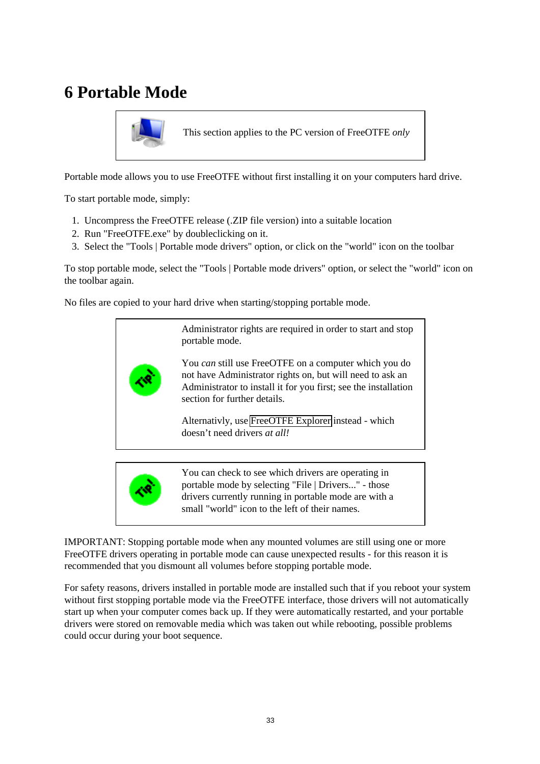# **6 Portable Mode**



This section applies to the PC version of FreeOTFE *only*

Portable mode allows you to use FreeOTFE without first installing it on your computers hard drive.

To start portable mode, simply:

- 1. Uncompress the FreeOTFE release (.ZIP file version) into a suitable location
- 2. Run "FreeOTFE.exe" by doubleclicking on it.
- 3. Select the "Tools | Portable mode drivers" option, or click on the "world" icon on the toolbar

To stop portable mode, select the "Tools | Portable mode drivers" option, or select the "world" icon on the toolbar again.

No files are copied to your hard drive when starting/stopping portable mode.



drivers currently running in portable mode are with a small "world" icon to the left of their names.

IMPORTANT: Stopping portable mode when any mounted volumes are still using one or more FreeOTFE drivers operating in portable mode can cause unexpected results - for this reason it is recommended that you dismount all volumes before stopping portable mode.

For safety reasons, drivers installed in portable mode are installed such that if you reboot your system without first stopping portable mode via the FreeOTFE interface, those drivers will not automatically start up when your computer comes back up. If they were automatically restarted, and your portable drivers were stored on removable media which was taken out while rebooting, possible problems could occur during your boot sequence.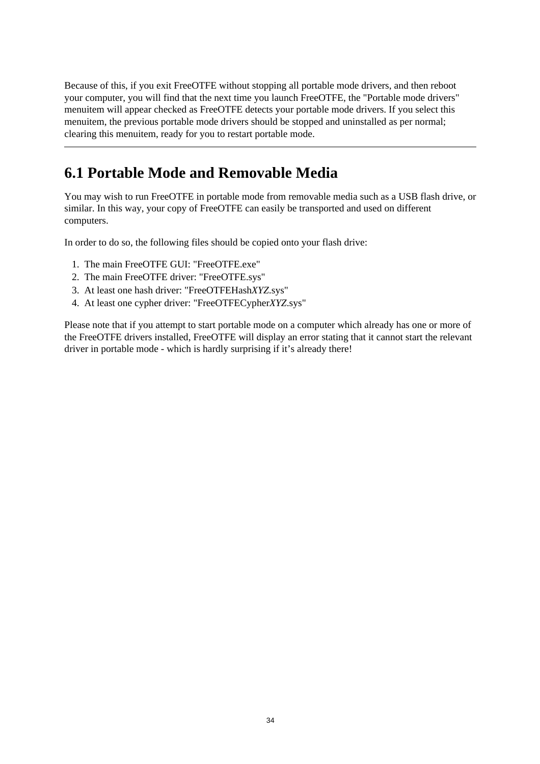Because of this, if you exit FreeOTFE without stopping all portable mode drivers, and then reboot your computer, you will find that the next time you launch FreeOTFE, the "Portable mode drivers" menuitem will appear checked as FreeOTFE detects your portable mode drivers. If you select this menuitem, the previous portable mode drivers should be stopped and uninstalled as per normal; clearing this menuitem, ready for you to restart portable mode.

## **6.1 Portable Mode and Removable Media**

You may wish to run FreeOTFE in portable mode from removable media such as a USB flash drive, or similar. In this way, your copy of FreeOTFE can easily be transported and used on different computers.

In order to do so, the following files should be copied onto your flash drive:

- 1. The main FreeOTFE GUI: "FreeOTFE.exe"
- 2. The main FreeOTFE driver: "FreeOTFE.sys"
- 3. At least one hash driver: "FreeOTFEHash*XYZ*.sys"
- 4. At least one cypher driver: "FreeOTFECypher*XYZ*.sys"

Please note that if you attempt to start portable mode on a computer which already has one or more of the FreeOTFE drivers installed, FreeOTFE will display an error stating that it cannot start the relevant driver in portable mode - which is hardly surprising if it's already there!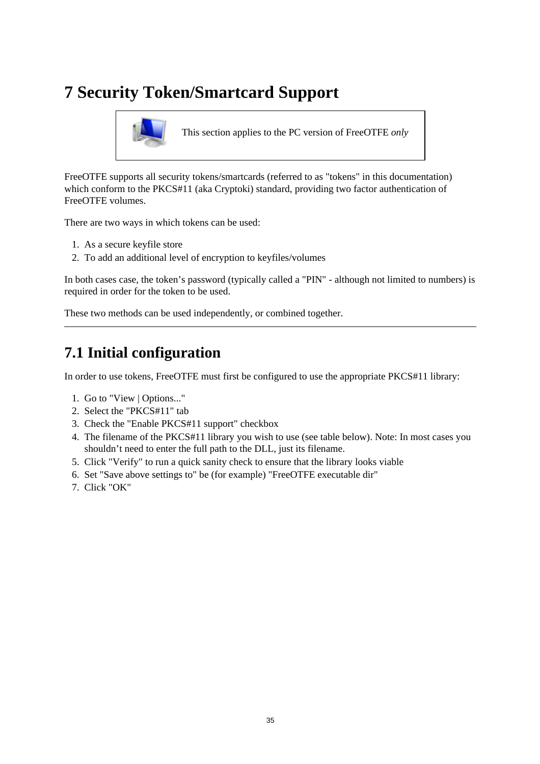# **7 Security Token/Smartcard Support**



This section applies to the PC version of FreeOTFE *only*

FreeOTFE supports all security tokens/smartcards (referred to as "tokens" in this documentation) which conform to the PKCS#11 (aka Cryptoki) standard, providing two factor authentication of FreeOTFE volumes.

There are two ways in which tokens can be used:

- 1. As a secure keyfile store
- 2. To add an additional level of encryption to keyfiles/volumes

In both cases case, the token's password (typically called a "PIN" - although not limited to numbers) is required in order for the token to be used.

These two methods can be used independently, or combined together.

## **7.1 Initial configuration**

In order to use tokens, FreeOTFE must first be configured to use the appropriate PKCS#11 library:

- 1. Go to "View | Options..."
- 2. Select the "PKCS#11" tab
- 3. Check the "Enable PKCS#11 support" checkbox
- 4. The filename of the PKCS#11 library you wish to use (see table below). Note: In most cases you shouldn't need to enter the full path to the DLL, just its filename.
- 5. Click "Verify" to run a quick sanity check to ensure that the library looks viable
- 6. Set "Save above settings to" be (for example) "FreeOTFE executable dir"
- 7. Click "OK"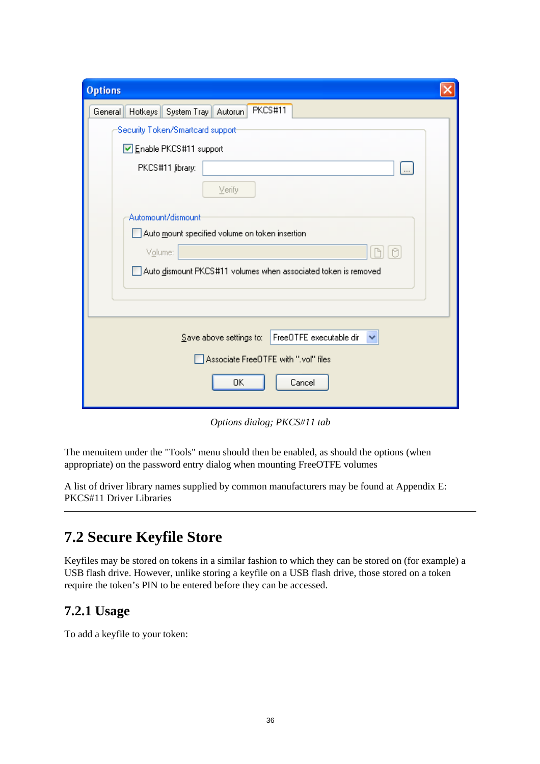| <b>Options</b>                                                                 |  |  |
|--------------------------------------------------------------------------------|--|--|
| PKCS#11<br>General Hotkeys System Tray Autorun                                 |  |  |
| Security Token/Smartcard support-                                              |  |  |
| Enable PKCS#11 support                                                         |  |  |
| PKCS#11 Jibrary:<br><br>Verify                                                 |  |  |
| Automount/dismount                                                             |  |  |
| $\,$ Auto $\,$ mount specified volume on token insertion                       |  |  |
| Volume:                                                                        |  |  |
| Auto dismount PKCS#11 volumes when associated token is removed                 |  |  |
|                                                                                |  |  |
| FreeOTFE executable dir<br>$S$ ave above settings to: $\overline{\phantom{a}}$ |  |  |
| Associate FreeDTFE with ".vol" files                                           |  |  |
| OΚ<br>Cancel                                                                   |  |  |

*Options dialog; PKCS#11 tab*

The menuitem under the "Tools" menu should then be enabled, as should the options (when appropriate) on the password entry dialog when mounting FreeOTFE volumes

A list of driver library names supplied by common manufacturers may be found at Appendix E: PKCS#11 Driver Libraries

## **7.2 Secure Keyfile Store**

Keyfiles may be stored on tokens in a similar fashion to which they can be stored on (for example) a USB flash drive. However, unlike storing a keyfile on a USB flash drive, those stored on a token require the token's PIN to be entered before they can be accessed.

#### **7.2.1 Usage**

To add a keyfile to your token: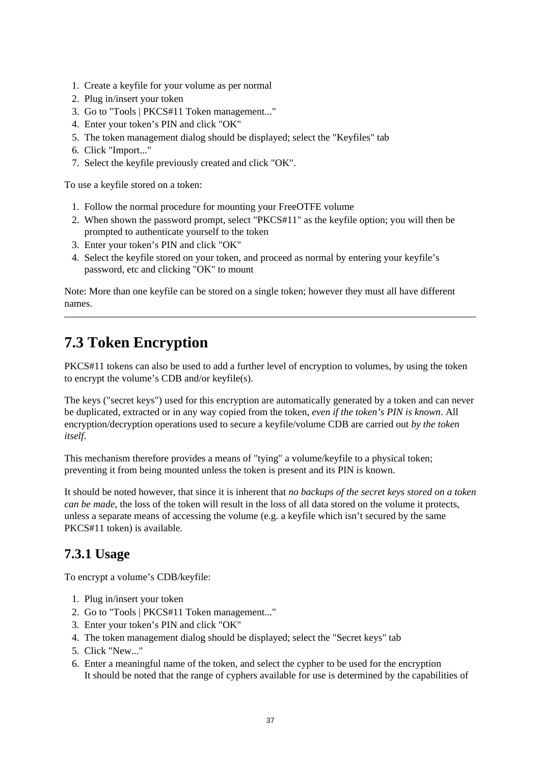- 1. Create a keyfile for your volume as per normal
- 2. Plug in/insert your token
- 3. Go to "Tools | PKCS#11 Token management..."
- 4. Enter your token's PIN and click "OK"
- 5. The token management dialog should be displayed; select the "Keyfiles" tab
- 6. Click "Import..."
- 7. Select the keyfile previously created and click "OK".

To use a keyfile stored on a token:

- 1. Follow the normal procedure for mounting your FreeOTFE volume
- 2. When shown the password prompt, select "PKCS#11" as the keyfile option; you will then be prompted to authenticate yourself to the token
- 3. Enter your token's PIN and click "OK"
- 4. Select the keyfile stored on your token, and proceed as normal by entering your keyfile's password, etc and clicking "OK" to mount

Note: More than one keyfile can be stored on a single token; however they must all have different names.

# **7.3 Token Encryption**

PKCS#11 tokens can also be used to add a further level of encryption to volumes, by using the token to encrypt the volume's CDB and/or keyfile(s).

The keys ("secret keys") used for this encryption are automatically generated by a token and can never be duplicated, extracted or in any way copied from the token, *even if the token's PIN is known*. All encryption/decryption operations used to secure a keyfile/volume CDB are carried out *by the token itself*.

This mechanism therefore provides a means of "tying" a volume/keyfile to a physical token; preventing it from being mounted unless the token is present and its PIN is known.

It should be noted however, that since it is inherent that *no backups of the secret keys stored on a token can be made*, the loss of the token will result in the loss of all data stored on the volume it protects. unless a separate means of accessing the volume (e.g. a keyfile which isn't secured by the same PKCS#11 token) is available.

#### **7.3.1 Usage**

To encrypt a volume's CDB/keyfile:

- 1. Plug in/insert your token
- 2. Go to "Tools | PKCS#11 Token management..."
- 3. Enter your token's PIN and click "OK"
- 4. The token management dialog should be displayed; select the "Secret keys" tab
- 5. Click "New..."
- 6. Enter a meaningful name of the token, and select the cypher to be used for the encryption It should be noted that the range of cyphers available for use is determined by the capabilities of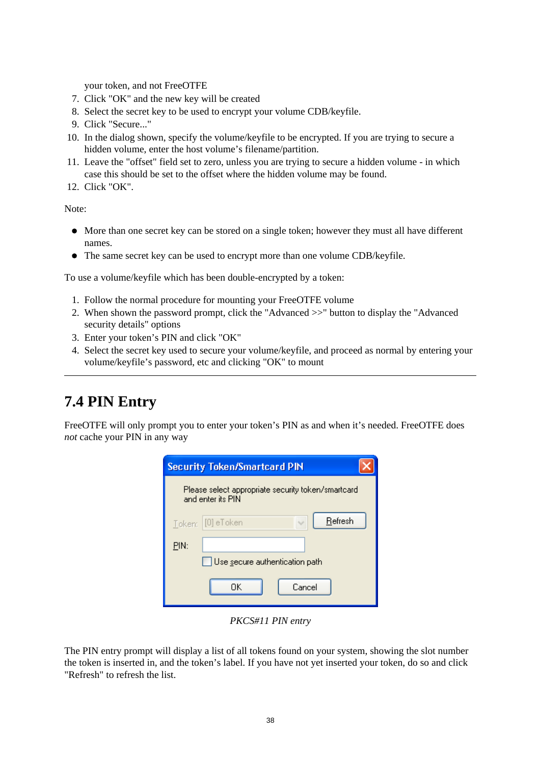your token, and not FreeOTFE

- 7. Click "OK" and the new key will be created
- 8. Select the secret key to be used to encrypt your volume CDB/keyfile.
- 9. Click "Secure..."
- 10. In the dialog shown, specify the volume/keyfile to be encrypted. If you are trying to secure a hidden volume, enter the host volume's filename/partition.
- 11. Leave the "offset" field set to zero, unless you are trying to secure a hidden volume in which case this should be set to the offset where the hidden volume may be found.
- 12. Click "OK".

Note:

- More than one secret key can be stored on a single token; however they must all have different names.
- The same secret key can be used to encrypt more than one volume CDB/keyfile.

To use a volume/keyfile which has been double-encrypted by a token:

- 1. Follow the normal procedure for mounting your FreeOTFE volume
- 2. When shown the password prompt, click the "Advanced >>" button to display the "Advanced security details" options
- 3. Enter your token's PIN and click "OK"
- 4. Select the secret key used to secure your volume/keyfile, and proceed as normal by entering your volume/keyfile's password, etc and clicking "OK" to mount

# **7.4 PIN Entry**

FreeOTFE will only prompt you to enter your token's PIN as and when it's needed. FreeOTFE does *not* cache your PIN in any way

| <b>Security Token/Smartcard PIN</b>                                     |                              |  |  |
|-------------------------------------------------------------------------|------------------------------|--|--|
| Please select appropriate security token/smartcard<br>and enter its PIN |                              |  |  |
|                                                                         | Refresh<br>Token: [0] eToken |  |  |
| PIN:                                                                    |                              |  |  |
| Use secure authentication path                                          |                              |  |  |
| OΚ<br>Cancel                                                            |                              |  |  |

*PKCS#11 PIN entry*

The PIN entry prompt will display a list of all tokens found on your system, showing the slot number the token is inserted in, and the token's label. If you have not yet inserted your token, do so and click "Refresh" to refresh the list.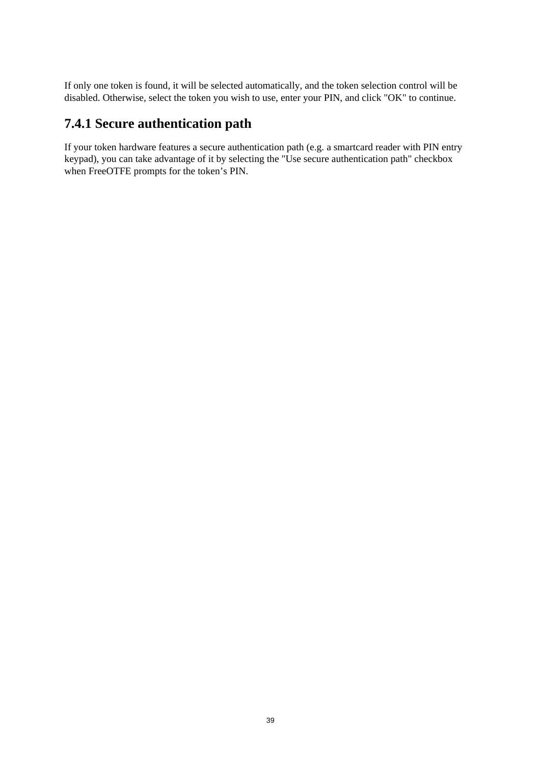If only one token is found, it will be selected automatically, and the token selection control will be disabled. Otherwise, select the token you wish to use, enter your PIN, and click "OK" to continue.

#### **7.4.1 Secure authentication path**

If your token hardware features a secure authentication path (e.g. a smartcard reader with PIN entry keypad), you can take advantage of it by selecting the "Use secure authentication path" checkbox when FreeOTFE prompts for the token's PIN.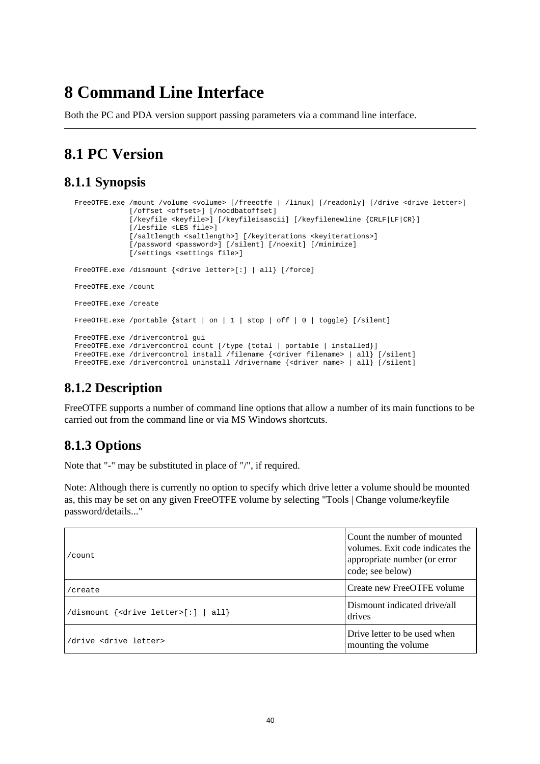# **8 Command Line Interface**

Both the PC and PDA version support passing parameters via a command line interface.

# **8.1 PC Version**

#### **8.1.1 Synopsis**

```
FreeOTFE.exe /mount /volume <volume> [/freeotfe | /linux] [/readonly] [/drive <drive letter>]
              [/offset <offset>] [/nocdbatoffset]
              [/keyfile <keyfile>] [/keyfileisascii] [/keyfilenewline {CRLF|LF|CR}]
              [/lesfile <LES file>]
             [/saltlength <saltlength>] [/keyiterations <keyiterations>]
              [/password <password>] [/silent] [/noexit] [/minimize]
              [/settings <settings file>]
FreeOTFE.exe /dismount {<drive letter>[:] | all} [/force]
FreeOTFE.exe /count
FreeOTFE.exe /create
FreeOTFE.exe /portable {start | on | 1 | stop | off | 0 | toggle} [/silent]
FreeOTFE.exe /drivercontrol gui
FreeOTFE.exe /drivercontrol count [/type {total | portable | installed}]
FreeOTFE.exe /drivercontrol install /filename {<driver filename> | all} [/silent]
FreeOTFE.exe /drivercontrol uninstall /drivername {<driver name> | all} [/silent]
```
## **8.1.2 Description**

FreeOTFE supports a number of command line options that allow a number of its main functions to be carried out from the command line or via MS Windows shortcuts.

## **8.1.3 Options**

Note that "-" may be substituted in place of "/", if required.

Note: Although there is currently no option to specify which drive letter a volume should be mounted as, this may be set on any given FreeOTFE volume by selecting "Tools | Change volume/keyfile password/details..."

| $/$ count.                                                               | Count the number of mounted<br>volumes. Exit code indicates the<br>appropriate number (or error<br>code; see below) |
|--------------------------------------------------------------------------|---------------------------------------------------------------------------------------------------------------------|
| /create                                                                  | Create new FreeOTFE volume                                                                                          |
| $\vert$ /dismount { <drive letter="">[:] <math>\vert</math> all}</drive> | Dismount indicated drive/all<br>drives                                                                              |
| /drive <drive letter=""></drive>                                         | Drive letter to be used when<br>mounting the volume.                                                                |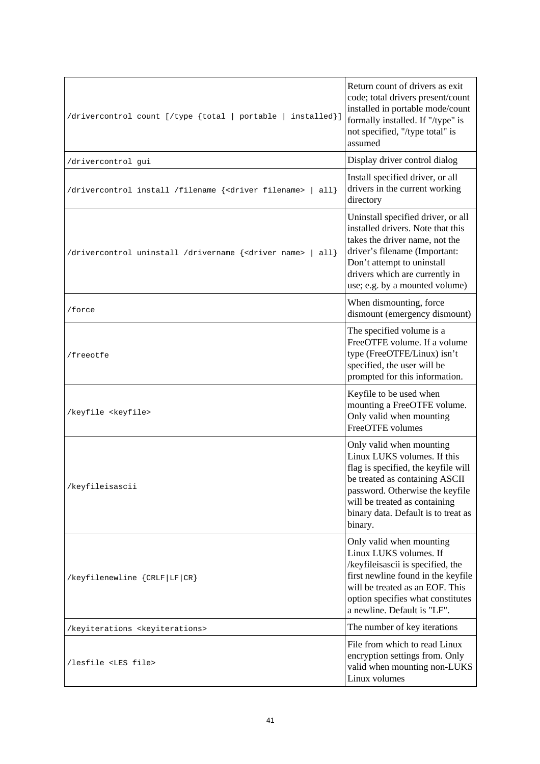| /drivercontrol count [/type {total   portable   installed}]                            | Return count of drivers as exit<br>code; total drivers present/count<br>installed in portable mode/count<br>formally installed. If "/type" is<br>not specified, "/type total" is<br>assumed                                                            |
|----------------------------------------------------------------------------------------|--------------------------------------------------------------------------------------------------------------------------------------------------------------------------------------------------------------------------------------------------------|
| /drivercontrol gui                                                                     | Display driver control dialog                                                                                                                                                                                                                          |
| /drivercontrol install /filename { <driver filename=""><br/><math>all</math>}</driver> | Install specified driver, or all<br>drivers in the current working<br>directory                                                                                                                                                                        |
| /drivercontrol uninstall /drivername { <driver name=""><br/><math>all</math>}</driver> | Uninstall specified driver, or all<br>installed drivers. Note that this<br>takes the driver name, not the<br>driver's filename (Important:<br>Don't attempt to uninstall<br>drivers which are currently in<br>use; e.g. by a mounted volume)           |
| /force                                                                                 | When dismounting, force<br>dismount (emergency dismount)                                                                                                                                                                                               |
| /freeotfe                                                                              | The specified volume is a<br>FreeOTFE volume. If a volume<br>type (FreeOTFE/Linux) isn't<br>specified, the user will be<br>prompted for this information.                                                                                              |
| /keyfile <keyfile></keyfile>                                                           | Keyfile to be used when<br>mounting a FreeOTFE volume.<br>Only valid when mounting<br>FreeOTFE volumes                                                                                                                                                 |
| /keyfileisascii                                                                        | Only valid when mounting<br>Linux LUKS volumes. If this<br>flag is specified, the keyfile will<br>be treated as containing ASCII<br>password. Otherwise the keyfile<br>will be treated as containing<br>binary data. Default is to treat as<br>binary. |
| /keyfilenewline {CRLF LF CR}                                                           | Only valid when mounting<br>Linux LUKS volumes. If<br>/keyfileisascii is specified, the<br>first newline found in the keyfile<br>will be treated as an EOF. This<br>option specifies what constitutes<br>a newline. Default is "LF".                   |
| /keyiterations <keyiterations></keyiterations>                                         | The number of key iterations                                                                                                                                                                                                                           |
| /lesfile <les file=""></les>                                                           | File from which to read Linux<br>encryption settings from. Only<br>valid when mounting non-LUKS<br>Linux volumes                                                                                                                                       |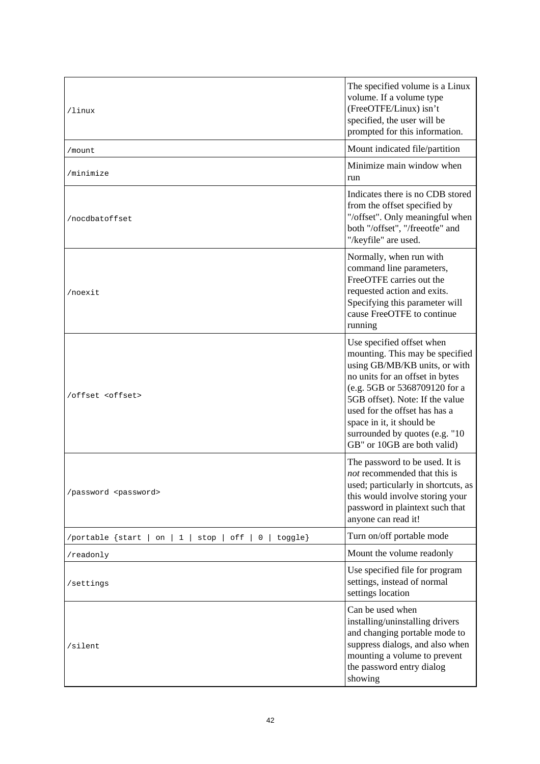| /linux                                                                | The specified volume is a Linux<br>volume. If a volume type<br>(FreeOTFE/Linux) isn't<br>specified, the user will be<br>prompted for this information.                                                                                                                                                                              |
|-----------------------------------------------------------------------|-------------------------------------------------------------------------------------------------------------------------------------------------------------------------------------------------------------------------------------------------------------------------------------------------------------------------------------|
| /mount                                                                | Mount indicated file/partition                                                                                                                                                                                                                                                                                                      |
| /minimize                                                             | Minimize main window when<br>run                                                                                                                                                                                                                                                                                                    |
| /nocdbatoffset                                                        | Indicates there is no CDB stored<br>from the offset specified by<br>"/offset". Only meaningful when<br>both "/offset", "/freeotfe" and<br>"/keyfile" are used.                                                                                                                                                                      |
| /noexit                                                               | Normally, when run with<br>command line parameters,<br>FreeOTFE carries out the<br>requested action and exits.<br>Specifying this parameter will<br>cause FreeOTFE to continue<br>running                                                                                                                                           |
| /offset <offset></offset>                                             | Use specified offset when<br>mounting. This may be specified<br>using GB/MB/KB units, or with<br>no units for an offset in bytes<br>(e.g. 5GB or 5368709120 for a<br>5GB offset). Note: If the value<br>used for the offset has has a<br>space in it, it should be<br>surrounded by quotes (e.g. "10<br>GB" or 10GB are both valid) |
| /password <password></password>                                       | The password to be used. It is<br>not recommended that this is<br>used; particularly in shortcuts, as<br>this would involve storing your<br>password in plaintext such that<br>anyone can read it!                                                                                                                                  |
| off<br>toggle}<br>/portable {start<br>on<br>$\mathbf{1}$<br>stop<br>0 | Turn on/off portable mode                                                                                                                                                                                                                                                                                                           |
| /readonly                                                             | Mount the volume readonly                                                                                                                                                                                                                                                                                                           |
| /settings                                                             | Use specified file for program<br>settings, instead of normal<br>settings location                                                                                                                                                                                                                                                  |
| /silent                                                               | Can be used when<br>installing/uninstalling drivers<br>and changing portable mode to<br>suppress dialogs, and also when<br>mounting a volume to prevent<br>the password entry dialog<br>showing                                                                                                                                     |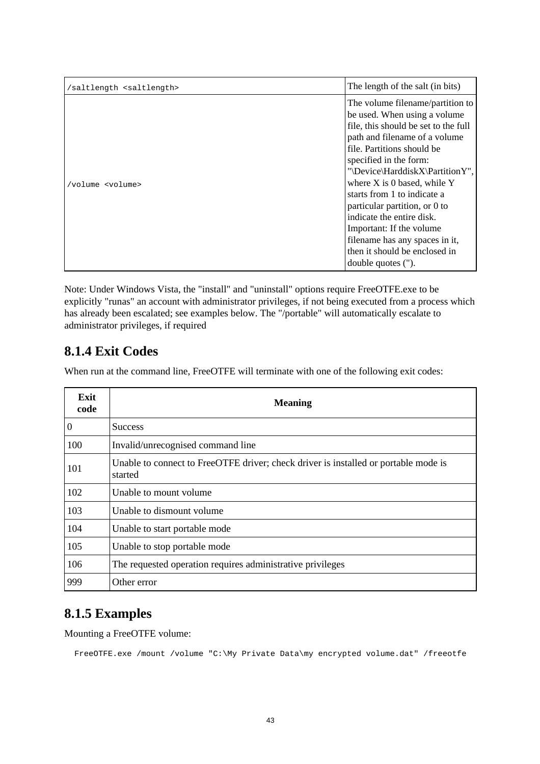| /saltlength <saltlength></saltlength> | The length of the salt (in bits)                                                                                                                                                                                                                                                                                                                                                                                                                                                          |
|---------------------------------------|-------------------------------------------------------------------------------------------------------------------------------------------------------------------------------------------------------------------------------------------------------------------------------------------------------------------------------------------------------------------------------------------------------------------------------------------------------------------------------------------|
| /volume <volume></volume>             | The volume filename/partition to<br>be used. When using a volume<br>file, this should be set to the full<br>path and filename of a volume<br>file. Partitions should be<br>specified in the form:<br>"\Device\HarddiskX\PartitionY",<br>where $X$ is 0 based, while $Y$<br>starts from 1 to indicate a<br>particular partition, or 0 to<br>indicate the entire disk.<br>Important: If the volume<br>filename has any spaces in it,<br>then it should be enclosed in<br>double quotes ("). |

Note: Under Windows Vista, the "install" and "uninstall" options require FreeOTFE.exe to be explicitly "runas" an account with administrator privileges, if not being executed from a process which has already been escalated; see examples below. The "/portable" will automatically escalate to administrator privileges, if required

#### **8.1.4 Exit Codes**

When run at the command line, FreeOTFE will terminate with one of the following exit codes:

| Exit<br>code   | <b>Meaning</b>                                                                                 |
|----------------|------------------------------------------------------------------------------------------------|
| $\overline{0}$ | <b>Success</b>                                                                                 |
| 100            | Invalid/unrecognised command line                                                              |
| 101            | Unable to connect to FreeOTFE driver; check driver is installed or portable mode is<br>started |
| 102            | Unable to mount volume                                                                         |
| 103            | Unable to dismount volume                                                                      |
| 104            | Unable to start portable mode                                                                  |
| 105            | Unable to stop portable mode                                                                   |
| 106            | The requested operation requires administrative privileges                                     |
| 999            | Other error                                                                                    |

## **8.1.5 Examples**

Mounting a FreeOTFE volume:

FreeOTFE.exe /mount /volume "C:\My Private Data\my encrypted volume.dat" /freeotfe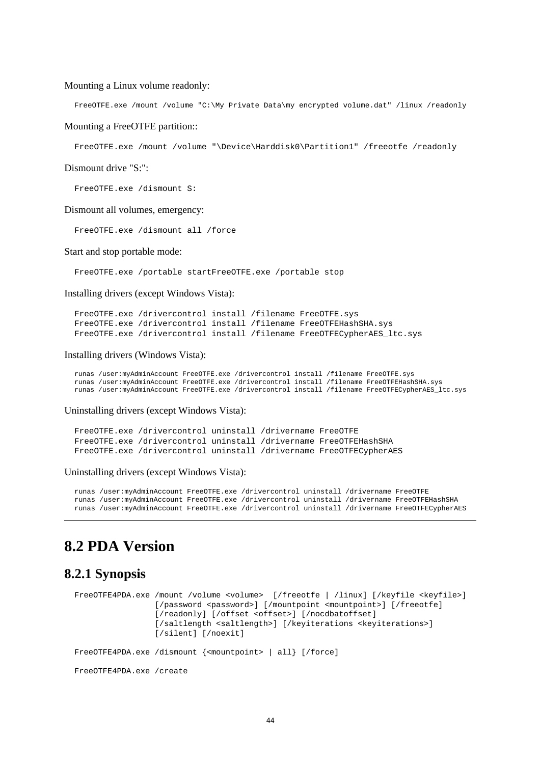#### Mounting a Linux volume readonly:

FreeOTFE.exe /mount /volume "C:\My Private Data\my encrypted volume.dat" /linux /readonly

#### Mounting a FreeOTFE partition::

FreeOTFE.exe /mount /volume "\Device\Harddisk0\Partition1" /freeotfe /readonly

Dismount drive "S:":

FreeOTFE.exe /dismount S:

#### Dismount all volumes, emergency:

FreeOTFE.exe /dismount all /force

#### Start and stop portable mode:

FreeOTFE.exe /portable startFreeOTFE.exe /portable stop

Installing drivers (except Windows Vista):

FreeOTFE.exe /drivercontrol install /filename FreeOTFE.sys FreeOTFE.exe /drivercontrol install /filename FreeOTFEHashSHA.sys FreeOTFE.exe /drivercontrol install /filename FreeOTFECypherAES ltc.sys

#### Installing drivers (Windows Vista):

runas /user:myAdminAccount FreeOTFE.exe /drivercontrol install /filename FreeOTFE.sys runas /user:myAdminAccount FreeOTFE.exe /drivercontrol install /filename FreeOTFEHashSHA.sys runas /user:myAdminAccount FreeOTFE.exe /drivercontrol install /filename FreeOTFECypherAES\_ltc.sys

Uninstalling drivers (except Windows Vista):

FreeOTFE.exe /drivercontrol uninstall /drivername FreeOTFE FreeOTFE.exe /drivercontrol uninstall /drivername FreeOTFEHashSHA FreeOTFE.exe /drivercontrol uninstall /drivername FreeOTFECypherAES

#### Uninstalling drivers (except Windows Vista):

runas /user:myAdminAccount FreeOTFE.exe /drivercontrol uninstall /drivername FreeOTFE runas /user:myAdminAccount FreeOTFE.exe /drivercontrol uninstall /drivername FreeOTFEHashSHA runas /user:myAdminAccount FreeOTFE.exe /drivercontrol uninstall /drivername FreeOTFECypherAES

#### **8.2 PDA Version**

#### **8.2.1 Synopsis**

FreeOTFE4PDA.exe /mount /volume <volume> [/freeotfe | /linux] [/keyfile <keyfile>] [/password <password>] [/mountpoint <mountpoint>] [/freeotfe] [/readonly] [/offset <offset>] [/nocdbatoffset] [/saltlength <saltlength>] [/keyiterations <keyiterations>] [/silent] [/noexit] FreeOTFE4PDA.exe /dismount {<mountpoint> | all} [/force] FreeOTFE4PDA.exe /create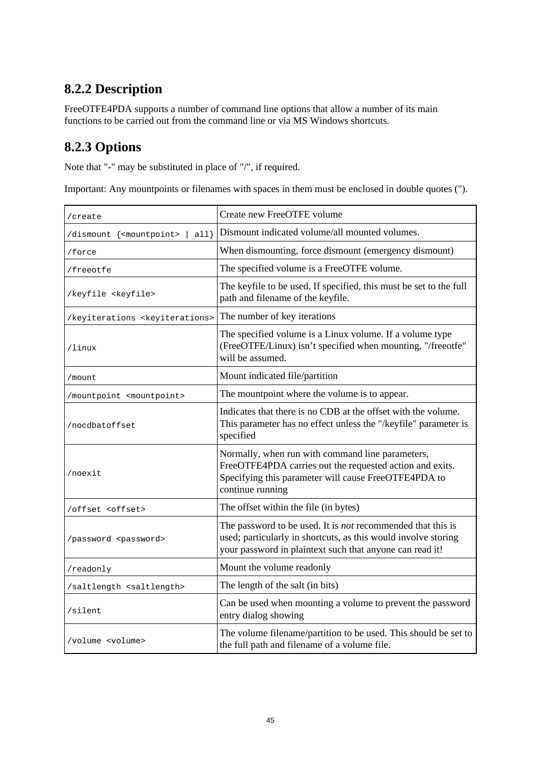## **8.2.2 Description**

FreeOTFE4PDA supports a number of command line options that allow a number of its main functions to be carried out from the command line or via MS Windows shortcuts.

## **8.2.3 Options**

Note that "-" may be substituted in place of "/", if required.

Important: Any mountpoints or filenames with spaces in them must be enclosed in double quotes (").

| /create                                        | Create new FreeOTFE volume                                                                                                                                                                       |
|------------------------------------------------|--------------------------------------------------------------------------------------------------------------------------------------------------------------------------------------------------|
| all<br>/dismount { <mountpoint></mountpoint>   | Dismount indicated volume/all mounted volumes.                                                                                                                                                   |
| /force                                         | When dismounting, force dismount (emergency dismount)                                                                                                                                            |
| /freeotfe                                      | The specified volume is a FreeOTFE volume.                                                                                                                                                       |
| /keyfile <keyfile></keyfile>                   | The keyfile to be used. If specified, this must be set to the full<br>path and filename of the keyfile.                                                                                          |
| /keyiterations <keyiterations></keyiterations> | The number of key iterations                                                                                                                                                                     |
| /linux                                         | The specified volume is a Linux volume. If a volume type<br>(FreeOTFE/Linux) isn't specified when mounting, "/freeotfe"<br>will be assumed.                                                      |
| /mount                                         | Mount indicated file/partition                                                                                                                                                                   |
| /mountpoint <mountpoint></mountpoint>          | The mountpoint where the volume is to appear.                                                                                                                                                    |
| /nocdbatoffset                                 | Indicates that there is no CDB at the offset with the volume.<br>This parameter has no effect unless the "/keyfile" parameter is<br>specified                                                    |
| /noexit                                        | Normally, when run with command line parameters,<br>FreeOTFE4PDA carries out the requested action and exits.<br>Specifying this parameter will cause FreeOTFE4PDA to<br>continue running         |
| /offset <offset></offset>                      | The offset within the file (in bytes)                                                                                                                                                            |
| /password <password></password>                | The password to be used. It is <i>not</i> recommended that this is<br>used; particularly in shortcuts, as this would involve storing<br>your password in plaintext such that anyone can read it! |
| /readonly                                      | Mount the volume readonly                                                                                                                                                                        |
| /saltlength <saltlength></saltlength>          | The length of the salt (in bits)                                                                                                                                                                 |
| /silent                                        | Can be used when mounting a volume to prevent the password<br>entry dialog showing                                                                                                               |
| /volume <volume></volume>                      | The volume filename/partition to be used. This should be set to<br>the full path and filename of a volume file.                                                                                  |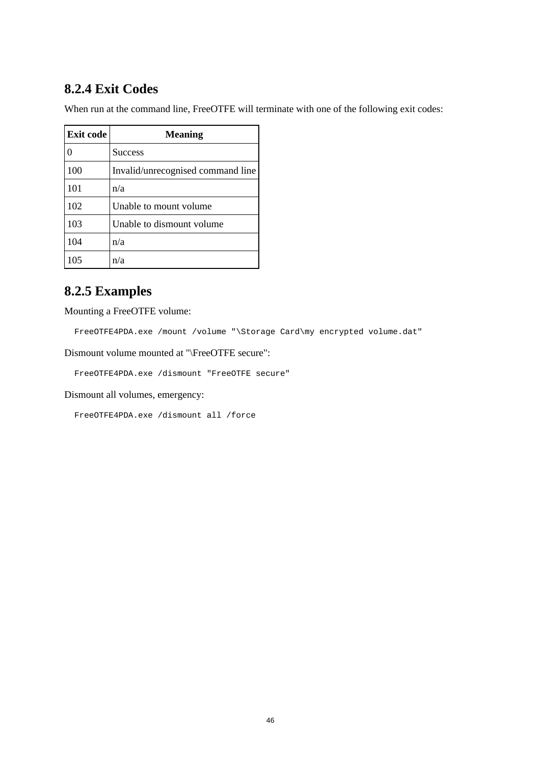### **8.2.4 Exit Codes**

When run at the command line, FreeOTFE will terminate with one of the following exit codes:

| <b>Exit code</b> | <b>Meaning</b>                    |
|------------------|-----------------------------------|
| 0                | <b>Success</b>                    |
| 100              | Invalid/unrecognised command line |
| 101              | n/a                               |
| 102              | Unable to mount volume            |
| 103              | Unable to dismount volume         |
| 104              | n/a                               |
| 105              | n/a                               |

#### **8.2.5 Examples**

Mounting a FreeOTFE volume:

FreeOTFE4PDA.exe /mount /volume "\Storage Card\my encrypted volume.dat"

Dismount volume mounted at "\FreeOTFE secure":

FreeOTFE4PDA.exe /dismount "FreeOTFE secure"

Dismount all volumes, emergency:

FreeOTFE4PDA.exe /dismount all /force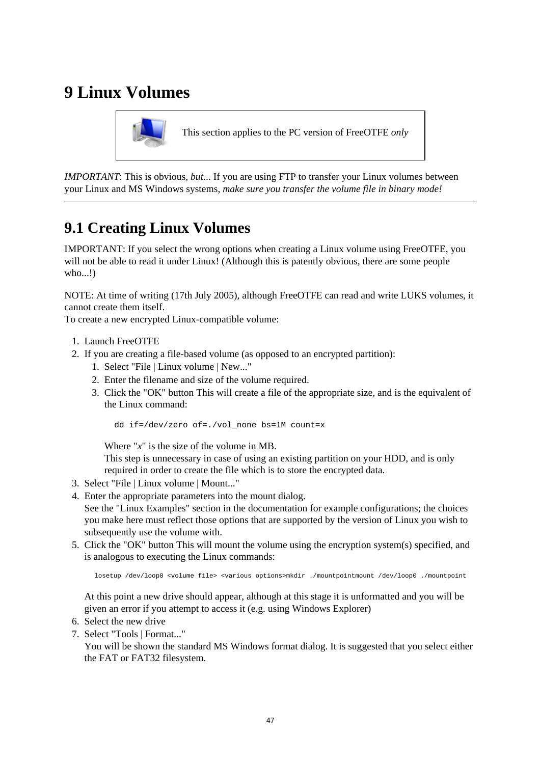# **9 Linux Volumes**



This section applies to the PC version of FreeOTFE *only*

*IMPORTANT*: This is obvious, *but*... If you are using FTP to transfer your Linux volumes between your Linux and MS Windows systems, *make sure you transfer the volume file in binary mode!*

## **9.1 Creating Linux Volumes**

IMPORTANT: If you select the wrong options when creating a Linux volume using FreeOTFE, you will not be able to read it under Linux! (Although this is patently obvious, there are some people who...!)

NOTE: At time of writing (17th July 2005), although FreeOTFE can read and write LUKS volumes, it cannot create them itself.

To create a new encrypted Linux-compatible volume:

- 1. Launch FreeOTFE
- 2. If you are creating a file-based volume (as opposed to an encrypted partition):
	- 1. Select "File | Linux volume | New..."
	- 2. Enter the filename and size of the volume required.
	- 3. Click the "OK" button This will create a file of the appropriate size, and is the equivalent of the Linux command:

dd if=/dev/zero of=./vol\_none bs=1M count=x

Where "*x*" is the size of the volume in MB.

This step is unnecessary in case of using an existing partition on your HDD, and is only required in order to create the file which is to store the encrypted data.

- 3. Select "File | Linux volume | Mount..."
- 4. Enter the appropriate parameters into the mount dialog.
- See the "Linux Examples" section in the documentation for example configurations; the choices you make here must reflect those options that are supported by the version of Linux you wish to subsequently use the volume with.
- 5. Click the "OK" button This will mount the volume using the encryption system(s) specified, and is analogous to executing the Linux commands:

losetup /dev/loop0 <volume file> <various options>mkdir ./mountpointmount /dev/loop0 ./mountpoint

At this point a new drive should appear, although at this stage it is unformatted and you will be given an error if you attempt to access it (e.g. using Windows Explorer)

- 6. Select the new drive
- 7. Select "Tools | Format..."

You will be shown the standard MS Windows format dialog. It is suggested that you select either the FAT or FAT32 filesystem.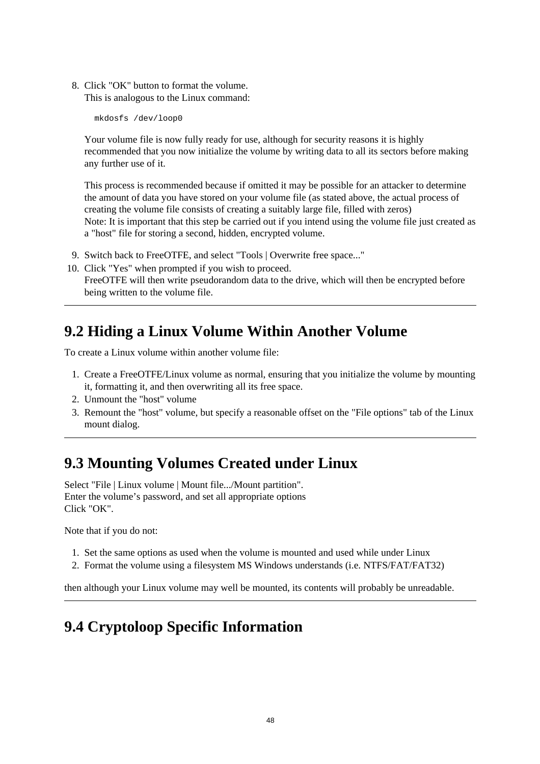8. Click "OK" button to format the volume. This is analogous to the Linux command:

mkdosfs /dev/loop0

Your volume file is now fully ready for use, although for security reasons it is highly recommended that you now initialize the volume by writing data to all its sectors before making any further use of it.

This process is recommended because if omitted it may be possible for an attacker to determine the amount of data you have stored on your volume file (as stated above, the actual process of creating the volume file consists of creating a suitably large file, filled with zeros) Note: It is important that this step be carried out if you intend using the volume file just created as a "host" file for storing a second, hidden, encrypted volume.

- 9. Switch back to FreeOTFE, and select "Tools | Overwrite free space..."
- 10. Click "Yes" when prompted if you wish to proceed. FreeOTFE will then write pseudorandom data to the drive, which will then be encrypted before being written to the volume file.

## **9.2 Hiding a Linux Volume Within Another Volume**

To create a Linux volume within another volume file:

- 1. Create a FreeOTFE/Linux volume as normal, ensuring that you initialize the volume by mounting it, formatting it, and then overwriting all its free space.
- 2. Unmount the "host" volume
- 3. Remount the "host" volume, but specify a reasonable offset on the "File options" tab of the Linux mount dialog.

## **9.3 Mounting Volumes Created under Linux**

Select "File | Linux volume | Mount file.../Mount partition". Enter the volume's password, and set all appropriate options Click "OK".

Note that if you do not:

- 1. Set the same options as used when the volume is mounted and used while under Linux
- 2. Format the volume using a filesystem MS Windows understands (i.e. NTFS/FAT/FAT32)

then although your Linux volume may well be mounted, its contents will probably be unreadable.

# **9.4 Cryptoloop Specific Information**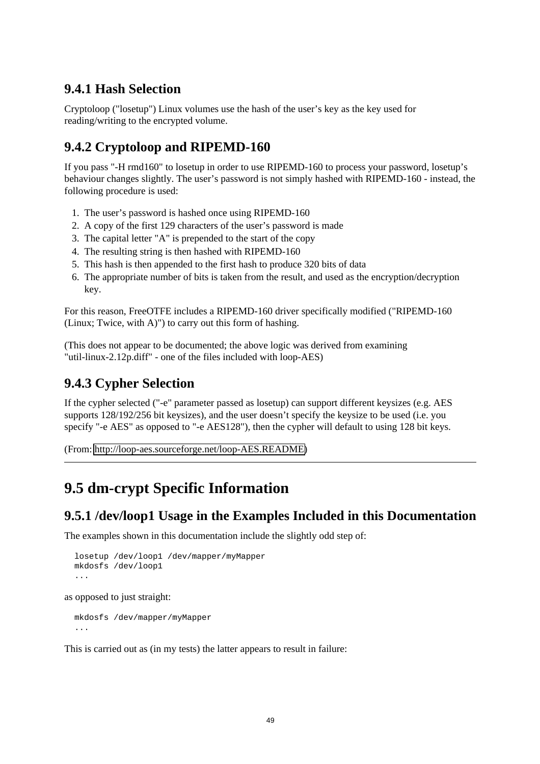#### **9.4.1 Hash Selection**

Cryptoloop ("losetup") Linux volumes use the hash of the user's key as the key used for reading/writing to the encrypted volume.

#### **9.4.2 Cryptoloop and RIPEMD-160**

If you pass "-H rmd160" to losetup in order to use RIPEMD-160 to process your password, losetup's behaviour changes slightly. The user's password is not simply hashed with RIPEMD-160 - instead, the following procedure is used:

- 1. The user's password is hashed once using RIPEMD-160
- 2. A copy of the first 129 characters of the user's password is made
- 3. The capital letter "A" is prepended to the start of the copy
- 4. The resulting string is then hashed with RIPEMD-160
- 5. This hash is then appended to the first hash to produce 320 bits of data
- 6. The appropriate number of bits is taken from the result, and used as the encryption/decryption key.

For this reason, FreeOTFE includes a RIPEMD-160 driver specifically modified ("RIPEMD-160 (Linux; Twice, with A)") to carry out this form of hashing.

(This does not appear to be documented; the above logic was derived from examining "util-linux-2.12p.diff" - one of the files included with loop-AES)

#### **9.4.3 Cypher Selection**

If the cypher selected ("-e" parameter passed as losetup) can support different keysizes (e.g. AES supports 128/192/256 bit keysizes), and the user doesn't specify the keysize to be used (i.e. you specify "-e AES" as opposed to "-e AES128"), then the cypher will default to using 128 bit keys.

(From: [http://loop-aes.sourceforge.net/loop-AES.README\)](http://loop-aes.sourceforge.net/loop-AES.README)

## **9.5 dm-crypt Specific Information**

#### **9.5.1 /dev/loop1 Usage in the Examples Included in this Documentation**

The examples shown in this documentation include the slightly odd step of:

```
losetup /dev/loop1 /dev/mapper/myMapper
mkdosfs /dev/loop1
```
as opposed to just straight:

mkdosfs /dev/mapper/myMapper ...

This is carried out as (in my tests) the latter appears to result in failure: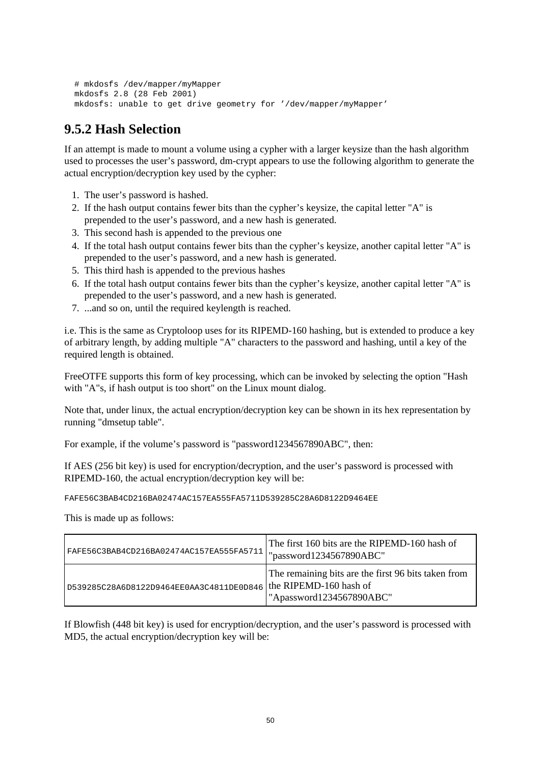```
# mkdosfs /dev/mapper/myMapper
mkdosfs 2.8 (28 Feb 2001)
mkdosfs: unable to get drive geometry for '/dev/mapper/myMapper'
```
### **9.5.2 Hash Selection**

If an attempt is made to mount a volume using a cypher with a larger keysize than the hash algorithm used to processes the user's password, dm-crypt appears to use the following algorithm to generate the actual encryption/decryption key used by the cypher:

- 1. The user's password is hashed.
- 2. If the hash output contains fewer bits than the cypher's keysize, the capital letter "A" is prepended to the user's password, and a new hash is generated.
- 3. This second hash is appended to the previous one
- 4. If the total hash output contains fewer bits than the cypher's keysize, another capital letter "A" is prepended to the user's password, and a new hash is generated.
- 5. This third hash is appended to the previous hashes
- 6. If the total hash output contains fewer bits than the cypher's keysize, another capital letter "A" is prepended to the user's password, and a new hash is generated.
- 7. ...and so on, until the required keylength is reached.

i.e. This is the same as Cryptoloop uses for its RIPEMD-160 hashing, but is extended to produce a key of arbitrary length, by adding multiple "A" characters to the password and hashing, until a key of the required length is obtained.

FreeOTFE supports this form of key processing, which can be invoked by selecting the option "Hash with "A"s, if hash output is too short" on the Linux mount dialog.

Note that, under linux, the actual encryption/decryption key can be shown in its hex representation by running "dmsetup table".

For example, if the volume's password is "password1234567890ABC", then:

If AES (256 bit key) is used for encryption/decryption, and the user's password is processed with RIPEMD-160, the actual encryption/decryption key will be:

FAFE56C3BAB4CD216BA02474AC157EA555FA5711D539285C28A6D8122D9464EE

This is made up as follows:

| FAFE56C3BAB4CD216BA02474AC157EA555FA5711 | The first 160 bits are the RIPEMD-160 hash of<br>"password1234567890ABC"                                  |
|------------------------------------------|-----------------------------------------------------------------------------------------------------------|
| D539285C28A6D8122D9464EE0AA3C4811DE0D846 | The remaining bits are the first 96 bits taken from<br>the RIPEMD-160 hash of<br>"Apassword1234567890ABC" |

If Blowfish (448 bit key) is used for encryption/decryption, and the user's password is processed with MD5, the actual encryption/decryption key will be: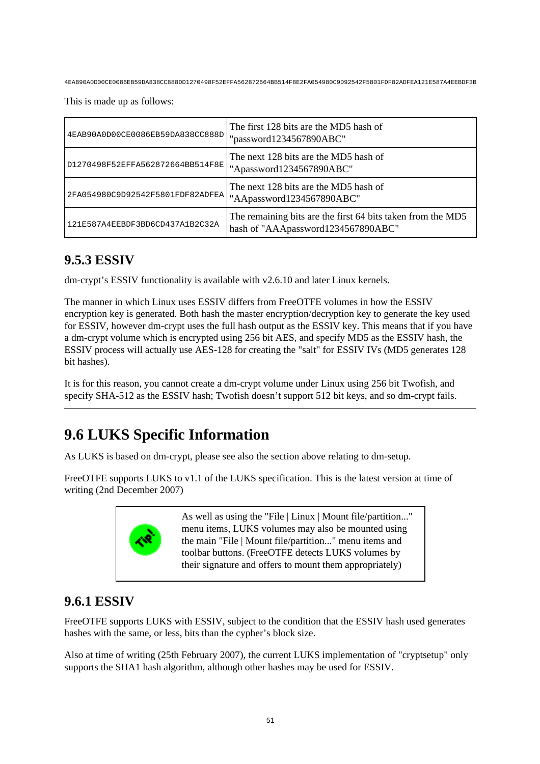4EAB90A0D00CE0086EB59DA838CC888DD1270498F52EFFA562872664BB514F8E2FA054980C9D92542F5801FDF82ADFEA121E587A4EEBDF3B

This is made up as follows:

| 4EAB90A0D00CE0086EB59DA838CC888D | The first 128 bits are the MD5 hash of<br>"password1234567890ABC"                                 |
|----------------------------------|---------------------------------------------------------------------------------------------------|
| D1270498F52EFFA562872664BB514F8E | The next 128 bits are the MD5 hash of<br>"Apassword1234567890ABC"                                 |
| 2FA054980C9D92542F5801FDF82ADFEA | The next 128 bits are the MD5 hash of<br>"AApassword1234567890ABC"                                |
| 121E587A4EEBDF3BD6CD437A1B2C32A  | The remaining bits are the first 64 bits taken from the MD5<br>hash of "AAApassword1234567890ABC" |

## **9.5.3 ESSIV**

dm-crypt's ESSIV functionality is available with v2.6.10 and later Linux kernels.

The manner in which Linux uses ESSIV differs from FreeOTFE volumes in how the ESSIV encryption key is generated. Both hash the master encryption/decryption key to generate the key used for ESSIV, however dm-crypt uses the full hash output as the ESSIV key. This means that if you have a dm-crypt volume which is encrypted using 256 bit AES, and specify MD5 as the ESSIV hash, the ESSIV process will actually use AES-128 for creating the "salt" for ESSIV IVs (MD5 generates 128 bit hashes).

It is for this reason, you cannot create a dm-crypt volume under Linux using 256 bit Twofish, and specify SHA-512 as the ESSIV hash; Twofish doesn't support 512 bit keys, and so dm-crypt fails.

# **9.6 LUKS Specific Information**

As LUKS is based on dm-crypt, please see also the section above relating to dm-setup.

FreeOTFE supports LUKS to v1.1 of the LUKS specification. This is the latest version at time of writing (2nd December 2007)



As well as using the "File | Linux | Mount file/partition..." menu items, LUKS volumes may also be mounted using the main "File | Mount file/partition..." menu items and toolbar buttons. (FreeOTFE detects LUKS volumes by their signature and offers to mount them appropriately)

### **9.6.1 ESSIV**

FreeOTFE supports LUKS with ESSIV, subject to the condition that the ESSIV hash used generates hashes with the same, or less, bits than the cypher's block size.

Also at time of writing (25th February 2007), the current LUKS implementation of "cryptsetup" only supports the SHA1 hash algorithm, although other hashes may be used for ESSIV.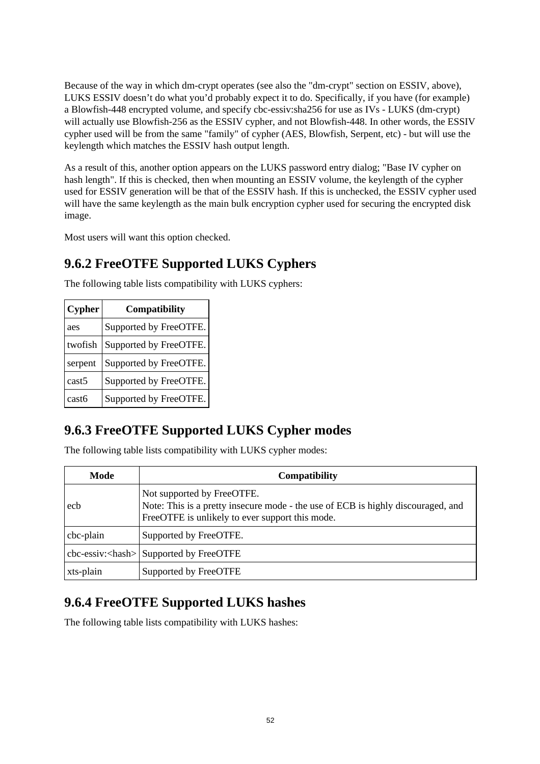Because of the way in which dm-crypt operates (see also the "dm-crypt" section on ESSIV, above), LUKS ESSIV doesn't do what you'd probably expect it to do. Specifically, if you have (for example) a Blowfish-448 encrypted volume, and specify cbc-essiv:sha256 for use as IVs - LUKS (dm-crypt) will actually use Blowfish-256 as the ESSIV cypher, and not Blowfish-448. In other words, the ESSIV cypher used will be from the same "family" of cypher (AES, Blowfish, Serpent, etc) - but will use the keylength which matches the ESSIV hash output length.

As a result of this, another option appears on the LUKS password entry dialog; "Base IV cypher on hash length". If this is checked, then when mounting an ESSIV volume, the keylength of the cypher used for ESSIV generation will be that of the ESSIV hash. If this is unchecked, the ESSIV cypher used will have the same keylength as the main bulk encryption cypher used for securing the encrypted disk image.

Most users will want this option checked.

## **9.6.2 FreeOTFE Supported LUKS Cyphers**

The following table lists compatibility with LUKS cyphers:

| <b>Cypher</b> | Compatibility          |  |
|---------------|------------------------|--|
| aes           | Supported by FreeOTFE. |  |
| twofish       | Supported by FreeOTFE. |  |
| serpent       | Supported by FreeOTFE. |  |
| cast5         | Supported by FreeOTFE. |  |
| cast6         | Supported by FreeOTFE. |  |

## **9.6.3 FreeOTFE Supported LUKS Cypher modes**

The following table lists compatibility with LUKS cypher modes:

| Mode      | <b>Compatibility</b>                                                                                                                                              |  |
|-----------|-------------------------------------------------------------------------------------------------------------------------------------------------------------------|--|
| ech       | Not supported by FreeOTFE.<br>Note: This is a pretty insecure mode - the use of ECB is highly discouraged, and<br>FreeOTFE is unlikely to ever support this mode. |  |
| cbc-plain | Supported by FreeOTFE.                                                                                                                                            |  |
|           | $\text{c}$ bc-essiv: < hash> Supported by FreeOTFE                                                                                                                |  |
| xts-plain | Supported by FreeOTFE                                                                                                                                             |  |

## **9.6.4 FreeOTFE Supported LUKS hashes**

The following table lists compatibility with LUKS hashes: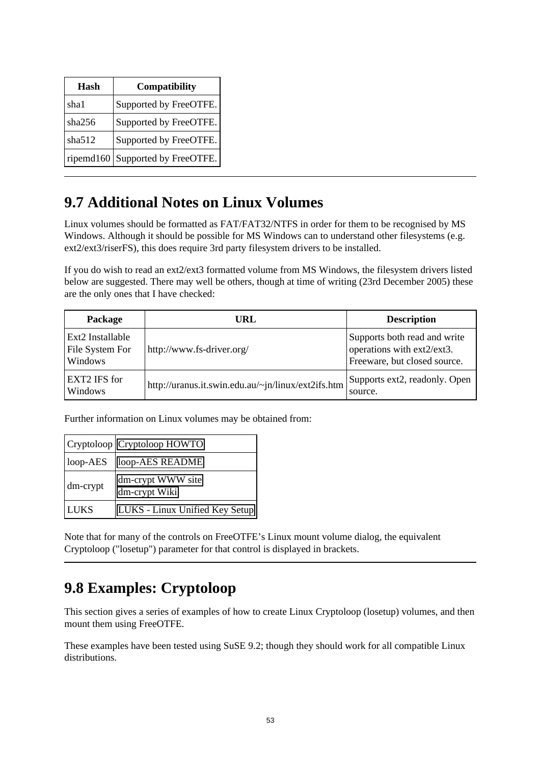| Hash      | Compatibility          |
|-----------|------------------------|
| sha1      | Supported by FreeOTFE. |
| sha256    | Supported by FreeOTFE. |
| sha512    | Supported by FreeOTFE. |
| ripemd160 | Supported by FreeOTFE. |

# **9.7 Additional Notes on Linux Volumes**

Linux volumes should be formatted as FAT/FAT32/NTFS in order for them to be recognised by MS Windows. Although it should be possible for MS Windows can to understand other filesystems (e.g. ext2/ext3/riserFS), this does require 3rd party filesystem drivers to be installed.

If you do wish to read an ext2/ext3 formatted volume from MS Windows, the filesystem drivers listed below are suggested. There may well be others, though at time of writing (23rd December 2005) these are the only ones that I have checked:

| Package                                        | URL                                                | <b>Description</b>                                                                         |
|------------------------------------------------|----------------------------------------------------|--------------------------------------------------------------------------------------------|
| Ext2 Installable<br>File System For<br>Windows | http://www.fs-driver.org/                          | Supports both read and write<br>operations with ext2/ext3.<br>Freeware, but closed source. |
| <b>EXT2 IFS for</b><br>Windows                 | http://uranus.it.swin.edu.au/~jn/linux/ext2ifs.htm | Supports ext2, readonly. Open<br>source.                                                   |

Further information on Linux volumes may be obtained from:

|             | Cryptoloop Cryptoloop HOWTO        |
|-------------|------------------------------------|
| $loop-AES$  | loop-AES README                    |
| dm-crypt    | dm-crypt WWW site<br>dm-crypt Wiki |
| <b>LUKS</b> | LUKS - Linux Unified Key Setup     |

Note that for many of the controls on FreeOTFE's Linux mount volume dialog, the equivalent Cryptoloop ("losetup") parameter for that control is displayed in brackets.

# **9.8 Examples: Cryptoloop**

This section gives a series of examples of how to create Linux Cryptoloop (losetup) volumes, and then mount them using FreeOTFE.

These examples have been tested using SuSE 9.2; though they should work for all compatible Linux distributions.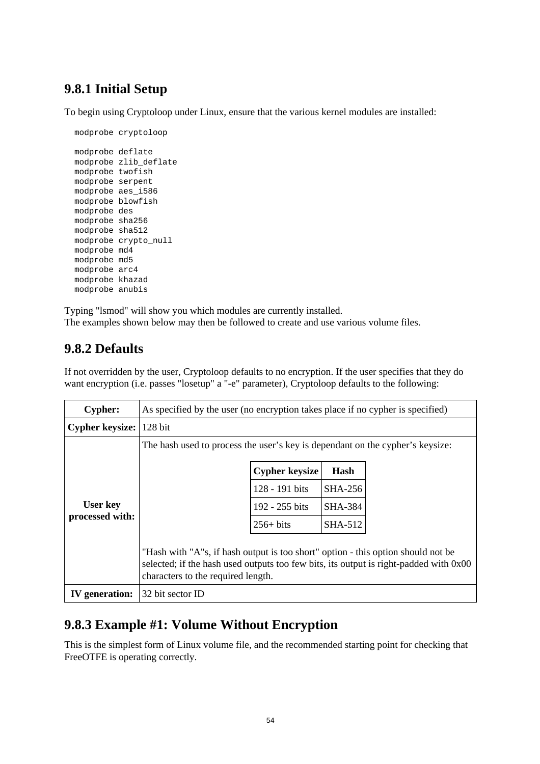## **9.8.1 Initial Setup**

To begin using Cryptoloop under Linux, ensure that the various kernel modules are installed:

```
modprobe cryptoloop
modprobe deflate
modprobe zlib_deflate
modprobe twofish
modprobe serpent
modprobe aes_i586
modprobe blowfish
modprobe des
modprobe sha256
modprobe sha512
modprobe crypto_null
modprobe md4
modprobe md5
modprobe arc4
modprobe khazad
modprobe anubis
```
Typing "lsmod" will show you which modules are currently installed. The examples shown below may then be followed to create and use various volume files.

### **9.8.2 Defaults**

If not overridden by the user, Cryptoloop defaults to no encryption. If the user specifies that they do want encryption (i.e. passes "losetup" a "-e" parameter), Cryptoloop defaults to the following:

| <b>Cypher:</b>                     | As specified by the user (no encryption takes place if no cypher is specified)                                                                                                                                  |                       |                |  |
|------------------------------------|-----------------------------------------------------------------------------------------------------------------------------------------------------------------------------------------------------------------|-----------------------|----------------|--|
| <b>Cypher keysize:</b>             | 128 bit                                                                                                                                                                                                         |                       |                |  |
|                                    | The hash used to process the user's key is dependant on the cypher's keysize:                                                                                                                                   |                       |                |  |
|                                    |                                                                                                                                                                                                                 | <b>Cypher keysize</b> | Hash           |  |
| <b>User key</b><br>processed with: |                                                                                                                                                                                                                 | 128 - 191 bits        | <b>SHA-256</b> |  |
|                                    |                                                                                                                                                                                                                 | 192 - 255 bits        | <b>SHA-384</b> |  |
|                                    |                                                                                                                                                                                                                 | $256+$ bits           | SHA-512        |  |
|                                    | "Hash with "A"s, if hash output is too short" option - this option should not be<br>selected; if the hash used outputs too few bits, its output is right-padded with 0x00<br>characters to the required length. |                       |                |  |
| IV generation:                     | 32 bit sector ID                                                                                                                                                                                                |                       |                |  |

### **9.8.3 Example #1: Volume Without Encryption**

This is the simplest form of Linux volume file, and the recommended starting point for checking that FreeOTFE is operating correctly.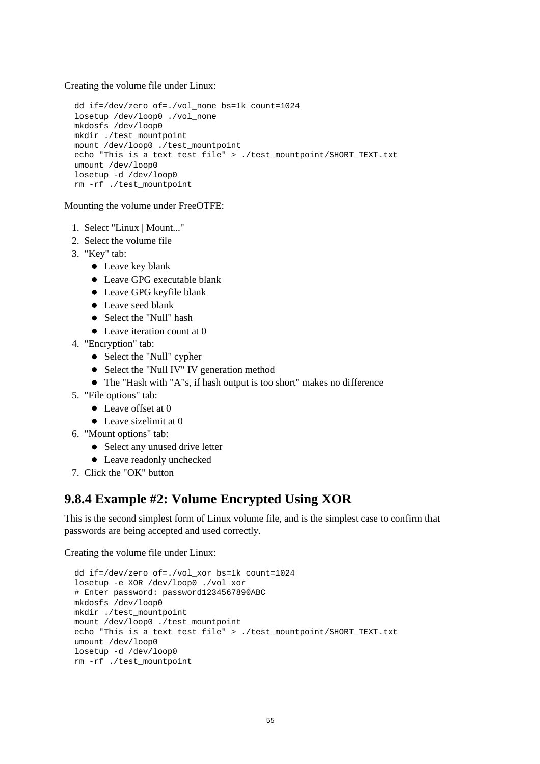Creating the volume file under Linux:

```
dd if=/dev/zero of=./vol_none bs=1k count=1024
losetup /dev/loop0 ./vol_none
mkdosfs /dev/loop0
mkdir ./test_mountpoint
mount /dev/loop0 ./test_mountpoint
echo "This is a text test file" > ./test mountpoint/SHORT TEXT.txt
umount /dev/loop0
losetup -d /dev/loop0
rm -rf ./test_mountpoint
```
Mounting the volume under FreeOTFE:

- 1. Select "Linux | Mount..."
- 2. Select the volume file
- 3. "Key" tab:
	- Leave key blank
	- Leave GPG executable blank
	- Leave GPG keyfile blank
	- Leave seed blank
	- Select the "Null" hash
	- Leave iteration count at 0
- 4. "Encryption" tab:
	- Select the "Null" cypher
	- Select the "Null IV" IV generation method
	- The "Hash with "A"s, if hash output is too short" makes no difference
- 5. "File options" tab:
	- Leave offset at 0
	- Leave sizelimit at 0
- 6. "Mount options" tab:
	- Select any unused drive letter
	- Leave readonly unchecked
- 7. Click the "OK" button

#### **9.8.4 Example #2: Volume Encrypted Using XOR**

This is the second simplest form of Linux volume file, and is the simplest case to confirm that passwords are being accepted and used correctly.

```
dd if=/dev/zero of=./vol_xor bs=1k count=1024
losetup -e XOR /dev/loop0 ./vol_xor
# Enter password: password1234567890ABC
mkdosfs /dev/loop0
mkdir ./test_mountpoint
mount /dev/loop0 ./test_mountpoint
echo "This is a text test file" > ./test_mountpoint/SHORT_TEXT.txt
umount /dev/loop0
losetup -d /dev/loop0
rm -rf ./test_mountpoint
```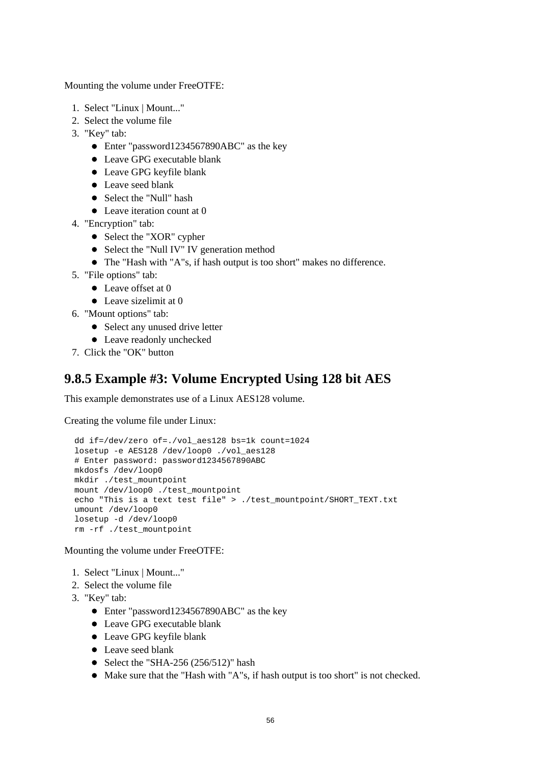- 1. Select "Linux | Mount..."
- 2. Select the volume file
- 3. "Key" tab:
	- Enter "password1234567890ABC" as the key
	- Leave GPG executable blank
	- Leave GPG keyfile blank
	- Leave seed blank
	- Select the "Null" hash
	- Leave iteration count at 0
- 4. "Encryption" tab:
	- Select the "XOR" cypher
	- Select the "Null IV" IV generation method
	- The "Hash with "A"s, if hash output is too short" makes no difference.
- 5. "File options" tab:
	- Leave offset at 0
	- $\bullet$  Leave sizelimit at 0
- 6. "Mount options" tab:
	- Select any unused drive letter
	- Leave readonly unchecked
- 7. Click the "OK" button

#### **9.8.5 Example #3: Volume Encrypted Using 128 bit AES**

This example demonstrates use of a Linux AES128 volume.

Creating the volume file under Linux:

```
dd if=/dev/zero of=./vol_aes128 bs=1k count=1024
losetup -e AES128 /dev/loop0 ./vol_aes128
# Enter password: password1234567890ABC
mkdosfs /dev/loop0
mkdir ./test_mountpoint
mount /dev/loop0 ./test_mountpoint
echo "This is a text test file" > ./test_mountpoint/SHORT_TEXT.txt
umount /dev/loop0
losetup -d /dev/loop0
rm -rf ./test_mountpoint
```
- 1. Select "Linux | Mount..."
- 2. Select the volume file
- 3. "Key" tab:
	- Enter "password1234567890ABC" as the key
	- Leave GPG executable blank
	- Leave GPG keyfile blank
	- Leave seed blank
	- $\bullet$  Select the "SHA-256 (256/512)" hash
	- Make sure that the "Hash with "A"s, if hash output is too short" is not checked.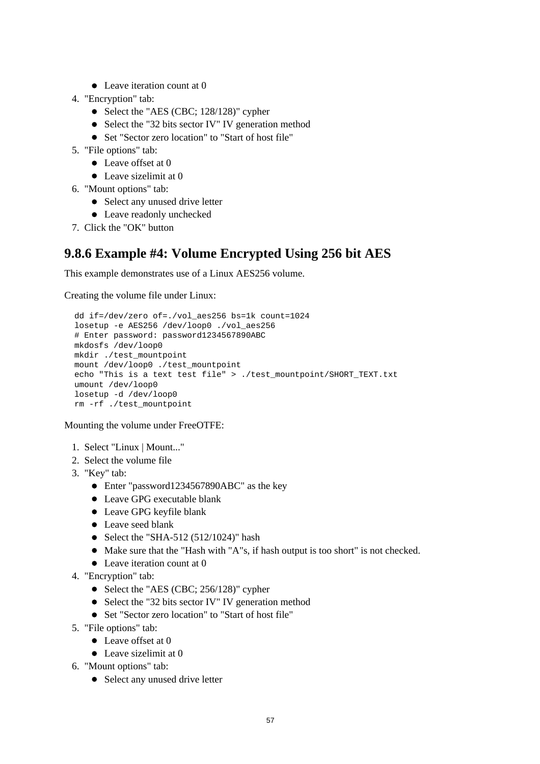- Leave iteration count at 0
- 4. "Encryption" tab:
	- Select the "AES (CBC; 128/128)" cypher
	- Select the "32 bits sector IV" IV generation method
	- Set "Sector zero location" to "Start of host file"
- 5. "File options" tab:
	- Leave offset at 0
	- Leave sizelimit at 0
- 6. "Mount options" tab:
	- Select any unused drive letter
	- Leave readonly unchecked
- 7. Click the "OK" button

#### **9.8.6 Example #4: Volume Encrypted Using 256 bit AES**

This example demonstrates use of a Linux AES256 volume.

Creating the volume file under Linux:

```
dd if=/dev/zero of=./vol_aes256 bs=1k count=1024
losetup -e AES256 /dev/loop0 ./vol_aes256
# Enter password: password1234567890ABC
mkdosfs /dev/loop0
mkdir ./test_mountpoint
mount /dev/loop0 ./test_mountpoint
echo "This is a text test file" > ./test_mountpoint/SHORT_TEXT.txt
umount /dev/loop0
losetup -d /dev/loop0
rm -rf ./test_mountpoint
```
- 1. Select "Linux | Mount..."
- 2. Select the volume file
- 3. "Key" tab:
	- Enter "password1234567890ABC" as the key
	- Leave GPG executable blank
	- Leave GPG keyfile blank
	- Leave seed blank
	- $\bullet$  Select the "SHA-512 (512/1024)" hash
	- Make sure that the "Hash with "A"s, if hash output is too short" is not checked.
	- Leave iteration count at 0
- 4. "Encryption" tab:
	- Select the "AES (CBC; 256/128)" cypher
	- Select the "32 bits sector IV" IV generation method
	- Set "Sector zero location" to "Start of host file"
- 5. "File options" tab:
	- Leave offset at 0
	- Leave sizelimit at 0
- 6. "Mount options" tab:
	- Select any unused drive letter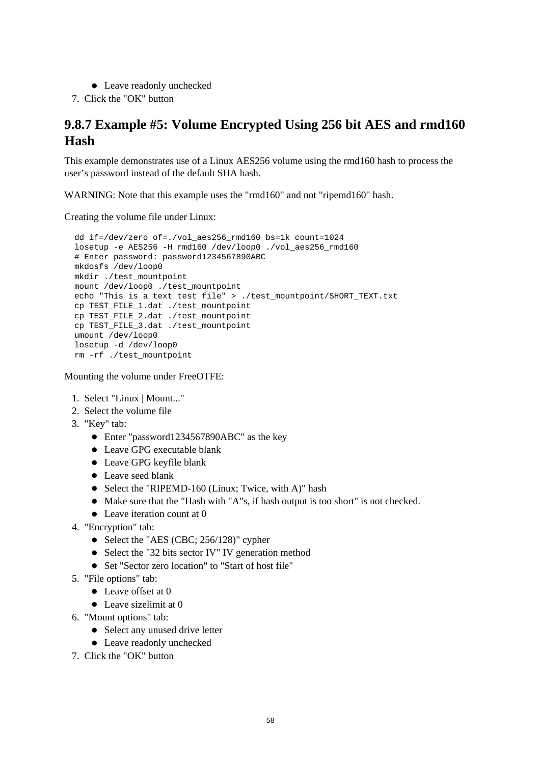- Leave readonly unchecked
- 7. Click the "OK" button

### **9.8.7 Example #5: Volume Encrypted Using 256 bit AES and rmd160 Hash**

This example demonstrates use of a Linux AES256 volume using the rmd160 hash to process the user's password instead of the default SHA hash.

WARNING: Note that this example uses the "rmd160" and not "ripemd160" hash.

Creating the volume file under Linux:

```
dd if=/dev/zero of=./vol_aes256_rmd160 bs=1k count=1024
losetup -e AES256 -H rmd160 /dev/loop0 ./vol_aes256_rmd160
# Enter password: password1234567890ABC
mkdosfs /dev/loop0
mkdir ./test_mountpoint
mount /dev/loop0 ./test_mountpoint
echo "This is a text test file" > ./test_mountpoint/SHORT_TEXT.txt
cp TEST_FILE_1.dat ./test_mountpoint
cp TEST_FILE_2.dat ./test_mountpoint
cp TEST_FILE_3.dat ./test_mountpoint
umount /dev/loop0
losetup -d /dev/loop0
rm -rf ./test_mountpoint
```
- 1. Select "Linux | Mount..."
- 2. Select the volume file
- 3. "Key" tab:
	- Enter "password1234567890ABC" as the key
	- Leave GPG executable blank
	- Leave GPG keyfile blank
	- Leave seed blank
	- Select the "RIPEMD-160 (Linux; Twice, with A)" hash
	- Make sure that the "Hash with "A"s, if hash output is too short" is not checked.
	- Leave iteration count at 0
- 4. "Encryption" tab:
	- Select the "AES (CBC; 256/128)" cypher
	- Select the "32 bits sector IV" IV generation method
	- Set "Sector zero location" to "Start of host file"
- 5. "File options" tab:
	- $\bullet$  Leave offset at 0
	- Leave sizelimit at 0
- 6. "Mount options" tab:
	- Select any unused drive letter
	- Leave readonly unchecked
- 7. Click the "OK" button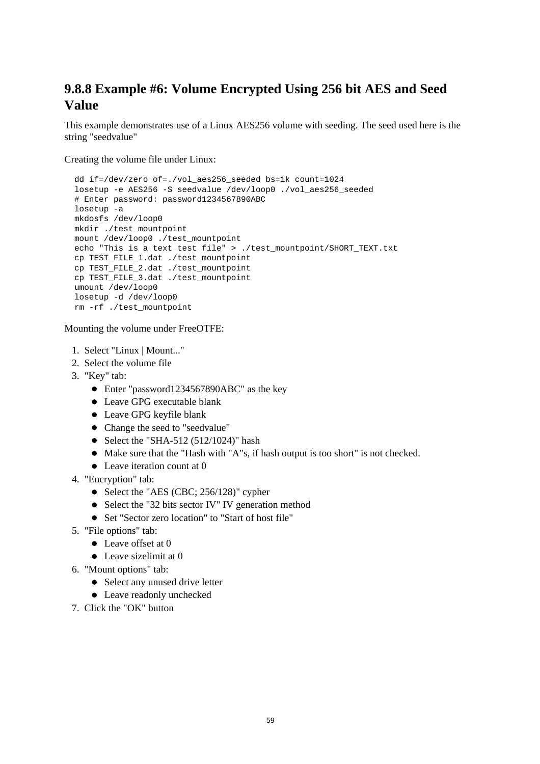### **9.8.8 Example #6: Volume Encrypted Using 256 bit AES and Seed Value**

This example demonstrates use of a Linux AES256 volume with seeding. The seed used here is the string "seedvalue"

Creating the volume file under Linux:

```
dd if=/dev/zero of=./vol_aes256_seeded bs=1k count=1024
losetup -e AES256 -S seedvalue /dev/loop0 ./vol_aes256_seeded
# Enter password: password1234567890ABC
losetup -a
mkdosfs /dev/loop0
mkdir ./test_mountpoint
mount /dev/loop0 ./test_mountpoint
echo "This is a text test file" > ./test_mountpoint/SHORT_TEXT.txt
cp TEST_FILE_1.dat ./test_mountpoint
cp TEST_FILE_2.dat ./test_mountpoint
cp TEST_FILE_3.dat ./test_mountpoint
umount /dev/loop0
losetup -d /dev/loop0
rm -rf ./test_mountpoint
```
- 1. Select "Linux | Mount..."
- 2. Select the volume file
- 3. "Key" tab:
	- Enter "password1234567890ABC" as the key
	- Leave GPG executable blank
	- Leave GPG keyfile blank
	- Change the seed to "seedvalue"
	- $\bullet$  Select the "SHA-512 (512/1024)" hash
	- Make sure that the "Hash with "A"s, if hash output is too short" is not checked.
	- Leave iteration count at 0
- 4. "Encryption" tab:
	- Select the "AES (CBC; 256/128)" cypher
	- Select the "32 bits sector IV" IV generation method
	- Set "Sector zero location" to "Start of host file"
- 5. "File options" tab:
	- Leave offset at 0
	- Leave sizelimit at 0
- 6. "Mount options" tab:
	- Select any unused drive letter
	- Leave readonly unchecked
- 7. Click the "OK" button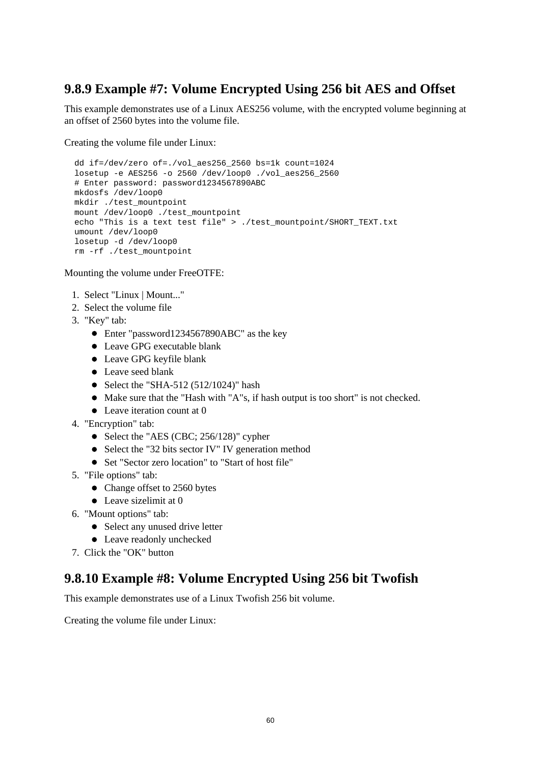### **9.8.9 Example #7: Volume Encrypted Using 256 bit AES and Offset**

This example demonstrates use of a Linux AES256 volume, with the encrypted volume beginning at an offset of 2560 bytes into the volume file.

Creating the volume file under Linux:

dd if=/dev/zero of=./vol\_aes256\_2560 bs=1k count=1024 losetup -e AES256 -o 2560 /dev/loop0 ./vol\_aes256\_2560 # Enter password: password1234567890ABC mkdosfs /dev/loop0 mkdir ./test\_mountpoint mount /dev/loop0 ./test\_mountpoint echo "This is a text test file" > ./test\_mountpoint/SHORT\_TEXT.txt umount /dev/loop0 losetup -d /dev/loop0 rm -rf ./test\_mountpoint

Mounting the volume under FreeOTFE:

- 1. Select "Linux | Mount..."
- 2. Select the volume file
- 3. "Key" tab:
	- Enter "password1234567890ABC" as the key
	- Leave GPG executable blank
	- Leave GPG keyfile blank
	- Leave seed blank
	- $\bullet$  Select the "SHA-512 (512/1024)" hash
	- Make sure that the "Hash with "A"s, if hash output is too short" is not checked.
	- Leave iteration count at 0
- 4. "Encryption" tab:
	- Select the "AES (CBC; 256/128)" cypher
	- Select the "32 bits sector IV" IV generation method
	- Set "Sector zero location" to "Start of host file"
- 5. "File options" tab:
	- Change offset to 2560 bytes
	- Leave sizelimit at 0
- 6. "Mount options" tab:
	- Select any unused drive letter
	- Leave readonly unchecked
- 7. Click the "OK" button

#### **9.8.10 Example #8: Volume Encrypted Using 256 bit Twofish**

This example demonstrates use of a Linux Twofish 256 bit volume.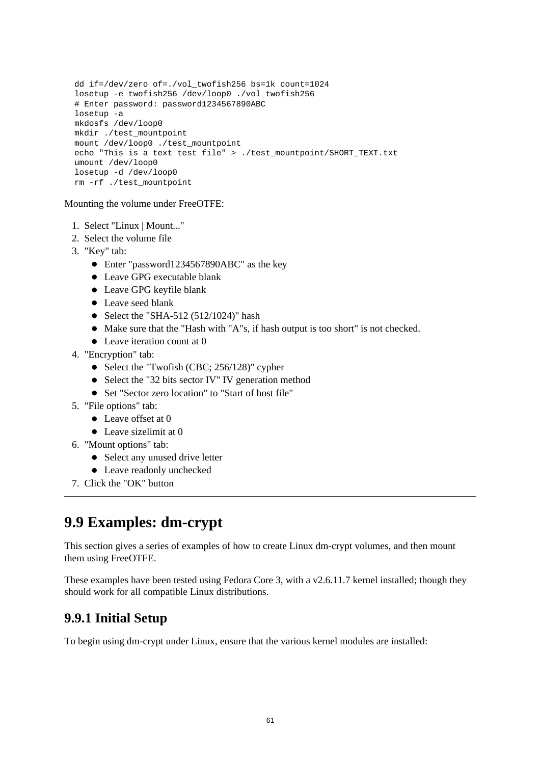```
dd if=/dev/zero of=./vol_twofish256 bs=1k count=1024
losetup -e twofish256 /dev/loop0 ./vol_twofish256
# Enter password: password1234567890ABC
losetup -a
mkdosfs /dev/loop0
mkdir ./test_mountpoint
mount /dev/loop0 ./test_mountpoint
echo "This is a text test file" > ./test_mountpoint/SHORT_TEXT.txt
umount /dev/loop0
losetup -d /dev/loop0
rm -rf ./test_mountpoint
```
- 1. Select "Linux | Mount..."
- 2. Select the volume file
- 3. "Key" tab:
	- Enter "password1234567890ABC" as the key
	- Leave GPG executable blank
	- Leave GPG keyfile blank
	- Leave seed blank
	- $\bullet$  Select the "SHA-512 (512/1024)" hash
	- Make sure that the "Hash with "A"s, if hash output is too short" is not checked.
	- Leave iteration count at 0
- 4. "Encryption" tab:
	- Select the "Twofish (CBC; 256/128)" cypher
	- Select the "32 bits sector IV" IV generation method
	- Set "Sector zero location" to "Start of host file"
- 5. "File options" tab:
	- Leave offset at 0
	- Leave sizelimit at 0
- 6. "Mount options" tab:
	- Select any unused drive letter
	- Leave readonly unchecked
- 7. Click the "OK" button

## **9.9 Examples: dm-crypt**

This section gives a series of examples of how to create Linux dm-crypt volumes, and then mount them using FreeOTFE.

These examples have been tested using Fedora Core 3, with a v2.6.11.7 kernel installed; though they should work for all compatible Linux distributions.

#### **9.9.1 Initial Setup**

To begin using dm-crypt under Linux, ensure that the various kernel modules are installed: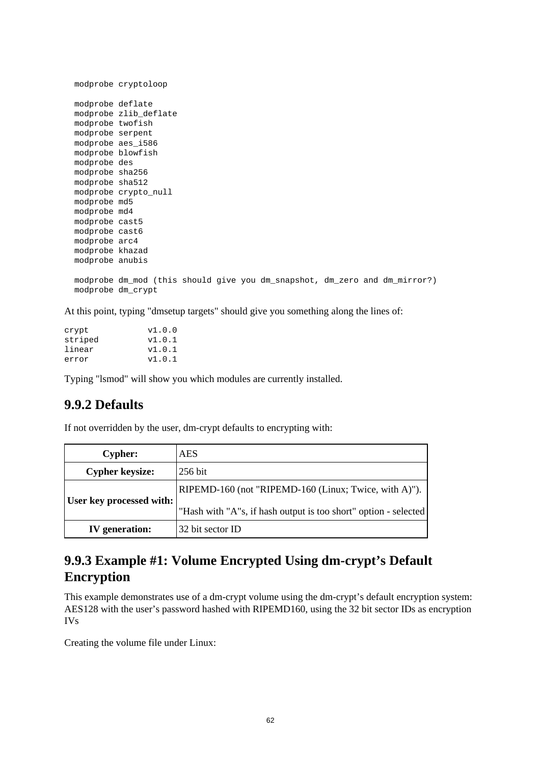```
modprobe cryptoloop
modprobe deflate
modprobe zlib_deflate
modprobe twofish
modprobe serpent
modprobe aes_i586
modprobe blowfish
modprobe des
modprobe sha256
modprobe sha512
modprobe crypto_null
modprobe md5
modprobe md4
modprobe cast5
modprobe cast6
modprobe arc4
modprobe khazad
modprobe anubis
modprobe dm_mod (this should give you dm_snapshot, dm_zero and dm_mirror?)
modprobe dm_crypt
```
At this point, typing "dmsetup targets" should give you something along the lines of:

| crypt   | v1.0.0 |
|---------|--------|
| striped | v1.0.1 |
| linear  | v1.0.1 |
| error   | v1.0.1 |

Typing "lsmod" will show you which modules are currently installed.

#### **9.9.2 Defaults**

If not overridden by the user, dm-crypt defaults to encrypting with:

| <b>Cypher:</b>           | <b>AES</b>                                                      |
|--------------------------|-----------------------------------------------------------------|
| <b>Cypher keysize:</b>   | 256 bit                                                         |
| User key processed with: | RIPEMD-160 (not "RIPEMD-160 (Linux; Twice, with A)").           |
|                          | "Hash with "A"s, if hash output is too short" option - selected |
| <b>IV</b> generation:    | 32 bit sector ID                                                |

#### **9.9.3 Example #1: Volume Encrypted Using dm-crypt's Default Encryption**

This example demonstrates use of a dm-crypt volume using the dm-crypt's default encryption system: AES128 with the user's password hashed with RIPEMD160, using the 32 bit sector IDs as encryption IVs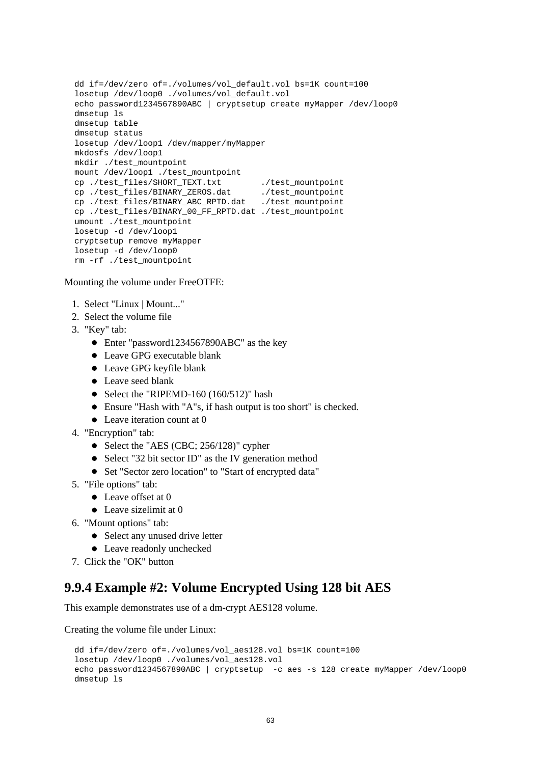```
dd if=/dev/zero of=./volumes/vol_default.vol bs=1K count=100
losetup /dev/loop0 ./volumes/vol_default.vol
echo password1234567890ABC | cryptsetup create myMapper /dev/loop0
dmsetup ls
dmsetup table
dmsetup status
losetup /dev/loop1 /dev/mapper/myMapper 
mkdosfs /dev/loop1
mkdir ./test_mountpoint
mount /dev/loop1 ./test_mountpoint
cp./test_files/SHORT_TEXT.txt ./test_mountpoint
cp ./test_files/BINARY_ZEROS.dat ./test_mountpoint
cp ./test_files/BINARY_ABC_RPTD.dat ./test_mountpoint
cp ./test_files/BINARY_00_FF_RPTD.dat ./test_mountpoint
umount ./test_mountpoint
losetup -d /dev/loop1
cryptsetup remove myMapper
losetup -d /dev/loop0
rm -rf ./test_mountpoint
```
- 1. Select "Linux | Mount..."
- 2. Select the volume file
- 3. "Key" tab:
	- Enter "password1234567890ABC" as the key
	- Leave GPG executable blank
	- Leave GPG keyfile blank
	- Leave seed blank
	- Select the "RIPEMD-160  $(160/512)$ " hash
	- Ensure "Hash with "A"s, if hash output is too short" is checked.
	- Leave iteration count at 0
- 4. "Encryption" tab:
	- Select the "AES (CBC; 256/128)" cypher
	- Select "32 bit sector ID" as the IV generation method
	- Set "Sector zero location" to "Start of encrypted data"
- 5. "File options" tab:
	- Leave offset at 0
	- Leave sizelimit at 0
- 6. "Mount options" tab:
	- Select any unused drive letter
	- Leave readonly unchecked
- 7. Click the "OK" button

#### **9.9.4 Example #2: Volume Encrypted Using 128 bit AES**

This example demonstrates use of a dm-crypt AES128 volume.

```
dd if=/dev/zero of=./volumes/vol_aes128.vol bs=1K count=100
losetup /dev/loop0 ./volumes/vol_aes128.vol
echo password1234567890ABC | cryptsetup -c aes -s 128 create myMapper /dev/loop0
dmsetup ls
```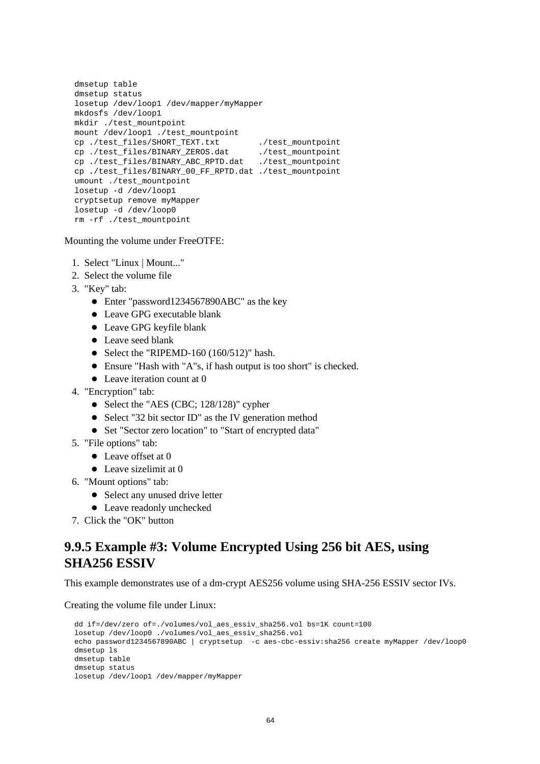```
dmsetup table
dmsetup status
losetup /dev/loop1 /dev/mapper/myMapper 
mkdosfs /dev/loop1
mkdir ./test_mountpoint
mount /dev/loop1 ./test_mountpoint
cp./test_files/SHORT_TEXT.txt ./test_mountpoint
cp ./test_files/BINARY_ZEROS.dat ./test_mountpoint
cp ./test_files/BINARY_ZEROS.dat ./test_mountpoint<br>cp ./test_files/BINARY_ABC_RPTD.dat ./test_mountpoint
cp ./test_files/BINARY_00_FF_RPTD.dat ./test_mountpoint
umount ./test mountpoint
losetup -d /dev/loop1
cryptsetup remove myMapper
losetup -d /dev/loop0
rm -rf ./test_mountpoint
```
- 1. Select "Linux | Mount..."
- 2. Select the volume file
- 3. "Key" tab:
	- Enter "password1234567890ABC" as the key
	- Leave GPG executable blank
	- Leave GPG keyfile blank
	- Leave seed blank
	- Select the "RIPEMD-160  $(160/512)$ " hash.
	- Ensure "Hash with "A"s, if hash output is too short" is checked.
	- Leave iteration count at 0
- 4. "Encryption" tab:
	- Select the "AES (CBC; 128/128)" cypher
	- Select "32 bit sector ID" as the IV generation method
	- Set "Sector zero location" to "Start of encrypted data"
- 5. "File options" tab:
	- Leave offset at 0
	- $\bullet$  Leave sizelimit at 0
- 6. "Mount options" tab:
	- Select any unused drive letter
	- Leave readonly unchecked
- 7. Click the "OK" button

#### **9.9.5 Example #3: Volume Encrypted Using 256 bit AES, using SHA256 ESSIV**

This example demonstrates use of a dm-crypt AES256 volume using SHA-256 ESSIV sector IVs.

```
dd if=/dev/zero of=./volumes/vol_aes_essiv_sha256.vol bs=1K count=100
losetup /dev/loop0 ./volumes/vol_aes_essiv_sha256.vol
echo password1234567890ABC | cryptsetup -c aes-cbc-essiv:sha256 create myMapper /dev/loop0
dmsetup ls
dmsetup table
dmsetup status
losetup /dev/loop1 /dev/mapper/myMapper
```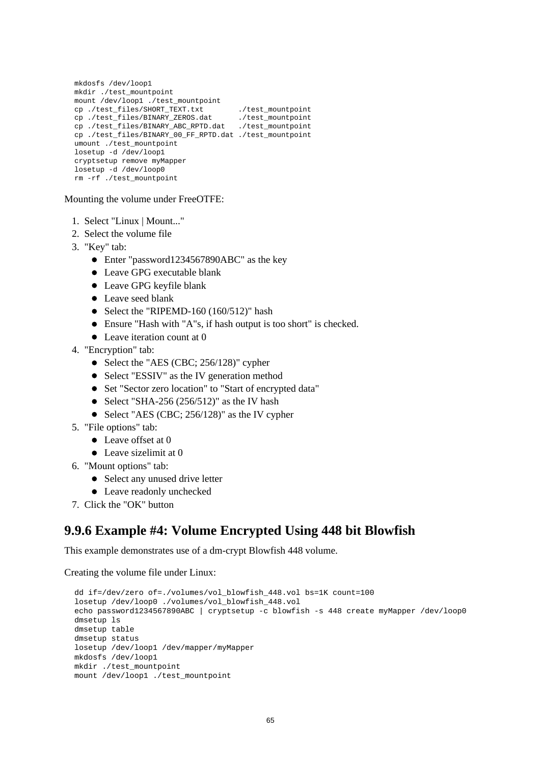```
mkdosfs /dev/loop1
mkdir ./test_mountpoint
mount /dev/loop1 ./test_mountpoint
cp ./test_files/SHORT_TEXT.txt ./test_mountpoint<br>cp ./test_files/BINARY_ZEROS.dat ./test_mountpoint
cp ./test_files/BINARY_ZEROS.dat ./test_mountpoint
cp ./test_files/BINARY_ABC_RPTD.dat ./test_mountpoint
cp ./test_files/BINARY_00_FF_RPTD.dat ./test_mountpoint
umount ./test_mountpoint
losetup -d /dev/loop1
cryptsetup remove myMapper
losetup -d /dev/loop0
rm -rf ./test_mountpoint
```
- 1. Select "Linux | Mount..."
- 2. Select the volume file
- 3. "Key" tab:
	- Enter "password1234567890ABC" as the key
	- Leave GPG executable blank
	- Leave GPG keyfile blank
	- Leave seed blank
	- Select the "RIPEMD-160  $(160/512)$ " hash
	- Ensure "Hash with "A"s, if hash output is too short" is checked.
	- Leave iteration count at 0
- 4. "Encryption" tab:
	- Select the "AES (CBC; 256/128)" cypher
	- Select "ESSIV" as the IV generation method
	- Set "Sector zero location" to "Start of encrypted data"
	- Select "SHA-256 (256/512)" as the IV hash
	- Select "AES (CBC;  $256/128$ )" as the IV cypher
- 5. "File options" tab:
	- Leave offset at 0
	- Leave sizelimit at 0
- 6. "Mount options" tab:
	- Select any unused drive letter
	- Leave readonly unchecked
- 7. Click the "OK" button

#### **9.9.6 Example #4: Volume Encrypted Using 448 bit Blowfish**

This example demonstrates use of a dm-crypt Blowfish 448 volume.

```
dd if=/dev/zero of=./volumes/vol_blowfish_448.vol bs=1K count=100
losetup /dev/loop0 ./volumes/vol_blowfish_448.vol
echo password1234567890ABC | cryptsetup -c blowfish -s 448 create myMapper /dev/loop0
dmsetup ls
dmsetup table
dmsetup status
losetup /dev/loop1 /dev/mapper/myMapper 
mkdosfs /dev/loop1
mkdir ./test_mountpoint
mount /dev/loop1 ./test_mountpoint
```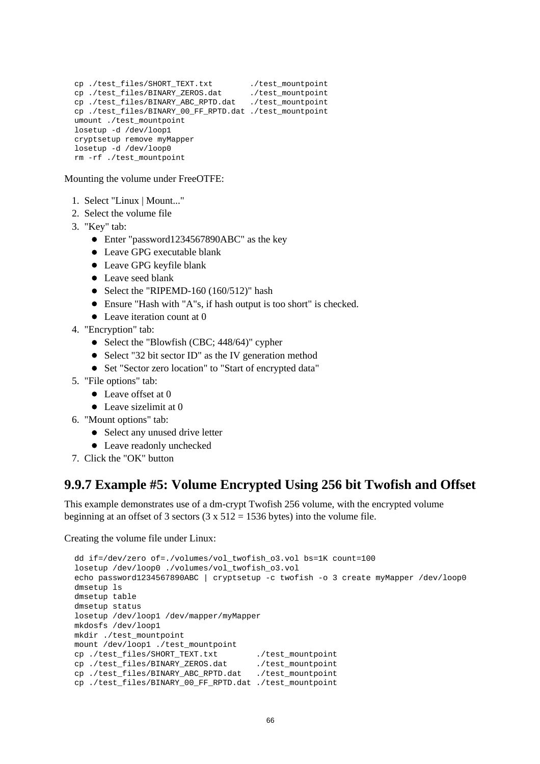```
cp./test_files/SHORT_TEXT.txt ./test_mountpoint
cp./test_files/BINARY_ZEROS.dat ./test_mountpoint
cp ./test_files/BINARY_ABC_RPTD.dat ./test_mountpoint
cp ./test_files/BINARY_00_FF_RPTD.dat ./test_mountpoint
umount ./test_mountpoint
losetup -d /dev/loop1
cryptsetup remove myMapper
losetup -d /dev/loop0
rm -rf ./test_mountpoint
```
- 1. Select "Linux | Mount..."
- 2. Select the volume file
- 3. "Key" tab:
	- Enter "password1234567890ABC" as the key
	- Leave GPG executable blank
	- Leave GPG keyfile blank
	- Leave seed blank
	- Select the "RIPEMD-160 (160/512)" hash
	- Ensure "Hash with "A"s, if hash output is too short" is checked.
	- Leave iteration count at 0
- 4. "Encryption" tab:
	- Select the "Blowfish (CBC;  $448/64$ )" cypher
	- Select "32 bit sector ID" as the IV generation method
	- Set "Sector zero location" to "Start of encrypted data"
- 5. "File options" tab:
	- Leave offset at 0
	- Leave sizelimit at 0
- 6. "Mount options" tab:
	- Select any unused drive letter
	- Leave readonly unchecked
- 7. Click the "OK" button

#### **9.9.7 Example #5: Volume Encrypted Using 256 bit Twofish and Offset**

This example demonstrates use of a dm-crypt Twofish 256 volume, with the encrypted volume beginning at an offset of 3 sectors  $(3 \times 512 = 1536$  bytes) into the volume file.

```
dd if=/dev/zero of=./volumes/vol_twofish_o3.vol bs=1K count=100
losetup /dev/loop0 ./volumes/vol_twofish_o3.vol
echo password1234567890ABC | cryptsetup -c twofish -o 3 create myMapper /dev/loop0
dmsetup ls
dmsetup table
dmsetup status
losetup /dev/loop1 /dev/mapper/myMapper 
mkdosfs /dev/loop1
mkdir ./test_mountpoint
mount /dev/loop1 ./test mountpoint
cp./test_files/SHORT_TEXT.txt ./test_mountpoint
cp./test_files/BINARY_ZEROS.dat ./test_mountpoint
cp ./test_files/BINARY_ABC_RPTD.dat ./test_mountpoint
cp ./test_files/BINARY_00_FF_RPTD.dat ./test_mountpoint
```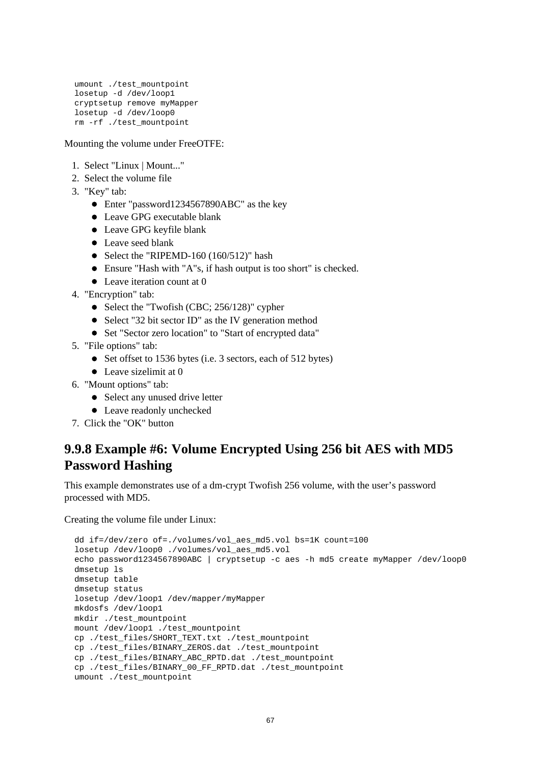```
umount ./test_mountpoint
losetup -d /dev/loop1
cryptsetup remove myMapper
losetup -d /dev/loop0
rm -rf ./test_mountpoint
```
- 1. Select "Linux | Mount..."
- 2. Select the volume file
- 3. "Key" tab:
	- Enter "password1234567890ABC" as the key
	- Leave GPG executable blank
	- Leave GPG keyfile blank
	- Leave seed blank
	- Select the "RIPEMD-160  $(160/512)$ " hash
	- Ensure "Hash with "A"s, if hash output is too short" is checked.
	- Leave iteration count at 0
- 4. "Encryption" tab:
	- Select the "Twofish (CBC; 256/128)" cypher
	- Select "32 bit sector ID" as the IV generation method
	- Set "Sector zero location" to "Start of encrypted data"
- 5. "File options" tab:
	- Set offset to 1536 bytes (i.e. 3 sectors, each of 512 bytes)
	- Leave sizelimit at 0
- 6. "Mount options" tab:
	- Select any unused drive letter
	- Leave readonly unchecked
- 7. Click the "OK" button

### **9.9.8 Example #6: Volume Encrypted Using 256 bit AES with MD5 Password Hashing**

This example demonstrates use of a dm-crypt Twofish 256 volume, with the user's password processed with MD5.

```
dd if=/dev/zero of=./volumes/vol_aes_md5.vol bs=1K count=100
losetup /dev/loop0 ./volumes/vol_aes_md5.vol
echo password1234567890ABC | cryptsetup -c aes -h md5 create myMapper /dev/loop0
dmsetup ls
dmsetup table
dmsetup status
losetup /dev/loop1 /dev/mapper/myMapper 
mkdosfs /dev/loop1
mkdir ./test_mountpoint
mount /dev/loop1 ./test_mountpoint
cp ./test_files/SHORT_TEXT.txt ./test_mountpoint
cp ./test_files/BINARY_ZEROS.dat ./test_mountpoint
cp ./test_files/BINARY_ABC_RPTD.dat ./test_mountpoint
cp ./test_files/BINARY_00_FF_RPTD.dat ./test_mountpoint
umount ./test_mountpoint
```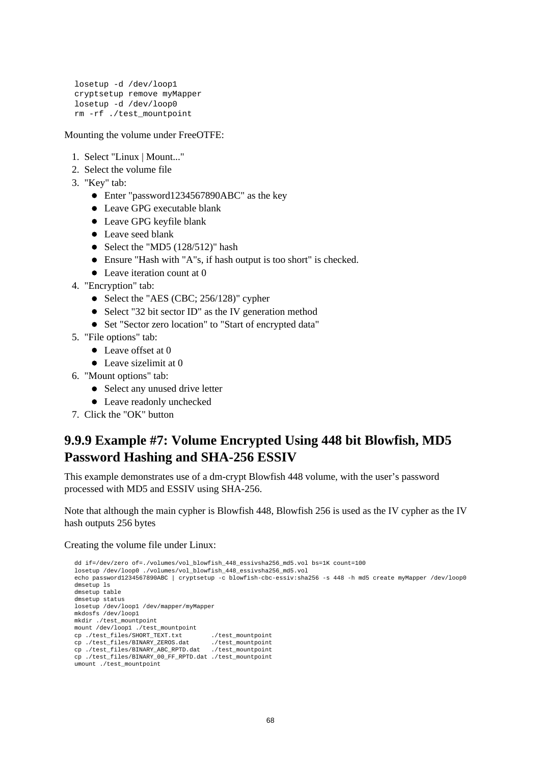```
losetup -d /dev/loop1
cryptsetup remove myMapper
losetup -d /dev/loop0
rm -rf ./test_mountpoint
```
- 1. Select "Linux | Mount..."
- 2. Select the volume file
- 3. "Key" tab:
	- Enter "password1234567890ABC" as the key
	- Leave GPG executable blank
	- Leave GPG keyfile blank
	- Leave seed blank
	- Select the "MD5  $(128/512)$ " hash
	- Ensure "Hash with "A"s, if hash output is too short" is checked.
	- Leave iteration count at 0
- 4. "Encryption" tab:
	- Select the "AES (CBC; 256/128)" cypher
	- Select "32 bit sector ID" as the IV generation method
	- Set "Sector zero location" to "Start of encrypted data"
- 5. "File options" tab:
	- Leave offset at 0
	- Leave sizelimit at 0
- 6. "Mount options" tab:
	- Select any unused drive letter
	- Leave readonly unchecked
- 7. Click the "OK" button

### **9.9.9 Example #7: Volume Encrypted Using 448 bit Blowfish, MD5 Password Hashing and SHA-256 ESSIV**

This example demonstrates use of a dm-crypt Blowfish 448 volume, with the user's password processed with MD5 and ESSIV using SHA-256.

Note that although the main cypher is Blowfish 448, Blowfish 256 is used as the IV cypher as the IV hash outputs 256 bytes

```
dd if=/dev/zero of=./volumes/vol_blowfish_448_essivsha256_md5.vol bs=1K count=100
losetup /dev/loop0 ./volumes/vol_blowfish_448_essivsha256_md5.vol
echo password1234567890ABC | cryptsetup -c blowfish-cbc-essiv:sha256 -s 448 -h md5 create myMapper /dev/loop0
dmsetup ls
dmsetup table
dmsetup status
losetup /dev/loop1 /dev/mapper/myMapper 
mkdosfs /dev/loop1
mkdir ./test_mountpoint
mount /dev/loop1 ./test_mountpoint
cp ./test_files/SHORT_TEXT.txt ./test_mountpoint
cp ./test_files/BINARY_ZEROS.dat ./test_mountpoint
cp ./test_files/BINARY_ABC_RPTD.dat ./test_mountpoint
cp ./test_files/BINARY_00_FF_RPTD.dat ./test_mountpoint
umount ./test_mountpoint
```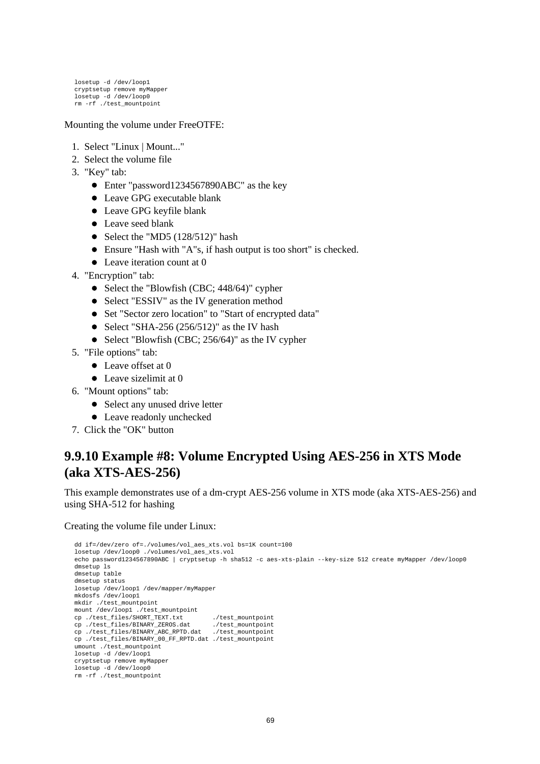losetup -d /dev/loop1 cryptsetup remove myMapper losetup -d /dev/loop0 rm -rf ./test\_mountpoint

#### Mounting the volume under FreeOTFE:

- 1. Select "Linux | Mount..."
- 2. Select the volume file
- 3. "Key" tab:
	- Enter "password1234567890ABC" as the key
	- Leave GPG executable blank
	- Leave GPG keyfile blank
	- Leave seed blank
	- Select the "MD5  $(128/512)$ " hash
	- Ensure "Hash with "A"s, if hash output is too short" is checked.
	- Leave iteration count at 0
- 4. "Encryption" tab:
	- Select the "Blowfish (CBC; 448/64)" cypher
	- Select "ESSIV" as the IV generation method
	- Set "Sector zero location" to "Start of encrypted data"
	- Select "SHA-256 (256/512)" as the IV hash
	- Select "Blowfish (CBC;  $256/64$ )" as the IV cypher
- 5. "File options" tab:
	- Leave offset at 0
	- Leave sizelimit at 0
- 6. "Mount options" tab:
	- Select any unused drive letter
	- Leave readonly unchecked
- 7. Click the "OK" button

### **9.9.10 Example #8: Volume Encrypted Using AES-256 in XTS Mode (aka XTS-AES-256)**

This example demonstrates use of a dm-crypt AES-256 volume in XTS mode (aka XTS-AES-256) and using SHA-512 for hashing

```
dd if=/dev/zero of=./volumes/vol_aes_xts.vol bs=1K count=100
losetup /dev/loop0 ./volumes/vol_aes_xts.vol
echo password1234567890ABC | cryptsetup -h sha512 -c aes-xts-plain --key-size 512 create myMapper /dev/loop0
dmsetup ls
dmsetup table
dmsetup status
losetup /dev/loop1 /dev/mapper/myMapper 
mkdosfs /dev/loop1
mkdir ./test_mountpoint
mount /dev/loop1 ./test_mountpoint<br>cp ./test_files/SHORT_TEXT.txt
cp./test_files/SHORT_TEXT.txt ./test_mountpoint
cp./test_files/BINARY_ZEROS.dat ./test_mountpoint
cp ./test_files/BINARY_ABC_RPTD.dat ./test_mountpoint
cp ./test_files/BINARY_00_FF_RPTD.dat ./test_mountpoint
umount ./test_mountpoint
losetup -d /dev/loop1
cryptsetup remove myMapper
losetup -d /dev/loop0
rm -rf ./test_mountpoint
```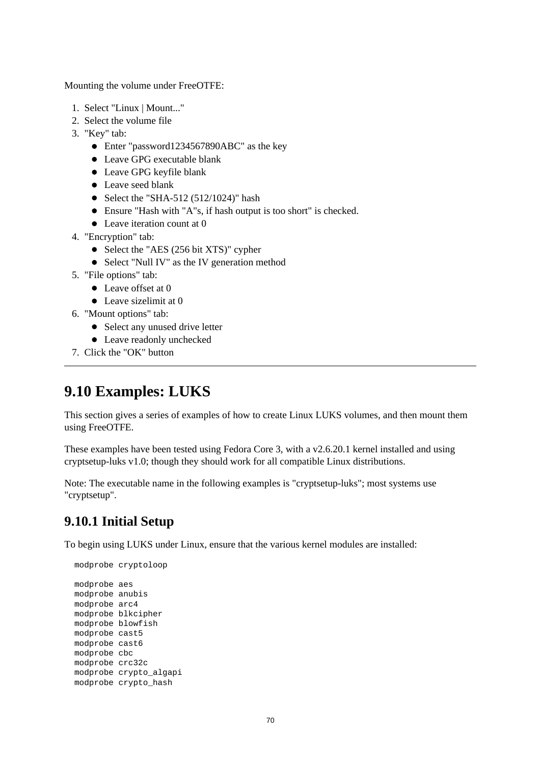- 1. Select "Linux | Mount..."
- 2. Select the volume file
- 3. "Key" tab:
	- Enter "password1234567890ABC" as the key
	- Leave GPG executable blank
	- Leave GPG keyfile blank
	- Leave seed blank
	- Select the "SHA-512  $(512/1024)$ " hash
	- Ensure "Hash with "A"s, if hash output is too short" is checked.
	- Leave iteration count at 0
- 4. "Encryption" tab:
	- Select the "AES (256 bit XTS)" cypher
	- Select "Null IV" as the IV generation method
- 5. "File options" tab:
	- Leave offset at 0
	- $\bullet$  Leave sizelimit at 0
- 6. "Mount options" tab:
	- Select any unused drive letter
	- Leave readonly unchecked
- 7. Click the "OK" button

# **9.10 Examples: LUKS**

This section gives a series of examples of how to create Linux LUKS volumes, and then mount them using FreeOTFE.

These examples have been tested using Fedora Core 3, with a v2.6.20.1 kernel installed and using cryptsetup-luks v1.0; though they should work for all compatible Linux distributions.

Note: The executable name in the following examples is "cryptsetup-luks"; most systems use "cryptsetup".

## **9.10.1 Initial Setup**

To begin using LUKS under Linux, ensure that the various kernel modules are installed:

```
modprobe cryptoloop
modprobe aes
modprobe anubis
modprobe arc4
modprobe blkcipher
modprobe blowfish
modprobe cast5
modprobe cast6
modprobe cbc
modprobe crc32c
modprobe crypto_algapi
modprobe crypto_hash
```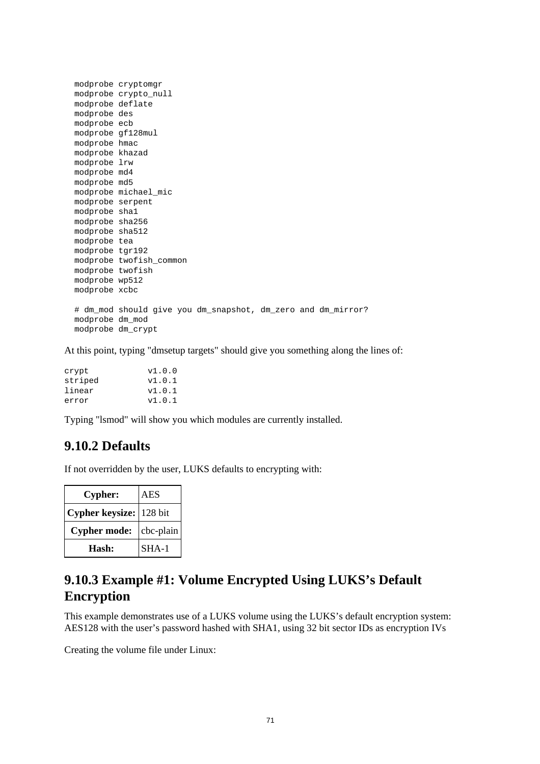|                   | modprobe cryptomgr                                           |
|-------------------|--------------------------------------------------------------|
|                   | modprobe crypto_null                                         |
| modprobe deflate  |                                                              |
| modprobe des      |                                                              |
| modprobe ecb      |                                                              |
| modprobe qf128mul |                                                              |
| modprobe hmac     |                                                              |
| modprobe khazad   |                                                              |
| modprobe lrw      |                                                              |
| modprobe md4      |                                                              |
| modprobe md5      |                                                              |
|                   | modprobe michael mic                                         |
| modprobe serpent  |                                                              |
| modprobe shal     |                                                              |
| modprobe sha256   |                                                              |
| modprobe sha512   |                                                              |
| modprobe tea      |                                                              |
| modprobe tgr192   |                                                              |
|                   | modprobe twofish common                                      |
| modprobe twofish  |                                                              |
| modprobe wp512    |                                                              |
| modprobe xcbc     |                                                              |
|                   |                                                              |
|                   | # dm_mod should give you dm_snapshot, dm_zero and dm_mirror? |
| modprobe dm mod   |                                                              |
| modprobe dm crypt |                                                              |

At this point, typing "dmsetup targets" should give you something along the lines of:

| crypt   | v1.0.0 |
|---------|--------|
| striped | v1.0.1 |
| linear  | v1.0.1 |
| error   | v1.0.1 |

Typing "lsmod" will show you which modules are currently installed.

### **9.10.2 Defaults**

If not overridden by the user, LUKS defaults to encrypting with:

| <b>Cypher:</b>          | AES       |
|-------------------------|-----------|
| Cypher keysize: 128 bit |           |
| <b>Cypher mode:</b>     | cbc-plain |
| Hash:                   | $SHA-1$   |

### **9.10.3 Example #1: Volume Encrypted Using LUKS's Default Encryption**

This example demonstrates use of a LUKS volume using the LUKS's default encryption system: AES128 with the user's password hashed with SHA1, using 32 bit sector IDs as encryption IVs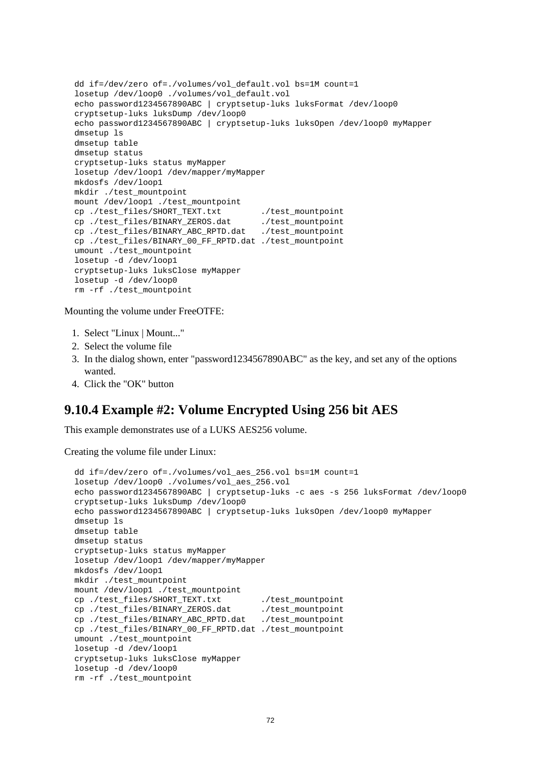```
dd if=/dev/zero of=./volumes/vol_default.vol bs=1M count=1
losetup /dev/loop0 ./volumes/vol_default.vol
echo password1234567890ABC | cryptsetup-luks luksFormat /dev/loop0
cryptsetup-luks luksDump /dev/loop0 
echo password1234567890ABC | cryptsetup-luks luksOpen /dev/loop0 myMapper
dmsetup ls
dmsetup table
dmsetup status
cryptsetup-luks status myMapper
losetup /dev/loop1 /dev/mapper/myMapper
mkdosfs /dev/loop1
mkdir ./test_mountpoint
mount /dev/loop1 ./test_mountpoint
cp ./test files/SHORT TEXT.txt ... /test mountpoint
cp ./test_files/BINARY_ZEROS.dat ./test_mountpoint
cp ./test_files/BINARY_ABC_RPTD.dat ./test_mountpoint
cp ./test_files/BINARY_00_FF_RPTD.dat ./test_mountpoint
umount ./test_mountpoint
losetup -d /dev/loop1
cryptsetup-luks luksClose myMapper
losetup -d /dev/loop0
rm -rf ./test_mountpoint
```
- 1. Select "Linux | Mount..."
- 2. Select the volume file
- 3. In the dialog shown, enter "password1234567890ABC" as the key, and set any of the options wanted.
- 4. Click the "OK" button

### **9.10.4 Example #2: Volume Encrypted Using 256 bit AES**

This example demonstrates use of a LUKS AES256 volume.

```
dd if=/dev/zero of=./volumes/vol_aes_256.vol bs=1M count=1
losetup /dev/loop0 ./volumes/vol_aes_256.vol
echo password1234567890ABC | cryptsetup-luks -c aes -s 256 luksFormat /dev/loop0
cryptsetup-luks luksDump /dev/loop0 
echo password1234567890ABC | cryptsetup-luks luksOpen /dev/loop0 myMapper
dmsetup ls
dmsetup table
dmsetup status
cryptsetup-luks status myMapper
losetup /dev/loop1 /dev/mapper/myMapper
mkdosfs /dev/loop1
mkdir ./test_mountpoint
mount /dev/loop1 ./test_mountpoint
cp./test_files/SHORT_TEXT.txt ./test_mountpoint
cp ./test_files/BINARY_ZEROS.dat ./test_mountpoint
cp ./test_files/BINARY_ABC_RPTD.dat ./test_mountpoint
cp ./test_files/BINARY_00_FF_RPTD.dat ./test_mountpoint
umount ./test_mountpoint
losetup -d /dev/loop1
cryptsetup-luks luksClose myMapper
losetup -d /dev/loop0
rm -rf ./test_mountpoint
```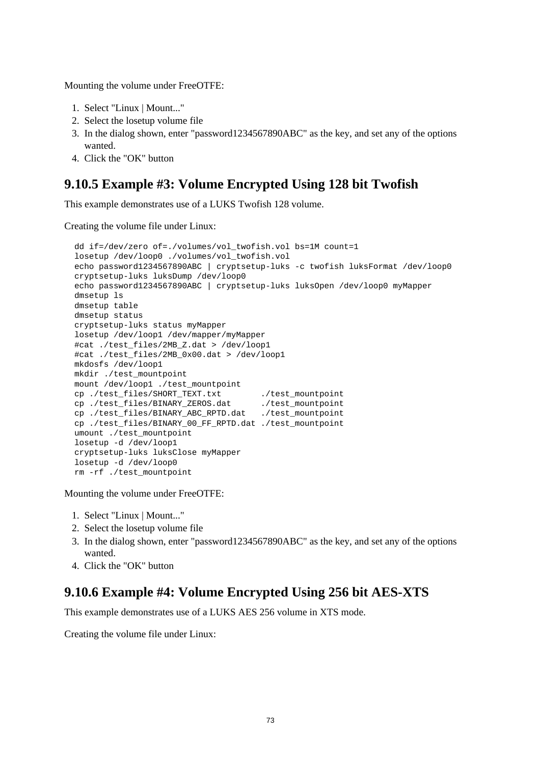- 1. Select "Linux | Mount..."
- 2. Select the losetup volume file
- 3. In the dialog shown, enter "password1234567890ABC" as the key, and set any of the options wanted.
- 4. Click the "OK" button

### **9.10.5 Example #3: Volume Encrypted Using 128 bit Twofish**

This example demonstrates use of a LUKS Twofish 128 volume.

Creating the volume file under Linux:

```
dd if=/dev/zero of=./volumes/vol_twofish.vol bs=1M count=1
losetup /dev/loop0 ./volumes/vol_twofish.vol
echo password1234567890ABC | cryptsetup-luks -c twofish luksFormat /dev/loop0
cryptsetup-luks luksDump /dev/loop0 
echo password1234567890ABC | cryptsetup-luks luksOpen /dev/loop0 myMapper
dmsetup ls
dmsetup table
dmsetup status
cryptsetup-luks status myMapper
losetup /dev/loop1 /dev/mapper/myMapper
#cat ./test_files/2MB_Z.dat > /dev/loop1
#cat ./test_files/2MB_0x00.dat > /dev/loop1
mkdosfs /dev/loop1
mkdir ./test_mountpoint
mount /dev/loop1 ./test_mountpoint
cp./test_files/SHORT_TEXT.txt ./test_mountpoint
cp ./test_files/BINARY_ZEROS.dat ./test_mountpoint
cp ./test_files/BINARY_ABC_RPTD.dat ./test_mountpoint
cp ./test_files/BINARY_00_FF_RPTD.dat ./test_mountpoint
umount ./test mountpoint
losetup -d /dev/loop1
cryptsetup-luks luksClose myMapper
losetup -d /dev/loop0
rm -rf ./test_mountpoint
```
Mounting the volume under FreeOTFE:

- 1. Select "Linux | Mount..."
- 2. Select the losetup volume file
- 3. In the dialog shown, enter "password1234567890ABC" as the key, and set any of the options wanted.
- 4. Click the "OK" button

### **9.10.6 Example #4: Volume Encrypted Using 256 bit AES-XTS**

This example demonstrates use of a LUKS AES 256 volume in XTS mode.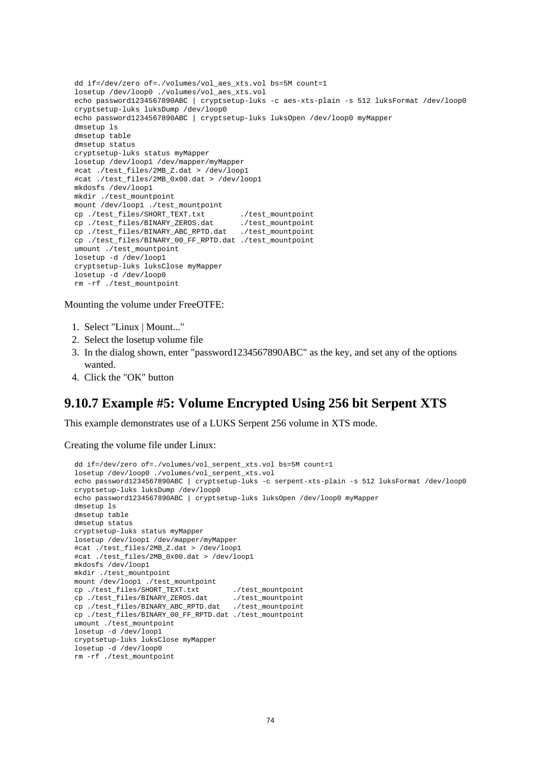```
dd if=/dev/zero of=./volumes/vol_aes_xts.vol bs=5M count=1
losetup /dev/loop0 ./volumes/vol_aes_xts.vol
echo password1234567890ABC | cryptsetup-luks -c aes-xts-plain -s 512 luksFormat /dev/loop0
cryptsetup-luks luksDump /dev/loop0 
echo password1234567890ABC | cryptsetup-luks luksOpen /dev/loop0 myMapper
dmsetup ls
dmsetup table
dmsetup status
cryptsetup-luks status myMapper
losetup /dev/loop1 /dev/mapper/myMapper
#cat ./test_files/2MB_Z.dat > /dev/loop1
#cat ./test_files/2MB_0x00.dat > /dev/loop1
mkdosfs /dev/loop1
mkdir ./test_mountpoint
mount /dev/loop1 ./test_mountpoint<br>cp ./test_files/SHORT_TEXT.txt ./test_mountpoint<br>cp ./test_files/BINARY_ZEROS.dat ./test_mountpoint
cp ./test_files/SHORT_TEXT.txt
cp ./test_files/BINARY_ZEROS.dat
cp ./test_files/BINARY_ABC_RPTD.dat ./test_mountpoint
cp ./test_files/BINARY_00_FF_RPTD.dat ./test_mountpoint
umount ./test_mountpoint
losetup -d /dev/loop1
cryptsetup-luks luksClose myMapper
losetup -d /dev/loop0
rm -rf ./test_mountpoint
```
- 1. Select "Linux | Mount..."
- 2. Select the losetup volume file
- 3. In the dialog shown, enter "password1234567890ABC" as the key, and set any of the options wanted.
- 4. Click the "OK" button

### **9.10.7 Example #5: Volume Encrypted Using 256 bit Serpent XTS**

This example demonstrates use of a LUKS Serpent 256 volume in XTS mode.

```
dd if=/dev/zero of=./volumes/vol_serpent_xts.vol bs=5M count=1
losetup /dev/loop0 ./volumes/vol_serpent_xts.vol
echo password1234567890ABC | cryptsetup-luks -c serpent-xts-plain -s 512 luksFormat /dev/loop0
cryptsetup-luks luksDump /dev/loop0 
echo password1234567890ABC | cryptsetup-luks luksOpen /dev/loop0 myMapper
dmsetup ls
dmsetup table
dmsetup status
cryptsetup-luks status myMapper
losetup /dev/loop1 /dev/mapper/myMapper
#cat ./test_files/2MB_Z.dat > /dev/loop1
#cat ./test_files/2MB_0x00.dat > /dev/loop1
mkdosfs /dev/loop1
mkdir ./test_mountpoint
mount /dev/loop1 ./test_mountpoint
cp ./test_files/SHORT_TEXT.txt ./test_mountpoint<br>cp ./test_files/BINARY_ZEROS.dat ./test_mountpoint
cp ./test_files/BINARY_ZEROS.dat
cp ./test_files/BINARY_ABC_RPTD.dat ./test_mountpoint
cp ./test_files/BINARY_00_FF_RPTD.dat ./test_mountpoint
umount ./test_mountpoint
losetup -d /dev/loop1
cryptsetup-luks luksClose myMapper
losetup -d /dev/loop0
rm -rf ./test_mountpoint
```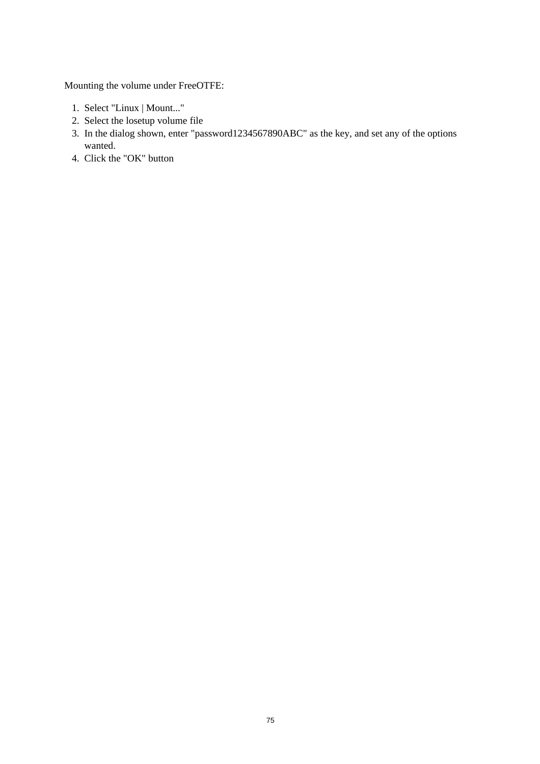- 1. Select "Linux | Mount..."
- 2. Select the losetup volume file
- 3. In the dialog shown, enter "password1234567890ABC" as the key, and set any of the options wanted.
- 4. Click the "OK" button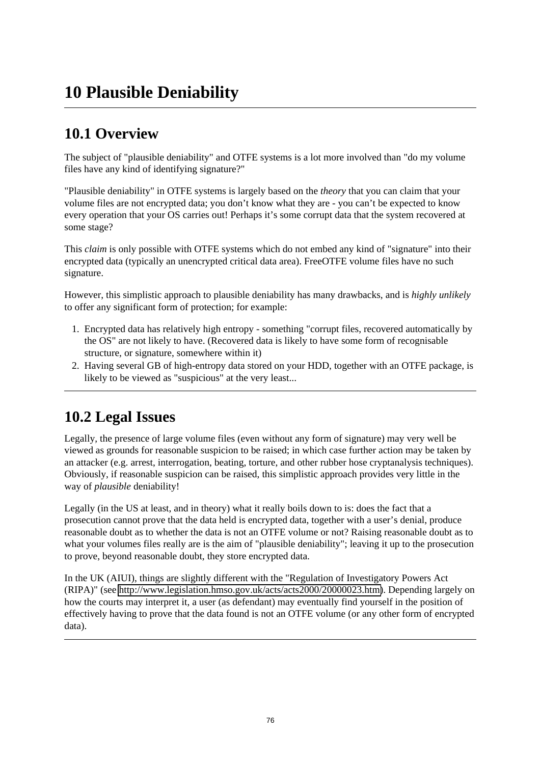# **10 Plausible Deniability**

# **10.1 Overview**

The subject of "plausible deniability" and OTFE systems is a lot more involved than "do my volume files have any kind of identifying signature?"

"Plausible deniability" in OTFE systems is largely based on the *theory* that you can claim that your volume files are not encrypted data; you don't know what they are - you can't be expected to know every operation that your OS carries out! Perhaps it's some corrupt data that the system recovered at some stage?

This *claim* is only possible with OTFE systems which do not embed any kind of "signature" into their encrypted data (typically an unencrypted critical data area). FreeOTFE volume files have no such signature.

However, this simplistic approach to plausible deniability has many drawbacks, and is *highly unlikely* to offer any significant form of protection; for example:

- 1. Encrypted data has relatively high entropy something "corrupt files, recovered automatically by the OS" are not likely to have. (Recovered data is likely to have some form of recognisable structure, or signature, somewhere within it)
- 2. Having several GB of high-entropy data stored on your HDD, together with an OTFE package, is likely to be viewed as "suspicious" at the very least...

# **10.2 Legal Issues**

Legally, the presence of large volume files (even without any form of signature) may very well be viewed as grounds for reasonable suspicion to be raised; in which case further action may be taken by an attacker (e.g. arrest, interrogation, beating, torture, and other rubber hose cryptanalysis techniques). Obviously, if reasonable suspicion can be raised, this simplistic approach provides very little in the way of *plausible* deniability!

Legally (in the US at least, and in theory) what it really boils down to is: does the fact that a prosecution cannot prove that the data held is encrypted data, together with a user's denial, produce reasonable doubt as to whether the data is not an OTFE volume or not? Raising reasonable doubt as to what your volumes files really are is the aim of "plausible deniability"; leaving it up to the prosecution to prove, beyond reasonable doubt, they store encrypted data.

In the UK (AIUI), things are slightly different with the "Regulation of Investigatory Powers Act (RIPA)" (see [http://www.legislation.hmso.gov.uk/acts/acts2000/20000023.htm\)](http://www.legislation.hmso.gov.uk/acts/acts2000/20000023.htm). Depending largely on how the courts may interpret it, a user (as defendant) may eventually find yourself in the position of effectively having to prove that the data found is not an OTFE volume (or any other form of encrypted data).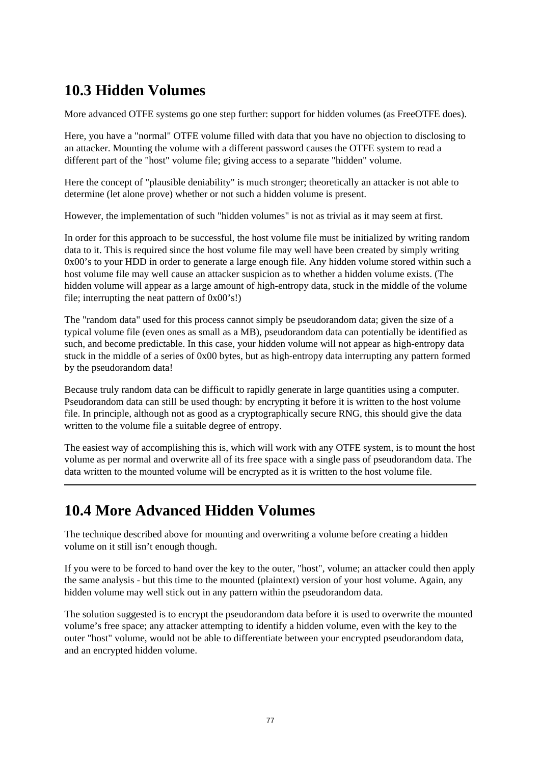# **10.3 Hidden Volumes**

More advanced OTFE systems go one step further: support for hidden volumes (as FreeOTFE does).

Here, you have a "normal" OTFE volume filled with data that you have no objection to disclosing to an attacker. Mounting the volume with a different password causes the OTFE system to read a different part of the "host" volume file; giving access to a separate "hidden" volume.

Here the concept of "plausible deniability" is much stronger; theoretically an attacker is not able to determine (let alone prove) whether or not such a hidden volume is present.

However, the implementation of such "hidden volumes" is not as trivial as it may seem at first.

In order for this approach to be successful, the host volume file must be initialized by writing random data to it. This is required since the host volume file may well have been created by simply writing 0x00's to your HDD in order to generate a large enough file. Any hidden volume stored within such a host volume file may well cause an attacker suspicion as to whether a hidden volume exists. (The hidden volume will appear as a large amount of high-entropy data, stuck in the middle of the volume file; interrupting the neat pattern of 0x00's!)

The "random data" used for this process cannot simply be pseudorandom data; given the size of a typical volume file (even ones as small as a MB), pseudorandom data can potentially be identified as such, and become predictable. In this case, your hidden volume will not appear as high-entropy data stuck in the middle of a series of 0x00 bytes, but as high-entropy data interrupting any pattern formed by the pseudorandom data!

Because truly random data can be difficult to rapidly generate in large quantities using a computer. Pseudorandom data can still be used though: by encrypting it before it is written to the host volume file. In principle, although not as good as a cryptographically secure RNG, this should give the data written to the volume file a suitable degree of entropy.

The easiest way of accomplishing this is, which will work with any OTFE system, is to mount the host volume as per normal and overwrite all of its free space with a single pass of pseudorandom data. The data written to the mounted volume will be encrypted as it is written to the host volume file.

# **10.4 More Advanced Hidden Volumes**

The technique described above for mounting and overwriting a volume before creating a hidden volume on it still isn't enough though.

If you were to be forced to hand over the key to the outer, "host", volume; an attacker could then apply the same analysis - but this time to the mounted (plaintext) version of your host volume. Again, any hidden volume may well stick out in any pattern within the pseudorandom data.

The solution suggested is to encrypt the pseudorandom data before it is used to overwrite the mounted volume's free space; any attacker attempting to identify a hidden volume, even with the key to the outer "host" volume, would not be able to differentiate between your encrypted pseudorandom data, and an encrypted hidden volume.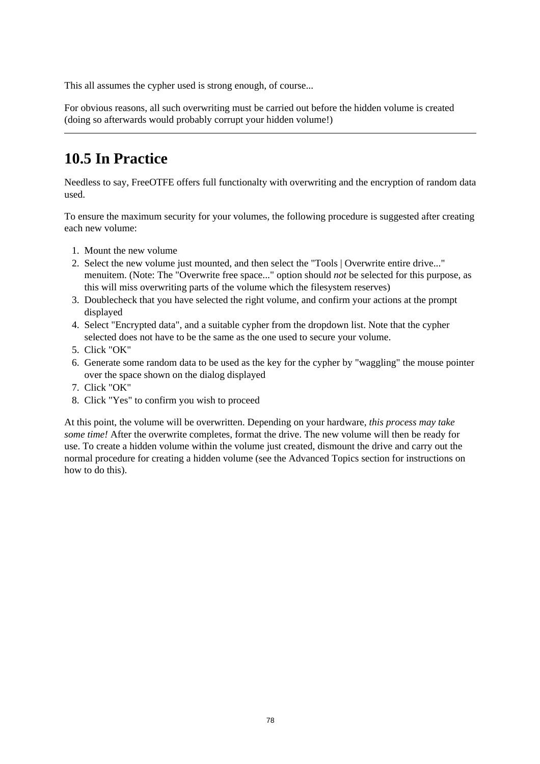This all assumes the cypher used is strong enough, of course...

For obvious reasons, all such overwriting must be carried out before the hidden volume is created (doing so afterwards would probably corrupt your hidden volume!)

# **10.5 In Practice**

Needless to say, FreeOTFE offers full functionalty with overwriting and the encryption of random data used.

To ensure the maximum security for your volumes, the following procedure is suggested after creating each new volume:

- 1. Mount the new volume
- 2. Select the new volume just mounted, and then select the "Tools | Overwrite entire drive..." menuitem. (Note: The "Overwrite free space..." option should *not* be selected for this purpose, as this will miss overwriting parts of the volume which the filesystem reserves)
- 3. Doublecheck that you have selected the right volume, and confirm your actions at the prompt displayed
- 4. Select "Encrypted data", and a suitable cypher from the dropdown list. Note that the cypher selected does not have to be the same as the one used to secure your volume.
- 5. Click "OK"
- 6. Generate some random data to be used as the key for the cypher by "waggling" the mouse pointer over the space shown on the dialog displayed
- 7. Click "OK"
- 8. Click "Yes" to confirm you wish to proceed

At this point, the volume will be overwritten. Depending on your hardware, *this process may take some time!* After the overwrite completes, format the drive. The new volume will then be ready for use. To create a hidden volume within the volume just created, dismount the drive and carry out the normal procedure for creating a hidden volume (see the Advanced Topics section for instructions on how to do this).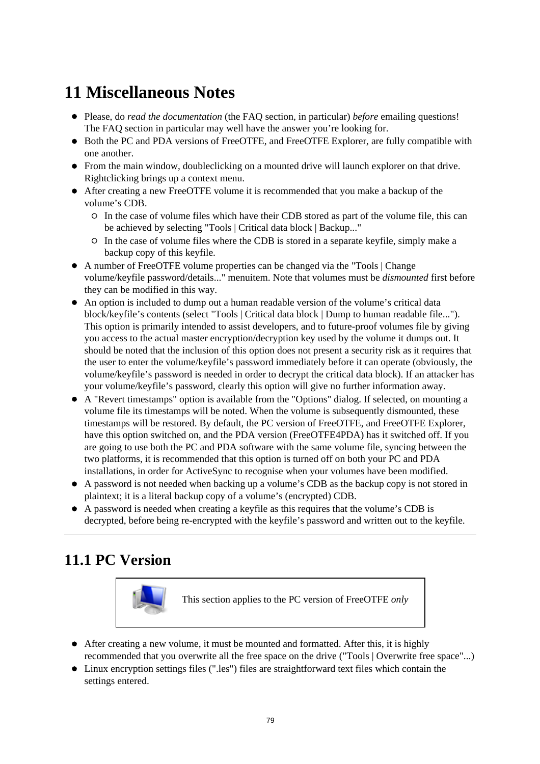# **11 Miscellaneous Notes**

- Please, do *read the documentation* (the FAQ section, in particular) *before* emailing questions! The FAQ section in particular may well have the answer you're looking for.
- Both the PC and PDA versions of FreeOTFE, and FreeOTFE Explorer, are fully compatible with one another.
- From the main window, doubleclicking on a mounted drive will launch explorer on that drive. Rightclicking brings up a context menu.
- After creating a new FreeOTFE volume it is recommended that you make a backup of the volume's CDB.
	- In the case of volume files which have their CDB stored as part of the volume file, this can be achieved by selecting "Tools | Critical data block | Backup..."
	- In the case of volume files where the CDB is stored in a separate keyfile, simply make a backup copy of this keyfile.
- A number of FreeOTFE volume properties can be changed via the "Tools | Change volume/keyfile password/details..." menuitem. Note that volumes must be *dismounted* first before they can be modified in this way.
- An option is included to dump out a human readable version of the volume's critical data block/keyfile's contents (select "Tools | Critical data block | Dump to human readable file..."). This option is primarily intended to assist developers, and to future-proof volumes file by giving you access to the actual master encryption/decryption key used by the volume it dumps out. It should be noted that the inclusion of this option does not present a security risk as it requires that the user to enter the volume/keyfile's password immediately before it can operate (obviously, the volume/keyfile's password is needed in order to decrypt the critical data block). If an attacker has your volume/keyfile's password, clearly this option will give no further information away.
- A "Revert timestamps" option is available from the "Options" dialog. If selected, on mounting a volume file its timestamps will be noted. When the volume is subsequently dismounted, these timestamps will be restored. By default, the PC version of FreeOTFE, and FreeOTFE Explorer, have this option switched on, and the PDA version (FreeOTFE4PDA) has it switched off. If you are going to use both the PC and PDA software with the same volume file, syncing between the two platforms, it is recommended that this option is turned off on both your PC and PDA installations, in order for ActiveSync to recognise when your volumes have been modified.
- A password is not needed when backing up a volume's CDB as the backup copy is not stored in plaintext; it is a literal backup copy of a volume's (encrypted) CDB.
- A password is needed when creating a keyfile as this requires that the volume's CDB is decrypted, before being re-encrypted with the keyfile's password and written out to the keyfile.

# **11.1 PC Version**



This section applies to the PC version of FreeOTFE *only*

- After creating a new volume, it must be mounted and formatted. After this, it is highly recommended that you overwrite all the free space on the drive ("Tools | Overwrite free space"...)
- Linux encryption settings files (".les") files are straightforward text files which contain the settings entered.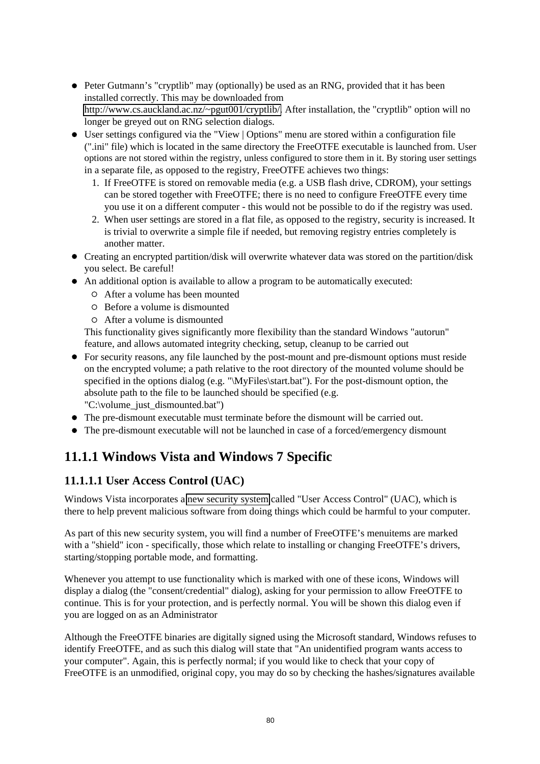- Peter Gutmann's "cryptlib" may (optionally) be used as an RNG, provided that it has been installed correctly. This may be downloaded from [http://www.cs.auckland.ac.nz/~pgut001/cryptlib/.](http://www.cs.auckland.ac.nz/%7Epgut001/cryptlib/) After installation, the "cryptlib" option will no longer be greyed out on RNG selection dialogs.
- User settings configured via the "View | Options" menu are stored within a configuration file (".ini" file) which is located in the same directory the FreeOTFE executable is launched from. User options are not stored within the registry, unless configured to store them in it. By storing user settings in a separate file, as opposed to the registry, FreeOTFE achieves two things:
	- 1. If FreeOTFE is stored on removable media (e.g. a USB flash drive, CDROM), your settings can be stored together with FreeOTFE; there is no need to configure FreeOTFE every time you use it on a different computer - this would not be possible to do if the registry was used.
	- 2. When user settings are stored in a flat file, as opposed to the registry, security is increased. It is trivial to overwrite a simple file if needed, but removing registry entries completely is another matter.
- Creating an encrypted partition/disk will overwrite whatever data was stored on the partition/disk you select. Be careful!
- An additional option is available to allow a program to be automatically executed:
	- After a volume has been mounted
	- $O$  Before a volume is dismounted
	- After a volume is dismounted

This functionality gives significantly more flexibility than the standard Windows "autorun" feature, and allows automated integrity checking, setup, cleanup to be carried out

- For security reasons, any file launched by the post-mount and pre-dismount options must reside on the encrypted volume; a path relative to the root directory of the mounted volume should be specified in the options dialog (e.g. "\MyFiles\start.bat"). For the post-dismount option, the absolute path to the file to be launched should be specified (e.g. "C:\volume\_just\_dismounted.bat")
- The pre-dismount executable must terminate before the dismount will be carried out.
- The pre-dismount executable will not be launched in case of a forced/emergency dismount

## **11.1.1 Windows Vista and Windows 7 Specific**

### **11.1.1.1 User Access Control (UAC)**

Windows Vista incorporates a [new security system](http://www.microsoft.com/windows/products/windowsvista/features/details/useraccountcontrol.mspx) called "User Access Control" (UAC), which is there to help prevent malicious software from doing things which could be harmful to your computer.

As part of this new security system, you will find a number of FreeOTFE's menuitems are marked with a "shield" icon - specifically, those which relate to installing or changing FreeOTFE's drivers, starting/stopping portable mode, and formatting.

Whenever you attempt to use functionality which is marked with one of these icons, Windows will display a dialog (the "consent/credential" dialog), asking for your permission to allow FreeOTFE to continue. This is for your protection, and is perfectly normal. You will be shown this dialog even if you are logged on as an Administrator

Although the FreeOTFE binaries are digitally signed using the Microsoft standard, Windows refuses to identify FreeOTFE, and as such this dialog will state that "An unidentified program wants access to your computer". Again, this is perfectly normal; if you would like to check that your copy of FreeOTFE is an unmodified, original copy, you may do so by checking the hashes/signatures available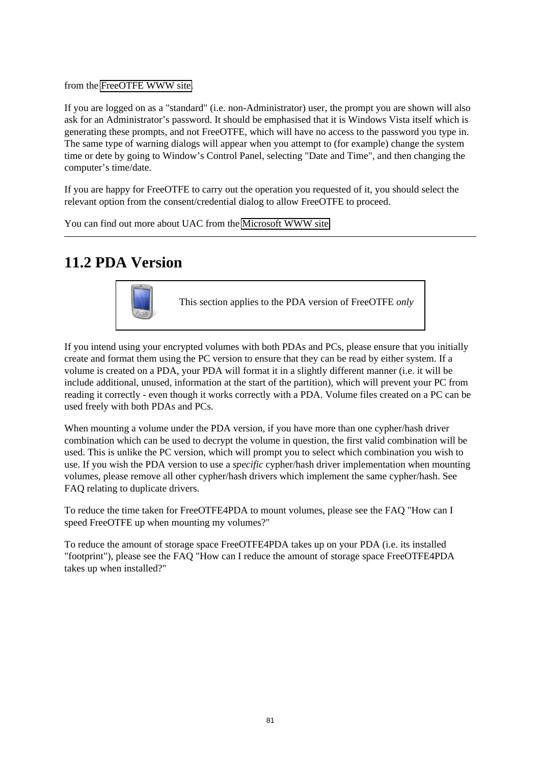from the [FreeOTFE WWW site.](http://www.FreeOTFE.org/)

If you are logged on as a "standard" (i.e. non-Administrator) user, the prompt you are shown will also ask for an Administrator's password. It should be emphasised that it is Windows Vista itself which is generating these prompts, and not FreeOTFE, which will have no access to the password you type in. The same type of warning dialogs will appear when you attempt to (for example) change the system time or dete by going to Window's Control Panel, selecting "Date and Time", and then changing the computer's time/date.

If you are happy for FreeOTFE to carry out the operation you requested of it, you should select the relevant option from the consent/credential dialog to allow FreeOTFE to proceed.

You can find out more about UAC from the [Microsoft WWW site.](http://technet.microsoft.com/en-us/windowsvista/aa906022.aspx)

## **11.2 PDA Version**



This section applies to the PDA version of FreeOTFE *only*

If you intend using your encrypted volumes with both PDAs and PCs, please ensure that you initially create and format them using the PC version to ensure that they can be read by either system. If a volume is created on a PDA, your PDA will format it in a slightly different manner (i.e. it will be include additional, unused, information at the start of the partition), which will prevent your PC from reading it correctly - even though it works correctly with a PDA. Volume files created on a PC can be used freely with both PDAs and PCs.

When mounting a volume under the PDA version, if you have more than one cypher/hash driver combination which can be used to decrypt the volume in question, the first valid combination will be used. This is unlike the PC version, which will prompt you to select which combination you wish to use. If you wish the PDA version to use a *specific* cypher/hash driver implementation when mounting volumes, please remove all other cypher/hash drivers which implement the same cypher/hash. See FAQ relating to duplicate drivers.

To reduce the time taken for FreeOTFE4PDA to mount volumes, please see the FAQ "How can I speed FreeOTFE up when mounting my volumes?"

To reduce the amount of storage space FreeOTFE4PDA takes up on your PDA (i.e. its installed "footprint"), please see the FAQ "How can I reduce the amount of storage space FreeOTFE4PDA takes up when installed?"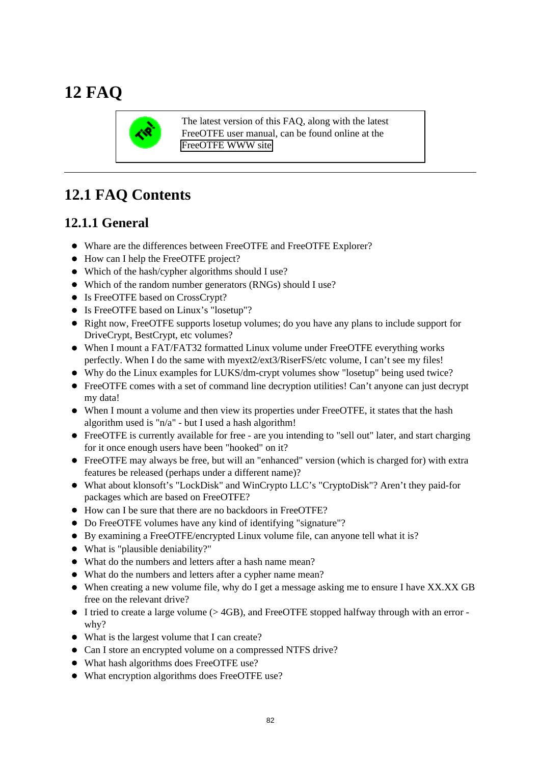# **12 FAQ**



The latest version of this FAQ, along with the latest FreeOTFE user manual, can be found online at the [FreeOTFE WWW site](http://www.FreeOTFE.org/) 

# **12.1 FAQ Contents**

### **12.1.1 General**

- Whare are the differences between FreeOTFE and FreeOTFE Explorer?
- How can I help the FreeOTFE project?
- Which of the hash/cypher algorithms should I use?
- Which of the random number generators (RNGs) should I use?
- Is FreeOTFE based on CrossCrypt?
- Is FreeOTFE based on Linux's "losetup"?
- Right now, FreeOTFE supports losetup volumes; do you have any plans to include support for DriveCrypt, BestCrypt, etc volumes?
- When I mount a FAT/FAT32 formatted Linux volume under FreeOTFE everything works perfectly. When I do the same with myext2/ext3/RiserFS/etc volume, I can't see my files!
- Why do the Linux examples for LUKS/dm-crypt volumes show "losetup" being used twice?
- FreeOTFE comes with a set of command line decryption utilities! Can't anyone can just decrypt my data!
- When I mount a volume and then view its properties under FreeOTFE, it states that the hash algorithm used is " $n/a$ " - but I used a hash algorithm!
- FreeOTFE is currently available for free are you intending to "sell out" later, and start charging for it once enough users have been "hooked" on it?
- FreeOTFE may always be free, but will an "enhanced" version (which is charged for) with extra features be released (perhaps under a different name)?
- What about klonsoft's "LockDisk" and WinCrypto LLC's "CryptoDisk"? Aren't they paid-for packages which are based on FreeOTFE?
- How can I be sure that there are no backdoors in FreeOTFE?
- Do FreeOTFE volumes have any kind of identifying "signature"?
- By examining a FreeOTFE/encrypted Linux volume file, can anyone tell what it is?
- What is "plausible deniability?"
- What do the numbers and letters after a hash name mean?
- What do the numbers and letters after a cypher name mean?
- When creating a new volume file, why do I get a message asking me to ensure I have XX.XX GB free on the relevant drive?
- I tried to create a large volume (> 4GB), and FreeOTFE stopped halfway through with an error why?
- What is the largest volume that I can create?
- Can I store an encrypted volume on a compressed NTFS drive?
- What hash algorithms does FreeOTFE use?
- What encryption algorithms does FreeOTFE use?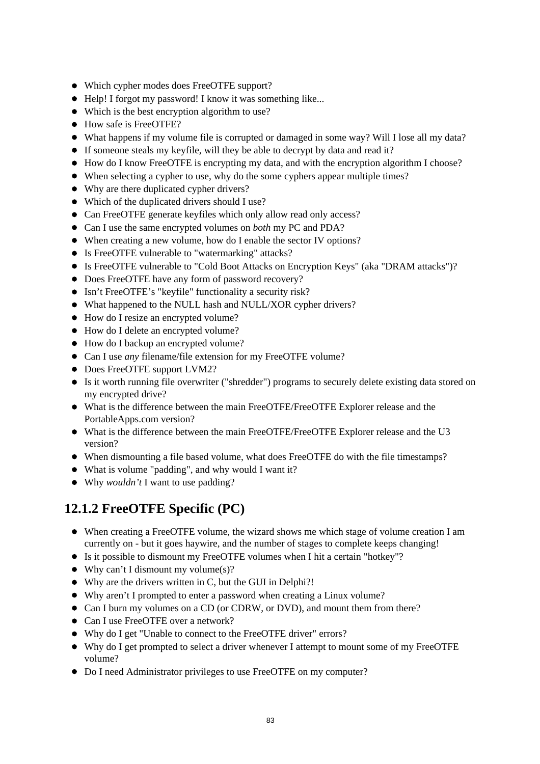- Which cypher modes does FreeOTFE support?
- Help! I forgot my password! I know it was something like...
- Which is the best encryption algorithm to use?
- $\bullet$  How safe is FreeOTFE?
- What happens if my volume file is corrupted or damaged in some way? Will I lose all my data?
- If someone steals my keyfile, will they be able to decrypt by data and read it?
- How do I know FreeOTFE is encrypting my data, and with the encryption algorithm I choose?
- When selecting a cypher to use, why do the some cyphers appear multiple times?
- Why are there duplicated cypher drivers?
- Which of the duplicated drivers should I use?
- Can FreeOTFE generate keyfiles which only allow read only access?
- Can I use the same encrypted volumes on *both* my PC and PDA?
- When creating a new volume, how do I enable the sector IV options?
- Is FreeOTFE vulnerable to "watermarking" attacks?
- Is FreeOTFE vulnerable to "Cold Boot Attacks on Encryption Keys" (aka "DRAM attacks")?
- Does FreeOTFE have any form of password recovery?
- Isn't FreeOTFE's "keyfile" functionality a security risk?
- What happened to the NULL hash and NULL/XOR cypher drivers?
- How do I resize an encrypted volume?
- How do I delete an encrypted volume?
- How do I backup an encrypted volume?
- Can I use *any* filename/file extension for my FreeOTFE volume?
- Does FreeOTFE support LVM2?
- Is it worth running file overwriter ("shredder") programs to securely delete existing data stored on my encrypted drive?
- What is the difference between the main FreeOTFE/FreeOTFE Explorer release and the PortableApps.com version?
- What is the difference between the main FreeOTFE/FreeOTFE Explorer release and the U3 version?
- When dismounting a file based volume, what does FreeOTFE do with the file timestamps?
- What is volume "padding", and why would I want it?
- Why *wouldn't* I want to use padding?

## **12.1.2 FreeOTFE Specific (PC)**

- When creating a FreeOTFE volume, the wizard shows me which stage of volume creation I am currently on - but it goes haywire, and the number of stages to complete keeps changing!
- Is it possible to dismount my FreeOTFE volumes when I hit a certain "hotkey"?
- Why can't I dismount my volume $(s)$ ?
- Why are the drivers written in C, but the GUI in Delphi?!
- Why aren't I prompted to enter a password when creating a Linux volume?
- Can I burn my volumes on a CD (or CDRW, or DVD), and mount them from there?
- Can I use FreeOTFE over a network?
- Why do I get "Unable to connect to the FreeOTFE driver" errors?
- Why do I get prompted to select a driver whenever I attempt to mount some of my FreeOTFE volume?
- Do I need Administrator privileges to use FreeOTFE on my computer?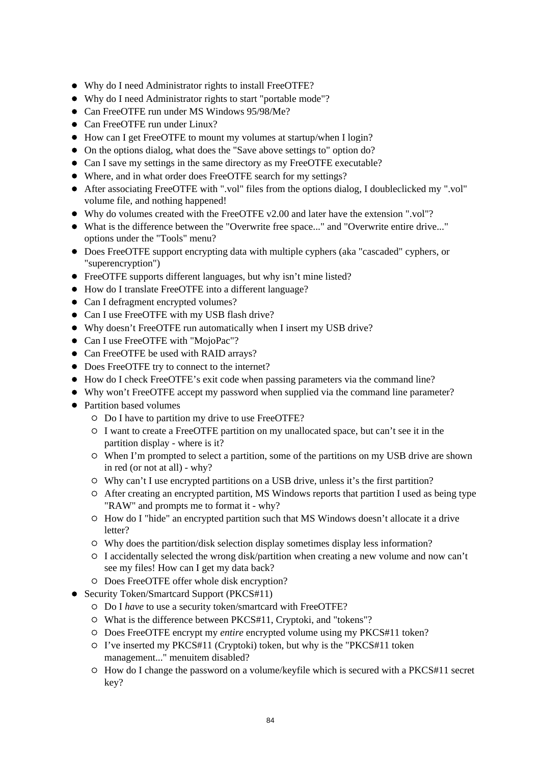- Why do I need Administrator rights to install FreeOTFE?
- Why do I need Administrator rights to start "portable mode"?
- Can FreeOTFE run under MS Windows 95/98/Me?
- Can FreeOTFE run under Linux?
- How can I get FreeOTFE to mount my volumes at startup/when I login?
- On the options dialog, what does the "Save above settings to" option do?
- Can I save my settings in the same directory as my FreeOTFE executable?
- Where, and in what order does FreeOTFE search for my settings?
- After associating FreeOTFE with ".vol" files from the options dialog, I doubleclicked my ".vol" volume file, and nothing happened!
- Why do volumes created with the FreeOTFE v2.00 and later have the extension ".vol"?
- What is the difference between the "Overwrite free space..." and "Overwrite entire drive..." options under the "Tools" menu?
- Does FreeOTFE support encrypting data with multiple cyphers (aka "cascaded" cyphers, or "superencryption")
- FreeOTFE supports different languages, but why isn't mine listed?
- How do I translate FreeOTFE into a different language?
- Can I defragment encrypted volumes?
- Can I use FreeOTFE with my USB flash drive?
- Why doesn't FreeOTFE run automatically when I insert my USB drive?
- Can I use FreeOTFE with "MojoPac"?
- Can FreeOTFE be used with RAID arrays?
- Does FreeOTFE try to connect to the internet?
- How do I check FreeOTFE's exit code when passing parameters via the command line?
- Why won't FreeOTFE accept my password when supplied via the command line parameter?
- Partition based volumes
	- Do I have to partition my drive to use FreeOTFE?
	- $\circ$  I want to create a FreeOTFE partition on my unallocated space, but can't see it in the partition display - where is it?
	- When I'm prompted to select a partition, some of the partitions on my USB drive are shown in red (or not at all) - why?
	- Why can't I use encrypted partitions on a USB drive, unless it's the first partition?
	- After creating an encrypted partition, MS Windows reports that partition I used as being type "RAW" and prompts me to format it - why?
	- $\circ$  How do I "hide" an encrypted partition such that MS Windows doesn't allocate it a drive letter?
	- Why does the partition/disk selection display sometimes display less information?
	- $\circ$  I accidentally selected the wrong disk/partition when creating a new volume and now can't see my files! How can I get my data back?
	- Does FreeOTFE offer whole disk encryption?
- Security Token/Smartcard Support (PKCS#11)
	- Do I *have* to use a security token/smartcard with FreeOTFE?
	- What is the difference between PKCS#11, Cryptoki, and "tokens"?
	- Does FreeOTFE encrypt my *entire* encrypted volume using my PKCS#11 token?
	- I've inserted my PKCS#11 (Cryptoki) token, but why is the "PKCS#11 token management..." menuitem disabled?
	- $\circ$  How do I change the password on a volume/keyfile which is secured with a PKCS#11 secret key?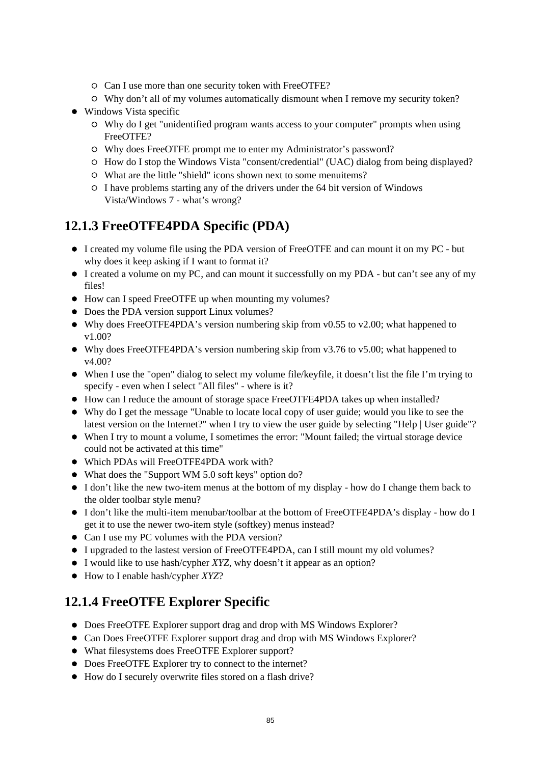- $\circ$  Can I use more than one security token with FreeOTFE?
- Why don't all of my volumes automatically dismount when I remove my security token?
- Windows Vista specific
	- Why do I get "unidentified program wants access to your computer" prompts when using FreeOTFE?
	- Why does FreeOTFE prompt me to enter my Administrator's password?
	- $\circ$  How do I stop the Windows Vista "consent/credential" (UAC) dialog from being displayed?
	- What are the little "shield" icons shown next to some menuitems?
	- $\circ$  I have problems starting any of the drivers under the 64 bit version of Windows Vista/Windows 7 - what's wrong?

### **12.1.3 FreeOTFE4PDA Specific (PDA)**

- I created my volume file using the PDA version of FreeOTFE and can mount it on my PC but why does it keep asking if I want to format it?
- I created a volume on my PC, and can mount it successfully on my PDA but can't see any of my files!
- How can I speed FreeOTFE up when mounting my volumes?
- Does the PDA version support Linux volumes?
- Why does FreeOTFE4PDA's version numbering skip from v0.55 to v2.00; what happened to v1.00?
- Why does FreeOTFE4PDA's version numbering skip from v3.76 to v5.00; what happened to v4.00?
- When I use the "open" dialog to select my volume file/keyfile, it doesn't list the file I'm trying to specify - even when I select "All files" - where is it?
- How can I reduce the amount of storage space FreeOTFE4PDA takes up when installed?
- Why do I get the message "Unable to locate local copy of user guide; would you like to see the latest version on the Internet?" when I try to view the user guide by selecting "Help | User guide"?
- When I try to mount a volume, I sometimes the error: "Mount failed; the virtual storage device could not be activated at this time"
- Which PDAs will FreeOTFE4PDA work with?
- What does the "Support WM 5.0 soft keys" option do?
- I don't like the new two-item menus at the bottom of my display how do I change them back to the older toolbar style menu?
- I don't like the multi-item menubar/toolbar at the bottom of FreeOTFE4PDA's display how do I get it to use the newer two-item style (softkey) menus instead?
- Can I use my PC volumes with the PDA version?
- I upgraded to the lastest version of FreeOTFE4PDA, can I still mount my old volumes?
- I would like to use hash/cypher *XYZ*, why doesn't it appear as an option?
- How to I enable hash/cypher *XYZ*?

### **12.1.4 FreeOTFE Explorer Specific**

- Does FreeOTFE Explorer support drag and drop with MS Windows Explorer?
- Can Does FreeOTFE Explorer support drag and drop with MS Windows Explorer?
- What filesystems does FreeOTFE Explorer support?
- Does FreeOTFE Explorer try to connect to the internet?
- How do I securely overwrite files stored on a flash drive?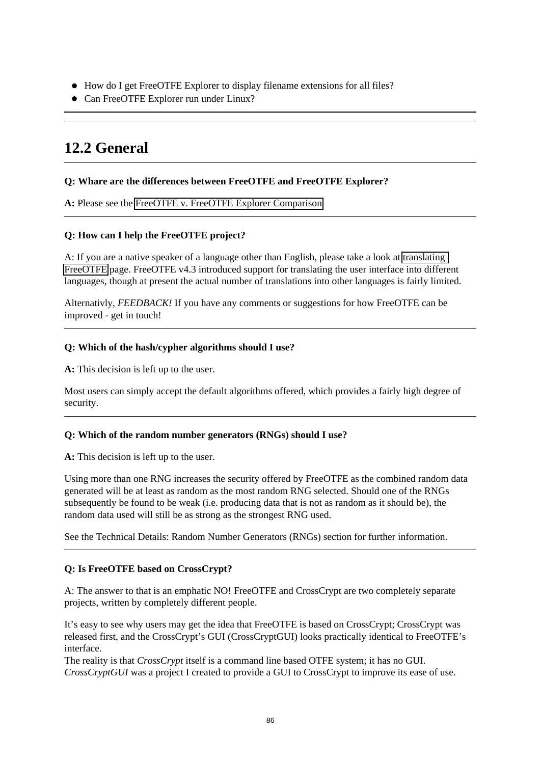- How do I get FreeOTFE Explorer to display filename extensions for all files?
- Can FreeOTFE Explorer run under Linux?

# **12.2 General**

#### **Q: Whare are the differences between FreeOTFE and FreeOTFE Explorer?**

**A:** Please see the [FreeOTFE v. FreeOTFE Explorer Comparison](http://www.FreeOTFE.org/main_explorer_differences.html) 

#### **Q: How can I help the FreeOTFE project?**

A: If you are a native speaker of a language other than English, please take a look at [translating](http://www.FreeOTFE.org/translations.html)  [FreeOTFE](http://www.FreeOTFE.org/translations.html) page. FreeOTFE v4.3 introduced support for translating the user interface into different languages, though at present the actual number of translations into other languages is fairly limited.

Alternativly, *FEEDBACK!* If you have any comments or suggestions for how FreeOTFE can be improved - get in touch!

#### **Q: Which of the hash/cypher algorithms should I use?**

**A:** This decision is left up to the user.

Most users can simply accept the default algorithms offered, which provides a fairly high degree of security.

#### **Q: Which of the random number generators (RNGs) should I use?**

**A:** This decision is left up to the user.

Using more than one RNG increases the security offered by FreeOTFE as the combined random data generated will be at least as random as the most random RNG selected. Should one of the RNGs subsequently be found to be weak (i.e. producing data that is not as random as it should be), the random data used will still be as strong as the strongest RNG used.

See the Technical Details: Random Number Generators (RNGs) section for further information.

#### **Q: Is FreeOTFE based on CrossCrypt?**

A: The answer to that is an emphatic NO! FreeOTFE and CrossCrypt are two completely separate projects, written by completely different people.

It's easy to see why users may get the idea that FreeOTFE is based on CrossCrypt; CrossCrypt was released first, and the CrossCrypt's GUI (CrossCryptGUI) looks practically identical to FreeOTFE's interface.

The reality is that *CrossCrypt* itself is a command line based OTFE system; it has no GUI. *CrossCryptGUI* was a project I created to provide a GUI to CrossCrypt to improve its ease of use.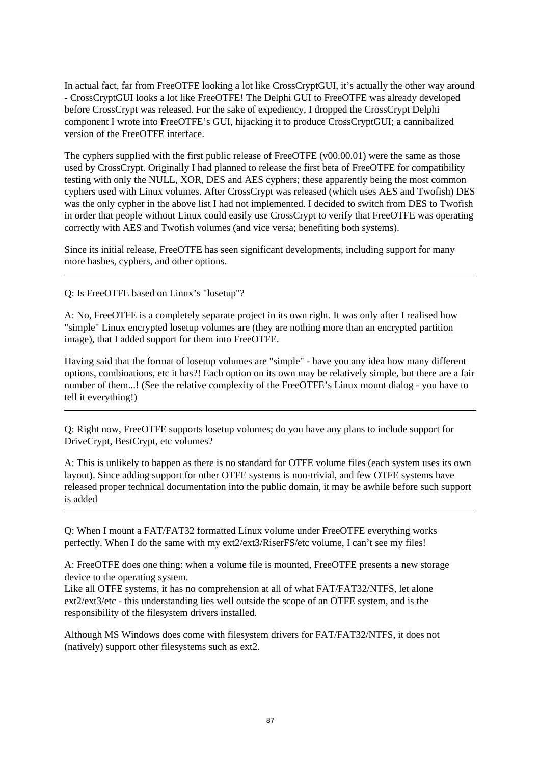In actual fact, far from FreeOTFE looking a lot like CrossCryptGUI, it's actually the other way around - CrossCryptGUI looks a lot like FreeOTFE! The Delphi GUI to FreeOTFE was already developed before CrossCrypt was released. For the sake of expediency, I dropped the CrossCrypt Delphi component I wrote into FreeOTFE's GUI, hijacking it to produce CrossCryptGUI; a cannibalized version of the FreeOTFE interface.

The cyphers supplied with the first public release of FreeOTFE (v00.00.01) were the same as those used by CrossCrypt. Originally I had planned to release the first beta of FreeOTFE for compatibility testing with only the NULL, XOR, DES and AES cyphers; these apparently being the most common cyphers used with Linux volumes. After CrossCrypt was released (which uses AES and Twofish) DES was the only cypher in the above list I had not implemented. I decided to switch from DES to Twofish in order that people without Linux could easily use CrossCrypt to verify that FreeOTFE was operating correctly with AES and Twofish volumes (and vice versa; benefiting both systems).

Since its initial release, FreeOTFE has seen significant developments, including support for many more hashes, cyphers, and other options.

Q: Is FreeOTFE based on Linux's "losetup"?

A: No, FreeOTFE is a completely separate project in its own right. It was only after I realised how "simple" Linux encrypted losetup volumes are (they are nothing more than an encrypted partition image), that I added support for them into FreeOTFE.

Having said that the format of losetup volumes are "simple" - have you any idea how many different options, combinations, etc it has?! Each option on its own may be relatively simple, but there are a fair number of them...! (See the relative complexity of the FreeOTFE's Linux mount dialog - you have to tell it everything!)

Q: Right now, FreeOTFE supports losetup volumes; do you have any plans to include support for DriveCrypt, BestCrypt, etc volumes?

A: This is unlikely to happen as there is no standard for OTFE volume files (each system uses its own layout). Since adding support for other OTFE systems is non-trivial, and few OTFE systems have released proper technical documentation into the public domain, it may be awhile before such support is added

Q: When I mount a FAT/FAT32 formatted Linux volume under FreeOTFE everything works perfectly. When I do the same with my ext2/ext3/RiserFS/etc volume, I can't see my files!

A: FreeOTFE does one thing: when a volume file is mounted, FreeOTFE presents a new storage device to the operating system.

Like all OTFE systems, it has no comprehension at all of what FAT/FAT32/NTFS, let alone ext2/ext3/etc - this understanding lies well outside the scope of an OTFE system, and is the responsibility of the filesystem drivers installed.

Although MS Windows does come with filesystem drivers for FAT/FAT32/NTFS, it does not (natively) support other filesystems such as ext2.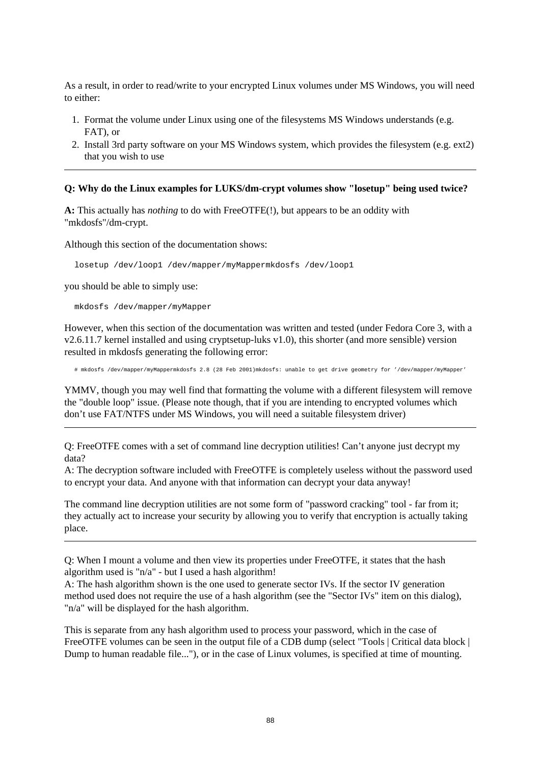As a result, in order to read/write to your encrypted Linux volumes under MS Windows, you will need to either:

- 1. Format the volume under Linux using one of the filesystems MS Windows understands (e.g. FAT), or
- 2. Install 3rd party software on your MS Windows system, which provides the filesystem (e.g. ext2) that you wish to use

#### **Q: Why do the Linux examples for LUKS/dm-crypt volumes show "losetup" being used twice?**

**A:** This actually has *nothing* to do with FreeOTFE(!), but appears to be an oddity with "mkdosfs"/dm-crypt.

Although this section of the documentation shows:

losetup /dev/loop1 /dev/mapper/myMappermkdosfs /dev/loop1

you should be able to simply use:

mkdosfs /dev/mapper/myMapper

However, when this section of the documentation was written and tested (under Fedora Core 3, with a v2.6.11.7 kernel installed and using cryptsetup-luks v1.0), this shorter (and more sensible) version resulted in mkdosfs generating the following error:

# mkdosfs /dev/mapper/myMappermkdosfs 2.8 (28 Feb 2001)mkdosfs: unable to get drive geometry for '/dev/mapper/myMapper'

YMMV, though you may well find that formatting the volume with a different filesystem will remove the "double loop" issue. (Please note though, that if you are intending to encrypted volumes which don't use FAT/NTFS under MS Windows, you will need a suitable filesystem driver)

Q: FreeOTFE comes with a set of command line decryption utilities! Can't anyone just decrypt my data?

A: The decryption software included with FreeOTFE is completely useless without the password used to encrypt your data. And anyone with that information can decrypt your data anyway!

The command line decryption utilities are not some form of "password cracking" tool - far from it; they actually act to increase your security by allowing you to verify that encryption is actually taking place.

Q: When I mount a volume and then view its properties under FreeOTFE, it states that the hash algorithm used is "n/a" - but I used a hash algorithm!

A: The hash algorithm shown is the one used to generate sector IVs. If the sector IV generation method used does not require the use of a hash algorithm (see the "Sector IVs" item on this dialog), "n/a" will be displayed for the hash algorithm.

This is separate from any hash algorithm used to process your password, which in the case of FreeOTFE volumes can be seen in the output file of a CDB dump (select "Tools | Critical data block | Dump to human readable file..."), or in the case of Linux volumes, is specified at time of mounting.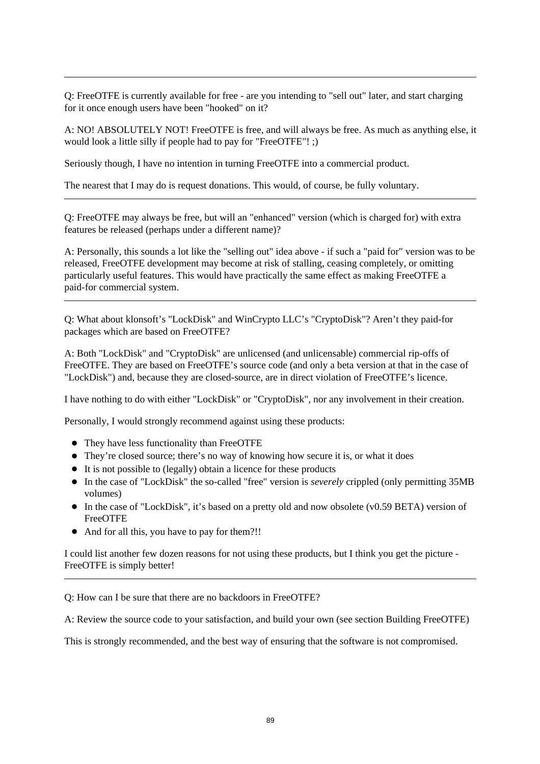Q: FreeOTFE is currently available for free - are you intending to "sell out" later, and start charging for it once enough users have been "hooked" on it?

A: NO! ABSOLUTELY NOT! FreeOTFE is free, and will always be free. As much as anything else, it would look a little silly if people had to pay for "FreeOTFE"! ;)

Seriously though, I have no intention in turning FreeOTFE into a commercial product.

The nearest that I may do is request donations. This would, of course, be fully voluntary.

Q: FreeOTFE may always be free, but will an "enhanced" version (which is charged for) with extra features be released (perhaps under a different name)?

A: Personally, this sounds a lot like the "selling out" idea above - if such a "paid for" version was to be released, FreeOTFE development may become at risk of stalling, ceasing completely, or omitting particularly useful features. This would have practically the same effect as making FreeOTFE a paid-for commercial system.

Q: What about klonsoft's "LockDisk" and WinCrypto LLC's "CryptoDisk"? Aren't they paid-for packages which are based on FreeOTFE?

A: Both "LockDisk" and "CryptoDisk" are unlicensed (and unlicensable) commercial rip-offs of FreeOTFE. They are based on FreeOTFE's source code (and only a beta version at that in the case of "LockDisk") and, because they are closed-source, are in direct violation of FreeOTFE's licence.

I have nothing to do with either "LockDisk" or "CryptoDisk", nor any involvement in their creation.

Personally, I would strongly recommend against using these products:

- They have less functionality than FreeOTFE
- They're closed source; there's no way of knowing how secure it is, or what it does
- It is not possible to (legally) obtain a licence for these products
- In the case of "LockDisk" the so-called "free" version is *severely* crippled (only permitting 35MB volumes)
- In the case of "LockDisk", it's based on a pretty old and now obsolete (v0.59 BETA) version of FreeOTFE
- And for all this, you have to pay for them?!!

I could list another few dozen reasons for not using these products, but I think you get the picture - FreeOTFE is simply better!

Q: How can I be sure that there are no backdoors in FreeOTFE?

A: Review the source code to your satisfaction, and build your own (see section Building FreeOTFE)

This is strongly recommended, and the best way of ensuring that the software is not compromised.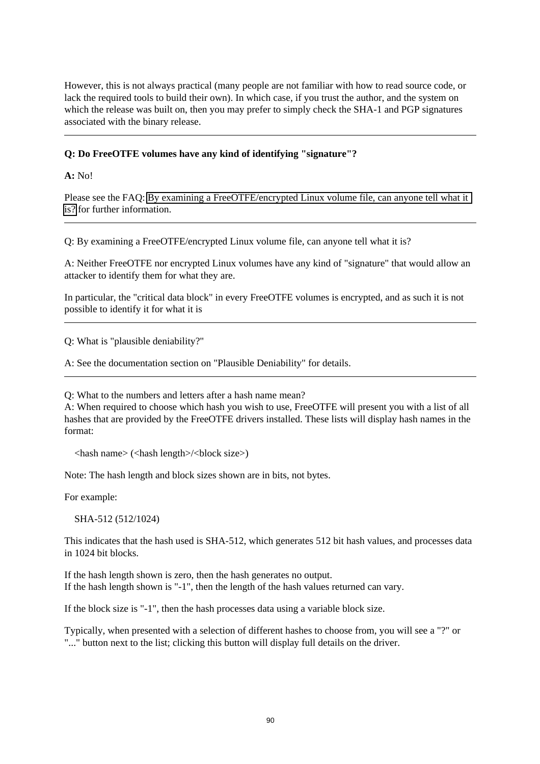However, this is not always practical (many people are not familiar with how to read source code, or lack the required tools to build their own). In which case, if you trust the author, and the system on which the release was built on, then you may prefer to simply check the SHA-1 and PGP signatures associated with the binary release.

#### **Q: Do FreeOTFE volumes have any kind of identifying "signature"?**

**A:** No!

Please see the FAQ: [By examining a FreeOTFE/encrypted Linux volume file, can anyone tell what it](#page-95-0)  [is?](#page-95-0) for further information.

<span id="page-95-0"></span>Q: By examining a FreeOTFE/encrypted Linux volume file, can anyone tell what it is?

A: Neither FreeOTFE nor encrypted Linux volumes have any kind of "signature" that would allow an attacker to identify them for what they are.

In particular, the "critical data block" in every FreeOTFE volumes is encrypted, and as such it is not possible to identify it for what it is

Q: What is "plausible deniability?"

A: See the documentation section on "Plausible Deniability" for details.

Q: What to the numbers and letters after a hash name mean?

A: When required to choose which hash you wish to use, FreeOTFE will present you with a list of all hashes that are provided by the FreeOTFE drivers installed. These lists will display hash names in the format:

 $\langle$ hash name $\rangle$  ( $\langle$ hash length $\rangle$  $\langle$ block size $\rangle$ )

Note: The hash length and block sizes shown are in bits, not bytes.

For example:

SHA-512 (512/1024)

This indicates that the hash used is SHA-512, which generates 512 bit hash values, and processes data in 1024 bit blocks.

If the hash length shown is zero, then the hash generates no output. If the hash length shown is "-1", then the length of the hash values returned can vary.

If the block size is "-1", then the hash processes data using a variable block size.

Typically, when presented with a selection of different hashes to choose from, you will see a "?" or "..." button next to the list; clicking this button will display full details on the driver.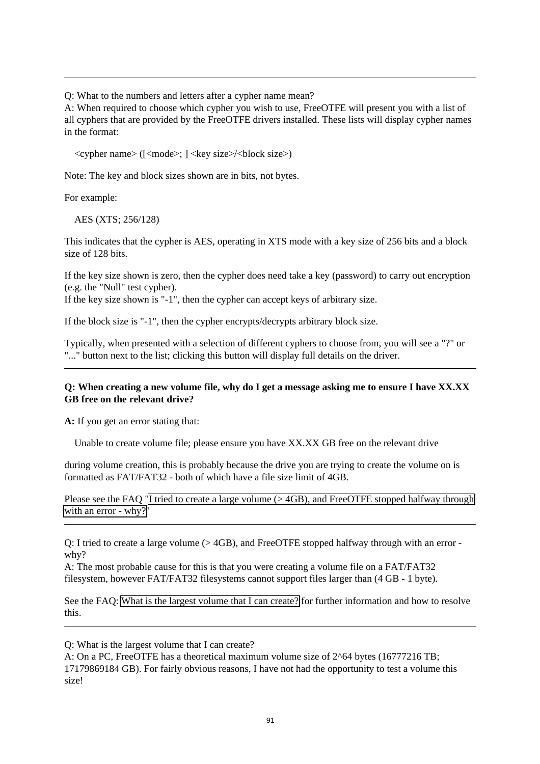Q: What to the numbers and letters after a cypher name mean?

A: When required to choose which cypher you wish to use, FreeOTFE will present you with a list of all cyphers that are provided by the FreeOTFE drivers installed. These lists will display cypher names in the format:

<cypher name> ([<mode>; ] <key size>/<block size>)

Note: The key and block sizes shown are in bits, not bytes.

For example:

AES (XTS; 256/128)

This indicates that the cypher is AES, operating in XTS mode with a key size of 256 bits and a block size of 128 bits.

If the key size shown is zero, then the cypher does need take a key (password) to carry out encryption (e.g. the "Null" test cypher).

If the key size shown is "-1", then the cypher can accept keys of arbitrary size.

If the block size is "-1", then the cypher encrypts/decrypts arbitrary block size.

Typically, when presented with a selection of different cyphers to choose from, you will see a "?" or "..." button next to the list; clicking this button will display full details on the driver.

#### **Q: When creating a new volume file, why do I get a message asking me to ensure I have XX.XX GB free on the relevant drive?**

**A:** If you get an error stating that:

Unable to create volume file; please ensure you have XX.XX GB free on the relevant drive

during volume creation, this is probably because the drive you are trying to create the volume on is formatted as FAT/FAT32 - both of which have a file size limit of 4GB.

Please see the FAQ "I tried to create a large volume ( $>$ 4GB), and FreeOTFE stopped halfway through [with an error - why?"](#page-96-0)

<span id="page-96-0"></span>Q: I tried to create a large volume (> 4GB), and FreeOTFE stopped halfway through with an error why?

A: The most probable cause for this is that you were creating a volume file on a FAT/FAT32 filesystem, however FAT/FAT32 filesystems cannot support files larger than (4 GB - 1 byte).

See the FAQ: [What is the largest volume that I can create?](#page-96-1) for further information and how to resolve this.

<span id="page-96-1"></span>Q: What is the largest volume that I can create?

A: On a PC, FreeOTFE has a theoretical maximum volume size of 2^64 bytes (16777216 TB; 17179869184 GB). For fairly obvious reasons, I have not had the opportunity to test a volume this size!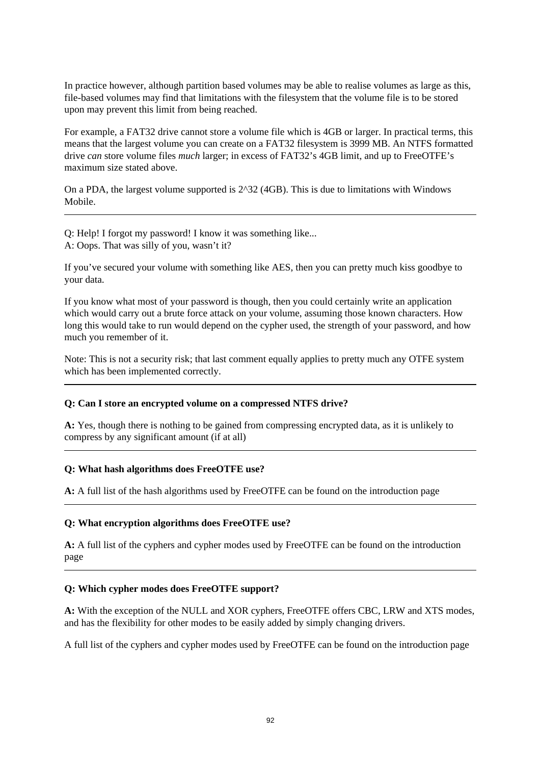In practice however, although partition based volumes may be able to realise volumes as large as this, file-based volumes may find that limitations with the filesystem that the volume file is to be stored upon may prevent this limit from being reached.

For example, a FAT32 drive cannot store a volume file which is 4GB or larger. In practical terms, this means that the largest volume you can create on a FAT32 filesystem is 3999 MB. An NTFS formatted drive *can* store volume files *much* larger; in excess of FAT32's 4GB limit, and up to FreeOTFE's maximum size stated above.

On a PDA, the largest volume supported is 2^32 (4GB). This is due to limitations with Windows Mobile.

Q: Help! I forgot my password! I know it was something like... A: Oops. That was silly of you, wasn't it?

If you've secured your volume with something like AES, then you can pretty much kiss goodbye to your data.

If you know what most of your password is though, then you could certainly write an application which would carry out a brute force attack on your volume, assuming those known characters. How long this would take to run would depend on the cypher used, the strength of your password, and how much you remember of it.

Note: This is not a security risk; that last comment equally applies to pretty much any OTFE system which has been implemented correctly.

#### **Q: Can I store an encrypted volume on a compressed NTFS drive?**

**A:** Yes, though there is nothing to be gained from compressing encrypted data, as it is unlikely to compress by any significant amount (if at all)

#### **Q: What hash algorithms does FreeOTFE use?**

**A:** A full list of the hash algorithms used by FreeOTFE can be found on the introduction page

#### **Q: What encryption algorithms does FreeOTFE use?**

**A:** A full list of the cyphers and cypher modes used by FreeOTFE can be found on the introduction page

#### **Q: Which cypher modes does FreeOTFE support?**

**A:** With the exception of the NULL and XOR cyphers, FreeOTFE offers CBC, LRW and XTS modes, and has the flexibility for other modes to be easily added by simply changing drivers.

A full list of the cyphers and cypher modes used by FreeOTFE can be found on the introduction page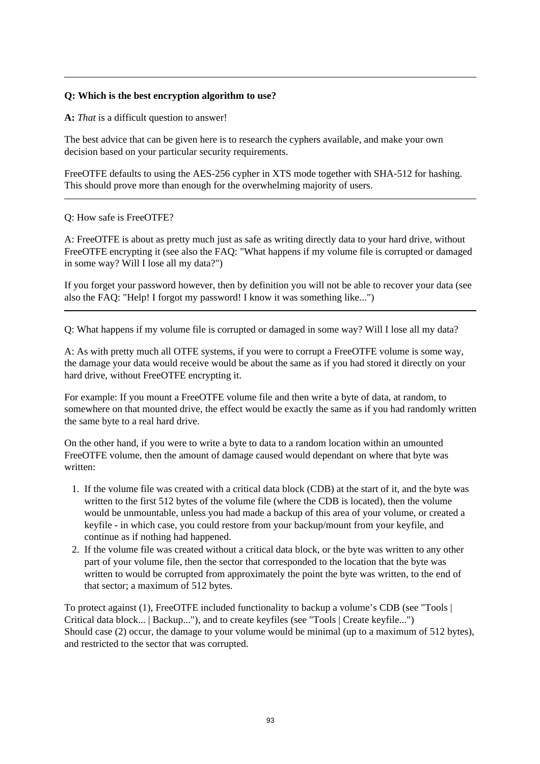#### **Q: Which is the best encryption algorithm to use?**

**A:** *That* is a difficult question to answer!

The best advice that can be given here is to research the cyphers available, and make your own decision based on your particular security requirements.

FreeOTFE defaults to using the AES-256 cypher in XTS mode together with SHA-512 for hashing. This should prove more than enough for the overwhelming majority of users.

#### Q: How safe is FreeOTFE?

A: FreeOTFE is about as pretty much just as safe as writing directly data to your hard drive, without FreeOTFE encrypting it (see also the FAQ: "What happens if my volume file is corrupted or damaged in some way? Will I lose all my data?")

If you forget your password however, then by definition you will not be able to recover your data (see also the FAQ: "Help! I forgot my password! I know it was something like...")

Q: What happens if my volume file is corrupted or damaged in some way? Will I lose all my data?

A: As with pretty much all OTFE systems, if you were to corrupt a FreeOTFE volume is some way, the damage your data would receive would be about the same as if you had stored it directly on your hard drive, without FreeOTFE encrypting it.

For example: If you mount a FreeOTFE volume file and then write a byte of data, at random, to somewhere on that mounted drive, the effect would be exactly the same as if you had randomly written the same byte to a real hard drive.

On the other hand, if you were to write a byte to data to a random location within an umounted FreeOTFE volume, then the amount of damage caused would dependant on where that byte was written:

- 1. If the volume file was created with a critical data block (CDB) at the start of it, and the byte was written to the first 512 bytes of the volume file (where the CDB is located), then the volume would be unmountable, unless you had made a backup of this area of your volume, or created a keyfile - in which case, you could restore from your backup/mount from your keyfile, and continue as if nothing had happened.
- 2. If the volume file was created without a critical data block, or the byte was written to any other part of your volume file, then the sector that corresponded to the location that the byte was written to would be corrupted from approximately the point the byte was written, to the end of that sector; a maximum of 512 bytes.

To protect against (1), FreeOTFE included functionality to backup a volume's CDB (see "Tools | Critical data block... | Backup..."), and to create keyfiles (see "Tools | Create keyfile...") Should case (2) occur, the damage to your volume would be minimal (up to a maximum of 512 bytes), and restricted to the sector that was corrupted.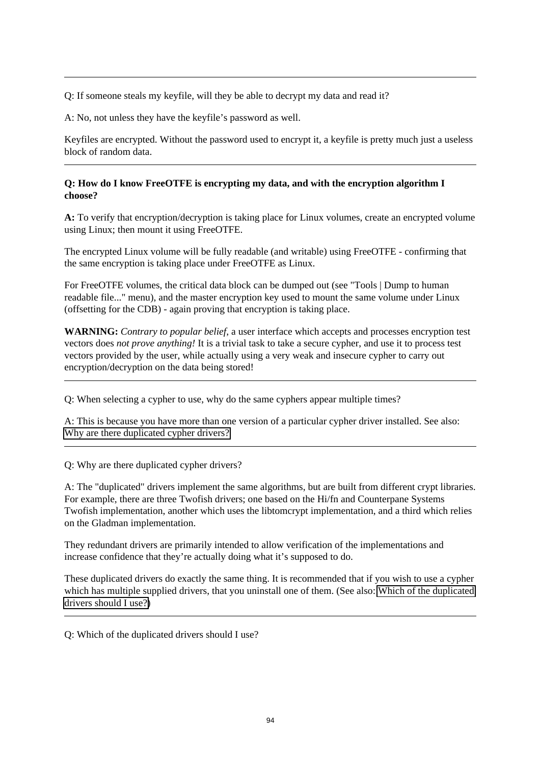Q: If someone steals my keyfile, will they be able to decrypt my data and read it?

A: No, not unless they have the keyfile's password as well.

Keyfiles are encrypted. Without the password used to encrypt it, a keyfile is pretty much just a useless block of random data.

#### **Q: How do I know FreeOTFE is encrypting my data, and with the encryption algorithm I choose?**

**A:** To verify that encryption/decryption is taking place for Linux volumes, create an encrypted volume using Linux; then mount it using FreeOTFE.

The encrypted Linux volume will be fully readable (and writable) using FreeOTFE - confirming that the same encryption is taking place under FreeOTFE as Linux.

For FreeOTFE volumes, the critical data block can be dumped out (see "Tools | Dump to human readable file..." menu), and the master encryption key used to mount the same volume under Linux (offsetting for the CDB) - again proving that encryption is taking place.

**WARNING:** *Contrary to popular belief*, a user interface which accepts and processes encryption test vectors does *not prove anything!* It is a trivial task to take a secure cypher, and use it to process test vectors provided by the user, while actually using a very weak and insecure cypher to carry out encryption/decryption on the data being stored!

Q: When selecting a cypher to use, why do the same cyphers appear multiple times?

A: This is because you have more than one version of a particular cypher driver installed. See also: [Why are there duplicated cypher drivers?](#page-99-0) 

<span id="page-99-0"></span>Q: Why are there duplicated cypher drivers?

A: The "duplicated" drivers implement the same algorithms, but are built from different crypt libraries. For example, there are three Twofish drivers; one based on the Hi/fn and Counterpane Systems Twofish implementation, another which uses the libtomcrypt implementation, and a third which relies on the Gladman implementation.

They redundant drivers are primarily intended to allow verification of the implementations and increase confidence that they're actually doing what it's supposed to do.

These duplicated drivers do exactly the same thing. It is recommended that if you wish to use a cypher which has multiple supplied drivers, that you uninstall one of them. (See also: [Which of the duplicated](#page-99-1) [drivers should I use?\)](#page-99-1)

<span id="page-99-1"></span>Q: Which of the duplicated drivers should I use?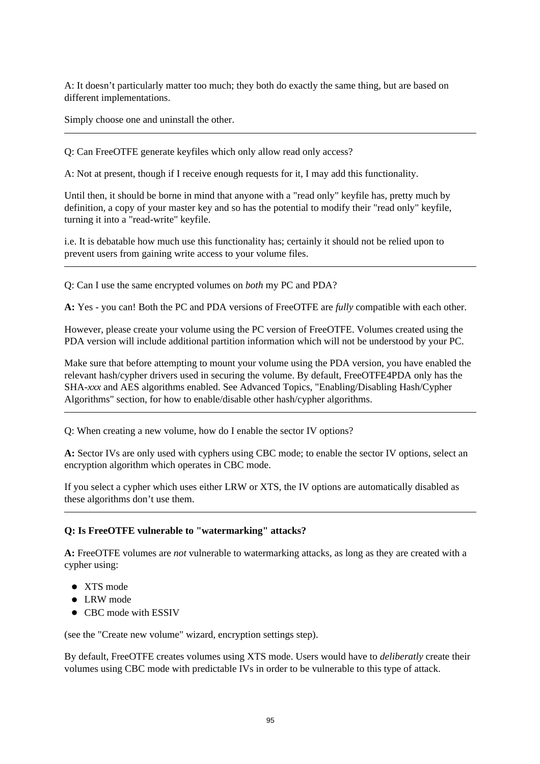A: It doesn't particularly matter too much; they both do exactly the same thing, but are based on different implementations.

Simply choose one and uninstall the other.

Q: Can FreeOTFE generate keyfiles which only allow read only access?

A: Not at present, though if I receive enough requests for it, I may add this functionality.

Until then, it should be borne in mind that anyone with a "read only" keyfile has, pretty much by definition, a copy of your master key and so has the potential to modify their "read only" keyfile, turning it into a "read-write" keyfile.

i.e. It is debatable how much use this functionality has; certainly it should not be relied upon to prevent users from gaining write access to your volume files.

Q: Can I use the same encrypted volumes on *both* my PC and PDA?

**A:** Yes - you can! Both the PC and PDA versions of FreeOTFE are *fully* compatible with each other.

However, please create your volume using the PC version of FreeOTFE. Volumes created using the PDA version will include additional partition information which will not be understood by your PC.

Make sure that before attempting to mount your volume using the PDA version, you have enabled the relevant hash/cypher drivers used in securing the volume. By default, FreeOTFE4PDA only has the SHA-*xxx* and AES algorithms enabled. See Advanced Topics, "Enabling/Disabling Hash/Cypher Algorithms" section, for how to enable/disable other hash/cypher algorithms.

Q: When creating a new volume, how do I enable the sector IV options?

**A:** Sector IVs are only used with cyphers using CBC mode; to enable the sector IV options, select an encryption algorithm which operates in CBC mode.

If you select a cypher which uses either LRW or XTS, the IV options are automatically disabled as these algorithms don't use them.

#### **Q: Is FreeOTFE vulnerable to "watermarking" attacks?**

**A:** FreeOTFE volumes are *not* vulnerable to watermarking attacks, as long as they are created with a cypher using:

- XTS mode
- $\bullet$  LRW mode
- **CBC** mode with **ESSIV**

(see the "Create new volume" wizard, encryption settings step).

By default, FreeOTFE creates volumes using XTS mode. Users would have to *deliberatly* create their volumes using CBC mode with predictable IVs in order to be vulnerable to this type of attack.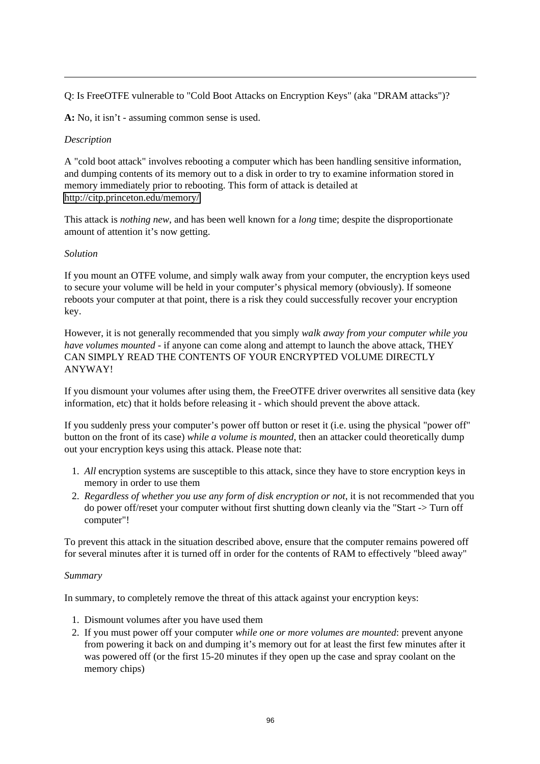Q: Is FreeOTFE vulnerable to "Cold Boot Attacks on Encryption Keys" (aka "DRAM attacks")?

**A:** No, it isn't - assuming common sense is used.

#### *Description*

A "cold boot attack" involves rebooting a computer which has been handling sensitive information, and dumping contents of its memory out to a disk in order to try to examine information stored in memory immediately prior to rebooting. This form of attack is detailed at [http://citp.princeton.edu/memory/](http://citp.princeton.edu/memory/faq/) 

This attack is *nothing new*, and has been well known for a *long* time; despite the disproportionate amount of attention it's now getting.

#### *Solution*

If you mount an OTFE volume, and simply walk away from your computer, the encryption keys used to secure your volume will be held in your computer's physical memory (obviously). If someone reboots your computer at that point, there is a risk they could successfully recover your encryption key.

However, it is not generally recommended that you simply *walk away from your computer while you have volumes mounted* - if anyone can come along and attempt to launch the above attack, THEY CAN SIMPLY READ THE CONTENTS OF YOUR ENCRYPTED VOLUME DIRECTLY ANYWAY!

If you dismount your volumes after using them, the FreeOTFE driver overwrites all sensitive data (key information, etc) that it holds before releasing it - which should prevent the above attack.

If you suddenly press your computer's power off button or reset it (i.e. using the physical "power off" button on the front of its case) *while a volume is mounted*, then an attacker could theoretically dump out your encryption keys using this attack. Please note that:

- 1. *All* encryption systems are susceptible to this attack, since they have to store encryption keys in memory in order to use them
- 2. *Regardless of whether you use any form of disk encryption or not*, it is not recommended that you do power off/reset your computer without first shutting down cleanly via the "Start -> Turn off computer"!

To prevent this attack in the situation described above, ensure that the computer remains powered off for several minutes after it is turned off in order for the contents of RAM to effectively "bleed away"

#### *Summary*

In summary, to completely remove the threat of this attack against your encryption keys:

- 1. Dismount volumes after you have used them
- 2. If you must power off your computer *while one or more volumes are mounted*: prevent anyone from powering it back on and dumping it's memory out for at least the first few minutes after it was powered off (or the first 15-20 minutes if they open up the case and spray coolant on the memory chips)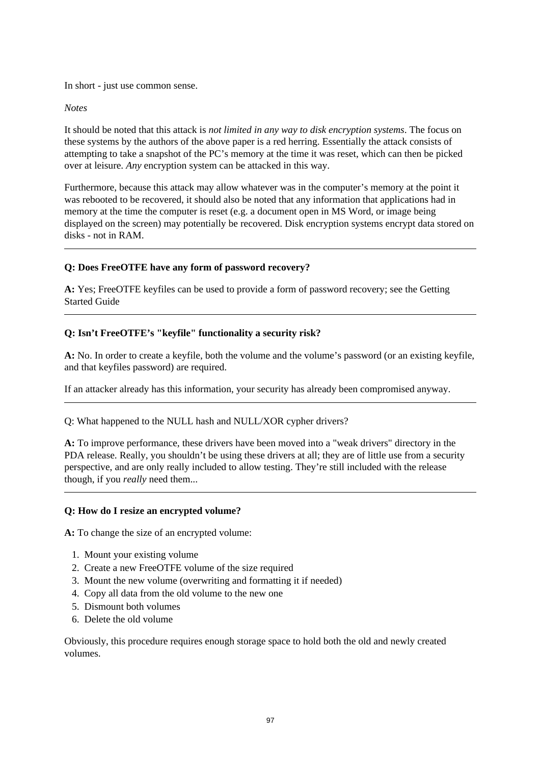In short - just use common sense.

#### *Notes*

It should be noted that this attack is *not limited in any way to disk encryption systems*. The focus on these systems by the authors of the above paper is a red herring. Essentially the attack consists of attempting to take a snapshot of the PC's memory at the time it was reset, which can then be picked over at leisure. *Any* encryption system can be attacked in this way.

Furthermore, because this attack may allow whatever was in the computer's memory at the point it was rebooted to be recovered, it should also be noted that any information that applications had in memory at the time the computer is reset (e.g. a document open in MS Word, or image being displayed on the screen) may potentially be recovered. Disk encryption systems encrypt data stored on disks - not in RAM.

#### **Q: Does FreeOTFE have any form of password recovery?**

**A:** Yes; FreeOTFE keyfiles can be used to provide a form of password recovery; see the Getting Started Guide

#### **Q: Isn't FreeOTFE's "keyfile" functionality a security risk?**

**A:** No. In order to create a keyfile, both the volume and the volume's password (or an existing keyfile, and that keyfiles password) are required.

If an attacker already has this information, your security has already been compromised anyway.

Q: What happened to the NULL hash and NULL/XOR cypher drivers?

**A:** To improve performance, these drivers have been moved into a "weak drivers" directory in the PDA release. Really, you shouldn't be using these drivers at all; they are of little use from a security perspective, and are only really included to allow testing. They're still included with the release though, if you *really* need them...

#### **Q: How do I resize an encrypted volume?**

**A:** To change the size of an encrypted volume:

- 1. Mount your existing volume
- 2. Create a new FreeOTFE volume of the size required
- 3. Mount the new volume (overwriting and formatting it if needed)
- 4. Copy all data from the old volume to the new one
- 5. Dismount both volumes
- 6. Delete the old volume

Obviously, this procedure requires enough storage space to hold both the old and newly created volumes.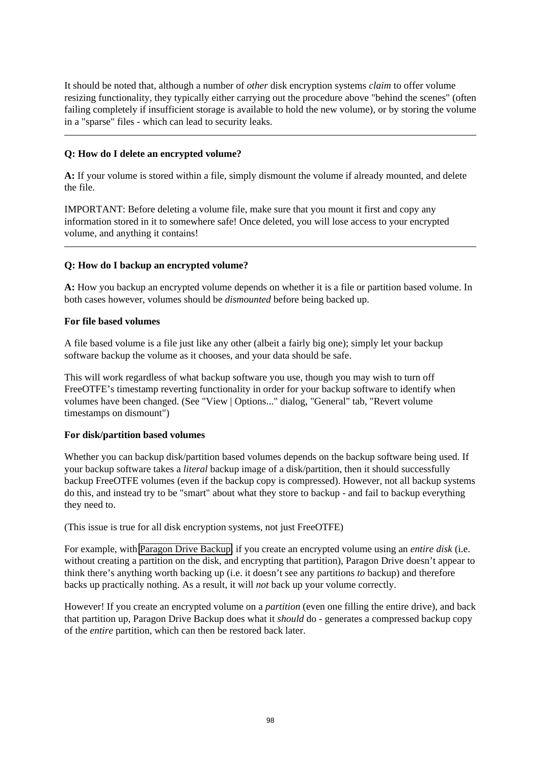It should be noted that, although a number of *other* disk encryption systems *claim* to offer volume resizing functionality, they typically either carrying out the procedure above "behind the scenes" (often failing completely if insufficient storage is available to hold the new volume), or by storing the volume in a "sparse" files - which can lead to security leaks.

#### **Q: How do I delete an encrypted volume?**

**A:** If your volume is stored within a file, simply dismount the volume if already mounted, and delete the file.

IMPORTANT: Before deleting a volume file, make sure that you mount it first and copy any information stored in it to somewhere safe! Once deleted, you will lose access to your encrypted volume, and anything it contains!

#### <span id="page-103-0"></span>**Q: How do I backup an encrypted volume?**

**A:** How you backup an encrypted volume depends on whether it is a file or partition based volume. In both cases however, volumes should be *dismounted* before being backed up.

#### **For file based volumes**

A file based volume is a file just like any other (albeit a fairly big one); simply let your backup software backup the volume as it chooses, and your data should be safe.

This will work regardless of what backup software you use, though you may wish to turn off FreeOTFE's timestamp reverting functionality in order for your backup software to identify when volumes have been changed. (See "View | Options..." dialog, "General" tab, "Revert volume timestamps on dismount")

#### **For disk/partition based volumes**

Whether you can backup disk/partition based volumes depends on the backup software being used. If your backup software takes a *literal* backup image of a disk/partition, then it should successfully backup FreeOTFE volumes (even if the backup copy is compressed). However, not all backup systems do this, and instead try to be "smart" about what they store to backup - and fail to backup everything they need to.

(This issue is true for all disk encryption systems, not just FreeOTFE)

For example, with [Paragon Drive Backup,](http://www.paragon-software.com/) if you create an encrypted volume using an *entire disk* (i.e. without creating a partition on the disk, and encrypting that partition), Paragon Drive doesn't appear to think there's anything worth backing up (i.e. it doesn't see any partitions *to* backup) and therefore backs up practically nothing. As a result, it will *not* back up your volume correctly.

However! If you create an encrypted volume on a *partition* (even one filling the entire drive), and back that partition up, Paragon Drive Backup does what it *should* do - generates a compressed backup copy of the *entire* partition, which can then be restored back later.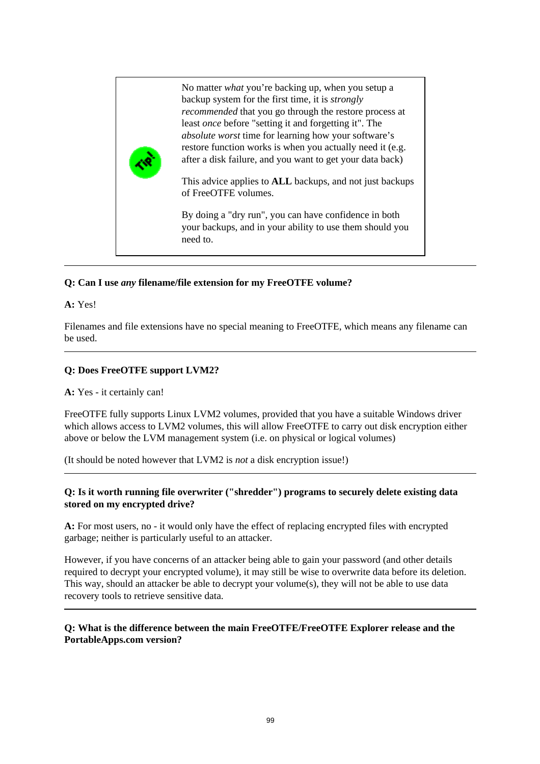

#### **Q: Can I use** *any* **filename/file extension for my FreeOTFE volume?**

#### **A:** Yes!

Filenames and file extensions have no special meaning to FreeOTFE, which means any filename can be used.

#### **Q: Does FreeOTFE support LVM2?**

**A:** Yes - it certainly can!

FreeOTFE fully supports Linux LVM2 volumes, provided that you have a suitable Windows driver which allows access to LVM2 volumes, this will allow FreeOTFE to carry out disk encryption either above or below the LVM management system (i.e. on physical or logical volumes)

(It should be noted however that LVM2 is *not* a disk encryption issue!)

#### **Q: Is it worth running file overwriter ("shredder") programs to securely delete existing data stored on my encrypted drive?**

**A:** For most users, no - it would only have the effect of replacing encrypted files with encrypted garbage; neither is particularly useful to an attacker.

However, if you have concerns of an attacker being able to gain your password (and other details required to decrypt your encrypted volume), it may still be wise to overwrite data before its deletion. This way, should an attacker be able to decrypt your volume(s), they will not be able to use data recovery tools to retrieve sensitive data.

#### **Q: What is the difference between the main FreeOTFE/FreeOTFE Explorer release and the PortableApps.com version?**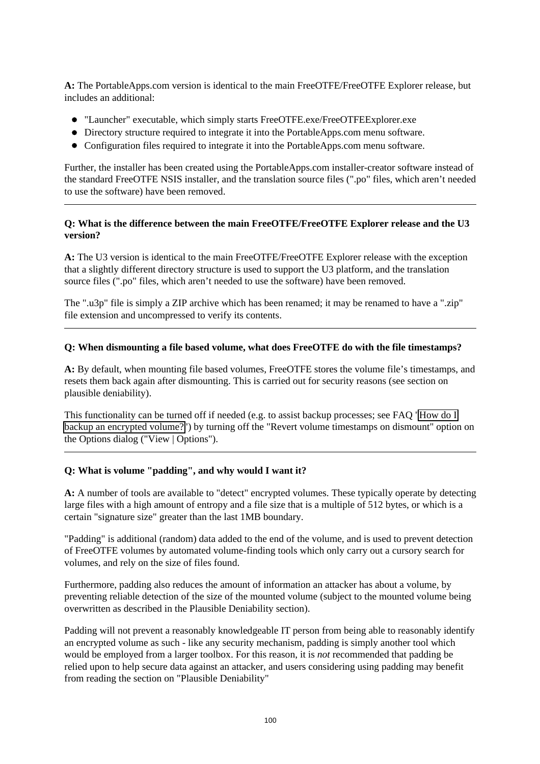**A:** The PortableApps.com version is identical to the main FreeOTFE/FreeOTFE Explorer release, but includes an additional:

- "Launcher" executable, which simply starts FreeOTFE.exe/FreeOTFEExplorer.exe
- Directory structure required to integrate it into the PortableApps.com menu software.
- Configuration files required to integrate it into the PortableApps.com menu software.

Further, the installer has been created using the PortableApps.com installer-creator software instead of the standard FreeOTFE NSIS installer, and the translation source files (".po" files, which aren't needed to use the software) have been removed.

#### **Q: What is the difference between the main FreeOTFE/FreeOTFE Explorer release and the U3 version?**

**A:** The U3 version is identical to the main FreeOTFE/FreeOTFE Explorer release with the exception that a slightly different directory structure is used to support the U3 platform, and the translation source files (".po" files, which aren't needed to use the software) have been removed.

The ".u3p" file is simply a ZIP archive which has been renamed; it may be renamed to have a ".zip" file extension and uncompressed to verify its contents.

#### **Q: When dismounting a file based volume, what does FreeOTFE do with the file timestamps?**

**A:** By default, when mounting file based volumes, FreeOTFE stores the volume file's timestamps, and resets them back again after dismounting. This is carried out for security reasons (see section on plausible deniability).

This functionality can be turned off if needed (e.g. to assist backup processes; see FAQ ["How do I](#page-103-0) [backup an encrypted volume?"](#page-103-0)) by turning off the "Revert volume timestamps on dismount" option on the Options dialog ("View | Options").

#### **Q: What is volume "padding", and why would I want it?**

**A:** A number of tools are available to "detect" encrypted volumes. These typically operate by detecting large files with a high amount of entropy and a file size that is a multiple of 512 bytes, or which is a certain "signature size" greater than the last 1MB boundary.

"Padding" is additional (random) data added to the end of the volume, and is used to prevent detection of FreeOTFE volumes by automated volume-finding tools which only carry out a cursory search for volumes, and rely on the size of files found.

Furthermore, padding also reduces the amount of information an attacker has about a volume, by preventing reliable detection of the size of the mounted volume (subject to the mounted volume being overwritten as described in the Plausible Deniability section).

Padding will not prevent a reasonably knowledgeable IT person from being able to reasonably identify an encrypted volume as such - like any security mechanism, padding is simply another tool which would be employed from a larger toolbox. For this reason, it is *not* recommended that padding be relied upon to help secure data against an attacker, and users considering using padding may benefit from reading the section on "Plausible Deniability"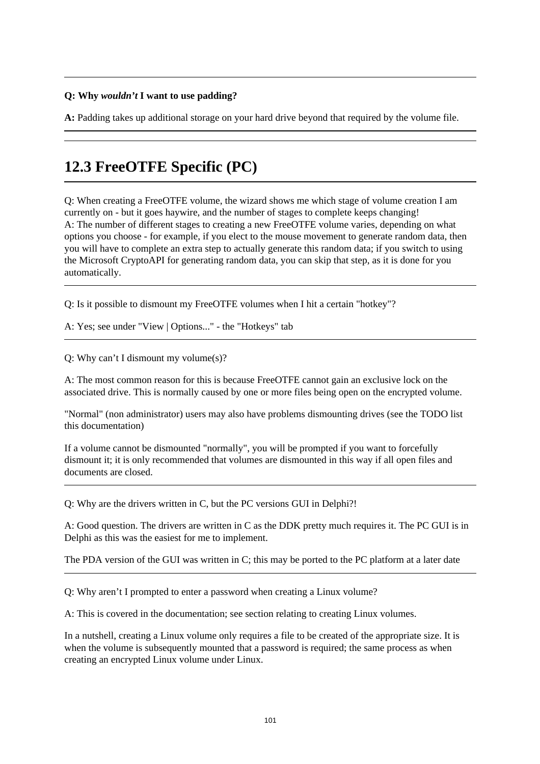#### **Q: Why** *wouldn't* **I want to use padding?**

**A:** Padding takes up additional storage on your hard drive beyond that required by the volume file.

# **12.3 FreeOTFE Specific (PC)**

Q: When creating a FreeOTFE volume, the wizard shows me which stage of volume creation I am currently on - but it goes haywire, and the number of stages to complete keeps changing! A: The number of different stages to creating a new FreeOTFE volume varies, depending on what options you choose - for example, if you elect to the mouse movement to generate random data, then you will have to complete an extra step to actually generate this random data; if you switch to using the Microsoft CryptoAPI for generating random data, you can skip that step, as it is done for you automatically.

Q: Is it possible to dismount my FreeOTFE volumes when I hit a certain "hotkey"?

A: Yes; see under "View | Options..." - the "Hotkeys" tab

Q: Why can't I dismount my volume(s)?

A: The most common reason for this is because FreeOTFE cannot gain an exclusive lock on the associated drive. This is normally caused by one or more files being open on the encrypted volume.

"Normal" (non administrator) users may also have problems dismounting drives (see the TODO list this documentation)

If a volume cannot be dismounted "normally", you will be prompted if you want to forcefully dismount it; it is only recommended that volumes are dismounted in this way if all open files and documents are closed.

Q: Why are the drivers written in C, but the PC versions GUI in Delphi?!

A: Good question. The drivers are written in C as the DDK pretty much requires it. The PC GUI is in Delphi as this was the easiest for me to implement.

The PDA version of the GUI was written in C; this may be ported to the PC platform at a later date

Q: Why aren't I prompted to enter a password when creating a Linux volume?

A: This is covered in the documentation; see section relating to creating Linux volumes.

In a nutshell, creating a Linux volume only requires a file to be created of the appropriate size. It is when the volume is subsequently mounted that a password is required; the same process as when creating an encrypted Linux volume under Linux.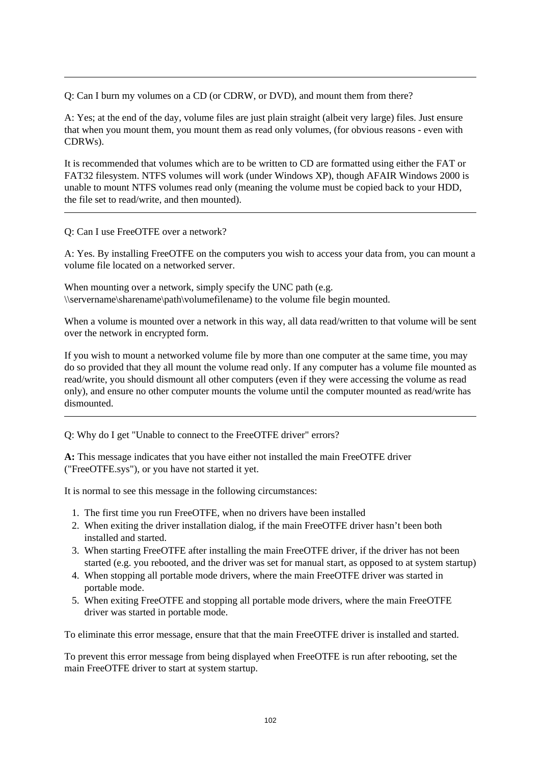Q: Can I burn my volumes on a CD (or CDRW, or DVD), and mount them from there?

A: Yes; at the end of the day, volume files are just plain straight (albeit very large) files. Just ensure that when you mount them, you mount them as read only volumes, (for obvious reasons - even with CDRWs).

It is recommended that volumes which are to be written to CD are formatted using either the FAT or FAT32 filesystem. NTFS volumes will work (under Windows XP), though AFAIR Windows 2000 is unable to mount NTFS volumes read only (meaning the volume must be copied back to your HDD, the file set to read/write, and then mounted).

Q: Can I use FreeOTFE over a network?

A: Yes. By installing FreeOTFE on the computers you wish to access your data from, you can mount a volume file located on a networked server.

When mounting over a network, simply specify the UNC path (e.g. \\servername\sharename\path\volumefilename) to the volume file begin mounted.

When a volume is mounted over a network in this way, all data read/written to that volume will be sent over the network in encrypted form.

If you wish to mount a networked volume file by more than one computer at the same time, you may do so provided that they all mount the volume read only. If any computer has a volume file mounted as read/write, you should dismount all other computers (even if they were accessing the volume as read only), and ensure no other computer mounts the volume until the computer mounted as read/write has dismounted.

Q: Why do I get "Unable to connect to the FreeOTFE driver" errors?

**A:** This message indicates that you have either not installed the main FreeOTFE driver ("FreeOTFE.sys"), or you have not started it yet.

It is normal to see this message in the following circumstances:

- 1. The first time you run FreeOTFE, when no drivers have been installed
- 2. When exiting the driver installation dialog, if the main FreeOTFE driver hasn't been both installed and started.
- 3. When starting FreeOTFE after installing the main FreeOTFE driver, if the driver has not been started (e.g. you rebooted, and the driver was set for manual start, as opposed to at system startup)
- 4. When stopping all portable mode drivers, where the main FreeOTFE driver was started in portable mode.
- 5. When exiting FreeOTFE and stopping all portable mode drivers, where the main FreeOTFE driver was started in portable mode.

To eliminate this error message, ensure that that the main FreeOTFE driver is installed and started.

To prevent this error message from being displayed when FreeOTFE is run after rebooting, set the main FreeOTFE driver to start at system startup.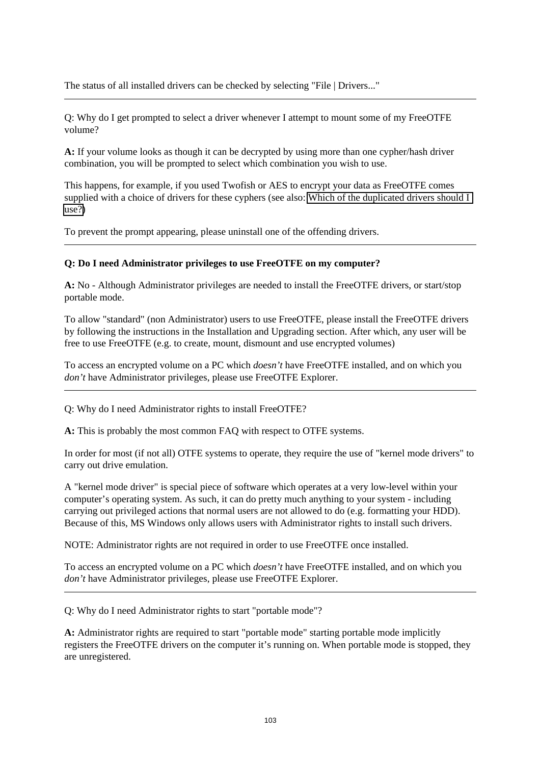The status of all installed drivers can be checked by selecting "File | Drivers..."

Q: Why do I get prompted to select a driver whenever I attempt to mount some of my FreeOTFE volume?

**A:** If your volume looks as though it can be decrypted by using more than one cypher/hash driver combination, you will be prompted to select which combination you wish to use.

This happens, for example, if you used Twofish or AES to encrypt your data as FreeOTFE comes supplied with a choice of drivers for these cyphers (see also: Which of the duplicated drivers should I [use?\)](#page-99-0)

To prevent the prompt appearing, please uninstall one of the offending drivers.

#### **Q: Do I need Administrator privileges to use FreeOTFE on my computer?**

**A:** No - Although Administrator privileges are needed to install the FreeOTFE drivers, or start/stop portable mode.

To allow "standard" (non Administrator) users to use FreeOTFE, please install the FreeOTFE drivers by following the instructions in the Installation and Upgrading section. After which, any user will be free to use FreeOTFE (e.g. to create, mount, dismount and use encrypted volumes)

To access an encrypted volume on a PC which *doesn't* have FreeOTFE installed, and on which you *don't* have Administrator privileges, please use FreeOTFE Explorer.

<span id="page-108-0"></span>Q: Why do I need Administrator rights to install FreeOTFE?

**A:** This is probably the most common FAQ with respect to OTFE systems.

In order for most (if not all) OTFE systems to operate, they require the use of "kernel mode drivers" to carry out drive emulation.

A "kernel mode driver" is special piece of software which operates at a very low-level within your computer's operating system. As such, it can do pretty much anything to your system - including carrying out privileged actions that normal users are not allowed to do (e.g. formatting your HDD). Because of this, MS Windows only allows users with Administrator rights to install such drivers.

NOTE: Administrator rights are not required in order to use FreeOTFE once installed.

To access an encrypted volume on a PC which *doesn't* have FreeOTFE installed, and on which you *don't* have Administrator privileges, please use FreeOTFE Explorer.

Q: Why do I need Administrator rights to start "portable mode"?

**A:** Administrator rights are required to start "portable mode" starting portable mode implicitly registers the FreeOTFE drivers on the computer it's running on. When portable mode is stopped, they are unregistered.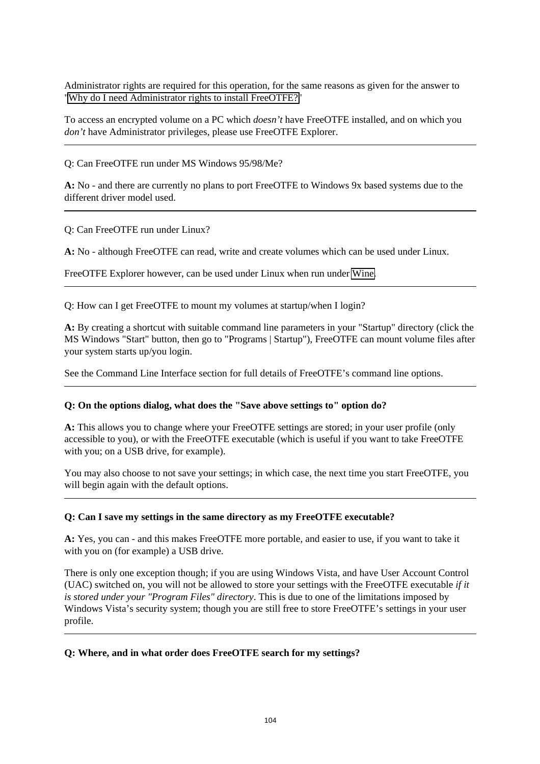Administrator rights are required for this operation, for the same reasons as given for the answer to ["Why do I need Administrator rights to install FreeOTFE?"](#page-108-0)

To access an encrypted volume on a PC which *doesn't* have FreeOTFE installed, and on which you *don't* have Administrator privileges, please use FreeOTFE Explorer.

Q: Can FreeOTFE run under MS Windows 95/98/Me?

**A:** No - and there are currently no plans to port FreeOTFE to Windows 9x based systems due to the different driver model used.

Q: Can FreeOTFE run under Linux?

**A:** No - although FreeOTFE can read, write and create volumes which can be used under Linux.

FreeOTFE Explorer however, can be used under Linux when run under [Wine.](http://www.winehq.org/)

Q: How can I get FreeOTFE to mount my volumes at startup/when I login?

**A:** By creating a shortcut with suitable command line parameters in your "Startup" directory (click the MS Windows "Start" button, then go to "Programs | Startup"), FreeOTFE can mount volume files after your system starts up/you login.

See the Command Line Interface section for full details of FreeOTFE's command line options.

#### **Q: On the options dialog, what does the "Save above settings to" option do?**

**A:** This allows you to change where your FreeOTFE settings are stored; in your user profile (only accessible to you), or with the FreeOTFE executable (which is useful if you want to take FreeOTFE with you; on a USB drive, for example).

You may also choose to not save your settings; in which case, the next time you start FreeOTFE, you will begin again with the default options.

#### **Q: Can I save my settings in the same directory as my FreeOTFE executable?**

**A:** Yes, you can - and this makes FreeOTFE more portable, and easier to use, if you want to take it with you on (for example) a USB drive.

There is only one exception though; if you are using Windows Vista, and have User Account Control (UAC) switched on, you will not be allowed to store your settings with the FreeOTFE executable *if it is stored under your "Program Files" directory*. This is due to one of the limitations imposed by Windows Vista's security system; though you are still free to store FreeOTFE's settings in your user profile.

#### **Q: Where, and in what order does FreeOTFE search for my settings?**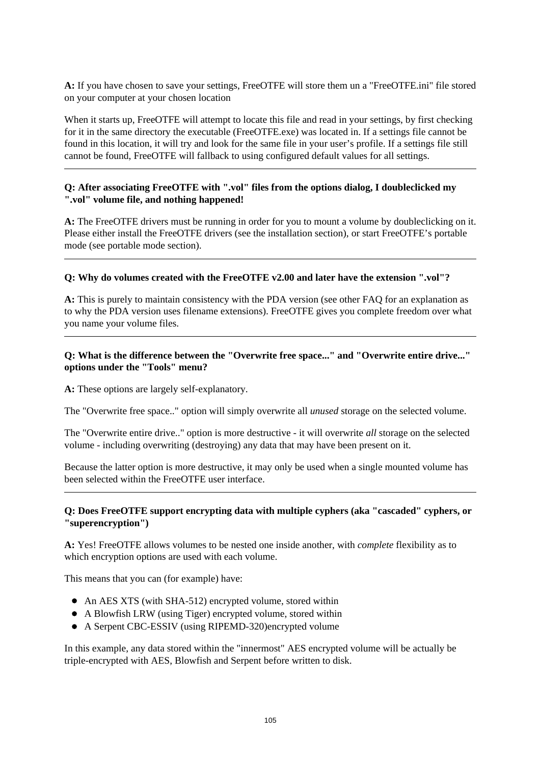**A:** If you have chosen to save your settings, FreeOTFE will store them un a "FreeOTFE.ini" file stored on your computer at your chosen location

When it starts up, FreeOTFE will attempt to locate this file and read in your settings, by first checking for it in the same directory the executable (FreeOTFE.exe) was located in. If a settings file cannot be found in this location, it will try and look for the same file in your user's profile. If a settings file still cannot be found, FreeOTFE will fallback to using configured default values for all settings.

#### **Q: After associating FreeOTFE with ".vol" files from the options dialog, I doubleclicked my ".vol" volume file, and nothing happened!**

**A:** The FreeOTFE drivers must be running in order for you to mount a volume by doubleclicking on it. Please either install the FreeOTFE drivers (see the installation section), or start FreeOTFE's portable mode (see portable mode section).

#### **Q: Why do volumes created with the FreeOTFE v2.00 and later have the extension ".vol"?**

**A:** This is purely to maintain consistency with the PDA version (see other FAQ for an explanation as to why the PDA version uses filename extensions). FreeOTFE gives you complete freedom over what you name your volume files.

#### **Q: What is the difference between the "Overwrite free space..." and "Overwrite entire drive..." options under the "Tools" menu?**

**A:** These options are largely self-explanatory.

The "Overwrite free space.." option will simply overwrite all *unused* storage on the selected volume.

The "Overwrite entire drive.." option is more destructive - it will overwrite *all* storage on the selected volume - including overwriting (destroying) any data that may have been present on it.

Because the latter option is more destructive, it may only be used when a single mounted volume has been selected within the FreeOTFE user interface.

#### **Q: Does FreeOTFE support encrypting data with multiple cyphers (aka "cascaded" cyphers, or "superencryption")**

**A:** Yes! FreeOTFE allows volumes to be nested one inside another, with *complete* flexibility as to which encryption options are used with each volume.

This means that you can (for example) have:

- An AES XTS (with SHA-512) encrypted volume, stored within
- A Blowfish LRW (using Tiger) encrypted volume, stored within
- A Serpent CBC-ESSIV (using RIPEMD-320)encrypted volume

In this example, any data stored within the "innermost" AES encrypted volume will be actually be triple-encrypted with AES, Blowfish and Serpent before written to disk.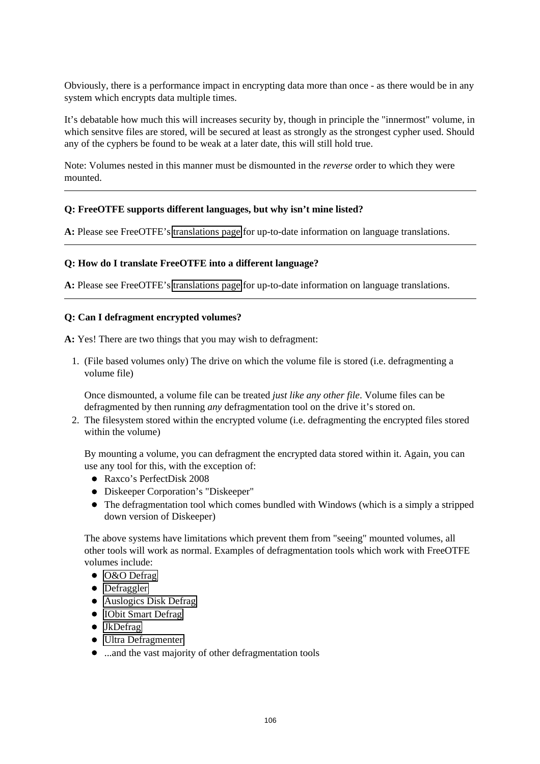Obviously, there is a performance impact in encrypting data more than once - as there would be in any system which encrypts data multiple times.

It's debatable how much this will increases security by, though in principle the "innermost" volume, in which sensitve files are stored, will be secured at least as strongly as the strongest cypher used. Should any of the cyphers be found to be weak at a later date, this will still hold true.

Note: Volumes nested in this manner must be dismounted in the *reverse* order to which they were mounted.

#### **Q: FreeOTFE supports different languages, but why isn't mine listed?**

**A:** Please see FreeOTFE's [translations page](http://www.FreeOTFE.org/translations.html) for up-to-date information on language translations.

#### **Q: How do I translate FreeOTFE into a different language?**

**A:** Please see FreeOTFE's [translations page](http://www.FreeOTFE.org/translations.html) for up-to-date information on language translations.

#### **Q: Can I defragment encrypted volumes?**

**A:** Yes! There are two things that you may wish to defragment:

1. (File based volumes only) The drive on which the volume file is stored (i.e. defragmenting a volume file)

Once dismounted, a volume file can be treated *just like any other file*. Volume files can be defragmented by then running *any* defragmentation tool on the drive it's stored on.

2. The filesystem stored within the encrypted volume (i.e. defragmenting the encrypted files stored within the volume)

By mounting a volume, you can defragment the encrypted data stored within it. Again, you can use any tool for this, with the exception of:

- Raxco's PerfectDisk 2008
- Diskeeper Corporation's "Diskeeper"
- The defragmentation tool which comes bundled with Windows (which is a simply a stripped down version of Diskeeper)

The above systems have limitations which prevent them from "seeing" mounted volumes, all other tools will work as normal. Examples of defragmentation tools which work with FreeOTFE volumes include:

- O&O Defrag
- Defraggler
- [Auslogics Disk Defrag](http://www.auslogics.com/disk-defrag)
- IObit Smart Defrag
- JkDefrag
- [Ultra Defragmenter](http://ultradefrag.sourceforge.net/)
- ...and the vast majority of other defragmentation tools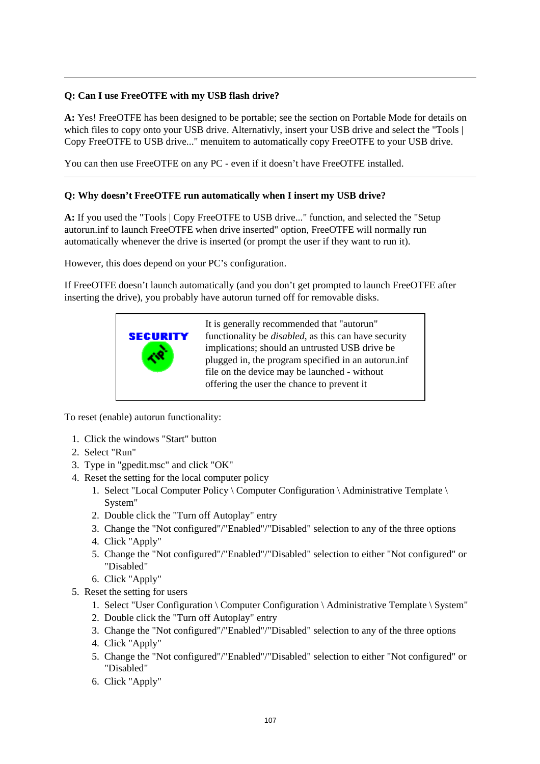#### **Q: Can I use FreeOTFE with my USB flash drive?**

**A:** Yes! FreeOTFE has been designed to be portable; see the section on Portable Mode for details on which files to copy onto your USB drive. Alternativly, insert your USB drive and select the "Tools | Copy FreeOTFE to USB drive..." menuitem to automatically copy FreeOTFE to your USB drive.

You can then use FreeOTFE on any PC - even if it doesn't have FreeOTFE installed.

#### **Q: Why doesn't FreeOTFE run automatically when I insert my USB drive?**

**A:** If you used the "Tools | Copy FreeOTFE to USB drive..." function, and selected the "Setup autorun.inf to launch FreeOTFE when drive inserted" option, FreeOTFE will normally run automatically whenever the drive is inserted (or prompt the user if they want to run it).

However, this does depend on your PC's configuration.

If FreeOTFE doesn't launch automatically (and you don't get prompted to launch FreeOTFE after inserting the drive), you probably have autorun turned off for removable disks.



To reset (enable) autorun functionality:

- 1. Click the windows "Start" button
- 2. Select "Run"
- 3. Type in "gpedit.msc" and click "OK"
- 4. Reset the setting for the local computer policy
	- 1. Select "Local Computer Policy \ Computer Configuration \ Administrative Template \ System"
	- 2. Double click the "Turn off Autoplay" entry
	- 3. Change the "Not configured"/"Enabled"/"Disabled" selection to any of the three options
	- 4. Click "Apply"
	- 5. Change the "Not configured"/"Enabled"/"Disabled" selection to either "Not configured" or "Disabled"
	- 6. Click "Apply"
- 5. Reset the setting for users
	- 1. Select "User Configuration \ Computer Configuration \ Administrative Template \ System"
	- 2. Double click the "Turn off Autoplay" entry
	- 3. Change the "Not configured"/"Enabled"/"Disabled" selection to any of the three options
	- 4. Click "Apply"
	- 5. Change the "Not configured"/"Enabled"/"Disabled" selection to either "Not configured" or "Disabled"
	- 6. Click "Apply"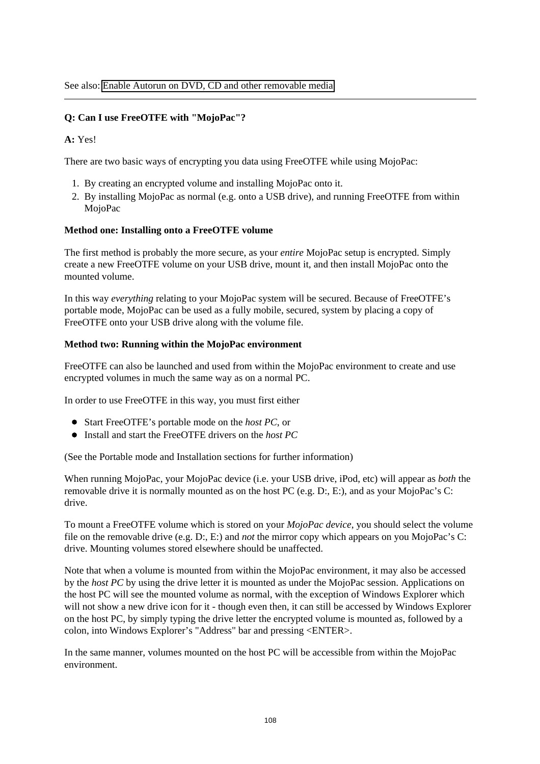#### **Q: Can I use FreeOTFE with "MojoPac"?**

#### **A:** Yes!

There are two basic ways of encrypting you data using FreeOTFE while using MojoPac:

- 1. By creating an encrypted volume and installing MojoPac onto it.
- 2. By installing MojoPac as normal (e.g. onto a USB drive), and running FreeOTFE from within MojoPac

#### **Method one: Installing onto a FreeOTFE volume**

The first method is probably the more secure, as your *entire* MojoPac setup is encrypted. Simply create a new FreeOTFE volume on your USB drive, mount it, and then install MojoPac onto the mounted volume.

In this way *everything* relating to your MojoPac system will be secured. Because of FreeOTFE's portable mode, MojoPac can be used as a fully mobile, secured, system by placing a copy of FreeOTFE onto your USB drive along with the volume file.

#### **Method two: Running within the MojoPac environment**

FreeOTFE can also be launched and used from within the MojoPac environment to create and use encrypted volumes in much the same way as on a normal PC.

In order to use FreeOTFE in this way, you must first either

- Start FreeOTFE's portable mode on the *host PC*, or
- Install and start the FreeOTFE drivers on the *host PC*

(See the Portable mode and Installation sections for further information)

When running MojoPac, your MojoPac device (i.e. your USB drive, iPod, etc) will appear as *both* the removable drive it is normally mounted as on the host PC (e.g. D:, E:), and as your MojoPac's C: drive.

To mount a FreeOTFE volume which is stored on your *MojoPac device*, you should select the volume file on the removable drive (e.g. D:, E:) and *not* the mirror copy which appears on you MojoPac's C: drive. Mounting volumes stored elsewhere should be unaffected.

Note that when a volume is mounted from within the MojoPac environment, it may also be accessed by the *host PC* by using the drive letter it is mounted as under the MojoPac session. Applications on the host PC will see the mounted volume as normal, with the exception of Windows Explorer which will not show a new drive icon for it - though even then, it can still be accessed by Windows Explorer on the host PC, by simply typing the drive letter the encrypted volume is mounted as, followed by a colon, into Windows Explorer's "Address" bar and pressing <ENTER>.

In the same manner, volumes mounted on the host PC will be accessible from within the MojoPac environment.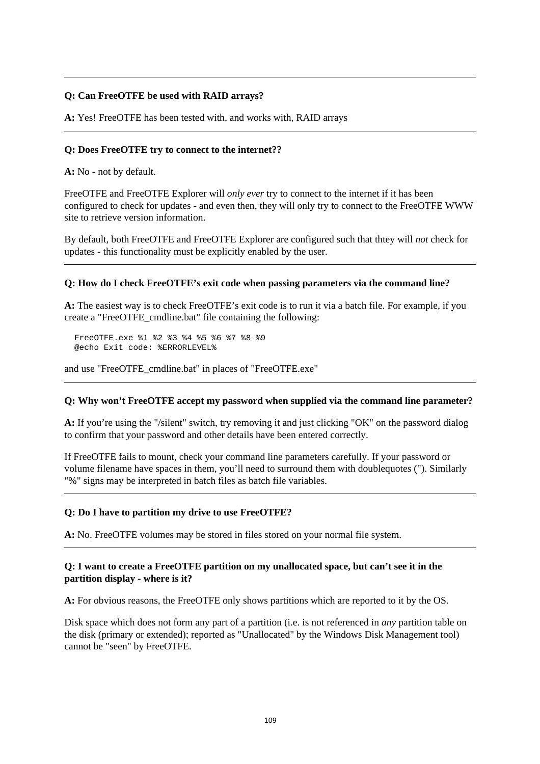#### **Q: Can FreeOTFE be used with RAID arrays?**

**A:** Yes! FreeOTFE has been tested with, and works with, RAID arrays

#### <span id="page-114-0"></span>**Q: Does FreeOTFE try to connect to the internet??**

**A:** No - not by default.

FreeOTFE and FreeOTFE Explorer will *only ever* try to connect to the internet if it has been configured to check for updates - and even then, they will only try to connect to the FreeOTFE WWW site to retrieve version information.

By default, both FreeOTFE and FreeOTFE Explorer are configured such that thtey will *not* check for updates - this functionality must be explicitly enabled by the user.

#### **Q: How do I check FreeOTFE's exit code when passing parameters via the command line?**

**A:** The easiest way is to check FreeOTFE's exit code is to run it via a batch file. For example, if you create a "FreeOTFE\_cmdline.bat" file containing the following:

FreeOTFE.exe %1 %2 %3 %4 %5 %6 %7 %8 %9 @echo Exit code: %ERRORLEVEL%

and use "FreeOTFE\_cmdline.bat" in places of "FreeOTFE.exe"

#### **Q: Why won't FreeOTFE accept my password when supplied via the command line parameter?**

**A:** If you're using the "/silent" switch, try removing it and just clicking "OK" on the password dialog to confirm that your password and other details have been entered correctly.

If FreeOTFE fails to mount, check your command line parameters carefully. If your password or volume filename have spaces in them, you'll need to surround them with doublequotes ("). Similarly "%" signs may be interpreted in batch files as batch file variables.

#### **Q: Do I have to partition my drive to use FreeOTFE?**

**A:** No. FreeOTFE volumes may be stored in files stored on your normal file system.

#### **Q: I want to create a FreeOTFE partition on my unallocated space, but can't see it in the partition display - where is it?**

**A:** For obvious reasons, the FreeOTFE only shows partitions which are reported to it by the OS.

Disk space which does not form any part of a partition (i.e. is not referenced in *any* partition table on the disk (primary or extended); reported as "Unallocated" by the Windows Disk Management tool) cannot be "seen" by FreeOTFE.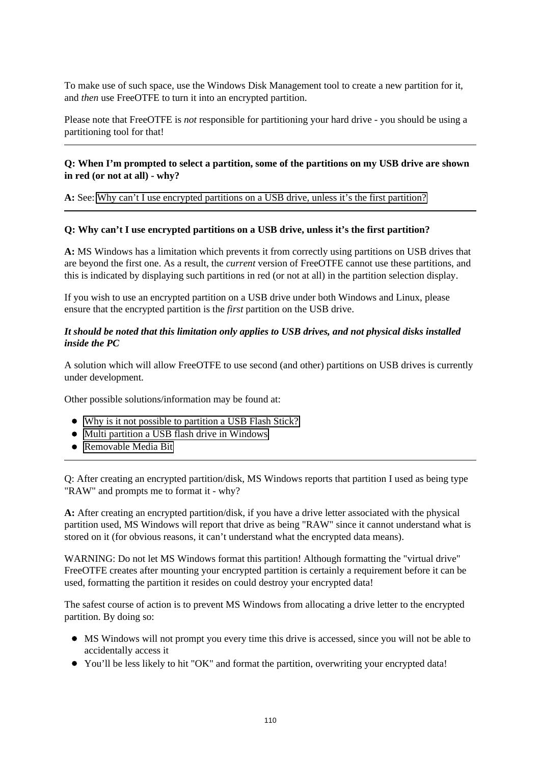To make use of such space, use the Windows Disk Management tool to create a new partition for it, and *then* use FreeOTFE to turn it into an encrypted partition.

Please note that FreeOTFE is *not* responsible for partitioning your hard drive - you should be using a partitioning tool for that!

#### **Q: When I'm prompted to select a partition, some of the partitions on my USB drive are shown in red (or not at all) - why?**

**A:** See: [Why can't I use encrypted partitions on a USB drive, unless it's the first partition?](#page-115-0) 

#### <span id="page-115-0"></span>**Q: Why can't I use encrypted partitions on a USB drive, unless it's the first partition?**

**A:** MS Windows has a limitation which prevents it from correctly using partitions on USB drives that are beyond the first one. As a result, the *current* version of FreeOTFE cannot use these partitions, and this is indicated by displaying such partitions in red (or not at all) in the partition selection display.

If you wish to use an encrypted partition on a USB drive under both Windows and Linux, please ensure that the encrypted partition is the *first* partition on the USB drive.

#### *It should be noted that this limitation only applies to USB drives, and not physical disks installed inside the PC*

A solution which will allow FreeOTFE to use second (and other) partitions on USB drives is currently under development.

Other possible solutions/information may be found at:

- [Why is it not possible to partition a USB Flash Stick?](http://www.techspot.com/vb/topic18736.html)
- [Multi partition a USB flash drive in Windows](http://www.lancelhoff.com/2008/05/01/multi-partition-a-usb-flash-drive-in-windows/)
- [Removable Media Bit](http://www.911cd.net/forums//index.php?showtopic=21572/)

Q: After creating an encrypted partition/disk, MS Windows reports that partition I used as being type "RAW" and prompts me to format it - why?

**A:** After creating an encrypted partition/disk, if you have a drive letter associated with the physical partition used, MS Windows will report that drive as being "RAW" since it cannot understand what is stored on it (for obvious reasons, it can't understand what the encrypted data means).

WARNING: Do not let MS Windows format this partition! Although formatting the "virtual drive" FreeOTFE creates after mounting your encrypted partition is certainly a requirement before it can be used, formatting the partition it resides on could destroy your encrypted data!

The safest course of action is to prevent MS Windows from allocating a drive letter to the encrypted partition. By doing so:

- MS Windows will not prompt you every time this drive is accessed, since you will not be able to accidentally access it
- You'll be less likely to hit "OK" and format the partition, overwriting your encrypted data!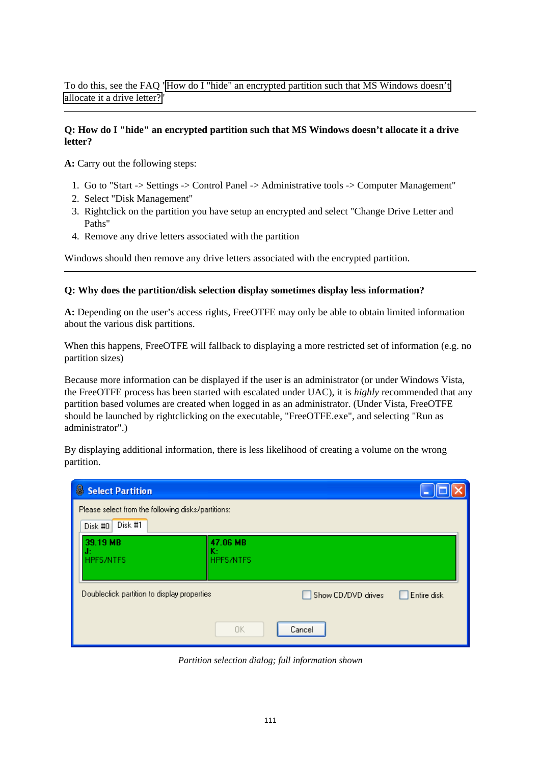To do this, see the FAQ ["How do I "hide" an encrypted partition such that MS Windows doesn't](#page-116-0) [allocate it a drive letter?"](#page-116-0)

#### <span id="page-116-0"></span>**Q: How do I "hide" an encrypted partition such that MS Windows doesn't allocate it a drive letter?**

**A:** Carry out the following steps:

- 1. Go to "Start -> Settings -> Control Panel -> Administrative tools -> Computer Management"
- 2. Select "Disk Management"
- 3. Rightclick on the partition you have setup an encrypted and select "Change Drive Letter and Paths"
- 4. Remove any drive letters associated with the partition

Windows should then remove any drive letters associated with the encrypted partition.

#### **Q: Why does the partition/disk selection display sometimes display less information?**

**A:** Depending on the user's access rights, FreeOTFE may only be able to obtain limited information about the various disk partitions.

When this happens, FreeOTFE will fallback to displaying a more restricted set of information (e.g. no partition sizes)

Because more information can be displayed if the user is an administrator (or under Windows Vista, the FreeOTFE process has been started with escalated under UAC), it is *highly* recommended that any partition based volumes are created when logged in as an administrator. (Under Vista, FreeOTFE should be launched by rightclicking on the executable, "FreeOTFE.exe", and selecting "Run as administrator".)

By displaying additional information, there is less likelihood of creating a volume on the wrong partition.

| 8<br><b>Select Partition</b>                                             |                                    |                    |             |
|--------------------------------------------------------------------------|------------------------------------|--------------------|-------------|
| Please select from the following disks/partitions:<br>Disk #1<br>Disk #0 |                                    |                    |             |
| 39.19 MB<br>J:<br><b>HPFS/NTFS</b>                                       | 47.06 MB<br>K:<br><b>HPFS/NTFS</b> |                    |             |
| Doubleclick partition to display properties                              |                                    | Show CD/DVD drives | Entire disk |
|                                                                          | 0K                                 | Cancel             |             |

*Partition selection dialog; full information shown*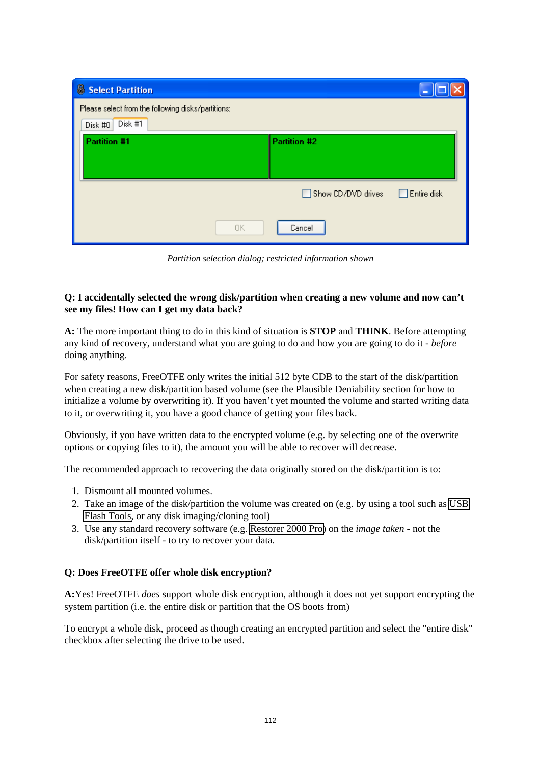| Select Partition                                   |                                          |
|----------------------------------------------------|------------------------------------------|
| Please select from the following disks/partitions: |                                          |
| Disk #1<br>Disk #0                                 |                                          |
| <b>Partition #1</b>                                | Partition #2                             |
|                                                    |                                          |
|                                                    | $\Box$ Entire disk<br>Show CD/DVD drives |
| 0K                                                 | Cancel                                   |

*Partition selection dialog; restricted information shown*

#### **Q: I accidentally selected the wrong disk/partition when creating a new volume and now can't see my files! How can I get my data back?**

**A:** The more important thing to do in this kind of situation is **STOP** and **THINK**. Before attempting any kind of recovery, understand what you are going to do and how you are going to do it - *before* doing anything.

For safety reasons, FreeOTFE only writes the initial 512 byte CDB to the start of the disk/partition when creating a new disk/partition based volume (see the Plausible Deniability section for how to initialize a volume by overwriting it). If you haven't yet mounted the volume and started writing data to it, or overwriting it, you have a good chance of getting your files back.

Obviously, if you have written data to the encrypted volume (e.g. by selecting one of the overwrite options or copying files to it), the amount you will be able to recover will decrease.

The recommended approach to recovering the data originally stored on the disk/partition is to:

- 1. Dismount all mounted volumes.
- 2. Take an image of the disk/partition the volume was created on (e.g. by using a tool such as [USB](http://www.sdean12.org/USBFlashTools.htm) [Flash Tools,](http://www.sdean12.org/USBFlashTools.htm) or any disk imaging/cloning tool)
- 3. Use any standard recovery software (e.g. [Restorer 2000 Pro\)](http://www.restorer2000.com/) on the *image taken* not the disk/partition itself - to try to recover your data.

#### **Q: Does FreeOTFE offer whole disk encryption?**

**A:**Yes! FreeOTFE *does* support whole disk encryption, although it does not yet support encrypting the system partition (i.e. the entire disk or partition that the OS boots from)

To encrypt a whole disk, proceed as though creating an encrypted partition and select the "entire disk" checkbox after selecting the drive to be used.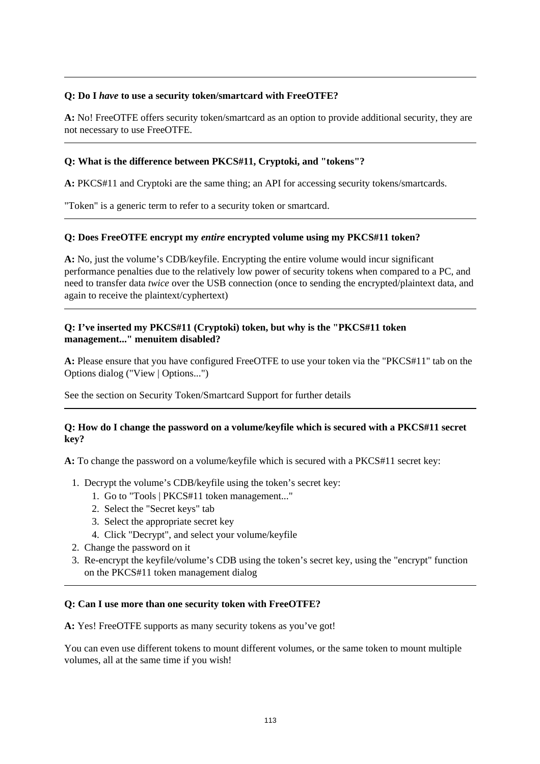#### **Q: Do I** *have* **to use a security token/smartcard with FreeOTFE?**

**A:** No! FreeOTFE offers security token/smartcard as an option to provide additional security, they are not necessary to use FreeOTFE.

#### **Q: What is the difference between PKCS#11, Cryptoki, and "tokens"?**

**A:** PKCS#11 and Cryptoki are the same thing; an API for accessing security tokens/smartcards.

"Token" is a generic term to refer to a security token or smartcard.

#### **Q: Does FreeOTFE encrypt my** *entire* **encrypted volume using my PKCS#11 token?**

**A:** No, just the volume's CDB/keyfile. Encrypting the entire volume would incur significant performance penalties due to the relatively low power of security tokens when compared to a PC, and need to transfer data *twice* over the USB connection (once to sending the encrypted/plaintext data, and again to receive the plaintext/cyphertext)

#### **Q: I've inserted my PKCS#11 (Cryptoki) token, but why is the "PKCS#11 token management..." menuitem disabled?**

**A:** Please ensure that you have configured FreeOTFE to use your token via the "PKCS#11" tab on the Options dialog ("View | Options...")

See the section on Security Token/Smartcard Support for further details

#### **Q: How do I change the password on a volume/keyfile which is secured with a PKCS#11 secret key?**

**A:** To change the password on a volume/keyfile which is secured with a PKCS#11 secret key:

- 1. Decrypt the volume's CDB/keyfile using the token's secret key:
	- 1. Go to "Tools | PKCS#11 token management..."
	- 2. Select the "Secret keys" tab
	- 3. Select the appropriate secret key
	- 4. Click "Decrypt", and select your volume/keyfile
- 2. Change the password on it
- 3. Re-encrypt the keyfile/volume's CDB using the token's secret key, using the "encrypt" function on the PKCS#11 token management dialog

#### **Q: Can I use more than one security token with FreeOTFE?**

**A:** Yes! FreeOTFE supports as many security tokens as you've got!

You can even use different tokens to mount different volumes, or the same token to mount multiple volumes, all at the same time if you wish!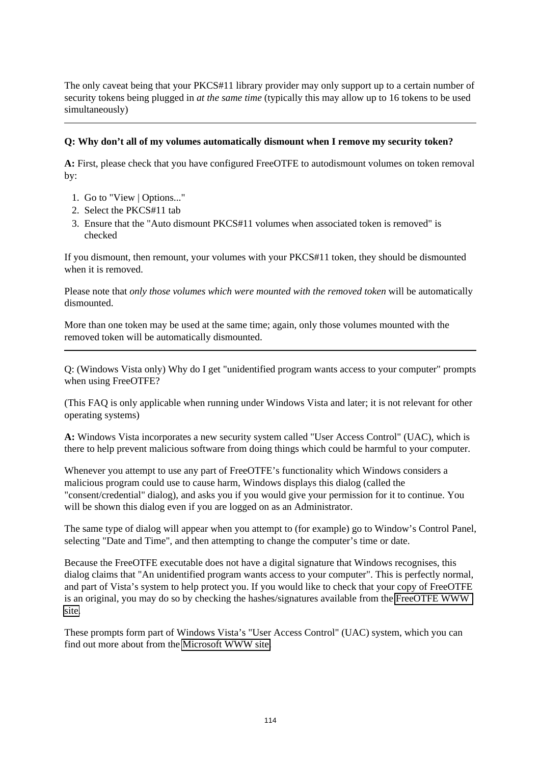The only caveat being that your PKCS#11 library provider may only support up to a certain number of security tokens being plugged in *at the same time* (typically this may allow up to 16 tokens to be used simultaneously)

#### **Q: Why don't all of my volumes automatically dismount when I remove my security token?**

**A:** First, please check that you have configured FreeOTFE to autodismount volumes on token removal by:

- 1. Go to "View | Options..."
- 2. Select the PKCS#11 tab
- 3. Ensure that the "Auto dismount PKCS#11 volumes when associated token is removed" is checked

If you dismount, then remount, your volumes with your PKCS#11 token, they should be dismounted when it is removed.

Please note that *only those volumes which were mounted with the removed token* will be automatically dismounted.

More than one token may be used at the same time; again, only those volumes mounted with the removed token will be automatically dismounted.

Q: (Windows Vista only) Why do I get "unidentified program wants access to your computer" prompts when using FreeOTFE?

(This FAQ is only applicable when running under Windows Vista and later; it is not relevant for other operating systems)

**A:** Windows Vista incorporates a new security system called "User Access Control" (UAC), which is there to help prevent malicious software from doing things which could be harmful to your computer.

Whenever you attempt to use any part of FreeOTFE's functionality which Windows considers a malicious program could use to cause harm, Windows displays this dialog (called the "consent/credential" dialog), and asks you if you would give your permission for it to continue. You will be shown this dialog even if you are logged on as an Administrator.

The same type of dialog will appear when you attempt to (for example) go to Window's Control Panel, selecting "Date and Time", and then attempting to change the computer's time or date.

Because the FreeOTFE executable does not have a digital signature that Windows recognises, this dialog claims that "An unidentified program wants access to your computer". This is perfectly normal, and part of Vista's system to help protect you. If you would like to check that your copy of FreeOTFE is an original, you may do so by checking the hashes/signatures available from the [FreeOTFE WWW](http://www.FreeOTFE.org/)  [site.](http://www.FreeOTFE.org/)

These prompts form part of Windows Vista's "User Access Control" (UAC) system, which you can find out more about from the [Microsoft WWW site.](http://technet.microsoft.com/en-us/windowsvista/aa906022.aspx)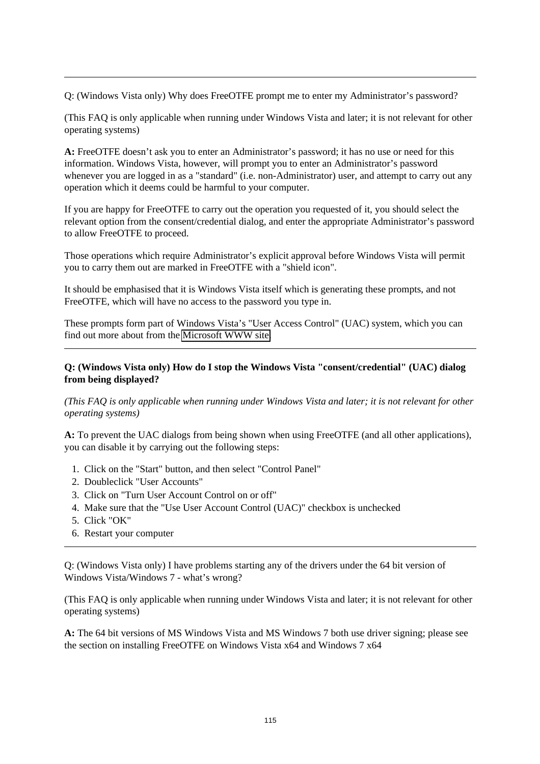Q: (Windows Vista only) Why does FreeOTFE prompt me to enter my Administrator's password?

(This FAQ is only applicable when running under Windows Vista and later; it is not relevant for other operating systems)

**A:** FreeOTFE doesn't ask you to enter an Administrator's password; it has no use or need for this information. Windows Vista, however, will prompt you to enter an Administrator's password whenever you are logged in as a "standard" (i.e. non-Administrator) user, and attempt to carry out any operation which it deems could be harmful to your computer.

If you are happy for FreeOTFE to carry out the operation you requested of it, you should select the relevant option from the consent/credential dialog, and enter the appropriate Administrator's password to allow FreeOTFE to proceed.

Those operations which require Administrator's explicit approval before Windows Vista will permit you to carry them out are marked in FreeOTFE with a "shield icon".

It should be emphasised that it is Windows Vista itself which is generating these prompts, and not FreeOTFE, which will have no access to the password you type in.

These prompts form part of Windows Vista's "User Access Control" (UAC) system, which you can find out more about from the [Microsoft WWW site.](http://technet.microsoft.com/en-us/windowsvista/aa906022.aspx)

#### **Q: (Windows Vista only) How do I stop the Windows Vista "consent/credential" (UAC) dialog from being displayed?**

*(This FAQ is only applicable when running under Windows Vista and later; it is not relevant for other operating systems)*

**A:** To prevent the UAC dialogs from being shown when using FreeOTFE (and all other applications), you can disable it by carrying out the following steps:

- 1. Click on the "Start" button, and then select "Control Panel"
- 2. Doubleclick "User Accounts"
- 3. Click on "Turn User Account Control on or off"
- 4. Make sure that the "Use User Account Control (UAC)" checkbox is unchecked
- 5. Click "OK"
- 6. Restart your computer

Q: (Windows Vista only) I have problems starting any of the drivers under the 64 bit version of Windows Vista/Windows 7 - what's wrong?

(This FAQ is only applicable when running under Windows Vista and later; it is not relevant for other operating systems)

**A:** The 64 bit versions of MS Windows Vista and MS Windows 7 both use driver signing; please see the section on installing FreeOTFE on Windows Vista x64 and Windows 7 x64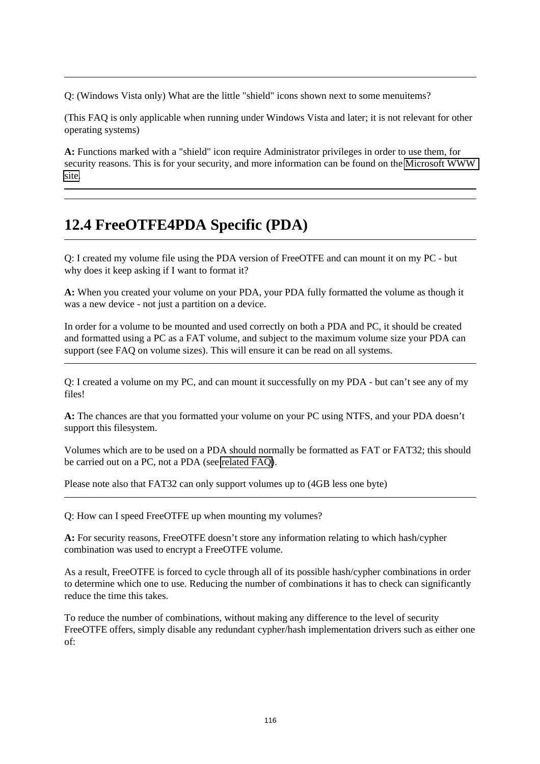Q: (Windows Vista only) What are the little "shield" icons shown next to some menuitems?

(This FAQ is only applicable when running under Windows Vista and later; it is not relevant for other operating systems)

**A:** Functions marked with a "shield" icon require Administrator privileges in order to use them, for security reasons. This is for your security, and more information can be found on the [Microsoft WWW](http://technet.microsoft.com/en-us/windowsvista/aa906022.aspx)  [site.](http://technet.microsoft.com/en-us/windowsvista/aa906022.aspx)

# **12.4 FreeOTFE4PDA Specific (PDA)**

<span id="page-121-0"></span>Q: I created my volume file using the PDA version of FreeOTFE and can mount it on my PC - but why does it keep asking if I want to format it?

**A:** When you created your volume on your PDA, your PDA fully formatted the volume as though it was a new device - not just a partition on a device.

In order for a volume to be mounted and used correctly on both a PDA and PC, it should be created and formatted using a PC as a FAT volume, and subject to the maximum volume size your PDA can support (see FAQ on volume sizes). This will ensure it can be read on all systems.

Q: I created a volume on my PC, and can mount it successfully on my PDA - but can't see any of my files!

**A:** The chances are that you formatted your volume on your PC using NTFS, and your PDA doesn't support this filesystem.

Volumes which are to be used on a PDA should normally be formatted as FAT or FAT32; this should be carried out on a PC, not a PDA (see [related FAQ\)](#page-121-0).

Please note also that FAT32 can only support volumes up to (4GB less one byte)

<span id="page-121-1"></span>Q: How can I speed FreeOTFE up when mounting my volumes?

**A:** For security reasons, FreeOTFE doesn't store any information relating to which hash/cypher combination was used to encrypt a FreeOTFE volume.

As a result, FreeOTFE is forced to cycle through all of its possible hash/cypher combinations in order to determine which one to use. Reducing the number of combinations it has to check can significantly reduce the time this takes.

To reduce the number of combinations, without making any difference to the level of security FreeOTFE offers, simply disable any redundant cypher/hash implementation drivers such as either one of: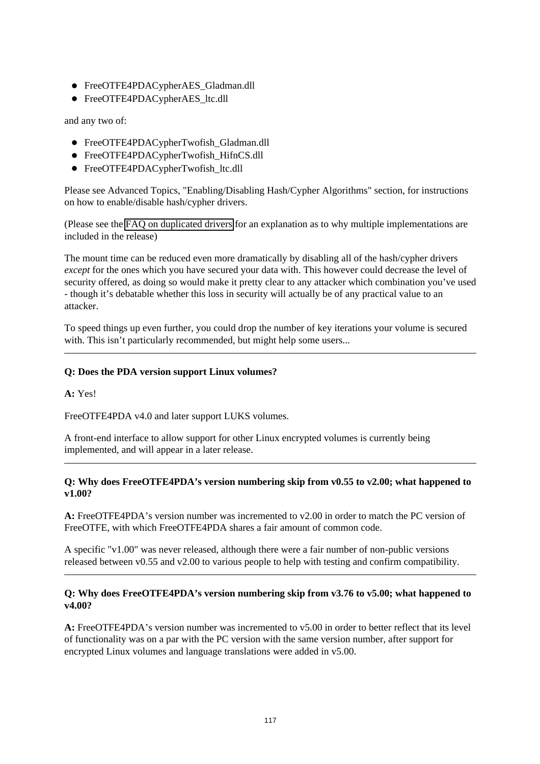- FreeOTFE4PDACypherAES\_Gladman.dll
- FreeOTFE4PDACypherAES ltc.dll

and any two of:

- FreeOTFE4PDACypherTwofish\_Gladman.dll
- FreeOTFE4PDACypherTwofish HifnCS.dll
- FreeOTFE4PDACypherTwofish ltc.dll

Please see Advanced Topics, "Enabling/Disabling Hash/Cypher Algorithms" section, for instructions on how to enable/disable hash/cypher drivers.

(Please see the [FAQ on duplicated drivers](#page-99-1) for an explanation as to why multiple implementations are included in the release)

The mount time can be reduced even more dramatically by disabling all of the hash/cypher drivers *except* for the ones which you have secured your data with. This however could decrease the level of security offered, as doing so would make it pretty clear to any attacker which combination you've used - though it's debatable whether this loss in security will actually be of any practical value to an attacker.

To speed things up even further, you could drop the number of key iterations your volume is secured with. This isn't particularly recommended, but might help some users...

#### **Q: Does the PDA version support Linux volumes?**

**A:** Yes!

FreeOTFE4PDA v4.0 and later support LUKS volumes.

A front-end interface to allow support for other Linux encrypted volumes is currently being implemented, and will appear in a later release.

#### **Q: Why does FreeOTFE4PDA's version numbering skip from v0.55 to v2.00; what happened to v1.00?**

**A:** FreeOTFE4PDA's version number was incremented to v2.00 in order to match the PC version of FreeOTFE, with which FreeOTFE4PDA shares a fair amount of common code.

A specific "v1.00" was never released, although there were a fair number of non-public versions released between v0.55 and v2.00 to various people to help with testing and confirm compatibility.

#### **Q: Why does FreeOTFE4PDA's version numbering skip from v3.76 to v5.00; what happened to v4.00?**

**A:** FreeOTFE4PDA's version number was incremented to v5.00 in order to better reflect that its level of functionality was on a par with the PC version with the same version number, after support for encrypted Linux volumes and language translations were added in v5.00.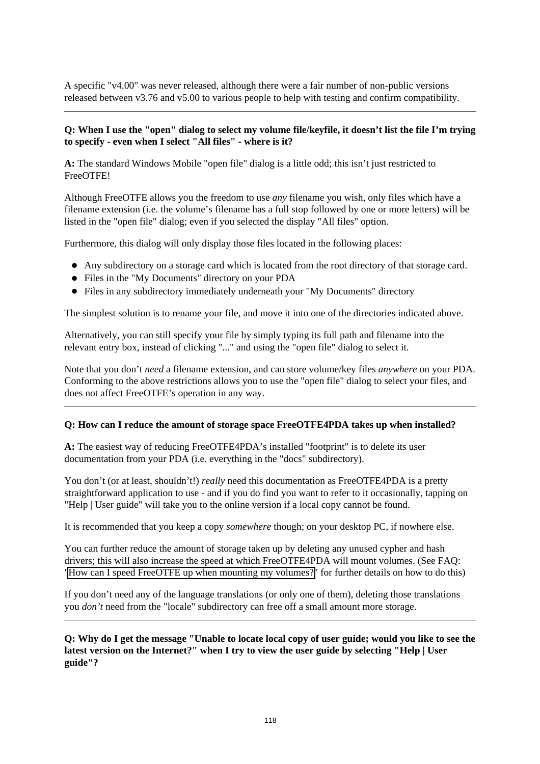A specific "v4.00" was never released, although there were a fair number of non-public versions released between v3.76 and v5.00 to various people to help with testing and confirm compatibility.

#### **Q: When I use the "open" dialog to select my volume file/keyfile, it doesn't list the file I'm trying to specify - even when I select "All files" - where is it?**

**A:** The standard Windows Mobile "open file" dialog is a little odd; this isn't just restricted to FreeOTFE!

Although FreeOTFE allows you the freedom to use *any* filename you wish, only files which have a filename extension (i.e. the volume's filename has a full stop followed by one or more letters) will be listed in the "open file" dialog; even if you selected the display "All files" option.

Furthermore, this dialog will only display those files located in the following places:

- Any subdirectory on a storage card which is located from the root directory of that storage card.
- Files in the "My Documents" directory on your PDA
- Files in any subdirectory immediately underneath your "My Documents" directory

The simplest solution is to rename your file, and move it into one of the directories indicated above.

Alternatively, you can still specify your file by simply typing its full path and filename into the relevant entry box, instead of clicking "..." and using the "open file" dialog to select it.

Note that you don't *need* a filename extension, and can store volume/key files *anywhere* on your PDA. Conforming to the above restrictions allows you to use the "open file" dialog to select your files, and does not affect FreeOTFE's operation in any way.

#### **Q: How can I reduce the amount of storage space FreeOTFE4PDA takes up when installed?**

**A:** The easiest way of reducing FreeOTFE4PDA's installed "footprint" is to delete its user documentation from your PDA (i.e. everything in the "docs" subdirectory).

You don't (or at least, shouldn't!) *really* need this documentation as FreeOTFE4PDA is a pretty straightforward application to use - and if you do find you want to refer to it occasionally, tapping on "Help | User guide" will take you to the online version if a local copy cannot be found.

It is recommended that you keep a copy *somewhere* though; on your desktop PC, if nowhere else.

You can further reduce the amount of storage taken up by deleting any unused cypher and hash drivers; this will also increase the speed at which FreeOTFE4PDA will mount volumes. (See FAQ: ["How can I speed FreeOTFE up when mounting my volumes?"](#page-121-1) for further details on how to do this)

If you don't need any of the language translations (or only one of them), deleting those translations you *don't* need from the "locale" subdirectory can free off a small amount more storage.

**Q: Why do I get the message "Unable to locate local copy of user guide; would you like to see the latest version on the Internet?" when I try to view the user guide by selecting "Help | User guide"?**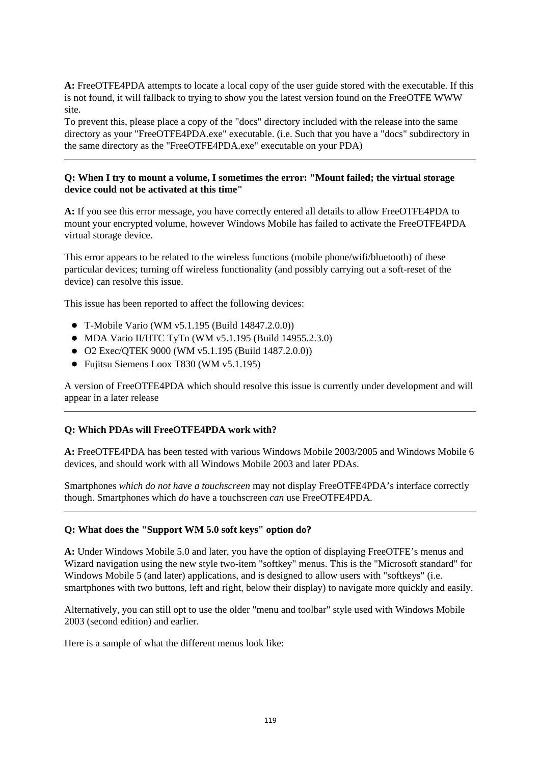**A:** FreeOTFE4PDA attempts to locate a local copy of the user guide stored with the executable. If this is not found, it will fallback to trying to show you the latest version found on the FreeOTFE WWW site.

To prevent this, please place a copy of the "docs" directory included with the release into the same directory as your "FreeOTFE4PDA.exe" executable. (i.e. Such that you have a "docs" subdirectory in the same directory as the "FreeOTFE4PDA.exe" executable on your PDA)

#### **Q: When I try to mount a volume, I sometimes the error: "Mount failed; the virtual storage device could not be activated at this time"**

**A:** If you see this error message, you have correctly entered all details to allow FreeOTFE4PDA to mount your encrypted volume, however Windows Mobile has failed to activate the FreeOTFE4PDA virtual storage device.

This error appears to be related to the wireless functions (mobile phone/wifi/bluetooth) of these particular devices; turning off wireless functionality (and possibly carrying out a soft-reset of the device) can resolve this issue.

This issue has been reported to affect the following devices:

- T-Mobile Vario (WM v5.1.195 (Build 14847.2.0.0))
- MDA Vario II/HTC TyTn (WM v5.1.195 (Build 14955.2.3.0)
- O2 Exec/QTEK 9000 (WM v5.1.195 (Build 1487.2.0.0))
- Fujitsu Siemens Loox T830 (WM v5.1.195)

A version of FreeOTFE4PDA which should resolve this issue is currently under development and will appear in a later release

#### **Q: Which PDAs will FreeOTFE4PDA work with?**

**A:** FreeOTFE4PDA has been tested with various Windows Mobile 2003/2005 and Windows Mobile 6 devices, and should work with all Windows Mobile 2003 and later PDAs.

Smartphones *which do not have a touchscreen* may not display FreeOTFE4PDA's interface correctly though. Smartphones which *do* have a touchscreen *can* use FreeOTFE4PDA.

#### **Q: What does the "Support WM 5.0 soft keys" option do?**

**A:** Under Windows Mobile 5.0 and later, you have the option of displaying FreeOTFE's menus and Wizard navigation using the new style two-item "softkey" menus. This is the "Microsoft standard" for Windows Mobile 5 (and later) applications, and is designed to allow users with "softkeys" (i.e. smartphones with two buttons, left and right, below their display) to navigate more quickly and easily.

Alternatively, you can still opt to use the older "menu and toolbar" style used with Windows Mobile 2003 (second edition) and earlier.

Here is a sample of what the different menus look like: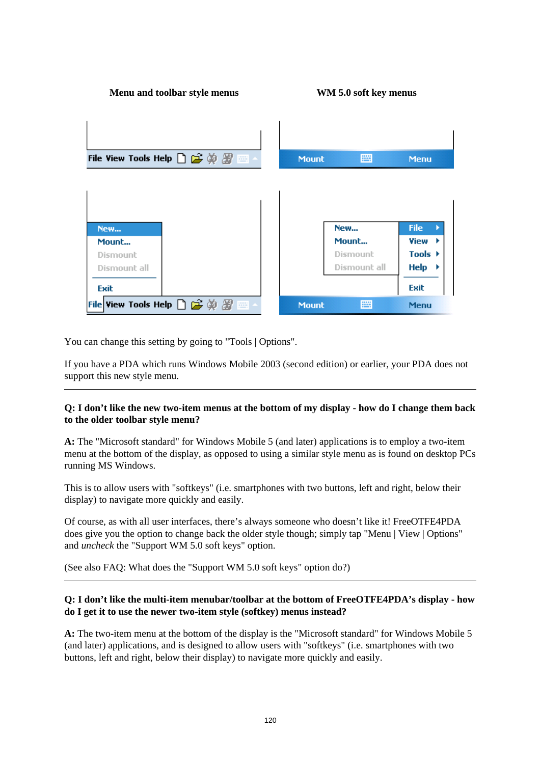| Menu and toolbar style menus                                                             |              | WM 5.0 soft key menus |                     |
|------------------------------------------------------------------------------------------|--------------|-----------------------|---------------------|
| File View Tools Help $\bigcap \mathcal{L} \oplus \emptyset \mathcal{Z} \cong \mathbb{Z}$ | <b>Mount</b> | 圏                     | <b>Menu</b>         |
|                                                                                          |              |                       |                     |
| New                                                                                      | New          |                       | <b>File</b>         |
| Mount                                                                                    | Mount        |                       | View                |
| Dismount                                                                                 | Dismount     |                       | Tools $\rightarrow$ |
| Dismount all                                                                             |              | Dismount all          | $Help \rightarrow$  |
| Exit                                                                                     |              |                       | Exit                |
| File View Tools Help $\Box$ $\mathfrak{S} \oplus \mathfrak{F}$                           | <b>Mount</b> | <b>PHE</b>            | <b>Menu</b>         |

You can change this setting by going to "Tools | Options".

If you have a PDA which runs Windows Mobile 2003 (second edition) or earlier, your PDA does not support this new style menu.

#### **Q: I don't like the new two-item menus at the bottom of my display - how do I change them back to the older toolbar style menu?**

**A:** The "Microsoft standard" for Windows Mobile 5 (and later) applications is to employ a two-item menu at the bottom of the display, as opposed to using a similar style menu as is found on desktop PCs running MS Windows.

This is to allow users with "softkeys" (i.e. smartphones with two buttons, left and right, below their display) to navigate more quickly and easily.

Of course, as with all user interfaces, there's always someone who doesn't like it! FreeOTFE4PDA does give you the option to change back the older style though; simply tap "Menu | View | Options" and *uncheck* the "Support WM 5.0 soft keys" option.

(See also FAQ: What does the "Support WM 5.0 soft keys" option do?)

#### **Q: I don't like the multi-item menubar/toolbar at the bottom of FreeOTFE4PDA's display - how do I get it to use the newer two-item style (softkey) menus instead?**

**A:** The two-item menu at the bottom of the display is the "Microsoft standard" for Windows Mobile 5 (and later) applications, and is designed to allow users with "softkeys" (i.e. smartphones with two buttons, left and right, below their display) to navigate more quickly and easily.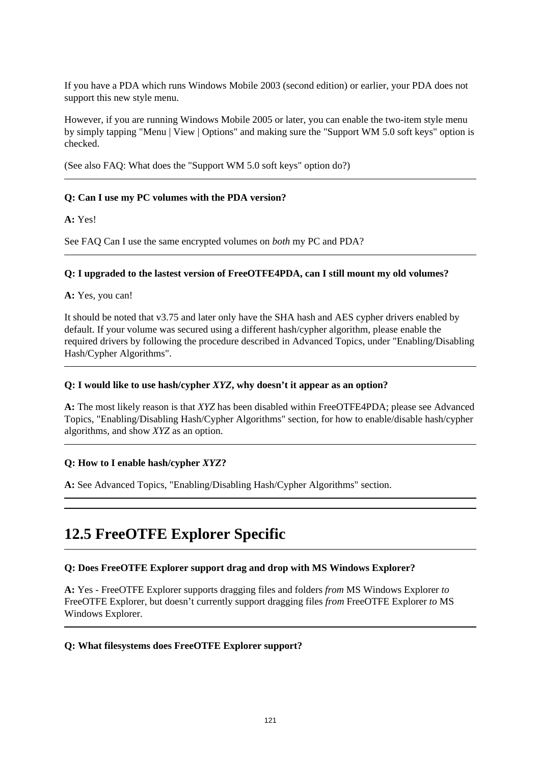If you have a PDA which runs Windows Mobile 2003 (second edition) or earlier, your PDA does not support this new style menu.

However, if you are running Windows Mobile 2005 or later, you can enable the two-item style menu by simply tapping "Menu | View | Options" and making sure the "Support WM 5.0 soft keys" option is checked.

(See also FAQ: What does the "Support WM 5.0 soft keys" option do?)

#### **Q: Can I use my PC volumes with the PDA version?**

**A:** Yes!

See FAQ Can I use the same encrypted volumes on *both* my PC and PDA?

#### **Q: I upgraded to the lastest version of FreeOTFE4PDA, can I still mount my old volumes?**

**A:** Yes, you can!

It should be noted that v3.75 and later only have the SHA hash and AES cypher drivers enabled by default. If your volume was secured using a different hash/cypher algorithm, please enable the required drivers by following the procedure described in Advanced Topics, under "Enabling/Disabling Hash/Cypher Algorithms".

#### **Q: I would like to use hash/cypher** *XYZ***, why doesn't it appear as an option?**

**A:** The most likely reason is that *XYZ* has been disabled within FreeOTFE4PDA; please see Advanced Topics, "Enabling/Disabling Hash/Cypher Algorithms" section, for how to enable/disable hash/cypher algorithms, and show *XYZ* as an option.

#### **Q: How to I enable hash/cypher** *XYZ***?**

**A:** See Advanced Topics, "Enabling/Disabling Hash/Cypher Algorithms" section.

# **12.5 FreeOTFE Explorer Specific**

#### **Q: Does FreeOTFE Explorer support drag and drop with MS Windows Explorer?**

**A:** Yes - FreeOTFE Explorer supports dragging files and folders *from* MS Windows Explorer *to* FreeOTFE Explorer, but doesn't currently support dragging files *from* FreeOTFE Explorer *to* MS Windows Explorer.

#### **Q: What filesystems does FreeOTFE Explorer support?**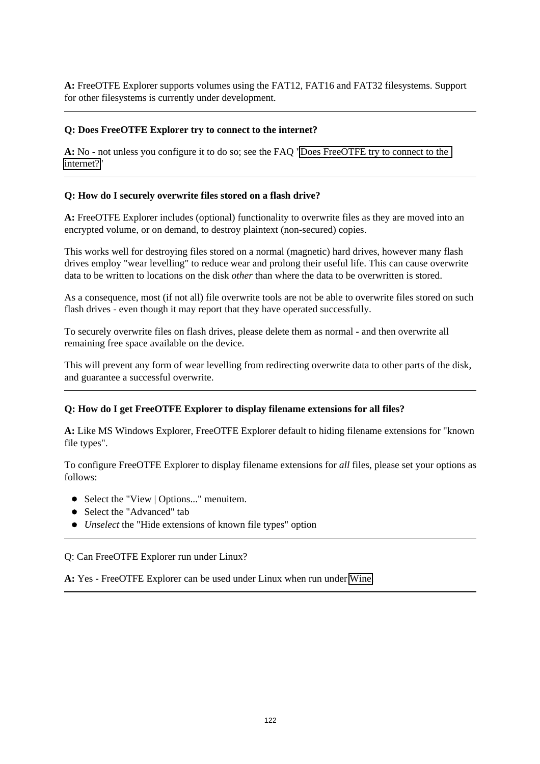**A:** FreeOTFE Explorer supports volumes using the FAT12, FAT16 and FAT32 filesystems. Support for other filesystems is currently under development.

#### **Q: Does FreeOTFE Explorer try to connect to the internet?**

**A:** No - not unless you configure it to do so; see the FAQ ["Does FreeOTFE try to connect to the](#page-114-0)  [internet?"](#page-114-0)

#### **Q: How do I securely overwrite files stored on a flash drive?**

**A:** FreeOTFE Explorer includes (optional) functionality to overwrite files as they are moved into an encrypted volume, or on demand, to destroy plaintext (non-secured) copies.

This works well for destroying files stored on a normal (magnetic) hard drives, however many flash drives employ "wear levelling" to reduce wear and prolong their useful life. This can cause overwrite data to be written to locations on the disk *other* than where the data to be overwritten is stored.

As a consequence, most (if not all) file overwrite tools are not be able to overwrite files stored on such flash drives - even though it may report that they have operated successfully.

To securely overwrite files on flash drives, please delete them as normal - and then overwrite all remaining free space available on the device.

This will prevent any form of wear levelling from redirecting overwrite data to other parts of the disk, and guarantee a successful overwrite.

#### **Q: How do I get FreeOTFE Explorer to display filename extensions for all files?**

**A:** Like MS Windows Explorer, FreeOTFE Explorer default to hiding filename extensions for "known file types".

To configure FreeOTFE Explorer to display filename extensions for *all* files, please set your options as follows:

- Select the "View | Options..." menuitem.
- Select the "Advanced" tab
- *Unselect* the "Hide extensions of known file types" option

Q: Can FreeOTFE Explorer run under Linux?

**A:** Yes - FreeOTFE Explorer can be used under Linux when run under [Wine.](http://www.winehq.org/)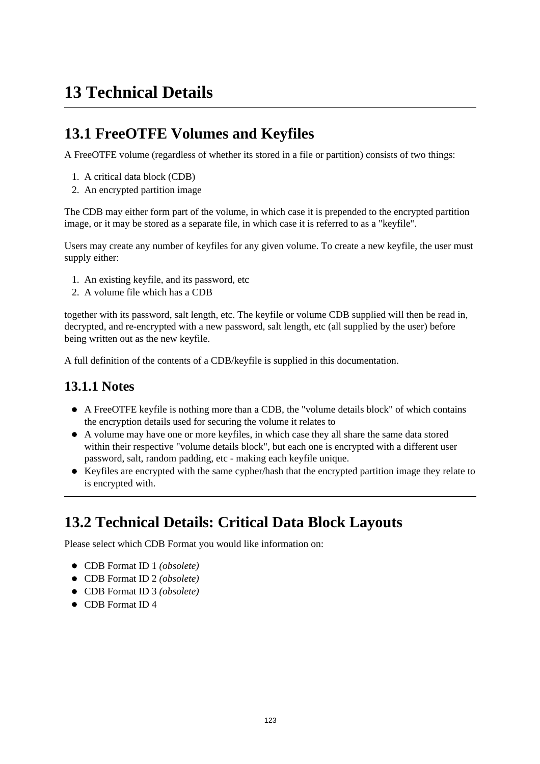# **13 Technical Details**

# **13.1 FreeOTFE Volumes and Keyfiles**

A FreeOTFE volume (regardless of whether its stored in a file or partition) consists of two things:

- 1. A critical data block (CDB)
- 2. An encrypted partition image

The CDB may either form part of the volume, in which case it is prepended to the encrypted partition image, or it may be stored as a separate file, in which case it is referred to as a "keyfile".

Users may create any number of keyfiles for any given volume. To create a new keyfile, the user must supply either:

- 1. An existing keyfile, and its password, etc
- 2. A volume file which has a CDB

together with its password, salt length, etc. The keyfile or volume CDB supplied will then be read in, decrypted, and re-encrypted with a new password, salt length, etc (all supplied by the user) before being written out as the new keyfile.

A full definition of the contents of a CDB/keyfile is supplied in this documentation.

## **13.1.1 Notes**

- A FreeOTFE keyfile is nothing more than a CDB, the "volume details block" of which contains the encryption details used for securing the volume it relates to
- A volume may have one or more keyfiles, in which case they all share the same data stored within their respective "volume details block", but each one is encrypted with a different user password, salt, random padding, etc - making each keyfile unique.
- Keyfiles are encrypted with the same cypher/hash that the encrypted partition image they relate to is encrypted with.

# **13.2 Technical Details: Critical Data Block Layouts**

Please select which CDB Format you would like information on:

- CDB Format ID 1 *(obsolete)*
- CDB Format ID 2 *(obsolete)*
- CDB Format ID 3 *(obsolete)*
- **CDB** Format ID 4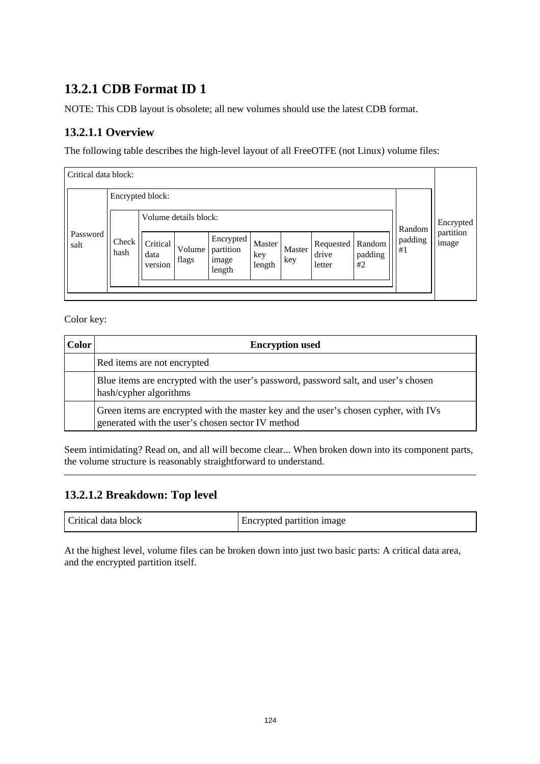# **13.2.1 CDB Format ID 1**

NOTE: This CDB layout is obsolete; all new volumes should use the latest CDB format.

## **13.2.1.1 Overview**

The following table describes the high-level layout of all FreeOTFE (not Linux) volume files:

| Critical data block: |                            |                                          |                 |                                           |                         |               |                              |                         |               |                    |
|----------------------|----------------------------|------------------------------------------|-----------------|-------------------------------------------|-------------------------|---------------|------------------------------|-------------------------|---------------|--------------------|
| Encrypted block:     |                            |                                          |                 |                                           |                         |               |                              |                         |               |                    |
|                      |                            | Volume details block:                    |                 |                                           |                         | Random        | Encrypted                    |                         |               |                    |
| Password<br>salt     | Check <sup> </sup><br>hash | Critical <sup>1</sup><br>data<br>version | Volume<br>flags | Encrypted<br>partition<br>image<br>length | Master<br>key<br>length | Master<br>key | Requested<br>drive<br>letter | Random<br>padding<br>#2 | padding<br>#1 | partition<br>image |
|                      |                            |                                          |                 |                                           |                         |               |                              |                         |               |                    |

Color key:

| <b>Color</b> | <b>Encryption used</b>                                                                                                                    |
|--------------|-------------------------------------------------------------------------------------------------------------------------------------------|
|              | Red items are not encrypted                                                                                                               |
|              | Blue items are encrypted with the user's password, password salt, and user's chosen<br>hash/cypher algorithms                             |
|              | Green items are encrypted with the master key and the user's chosen cypher, with IVs<br>generated with the user's chosen sector IV method |

Seem intimidating? Read on, and all will become clear... When broken down into its component parts, the volume structure is reasonably straightforward to understand.

### **13.2.1.2 Breakdown: Top level**

| l Critical data block | Encrypted partition image |
|-----------------------|---------------------------|
|-----------------------|---------------------------|

At the highest level, volume files can be broken down into just two basic parts: A critical data area, and the encrypted partition itself.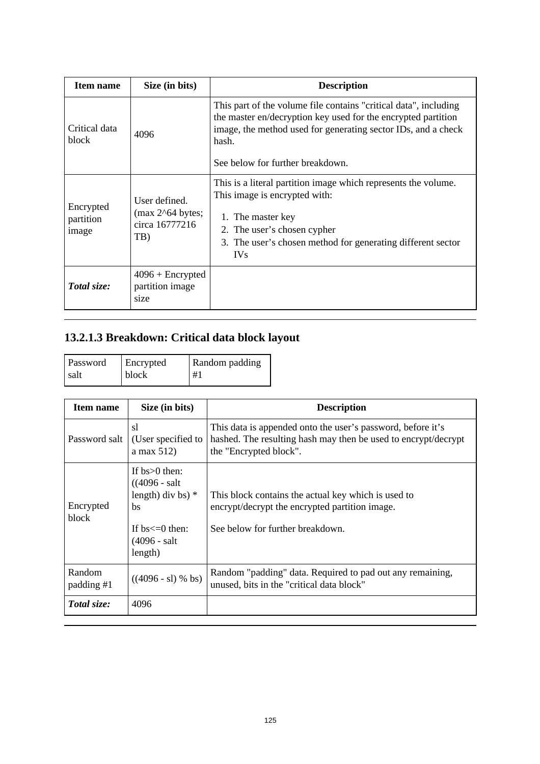| Item name                       | Size (in bits)                                               | <b>Description</b>                                                                                                                                                                                                                              |
|---------------------------------|--------------------------------------------------------------|-------------------------------------------------------------------------------------------------------------------------------------------------------------------------------------------------------------------------------------------------|
| Critical data<br>block          | 4096                                                         | This part of the volume file contains "critical data", including<br>the master en/decryption key used for the encrypted partition<br>image, the method used for generating sector IDs, and a check<br>hash.<br>See below for further breakdown. |
| Encrypted<br>partition<br>image | User defined.<br>$(max 2^64 bytes;$<br>circa 16777216<br>TB) | This is a literal partition image which represents the volume.<br>This image is encrypted with:<br>1. The master key<br>2. The user's chosen cypher<br>3. The user's chosen method for generating different sector<br><b>IVs</b>                |
| Total size:                     | $4096 +$ Encrypted<br>partition image<br>size                |                                                                                                                                                                                                                                                 |

# **13.2.1.3 Breakdown: Critical data block layout**

| Password | Encrypted | Random padding |
|----------|-----------|----------------|
| salt     | block     | #1             |

| <b>Item name</b>     | Size (in bits)                                                                                                        | <b>Description</b>                                                                                                                                      |
|----------------------|-----------------------------------------------------------------------------------------------------------------------|---------------------------------------------------------------------------------------------------------------------------------------------------------|
| Password salt        | sl<br>(User specified to<br>a max $512$                                                                               | This data is appended onto the user's password, before it's<br>hashed. The resulting hash may then be used to encrypt/decrypt<br>the "Encrypted block". |
| Encrypted<br>block   | If $bs>0$ then:<br>$((4096 - salt$<br>length) div bs) $*$<br>bs<br>If $bs \leq 0$ then:<br>$(4096 - salt)$<br>length) | This block contains the actual key which is used to<br>encrypt/decrypt the encrypted partition image.<br>See below for further breakdown.               |
| Random<br>padding #1 | $((4096 - s1)$ % bs)                                                                                                  | Random "padding" data. Required to pad out any remaining,<br>unused, bits in the "critical data block"                                                  |
| Total size:          | 4096                                                                                                                  |                                                                                                                                                         |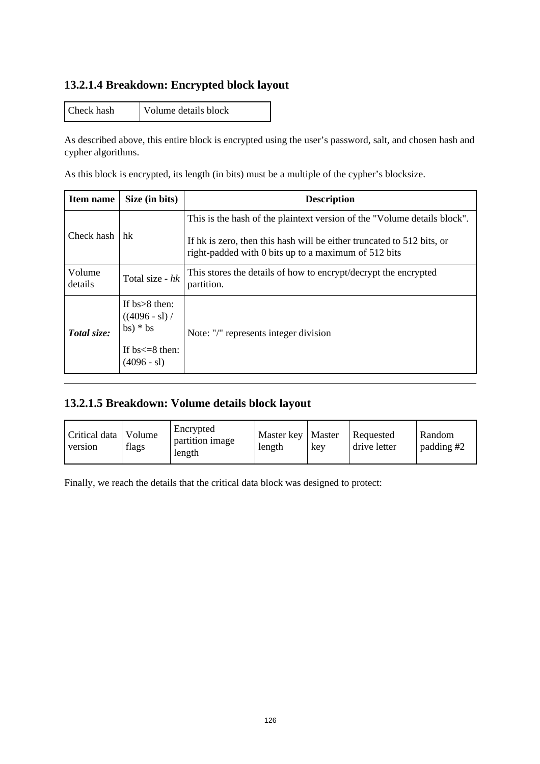### **13.2.1.4 Breakdown: Encrypted block layout**

Check hash Volume details block

As described above, this entire block is encrypted using the user's password, salt, and chosen hash and cypher algorithms.

As this block is encrypted, its length (in bits) must be a multiple of the cypher's blocksize.

| <b>Item name</b>  | Size (in bits)                                                                           | <b>Description</b>                                                                                                                                                                                         |
|-------------------|------------------------------------------------------------------------------------------|------------------------------------------------------------------------------------------------------------------------------------------------------------------------------------------------------------|
| Check hash        | hk                                                                                       | This is the hash of the plaintext version of the "Volume details block".<br>If hk is zero, then this hash will be either truncated to 512 bits, or<br>right-padded with 0 bits up to a maximum of 512 bits |
| Volume<br>details | Total size - $hk$                                                                        | This stores the details of how to encrypt/decrypt the encrypted<br>partition.                                                                                                                              |
| Total size:       | If $bs > 8$ then:<br>$((4096 - s))$<br>$bs)*bs$<br>If $bs \leq 8$ then:<br>$(4096 - s1)$ | Note: "/" represents integer division                                                                                                                                                                      |

### **13.2.1.5 Breakdown: Volume details block layout**

Finally, we reach the details that the critical data block was designed to protect: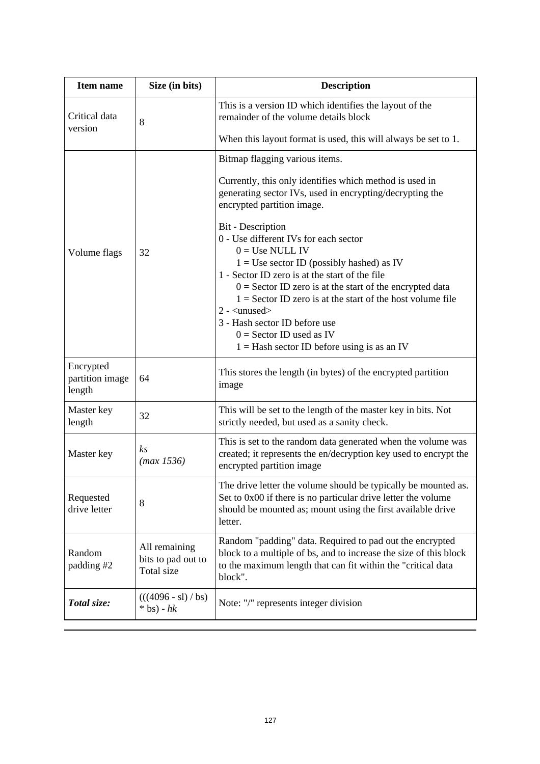| <b>Item name</b>                       | Size (in bits)                                    | <b>Description</b>                                                                                                                                                                                                                                                                                                                                                                                                                                         |
|----------------------------------------|---------------------------------------------------|------------------------------------------------------------------------------------------------------------------------------------------------------------------------------------------------------------------------------------------------------------------------------------------------------------------------------------------------------------------------------------------------------------------------------------------------------------|
| Critical data<br>version               | 8                                                 | This is a version ID which identifies the layout of the<br>remainder of the volume details block                                                                                                                                                                                                                                                                                                                                                           |
|                                        |                                                   | When this layout format is used, this will always be set to 1.                                                                                                                                                                                                                                                                                                                                                                                             |
|                                        |                                                   | Bitmap flagging various items.<br>Currently, this only identifies which method is used in<br>generating sector IVs, used in encrypting/decrypting the<br>encrypted partition image.                                                                                                                                                                                                                                                                        |
| Volume flags                           | 32                                                | Bit - Description<br>0 - Use different IVs for each sector<br>$0 = Use NULL IV$<br>$1 = Use sector ID (possibly hashed) as IV$<br>1 - Sector ID zero is at the start of the file<br>$0 =$ Sector ID zero is at the start of the encrypted data<br>$1 =$ Sector ID zero is at the start of the host volume file<br>$2 - \langle$ unused $>$<br>3 - Hash sector ID before use<br>$0 =$ Sector ID used as IV<br>$1 =$ Hash sector ID before using is as an IV |
| Encrypted<br>partition image<br>length | 64                                                | This stores the length (in bytes) of the encrypted partition<br>image                                                                                                                                                                                                                                                                                                                                                                                      |
| Master key<br>length                   | 32                                                | This will be set to the length of the master key in bits. Not<br>strictly needed, but used as a sanity check.                                                                                                                                                                                                                                                                                                                                              |
| Master key                             | k <sub>S</sub><br>(max 1536)                      | This is set to the random data generated when the volume was<br>created; it represents the en/decryption key used to encrypt the<br>encrypted partition image                                                                                                                                                                                                                                                                                              |
| Requested<br>drive letter              | 8                                                 | The drive letter the volume should be typically be mounted as.<br>Set to 0x00 if there is no particular drive letter the volume<br>should be mounted as; mount using the first available drive<br>letter.                                                                                                                                                                                                                                                  |
| Random<br>padding #2                   | All remaining<br>bits to pad out to<br>Total size | Random "padding" data. Required to pad out the encrypted<br>block to a multiple of bs, and to increase the size of this block<br>to the maximum length that can fit within the "critical data<br>block".                                                                                                                                                                                                                                                   |
| Total size:                            | $(((4096 - s1) / bs)$<br>$*$ bs) - $hk$           | Note: "/" represents integer division                                                                                                                                                                                                                                                                                                                                                                                                                      |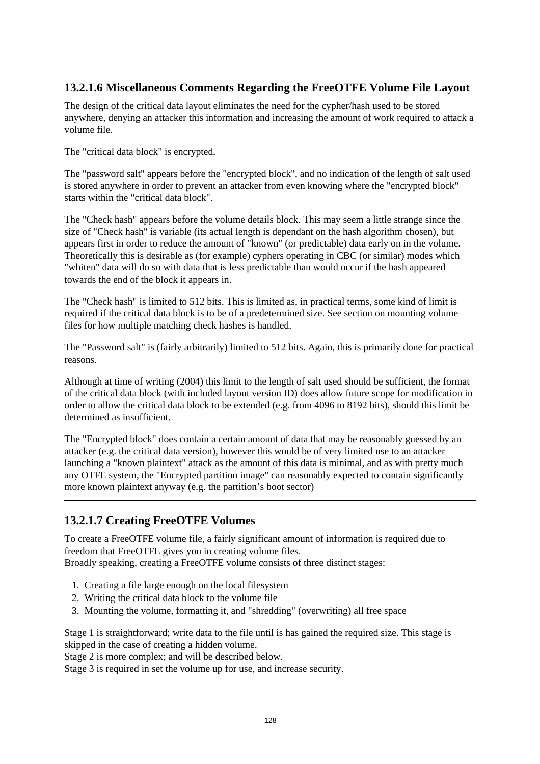### **13.2.1.6 Miscellaneous Comments Regarding the FreeOTFE Volume File Layout**

The design of the critical data layout eliminates the need for the cypher/hash used to be stored anywhere, denying an attacker this information and increasing the amount of work required to attack a volume file.

The "critical data block" is encrypted.

The "password salt" appears before the "encrypted block", and no indication of the length of salt used is stored anywhere in order to prevent an attacker from even knowing where the "encrypted block" starts within the "critical data block".

The "Check hash" appears before the volume details block. This may seem a little strange since the size of "Check hash" is variable (its actual length is dependant on the hash algorithm chosen), but appears first in order to reduce the amount of "known" (or predictable) data early on in the volume. Theoretically this is desirable as (for example) cyphers operating in CBC (or similar) modes which "whiten" data will do so with data that is less predictable than would occur if the hash appeared towards the end of the block it appears in.

The "Check hash" is limited to 512 bits. This is limited as, in practical terms, some kind of limit is required if the critical data block is to be of a predetermined size. See section on mounting volume files for how multiple matching check hashes is handled.

The "Password salt" is (fairly arbitrarily) limited to 512 bits. Again, this is primarily done for practical reasons.

Although at time of writing (2004) this limit to the length of salt used should be sufficient, the format of the critical data block (with included layout version ID) does allow future scope for modification in order to allow the critical data block to be extended (e.g. from 4096 to 8192 bits), should this limit be determined as insufficient.

The "Encrypted block" does contain a certain amount of data that may be reasonably guessed by an attacker (e.g. the critical data version), however this would be of very limited use to an attacker launching a "known plaintext" attack as the amount of this data is minimal, and as with pretty much any OTFE system, the "Encrypted partition image" can reasonably expected to contain significantly more known plaintext anyway (e.g. the partition's boot sector)

### **13.2.1.7 Creating FreeOTFE Volumes**

To create a FreeOTFE volume file, a fairly significant amount of information is required due to freedom that FreeOTFE gives you in creating volume files.

Broadly speaking, creating a FreeOTFE volume consists of three distinct stages:

- 1. Creating a file large enough on the local filesystem
- 2. Writing the critical data block to the volume file
- 3. Mounting the volume, formatting it, and "shredding" (overwriting) all free space

Stage 1 is straightforward; write data to the file until is has gained the required size. This stage is skipped in the case of creating a hidden volume.

Stage 2 is more complex; and will be described below.

Stage 3 is required in set the volume up for use, and increase security.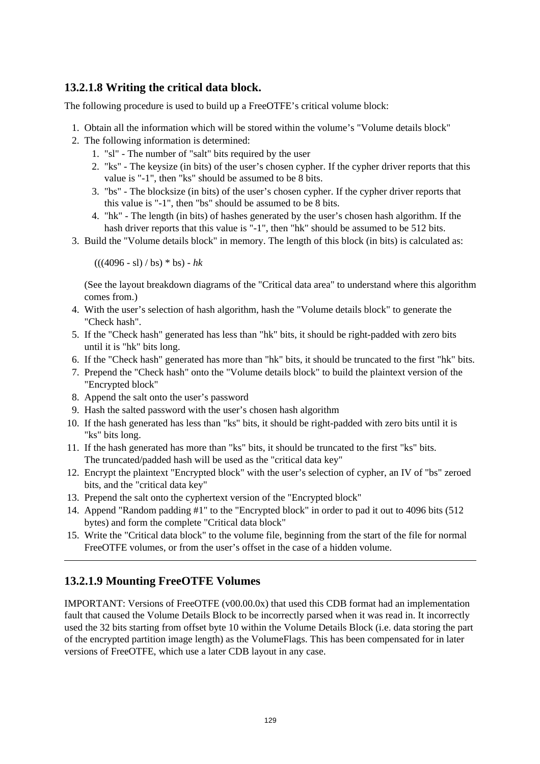### **13.2.1.8 Writing the critical data block.**

The following procedure is used to build up a FreeOTFE's critical volume block:

- 1. Obtain all the information which will be stored within the volume's "Volume details block"
- 2. The following information is determined:
	- 1. "sl" The number of "salt" bits required by the user
	- 2. "ks" The keysize (in bits) of the user's chosen cypher. If the cypher driver reports that this value is "-1", then "ks" should be assumed to be 8 bits.
	- 3. "bs" The blocksize (in bits) of the user's chosen cypher. If the cypher driver reports that this value is "-1", then "bs" should be assumed to be 8 bits.
	- 4. "hk" The length (in bits) of hashes generated by the user's chosen hash algorithm. If the hash driver reports that this value is "-1", then "hk" should be assumed to be 512 bits.
- 3. Build the "Volume details block" in memory. The length of this block (in bits) is calculated as:

 $(((4096 - s1) / bs) * bs) - hk$ 

(See the layout breakdown diagrams of the "Critical data area" to understand where this algorithm comes from.)

- 4. With the user's selection of hash algorithm, hash the "Volume details block" to generate the "Check hash".
- 5. If the "Check hash" generated has less than "hk" bits, it should be right-padded with zero bits until it is "hk" bits long.
- 6. If the "Check hash" generated has more than "hk" bits, it should be truncated to the first "hk" bits.
- 7. Prepend the "Check hash" onto the "Volume details block" to build the plaintext version of the "Encrypted block"
- 8. Append the salt onto the user's password
- 9. Hash the salted password with the user's chosen hash algorithm
- 10. If the hash generated has less than "ks" bits, it should be right-padded with zero bits until it is "ks" bits long.
- 11. If the hash generated has more than "ks" bits, it should be truncated to the first "ks" bits. The truncated/padded hash will be used as the "critical data key"
- 12. Encrypt the plaintext "Encrypted block" with the user's selection of cypher, an IV of "bs" zeroed bits, and the "critical data key"
- 13. Prepend the salt onto the cyphertext version of the "Encrypted block"
- 14. Append "Random padding #1" to the "Encrypted block" in order to pad it out to 4096 bits (512 bytes) and form the complete "Critical data block"
- 15. Write the "Critical data block" to the volume file, beginning from the start of the file for normal FreeOTFE volumes, or from the user's offset in the case of a hidden volume.

#### **13.2.1.9 Mounting FreeOTFE Volumes**

IMPORTANT: Versions of FreeOTFE (v00.00.0x) that used this CDB format had an implementation fault that caused the Volume Details Block to be incorrectly parsed when it was read in. It incorrectly used the 32 bits starting from offset byte 10 within the Volume Details Block (i.e. data storing the part of the encrypted partition image length) as the VolumeFlags. This has been compensated for in later versions of FreeOTFE, which use a later CDB layout in any case.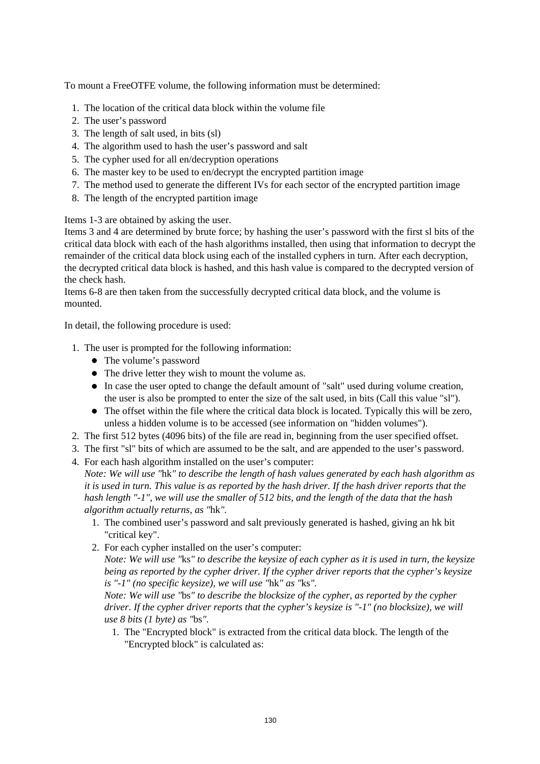To mount a FreeOTFE volume, the following information must be determined:

- 1. The location of the critical data block within the volume file
- 2. The user's password
- 3. The length of salt used, in bits (sl)
- 4. The algorithm used to hash the user's password and salt
- 5. The cypher used for all en/decryption operations
- 6. The master key to be used to en/decrypt the encrypted partition image
- 7. The method used to generate the different IVs for each sector of the encrypted partition image
- 8. The length of the encrypted partition image

Items 1-3 are obtained by asking the user.

Items 3 and 4 are determined by brute force; by hashing the user's password with the first sl bits of the critical data block with each of the hash algorithms installed, then using that information to decrypt the remainder of the critical data block using each of the installed cyphers in turn. After each decryption, the decrypted critical data block is hashed, and this hash value is compared to the decrypted version of the check hash.

Items 6-8 are then taken from the successfully decrypted critical data block, and the volume is mounted.

In detail, the following procedure is used:

- 1. The user is prompted for the following information:
	- The volume's password
	- The drive letter they wish to mount the volume as.
	- In case the user opted to change the default amount of "salt" used during volume creation, the user is also be prompted to enter the size of the salt used, in bits (Call this value "sl").
	- The offset within the file where the critical data block is located. Typically this will be zero, unless a hidden volume is to be accessed (see information on "hidden volumes").
- 2. The first 512 bytes (4096 bits) of the file are read in, beginning from the user specified offset.
- 3. The first "sl" bits of which are assumed to be the salt, and are appended to the user's password.
- 4. For each hash algorithm installed on the user's computer:

*Note: We will use "*hk*" to describe the length of hash values generated by each hash algorithm as it is used in turn. This value is as reported by the hash driver. If the hash driver reports that the hash length "-1", we will use the smaller of 512 bits, and the length of the data that the hash algorithm actually returns, as "*hk*".*

- 1. The combined user's password and salt previously generated is hashed, giving an hk bit "critical key".
- 2. For each cypher installed on the user's computer:

*Note: We will use "*ks*" to describe the keysize of each cypher as it is used in turn, the keysize being as reported by the cypher driver. If the cypher driver reports that the cypher's keysize is "-1" (no specific keysize), we will use "*hk*" as "*ks*".*

*Note: We will use "*bs*" to describe the blocksize of the cypher, as reported by the cypher driver. If the cypher driver reports that the cypher's keysize is "-1" (no blocksize), we will use 8 bits (1 byte) as "*bs*".*

1. The "Encrypted block" is extracted from the critical data block. The length of the "Encrypted block" is calculated as: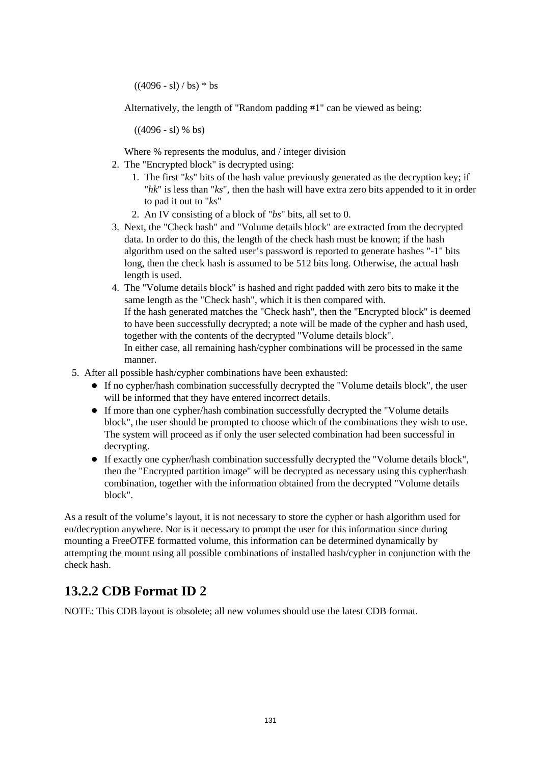$((4096 - s1) / bs) * bs$ 

Alternatively, the length of "Random padding #1" can be viewed as being:

 $((4096 - s1)$  % bs)

Where % represents the modulus, and / integer division

- 2. The "Encrypted block" is decrypted using:
	- 1. The first "*ks*" bits of the hash value previously generated as the decryption key; if "*hk*" is less than "*ks*", then the hash will have extra zero bits appended to it in order to pad it out to "*ks*"
	- 2. An IV consisting of a block of "*bs*" bits, all set to 0.
- 3. Next, the "Check hash" and "Volume details block" are extracted from the decrypted data. In order to do this, the length of the check hash must be known; if the hash algorithm used on the salted user's password is reported to generate hashes "-1" bits long, then the check hash is assumed to be 512 bits long. Otherwise, the actual hash length is used.
- 4. The "Volume details block" is hashed and right padded with zero bits to make it the same length as the "Check hash", which it is then compared with. If the hash generated matches the "Check hash", then the "Encrypted block" is deemed to have been successfully decrypted; a note will be made of the cypher and hash used, together with the contents of the decrypted "Volume details block". In either case, all remaining hash/cypher combinations will be processed in the same manner.
- 5. After all possible hash/cypher combinations have been exhausted:
	- If no cypher/hash combination successfully decrypted the "Volume details block", the user will be informed that they have entered incorrect details.
	- If more than one cypher/hash combination successfully decrypted the "Volume details block", the user should be prompted to choose which of the combinations they wish to use. The system will proceed as if only the user selected combination had been successful in decrypting.
	- If exactly one cypher/hash combination successfully decrypted the "Volume details block", then the "Encrypted partition image" will be decrypted as necessary using this cypher/hash combination, together with the information obtained from the decrypted "Volume details block".

As a result of the volume's layout, it is not necessary to store the cypher or hash algorithm used for en/decryption anywhere. Nor is it necessary to prompt the user for this information since during mounting a FreeOTFE formatted volume, this information can be determined dynamically by attempting the mount using all possible combinations of installed hash/cypher in conjunction with the check hash.

# **13.2.2 CDB Format ID 2**

NOTE: This CDB layout is obsolete; all new volumes should use the latest CDB format.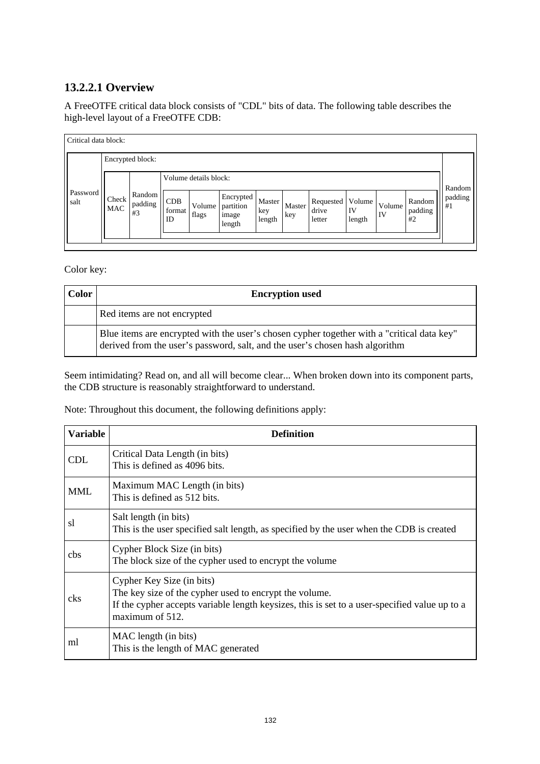## **13.2.2.1 Overview**

A FreeOTFE critical data block consists of "CDL" bits of data. The following table describes the high-level layout of a FreeOTFE CDB:

| Critical data block: |                     |                         |                     |                       |                                           |                         |               |                              |                        |              |                         |               |
|----------------------|---------------------|-------------------------|---------------------|-----------------------|-------------------------------------------|-------------------------|---------------|------------------------------|------------------------|--------------|-------------------------|---------------|
|                      |                     | Encrypted block:        |                     |                       |                                           |                         |               |                              |                        |              |                         |               |
|                      |                     |                         |                     | Volume details block: |                                           |                         |               |                              |                        |              |                         | Random        |
| Password<br>salt     | Check<br><b>MAC</b> | Random<br>padding<br>#3 | CDB<br>format<br>ID | Volume<br>flags       | Encrypted<br>partition<br>image<br>length | Master<br>key<br>length | Master<br>key | Requested<br>drive<br>letter | Volume<br>IV<br>length | Volume<br>IV | Random<br>padding<br>#2 | padding<br>#1 |
|                      |                     |                         |                     |                       |                                           |                         |               |                              |                        |              |                         |               |

Color key:

| Color | <b>Encryption used</b>                                                                                                                                                     |
|-------|----------------------------------------------------------------------------------------------------------------------------------------------------------------------------|
|       | Red items are not encrypted                                                                                                                                                |
|       | Blue items are encrypted with the user's chosen cypher together with a "critical data key"<br>derived from the user's password, salt, and the user's chosen hash algorithm |

Seem intimidating? Read on, and all will become clear... When broken down into its component parts, the CDB structure is reasonably straightforward to understand.

Note: Throughout this document, the following definitions apply:

| <b>Variable</b> | <b>Definition</b>                                                                                                                                                                                       |
|-----------------|---------------------------------------------------------------------------------------------------------------------------------------------------------------------------------------------------------|
| <b>CDL</b>      | Critical Data Length (in bits)<br>This is defined as 4096 bits.                                                                                                                                         |
| <b>MML</b>      | Maximum MAC Length (in bits)<br>This is defined as 512 bits.                                                                                                                                            |
| sl              | Salt length (in bits)<br>This is the user specified salt length, as specified by the user when the CDB is created                                                                                       |
| cbs             | Cypher Block Size (in bits)<br>The block size of the cypher used to encrypt the volume                                                                                                                  |
| cks             | Cypher Key Size (in bits)<br>The key size of the cypher used to encrypt the volume.<br>If the cypher accepts variable length keysizes, this is set to a user-specified value up to a<br>maximum of 512. |
| ml              | MAC length (in bits)<br>This is the length of MAC generated                                                                                                                                             |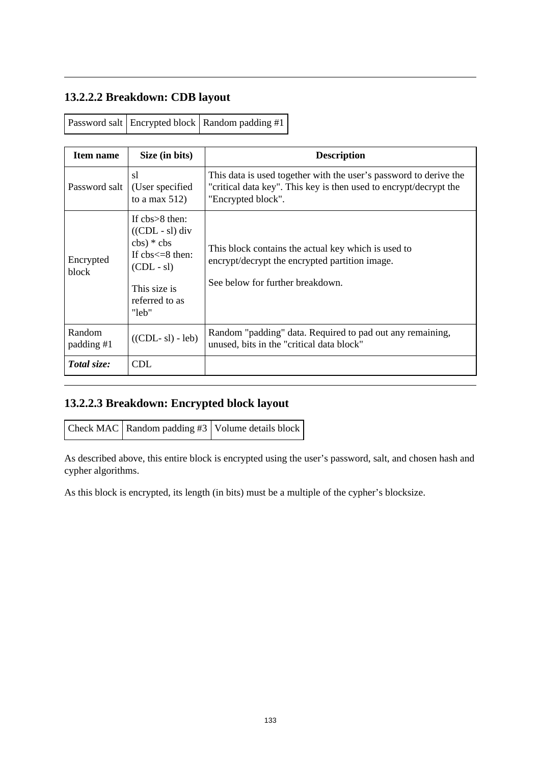# **13.2.2.2 Breakdown: CDB layout**

| Item name            | Size (in bits)                                                                                                                                                             | <b>Description</b>                                                                                                                                           |
|----------------------|----------------------------------------------------------------------------------------------------------------------------------------------------------------------------|--------------------------------------------------------------------------------------------------------------------------------------------------------------|
| Password salt        | s1<br>(User specified)<br>to a max $512$ )                                                                                                                                 | This data is used together with the user's password to derive the<br>"critical data key". This key is then used to encrypt/decrypt the<br>"Encrypted block". |
| Encrypted<br>block   | If $\text{chs} > 8$ then:<br>$((CDL - sI)$ div<br>$\text{cbs}$ $*$ $\text{cbs}$<br>If $\text{chs} \leq 8$ then:<br>$(CDL - sI)$<br>This size is<br>referred to as<br>"leb" | This block contains the actual key which is used to<br>encrypt/decrypt the encrypted partition image.<br>See below for further breakdown.                    |
| Random<br>padding #1 | $((CDL - s) - leb)$                                                                                                                                                        | Random "padding" data. Required to pad out any remaining,<br>unused, bits in the "critical data block"                                                       |
| Total size:          | CDL.                                                                                                                                                                       |                                                                                                                                                              |

## **13.2.2.3 Breakdown: Encrypted block layout**

| Check MAC   Random padding #3   Volume details block |  |  |  |
|------------------------------------------------------|--|--|--|
|------------------------------------------------------|--|--|--|

As described above, this entire block is encrypted using the user's password, salt, and chosen hash and cypher algorithms.

As this block is encrypted, its length (in bits) must be a multiple of the cypher's blocksize.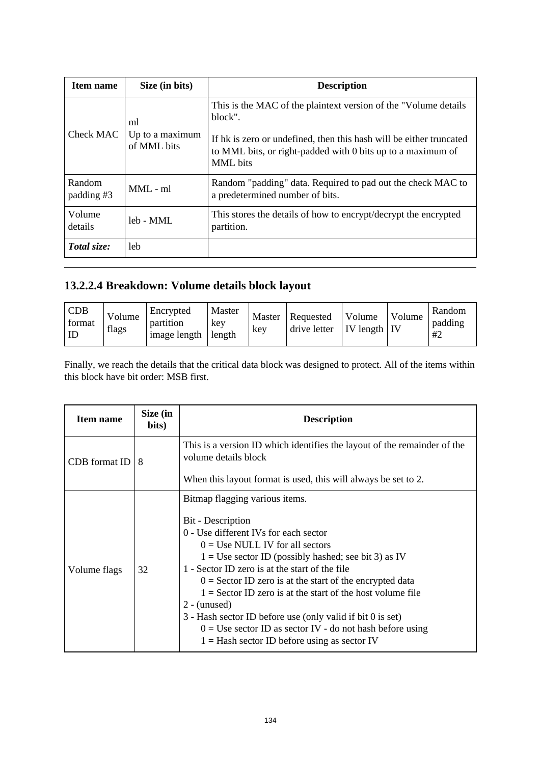| <b>Item name</b>     | Size (in bits)                       | <b>Description</b>                                                                                                                                                                                                            |
|----------------------|--------------------------------------|-------------------------------------------------------------------------------------------------------------------------------------------------------------------------------------------------------------------------------|
| Check MAC            | ml<br>Up to a maximum<br>of MML bits | This is the MAC of the plaintext version of the "Volume details"<br>block".<br>If hk is zero or undefined, then this hash will be either truncated<br>to MML bits, or right-padded with 0 bits up to a maximum of<br>MML bits |
| Random<br>padding #3 | $MML - ml$                           | Random "padding" data. Required to pad out the check MAC to<br>a predetermined number of bits.                                                                                                                                |
| Volume<br>details    | $1eh - MML$                          | This stores the details of how to encrypt/decrypt the encrypted<br>partition.                                                                                                                                                 |
| Total size:          | leb                                  |                                                                                                                                                                                                                               |

# **13.2.2.4 Breakdown: Volume details block layout**

| <b>CDB</b><br>Volume<br>format<br>flags<br>ID | Encrypted<br>partition<br>key<br>image length<br>length | Master<br>Master<br>key | Requested<br>drive letter | Volume<br>$IV$ length $IV$ | Volume | Random<br>padding<br>#2 |
|-----------------------------------------------|---------------------------------------------------------|-------------------------|---------------------------|----------------------------|--------|-------------------------|
|-----------------------------------------------|---------------------------------------------------------|-------------------------|---------------------------|----------------------------|--------|-------------------------|

Finally, we reach the details that the critical data block was designed to protect. All of the items within this block have bit order: MSB first.

| Item name     | Size (in<br>bits) | <b>Description</b>                                                                                                                                                                                                                                                                                                                                                                                                                                                                                                                                                                  |
|---------------|-------------------|-------------------------------------------------------------------------------------------------------------------------------------------------------------------------------------------------------------------------------------------------------------------------------------------------------------------------------------------------------------------------------------------------------------------------------------------------------------------------------------------------------------------------------------------------------------------------------------|
| CDB format ID | 8                 | This is a version ID which identifies the layout of the remainder of the<br>volume details block<br>When this layout format is used, this will always be set to 2.                                                                                                                                                                                                                                                                                                                                                                                                                  |
| Volume flags  | 32                | Bitmap flagging various items.<br><b>Bit</b> - Description<br>0 - Use different IVs for each sector<br>$0 = Use NULL IV$ for all sectors<br>$1 = Use sector ID (possibly hashed; see bit 3) as IV$<br>1 - Sector ID zero is at the start of the file<br>$0 =$ Sector ID zero is at the start of the encrypted data<br>$1 =$ Sector ID zero is at the start of the host volume file<br>$2 -$ (unused)<br>3 - Hash sector ID before use (only valid if bit 0 is set)<br>$0 = Use sector ID$ as sector IV - do not hash before using<br>$1 =$ Hash sector ID before using as sector IV |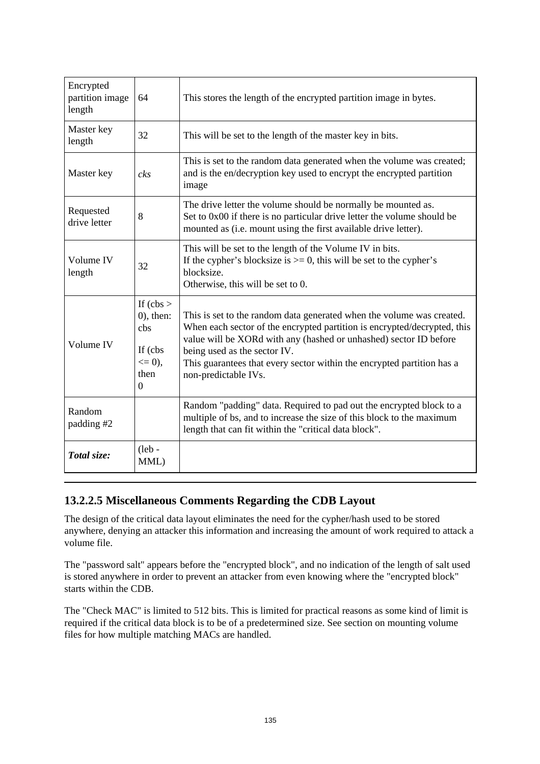| Encrypted<br>partition image<br>length | 64                                                                         | This stores the length of the encrypted partition image in bytes.                                                                                                                                                                                                                                                                                        |
|----------------------------------------|----------------------------------------------------------------------------|----------------------------------------------------------------------------------------------------------------------------------------------------------------------------------------------------------------------------------------------------------------------------------------------------------------------------------------------------------|
| Master key<br>length                   | 32                                                                         | This will be set to the length of the master key in bits.                                                                                                                                                                                                                                                                                                |
| Master key                             | $\mathfrak{c}\mathfrak{k}\mathfrak{s}$                                     | This is set to the random data generated when the volume was created;<br>and is the en/decryption key used to encrypt the encrypted partition<br>image                                                                                                                                                                                                   |
| Requested<br>drive letter              | 8                                                                          | The drive letter the volume should be normally be mounted as.<br>Set to 0x00 if there is no particular drive letter the volume should be<br>mounted as (i.e. mount using the first available drive letter).                                                                                                                                              |
| Volume IV<br>length                    | 32                                                                         | This will be set to the length of the Volume IV in bits.<br>If the cypher's blocksize is $\ge$ = 0, this will be set to the cypher's<br>blocksize.<br>Otherwise, this will be set to 0.                                                                                                                                                                  |
| Volume IV                              | If $(cbs >$<br>$(0)$ , then:<br>cbs<br>If (cbs<br>$\leq 0$ ),<br>then<br>0 | This is set to the random data generated when the volume was created.<br>When each sector of the encrypted partition is encrypted/decrypted, this<br>value will be XORd with any (hashed or unhashed) sector ID before<br>being used as the sector IV.<br>This guarantees that every sector within the encrypted partition has a<br>non-predictable IVs. |
| Random<br>padding #2                   |                                                                            | Random "padding" data. Required to pad out the encrypted block to a<br>multiple of bs, and to increase the size of this block to the maximum<br>length that can fit within the "critical data block".                                                                                                                                                    |
| Total size:                            | $($ leb -<br>MML)                                                          |                                                                                                                                                                                                                                                                                                                                                          |

### **13.2.2.5 Miscellaneous Comments Regarding the CDB Layout**

The design of the critical data layout eliminates the need for the cypher/hash used to be stored anywhere, denying an attacker this information and increasing the amount of work required to attack a volume file.

The "password salt" appears before the "encrypted block", and no indication of the length of salt used is stored anywhere in order to prevent an attacker from even knowing where the "encrypted block" starts within the CDB.

The "Check MAC" is limited to 512 bits. This is limited for practical reasons as some kind of limit is required if the critical data block is to be of a predetermined size. See section on mounting volume files for how multiple matching MACs are handled.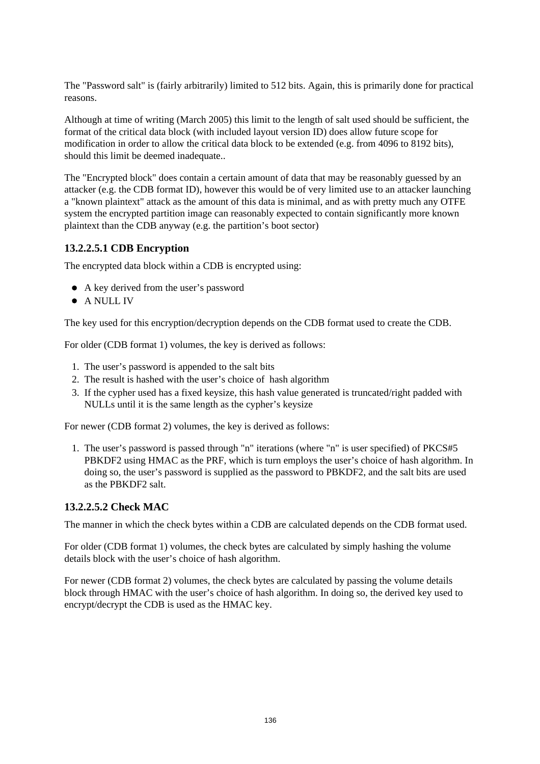The "Password salt" is (fairly arbitrarily) limited to 512 bits. Again, this is primarily done for practical reasons.

Although at time of writing (March 2005) this limit to the length of salt used should be sufficient, the format of the critical data block (with included layout version ID) does allow future scope for modification in order to allow the critical data block to be extended (e.g. from 4096 to 8192 bits), should this limit be deemed inadequate..

The "Encrypted block" does contain a certain amount of data that may be reasonably guessed by an attacker (e.g. the CDB format ID), however this would be of very limited use to an attacker launching a "known plaintext" attack as the amount of this data is minimal, and as with pretty much any OTFE system the encrypted partition image can reasonably expected to contain significantly more known plaintext than the CDB anyway (e.g. the partition's boot sector)

#### **13.2.2.5.1 CDB Encryption**

The encrypted data block within a CDB is encrypted using:

- A key derived from the user's password
- **•** A NULL IV

The key used for this encryption/decryption depends on the CDB format used to create the CDB.

For older (CDB format 1) volumes, the key is derived as follows:

- 1. The user's password is appended to the salt bits
- 2. The result is hashed with the user's choice of hash algorithm
- 3. If the cypher used has a fixed keysize, this hash value generated is truncated/right padded with NULLs until it is the same length as the cypher's keysize

For newer (CDB format 2) volumes, the key is derived as follows:

1. The user's password is passed through "n" iterations (where "n" is user specified) of PKCS#5 PBKDF2 using HMAC as the PRF, which is turn employs the user's choice of hash algorithm. In doing so, the user's password is supplied as the password to PBKDF2, and the salt bits are used as the PBKDF2 salt.

#### **13.2.2.5.2 Check MAC**

The manner in which the check bytes within a CDB are calculated depends on the CDB format used.

For older (CDB format 1) volumes, the check bytes are calculated by simply hashing the volume details block with the user's choice of hash algorithm.

For newer (CDB format 2) volumes, the check bytes are calculated by passing the volume details block through HMAC with the user's choice of hash algorithm. In doing so, the derived key used to encrypt/decrypt the CDB is used as the HMAC key.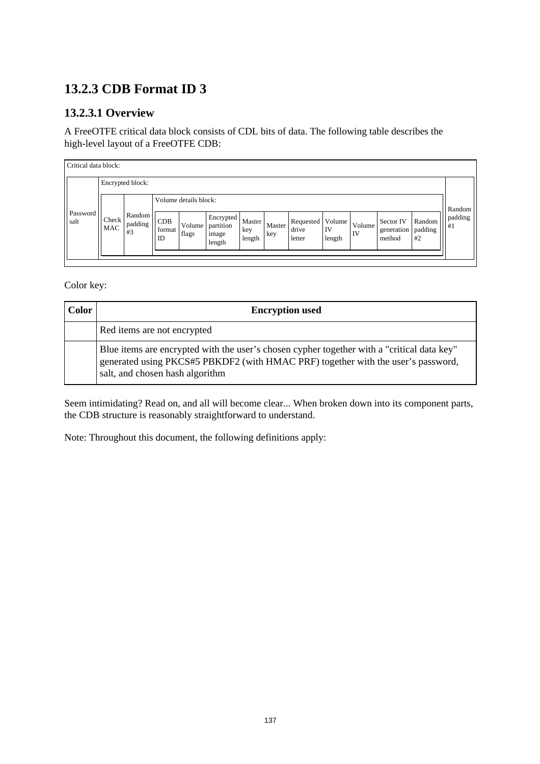# **13.2.3 CDB Format ID 3**

## **13.2.3.1 Overview**

A FreeOTFE critical data block consists of CDL bits of data. The following table describes the high-level layout of a FreeOTFE CDB:

| Critical data block: |              |                         |                       |                       |                                           |                         |               |                                         |              |              |                                   |                         |               |
|----------------------|--------------|-------------------------|-----------------------|-----------------------|-------------------------------------------|-------------------------|---------------|-----------------------------------------|--------------|--------------|-----------------------------------|-------------------------|---------------|
|                      |              | Encrypted block:        |                       |                       |                                           |                         |               |                                         |              |              |                                   |                         |               |
|                      |              |                         |                       | Volume details block: |                                           |                         |               |                                         |              |              |                                   |                         | Random        |
| Password<br>salt     | Check<br>MAC | Random<br>padding<br>#3 | CDB<br>format  <br>ID | Volume  <br>flags     | Encrypted<br>partition<br>image<br>length | Master<br>key<br>length | Master<br>key | Requested   Volume  <br>drive<br>letter | IV<br>length | Volume<br>IV | Sector IV<br>generation<br>method | Random<br>padding<br>#2 | padding<br>#1 |
|                      |              |                         |                       |                       |                                           |                         |               |                                         |              |              |                                   |                         |               |

Color key:

| <b>Color</b> | <b>Encryption used</b>                                                                                                                                                                                            |
|--------------|-------------------------------------------------------------------------------------------------------------------------------------------------------------------------------------------------------------------|
|              | Red items are not encrypted                                                                                                                                                                                       |
|              | Blue items are encrypted with the user's chosen cypher together with a "critical data key"<br>generated using PKCS#5 PBKDF2 (with HMAC PRF) together with the user's password,<br>salt, and chosen hash algorithm |

Seem intimidating? Read on, and all will become clear... When broken down into its component parts, the CDB structure is reasonably straightforward to understand.

Note: Throughout this document, the following definitions apply: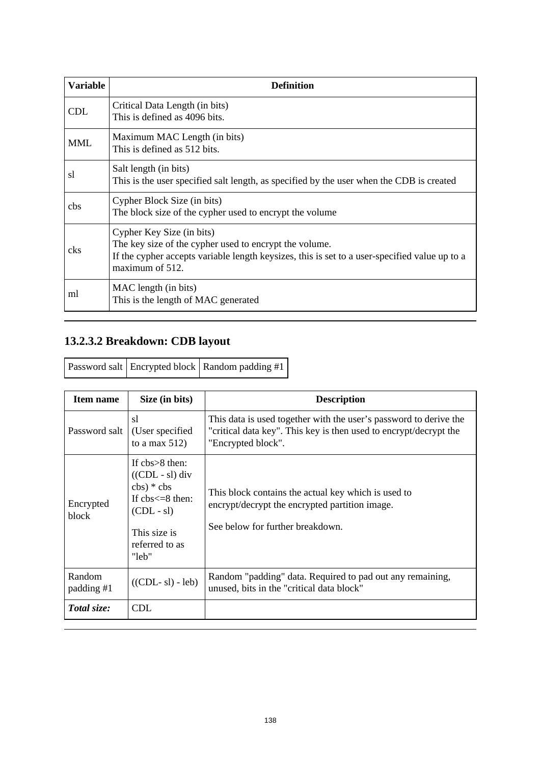| <b>Variable</b> | <b>Definition</b>                                                                                                                                                                                       |  |
|-----------------|---------------------------------------------------------------------------------------------------------------------------------------------------------------------------------------------------------|--|
| <b>CDL</b>      | Critical Data Length (in bits)<br>This is defined as 4096 bits.                                                                                                                                         |  |
| <b>MML</b>      | Maximum MAC Length (in bits)<br>This is defined as 512 bits.                                                                                                                                            |  |
| sl              | Salt length (in bits)<br>This is the user specified salt length, as specified by the user when the CDB is created                                                                                       |  |
| cbs             | Cypher Block Size (in bits)<br>The block size of the cypher used to encrypt the volume                                                                                                                  |  |
| cks             | Cypher Key Size (in bits)<br>The key size of the cypher used to encrypt the volume.<br>If the cypher accepts variable length keysizes, this is set to a user-specified value up to a<br>maximum of 512. |  |
| ml              | MAC length (in bits)<br>This is the length of MAC generated                                                                                                                                             |  |

# **13.2.3.2 Breakdown: CDB layout**

|  |  | <b>Password salt</b> Encrypted block   Random padding #1 |
|--|--|----------------------------------------------------------|
|--|--|----------------------------------------------------------|

| <b>Item name</b>     | Size (in bits)                                                                                                                                                            | <b>Description</b>                                                                                                                                           |
|----------------------|---------------------------------------------------------------------------------------------------------------------------------------------------------------------------|--------------------------------------------------------------------------------------------------------------------------------------------------------------|
| Password salt        | sl<br>(User specified)<br>to a max $512$ )                                                                                                                                | This data is used together with the user's password to derive the<br>"critical data key". This key is then used to encrypt/decrypt the<br>"Encrypted block". |
| Encrypted<br>block   | If $\text{chs} > 8$ then:<br>$((CDL - s1)$ div<br>$\text{cbs}$ $*$ $\text{cbs}$<br>If $\text{obs}\leq 8$ then:<br>$(CDL - sI)$<br>This size is<br>referred to as<br>"leb" | This block contains the actual key which is used to<br>encrypt/decrypt the encrypted partition image.<br>See below for further breakdown.                    |
| Random<br>padding #1 | $((CDL - s1) - leb)$                                                                                                                                                      | Random "padding" data. Required to pad out any remaining,<br>unused, bits in the "critical data block"                                                       |
| Total size:          | <b>CDL</b>                                                                                                                                                                |                                                                                                                                                              |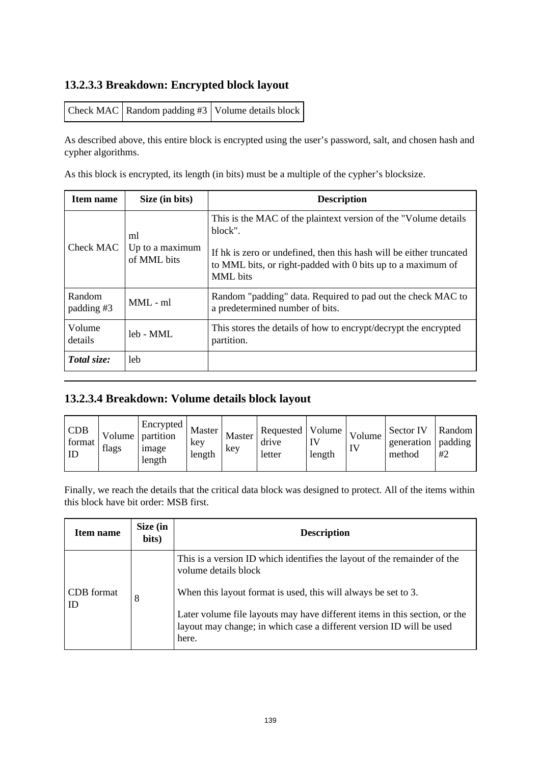#### **13.2.3.3 Breakdown: Encrypted block layout**

| Check MAC   Random padding #3   Volume details block |  |
|------------------------------------------------------|--|
|------------------------------------------------------|--|

As described above, this entire block is encrypted using the user's password, salt, and chosen hash and cypher algorithms.

As this block is encrypted, its length (in bits) must be a multiple of the cypher's blocksize.

| Item name            | Size (in bits)                       | <b>Description</b>                                                                                                                                                                                                            |
|----------------------|--------------------------------------|-------------------------------------------------------------------------------------------------------------------------------------------------------------------------------------------------------------------------------|
| Check MAC            | ml<br>Up to a maximum<br>of MML bits | This is the MAC of the plaintext version of the "Volume details"<br>block".<br>If hk is zero or undefined, then this hash will be either truncated<br>to MML bits, or right-padded with 0 bits up to a maximum of<br>MML bits |
| Random<br>padding #3 | $MML - ml$                           | Random "padding" data. Required to pad out the check MAC to<br>a predetermined number of bits.                                                                                                                                |
| Volume<br>details    | $1eh - MMI$ .                        | This stores the details of how to encrypt/decrypt the encrypted<br>partition.                                                                                                                                                 |
| Total size:          | leb                                  |                                                                                                                                                                                                                               |

## **13.2.3.4 Breakdown: Volume details block layout**

| <b>CDB</b><br>format<br>ID | flags | Encrypted<br>Volume   partition<br>1 <sub>mage</sub><br>length | Master<br>key<br>length | Master<br>key | Requested   Volume  <br>drive<br>letter | length | Volume,<br>$\mathbf{I}$ | Sector IV<br>generation<br>method | Random I<br>padding<br>#2 |
|----------------------------|-------|----------------------------------------------------------------|-------------------------|---------------|-----------------------------------------|--------|-------------------------|-----------------------------------|---------------------------|
|----------------------------|-------|----------------------------------------------------------------|-------------------------|---------------|-----------------------------------------|--------|-------------------------|-----------------------------------|---------------------------|

Finally, we reach the details that the critical data block was designed to protect. All of the items within this block have bit order: MSB first.

| Item name        | Size (in<br>bits) | <b>Description</b>                                                                                                                                                                                                            |
|------------------|-------------------|-------------------------------------------------------------------------------------------------------------------------------------------------------------------------------------------------------------------------------|
|                  |                   | This is a version ID which identifies the layout of the remainder of the<br>volume details block                                                                                                                              |
| CDB format<br>ID | 8                 | When this layout format is used, this will always be set to 3.<br>Later volume file layouts may have different items in this section, or the<br>layout may change; in which case a different version ID will be used<br>here. |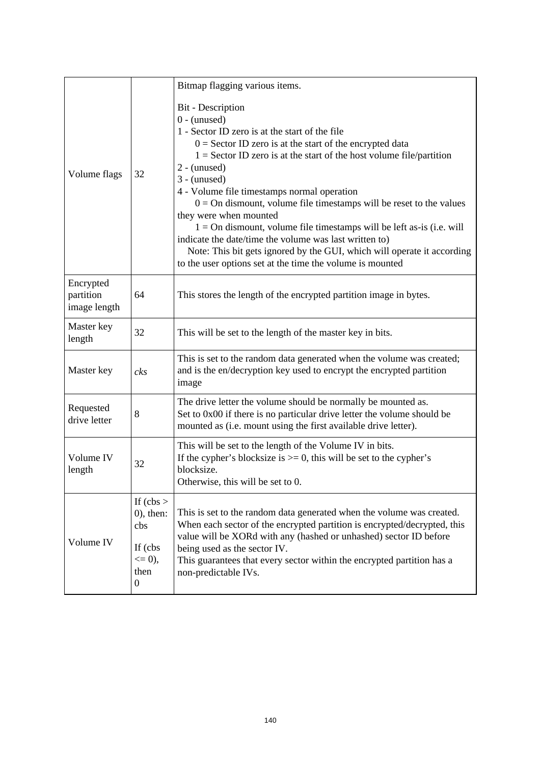|                                        |                                                                                    | Bitmap flagging various items.                                                                                                                                                                                                                                                                                                                                                                                                                                                                                                                                                                                                                                                                              |  |
|----------------------------------------|------------------------------------------------------------------------------------|-------------------------------------------------------------------------------------------------------------------------------------------------------------------------------------------------------------------------------------------------------------------------------------------------------------------------------------------------------------------------------------------------------------------------------------------------------------------------------------------------------------------------------------------------------------------------------------------------------------------------------------------------------------------------------------------------------------|--|
| Volume flags                           | 32                                                                                 | <b>Bit</b> - Description<br>$0 - ($ unused $)$<br>1 - Sector ID zero is at the start of the file<br>$0 =$ Sector ID zero is at the start of the encrypted data<br>$1 =$ Sector ID zero is at the start of the host volume file/partition<br>$2 - (unused)$<br>$3 -$ (unused)<br>4 - Volume file timestamps normal operation<br>$0 =$ On dismount, volume file timestamps will be reset to the values<br>they were when mounted<br>$1 =$ On dismount, volume file timestamps will be left as-is (i.e. will<br>indicate the date/time the volume was last written to)<br>Note: This bit gets ignored by the GUI, which will operate it according<br>to the user options set at the time the volume is mounted |  |
| Encrypted<br>partition<br>image length | 64                                                                                 | This stores the length of the encrypted partition image in bytes.                                                                                                                                                                                                                                                                                                                                                                                                                                                                                                                                                                                                                                           |  |
| Master key<br>length                   | 32                                                                                 | This will be set to the length of the master key in bits.                                                                                                                                                                                                                                                                                                                                                                                                                                                                                                                                                                                                                                                   |  |
| Master key                             | $_{cks}$                                                                           | This is set to the random data generated when the volume was created;<br>and is the en/decryption key used to encrypt the encrypted partition<br>image                                                                                                                                                                                                                                                                                                                                                                                                                                                                                                                                                      |  |
| Requested<br>drive letter              | 8                                                                                  | The drive letter the volume should be normally be mounted as.<br>Set to 0x00 if there is no particular drive letter the volume should be<br>mounted as (i.e. mount using the first available drive letter).                                                                                                                                                                                                                                                                                                                                                                                                                                                                                                 |  |
| Volume IV<br>length                    | 32                                                                                 | This will be set to the length of the Volume IV in bits.<br>If the cypher's blocksize is $>= 0$ , this will be set to the cypher's<br>blocksize.<br>Otherwise, this will be set to 0.                                                                                                                                                                                                                                                                                                                                                                                                                                                                                                                       |  |
| Volume IV                              | If $(cbs >$<br>$(0)$ , then:<br>cbs<br>If (cbs)<br>$\leq 0$ ),<br>then<br>$\theta$ | This is set to the random data generated when the volume was created.<br>When each sector of the encrypted partition is encrypted/decrypted, this<br>value will be XORd with any (hashed or unhashed) sector ID before<br>being used as the sector IV.<br>This guarantees that every sector within the encrypted partition has a<br>non-predictable IVs.                                                                                                                                                                                                                                                                                                                                                    |  |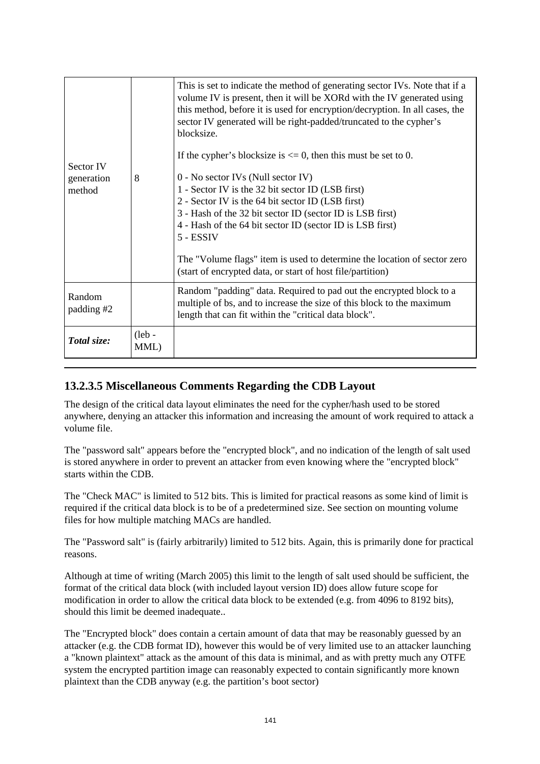| Sector IV<br>generation<br>method | 8                 | This is set to indicate the method of generating sector IVs. Note that if a<br>volume IV is present, then it will be XORd with the IV generated using<br>this method, before it is used for encryption/decryption. In all cases, the<br>sector IV generated will be right-padded/truncated to the cypher's<br>blocksize.<br>If the cypher's blocksize is $\leq$ 0, then this must be set to 0.<br>$0$ - No sector IVs (Null sector IV)<br>1 - Sector IV is the 32 bit sector ID (LSB first)<br>2 - Sector IV is the 64 bit sector ID (LSB first)<br>3 - Hash of the 32 bit sector ID (sector ID is LSB first)<br>4 - Hash of the 64 bit sector ID (sector ID is LSB first)<br>5 - ESSIV<br>The "Volume flags" item is used to determine the location of sector zero<br>(start of encrypted data, or start of host file/partition) |
|-----------------------------------|-------------------|-----------------------------------------------------------------------------------------------------------------------------------------------------------------------------------------------------------------------------------------------------------------------------------------------------------------------------------------------------------------------------------------------------------------------------------------------------------------------------------------------------------------------------------------------------------------------------------------------------------------------------------------------------------------------------------------------------------------------------------------------------------------------------------------------------------------------------------|
| Random<br>padding #2              |                   | Random "padding" data. Required to pad out the encrypted block to a<br>multiple of bs, and to increase the size of this block to the maximum<br>length that can fit within the "critical data block".                                                                                                                                                                                                                                                                                                                                                                                                                                                                                                                                                                                                                             |
| Total size:                       | $($ leb -<br>MML) |                                                                                                                                                                                                                                                                                                                                                                                                                                                                                                                                                                                                                                                                                                                                                                                                                                   |

#### **13.2.3.5 Miscellaneous Comments Regarding the CDB Layout**

The design of the critical data layout eliminates the need for the cypher/hash used to be stored anywhere, denying an attacker this information and increasing the amount of work required to attack a volume file.

The "password salt" appears before the "encrypted block", and no indication of the length of salt used is stored anywhere in order to prevent an attacker from even knowing where the "encrypted block" starts within the CDB.

The "Check MAC" is limited to 512 bits. This is limited for practical reasons as some kind of limit is required if the critical data block is to be of a predetermined size. See section on mounting volume files for how multiple matching MACs are handled.

The "Password salt" is (fairly arbitrarily) limited to 512 bits. Again, this is primarily done for practical reasons.

Although at time of writing (March 2005) this limit to the length of salt used should be sufficient, the format of the critical data block (with included layout version ID) does allow future scope for modification in order to allow the critical data block to be extended (e.g. from 4096 to 8192 bits), should this limit be deemed inadequate..

The "Encrypted block" does contain a certain amount of data that may be reasonably guessed by an attacker (e.g. the CDB format ID), however this would be of very limited use to an attacker launching a "known plaintext" attack as the amount of this data is minimal, and as with pretty much any OTFE system the encrypted partition image can reasonably expected to contain significantly more known plaintext than the CDB anyway (e.g. the partition's boot sector)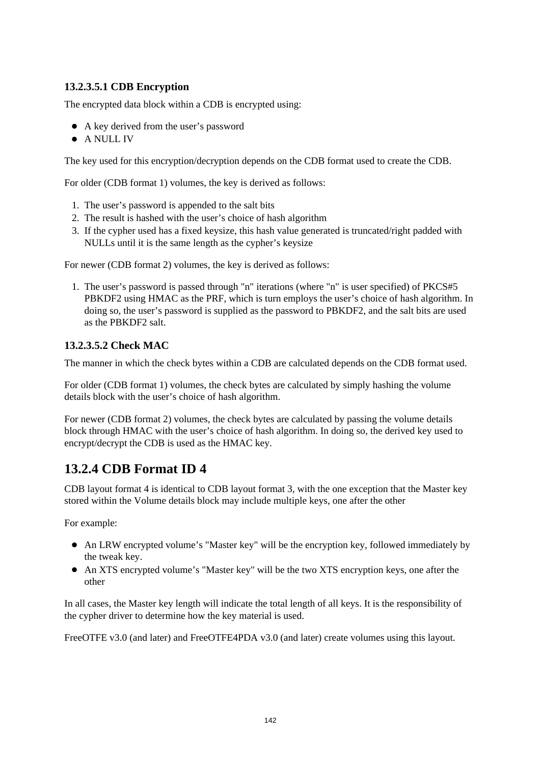#### **13.2.3.5.1 CDB Encryption**

The encrypted data block within a CDB is encrypted using:

- A key derived from the user's password
- A NULL IV

The key used for this encryption/decryption depends on the CDB format used to create the CDB.

For older (CDB format 1) volumes, the key is derived as follows:

- 1. The user's password is appended to the salt bits
- 2. The result is hashed with the user's choice of hash algorithm
- 3. If the cypher used has a fixed keysize, this hash value generated is truncated/right padded with NULLs until it is the same length as the cypher's keysize

For newer (CDB format 2) volumes, the key is derived as follows:

1. The user's password is passed through "n" iterations (where "n" is user specified) of PKCS#5 PBKDF2 using HMAC as the PRF, which is turn employs the user's choice of hash algorithm. In doing so, the user's password is supplied as the password to PBKDF2, and the salt bits are used as the PBKDF2 salt.

#### **13.2.3.5.2 Check MAC**

The manner in which the check bytes within a CDB are calculated depends on the CDB format used.

For older (CDB format 1) volumes, the check bytes are calculated by simply hashing the volume details block with the user's choice of hash algorithm.

For newer (CDB format 2) volumes, the check bytes are calculated by passing the volume details block through HMAC with the user's choice of hash algorithm. In doing so, the derived key used to encrypt/decrypt the CDB is used as the HMAC key.

## **13.2.4 CDB Format ID 4**

CDB layout format 4 is identical to CDB layout format 3, with the one exception that the Master key stored within the Volume details block may include multiple keys, one after the other

For example:

- An LRW encrypted volume's "Master key" will be the encryption key, followed immediately by the tweak key.
- An XTS encrypted volume's "Master key" will be the two XTS encryption keys, one after the other

In all cases, the Master key length will indicate the total length of all keys. It is the responsibility of the cypher driver to determine how the key material is used.

FreeOTFE v3.0 (and later) and FreeOTFE4PDA v3.0 (and later) create volumes using this layout.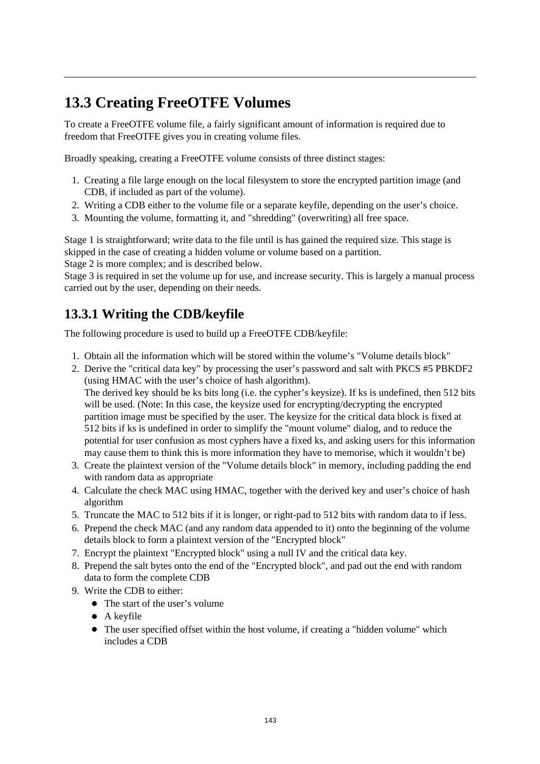# **13.3 Creating FreeOTFE Volumes**

To create a FreeOTFE volume file, a fairly significant amount of information is required due to freedom that FreeOTFE gives you in creating volume files.

Broadly speaking, creating a FreeOTFE volume consists of three distinct stages:

- 1. Creating a file large enough on the local filesystem to store the encrypted partition image (and CDB, if included as part of the volume).
- 2. Writing a CDB either to the volume file or a separate keyfile, depending on the user's choice.
- 3. Mounting the volume, formatting it, and "shredding" (overwriting) all free space.

Stage 1 is straightforward; write data to the file until is has gained the required size. This stage is skipped in the case of creating a hidden volume or volume based on a partition. Stage 2 is more complex; and is described below.

Stage 3 is required in set the volume up for use, and increase security. This is largely a manual process carried out by the user, depending on their needs.

## **13.3.1 Writing the CDB/keyfile**

The following procedure is used to build up a FreeOTFE CDB/keyfile:

- 1. Obtain all the information which will be stored within the volume's "Volume details block"
- 2. Derive the "critical data key" by processing the user's password and salt with PKCS #5 PBKDF2 (using HMAC with the user's choice of hash algorithm). The derived key should be ks bits long (i.e. the cypher's keysize). If ks is undefined, then 512 bits will be used. (Note: In this case, the keysize used for encrypting/decrypting the encrypted partition image must be specified by the user. The keysize for the critical data block is fixed at 512 bits if ks is undefined in order to simplify the "mount volume" dialog, and to reduce the potential for user confusion as most cyphers have a fixed ks, and asking users for this information may cause them to think this is more information they have to memorise, which it wouldn't be)
- 3. Create the plaintext version of the "Volume details block" in memory, including padding the end with random data as appropriate
- 4. Calculate the check MAC using HMAC, together with the derived key and user's choice of hash algorithm
- 5. Truncate the MAC to 512 bits if it is longer, or right-pad to 512 bits with random data to if less.
- 6. Prepend the check MAC (and any random data appended to it) onto the beginning of the volume details block to form a plaintext version of the "Encrypted block"
- 7. Encrypt the plaintext "Encrypted block" using a null IV and the critical data key.
- 8. Prepend the salt bytes onto the end of the "Encrypted block", and pad out the end with random data to form the complete CDB
- 9. Write the CDB to either:
	- The start of the user's volume
	- A keyfile
	- The user specified offset within the host volume, if creating a "hidden volume" which includes a CDB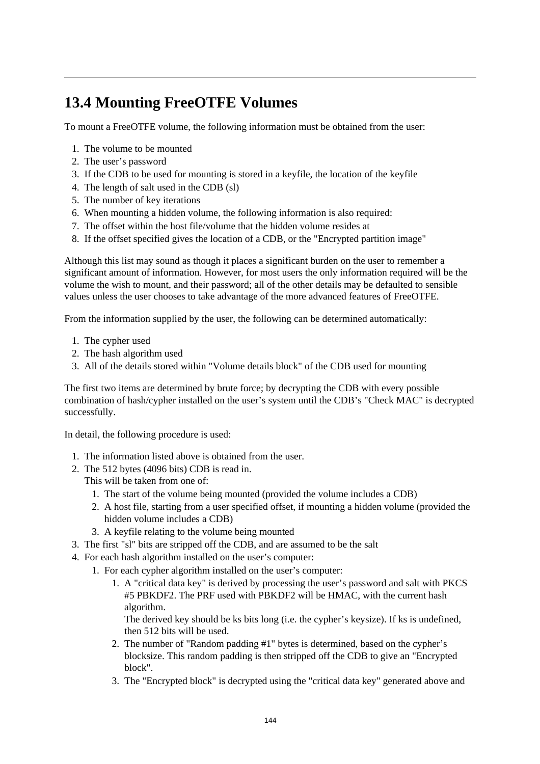# **13.4 Mounting FreeOTFE Volumes**

To mount a FreeOTFE volume, the following information must be obtained from the user:

- 1. The volume to be mounted
- 2. The user's password
- 3. If the CDB to be used for mounting is stored in a keyfile, the location of the keyfile
- 4. The length of salt used in the CDB (sl)
- 5. The number of key iterations
- 6. When mounting a hidden volume, the following information is also required:
- 7. The offset within the host file/volume that the hidden volume resides at
- 8. If the offset specified gives the location of a CDB, or the "Encrypted partition image"

Although this list may sound as though it places a significant burden on the user to remember a significant amount of information. However, for most users the only information required will be the volume the wish to mount, and their password; all of the other details may be defaulted to sensible values unless the user chooses to take advantage of the more advanced features of FreeOTFE.

From the information supplied by the user, the following can be determined automatically:

- 1. The cypher used
- 2. The hash algorithm used
- 3. All of the details stored within "Volume details block" of the CDB used for mounting

The first two items are determined by brute force; by decrypting the CDB with every possible combination of hash/cypher installed on the user's system until the CDB's "Check MAC" is decrypted successfully.

In detail, the following procedure is used:

- 1. The information listed above is obtained from the user.
- 2. The 512 bytes (4096 bits) CDB is read in.

This will be taken from one of:

- 1. The start of the volume being mounted (provided the volume includes a CDB)
- 2. A host file, starting from a user specified offset, if mounting a hidden volume (provided the hidden volume includes a CDB)
- 3. A keyfile relating to the volume being mounted
- 3. The first "sl" bits are stripped off the CDB, and are assumed to be the salt
- 4. For each hash algorithm installed on the user's computer:
	- 1. For each cypher algorithm installed on the user's computer:
		- 1. A "critical data key" is derived by processing the user's password and salt with PKCS #5 PBKDF2. The PRF used with PBKDF2 will be HMAC, with the current hash algorithm.

The derived key should be ks bits long (i.e. the cypher's keysize). If ks is undefined, then 512 bits will be used.

- 2. The number of "Random padding #1" bytes is determined, based on the cypher's blocksize. This random padding is then stripped off the CDB to give an "Encrypted block".
- 3. The "Encrypted block" is decrypted using the "critical data key" generated above and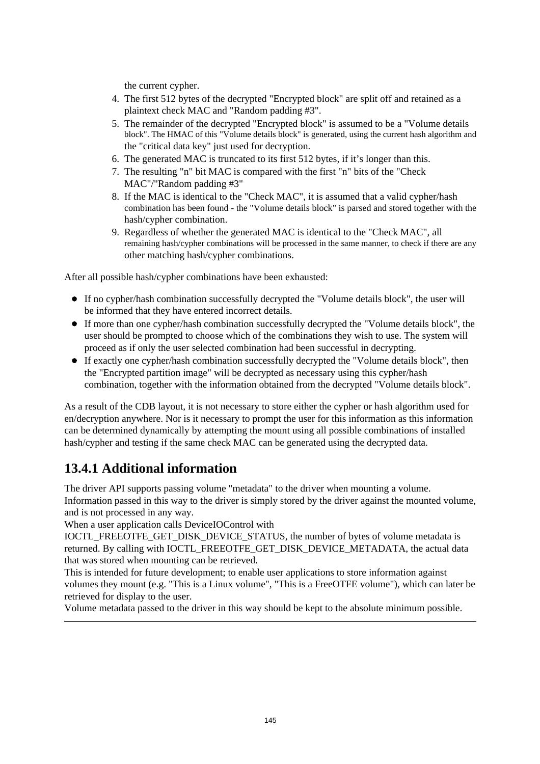the current cypher.

- 4. The first 512 bytes of the decrypted "Encrypted block" are split off and retained as a plaintext check MAC and "Random padding #3".
- 5. The remainder of the decrypted "Encrypted block" is assumed to be a "Volume details block". The HMAC of this "Volume details block" is generated, using the current hash algorithm and the "critical data key" just used for decryption.
- 6. The generated MAC is truncated to its first 512 bytes, if it's longer than this.
- 7. The resulting "n" bit MAC is compared with the first "n" bits of the "Check MAC"/"Random padding #3"
- 8. If the MAC is identical to the "Check MAC", it is assumed that a valid cypher/hash combination has been found - the "Volume details block" is parsed and stored together with the hash/cypher combination.
- 9. Regardless of whether the generated MAC is identical to the "Check MAC", all remaining hash/cypher combinations will be processed in the same manner, to check if there are any other matching hash/cypher combinations.

After all possible hash/cypher combinations have been exhausted:

- If no cypher/hash combination successfully decrypted the "Volume details block", the user will be informed that they have entered incorrect details.
- If more than one cypher/hash combination successfully decrypted the "Volume details block", the user should be prompted to choose which of the combinations they wish to use. The system will proceed as if only the user selected combination had been successful in decrypting.
- If exactly one cypher/hash combination successfully decrypted the "Volume details block", then the "Encrypted partition image" will be decrypted as necessary using this cypher/hash combination, together with the information obtained from the decrypted "Volume details block".

As a result of the CDB layout, it is not necessary to store either the cypher or hash algorithm used for en/decryption anywhere. Nor is it necessary to prompt the user for this information as this information can be determined dynamically by attempting the mount using all possible combinations of installed hash/cypher and testing if the same check MAC can be generated using the decrypted data.

## **13.4.1 Additional information**

The driver API supports passing volume "metadata" to the driver when mounting a volume. Information passed in this way to the driver is simply stored by the driver against the mounted volume, and is not processed in any way.

When a user application calls DeviceIOControl with

IOCTL\_FREEOTFE\_GET\_DISK\_DEVICE\_STATUS, the number of bytes of volume metadata is returned. By calling with IOCTL\_FREEOTFE\_GET\_DISK\_DEVICE\_METADATA, the actual data that was stored when mounting can be retrieved.

This is intended for future development; to enable user applications to store information against volumes they mount (e.g. "This is a Linux volume", "This is a FreeOTFE volume"), which can later be retrieved for display to the user.

Volume metadata passed to the driver in this way should be kept to the absolute minimum possible.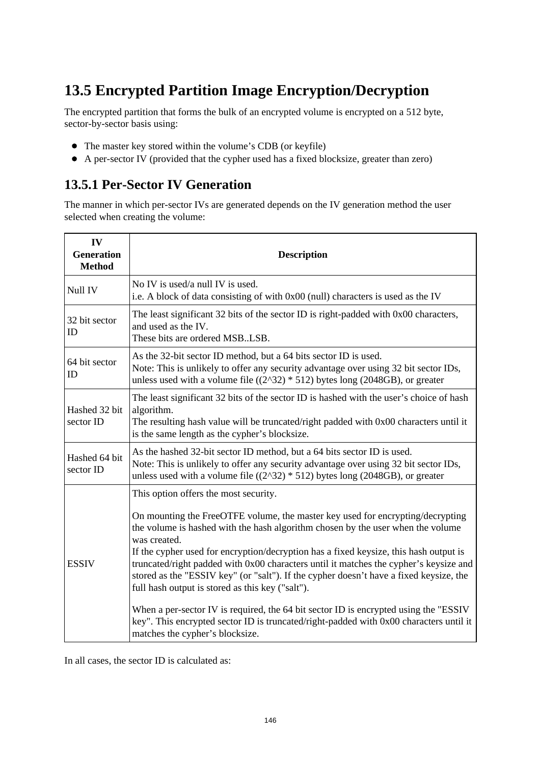# **13.5 Encrypted Partition Image Encryption/Decryption**

The encrypted partition that forms the bulk of an encrypted volume is encrypted on a 512 byte, sector-by-sector basis using:

- The master key stored within the volume's CDB (or keyfile)
- A per-sector IV (provided that the cypher used has a fixed blocksize, greater than zero)

## **13.5.1 Per-Sector IV Generation**

The manner in which per-sector IVs are generated depends on the IV generation method the user selected when creating the volume:

| IV<br><b>Generation</b><br><b>Method</b> | <b>Description</b>                                                                                                                                                                                                                                                                                                                                                                                                                                                                                                                                                                                                                                                                                                                                                               |  |  |  |
|------------------------------------------|----------------------------------------------------------------------------------------------------------------------------------------------------------------------------------------------------------------------------------------------------------------------------------------------------------------------------------------------------------------------------------------------------------------------------------------------------------------------------------------------------------------------------------------------------------------------------------------------------------------------------------------------------------------------------------------------------------------------------------------------------------------------------------|--|--|--|
| Null IV                                  | No IV is used/a null IV is used.<br>i.e. A block of data consisting of with 0x00 (null) characters is used as the IV                                                                                                                                                                                                                                                                                                                                                                                                                                                                                                                                                                                                                                                             |  |  |  |
| 32 bit sector<br>ID                      | The least significant 32 bits of the sector ID is right-padded with 0x00 characters,<br>and used as the IV.<br>These bits are ordered MSBLSB.                                                                                                                                                                                                                                                                                                                                                                                                                                                                                                                                                                                                                                    |  |  |  |
| 64 bit sector<br>ID                      | As the 32-bit sector ID method, but a 64 bits sector ID is used.<br>Note: This is unlikely to offer any security advantage over using 32 bit sector IDs,<br>unless used with a volume file $((2^{32}) * 512)$ bytes long (2048GB), or greater                                                                                                                                                                                                                                                                                                                                                                                                                                                                                                                                    |  |  |  |
| Hashed 32 bit<br>sector ID               | The least significant 32 bits of the sector ID is hashed with the user's choice of hash<br>algorithm.<br>The resulting hash value will be truncated/right padded with 0x00 characters until it<br>is the same length as the cypher's blocksize.                                                                                                                                                                                                                                                                                                                                                                                                                                                                                                                                  |  |  |  |
| Hashed 64 bit<br>sector ID               | As the hashed 32-bit sector ID method, but a 64 bits sector ID is used.<br>Note: This is unlikely to offer any security advantage over using 32 bit sector IDs,<br>unless used with a volume file $((2^{32}) * 512)$ bytes long (2048GB), or greater                                                                                                                                                                                                                                                                                                                                                                                                                                                                                                                             |  |  |  |
| <b>ESSIV</b>                             | This option offers the most security.<br>On mounting the FreeOTFE volume, the master key used for encrypting/decrypting<br>the volume is hashed with the hash algorithm chosen by the user when the volume<br>was created.<br>If the cypher used for encryption/decryption has a fixed keysize, this hash output is<br>truncated/right padded with 0x00 characters until it matches the cypher's keysize and<br>stored as the "ESSIV key" (or "salt"). If the cypher doesn't have a fixed keysize, the<br>full hash output is stored as this key ("salt").<br>When a per-sector IV is required, the 64 bit sector ID is encrypted using the "ESSIV"<br>key". This encrypted sector ID is truncated/right-padded with 0x00 characters until it<br>matches the cypher's blocksize. |  |  |  |

In all cases, the sector ID is calculated as: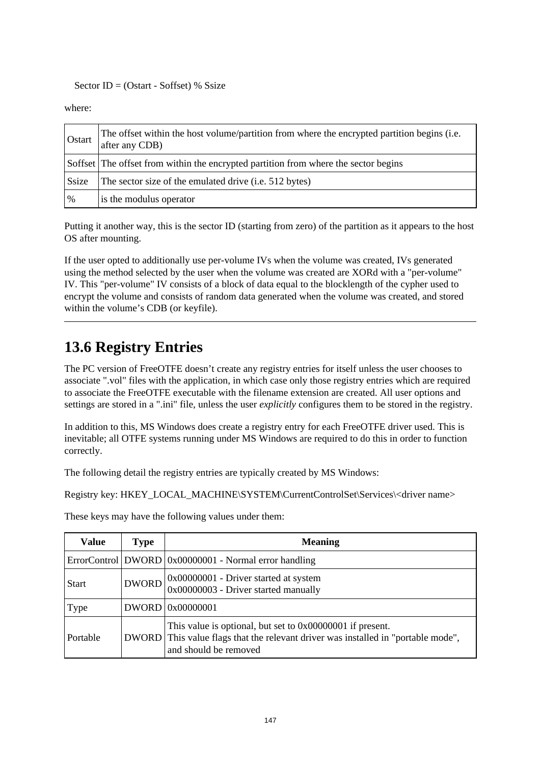#### Sector  $ID = (Ostart - Softset)$  % Ssize

where:

| Ostart | The offset within the host volume/partition from where the encrypted partition begins (i.e.<br>after any CDB) |
|--------|---------------------------------------------------------------------------------------------------------------|
|        | Soffset The offset from within the encrypted partition from where the sector begins                           |
| Ssize  | The sector size of the emulated drive ( <i>i.e.</i> 512 bytes)                                                |
| %      | is the modulus operator                                                                                       |

Putting it another way, this is the sector ID (starting from zero) of the partition as it appears to the host OS after mounting.

If the user opted to additionally use per-volume IVs when the volume was created, IVs generated using the method selected by the user when the volume was created are XORd with a "per-volume" IV. This "per-volume" IV consists of a block of data equal to the blocklength of the cypher used to encrypt the volume and consists of random data generated when the volume was created, and stored within the volume's CDB (or keyfile).

# **13.6 Registry Entries**

The PC version of FreeOTFE doesn't create any registry entries for itself unless the user chooses to associate ".vol" files with the application, in which case only those registry entries which are required to associate the FreeOTFE executable with the filename extension are created. All user options and settings are stored in a ".ini" file, unless the user *explicitly* configures them to be stored in the registry.

In addition to this, MS Windows does create a registry entry for each FreeOTFE driver used. This is inevitable; all OTFE systems running under MS Windows are required to do this in order to function correctly.

The following detail the registry entries are typically created by MS Windows:

Registry key: HKEY\_LOCAL\_MACHINE\SYSTEM\CurrentControlSet\Services\<driver name>

These keys may have the following values under them:

| <b>Value</b> | <b>Type</b>  | <b>Meaning</b>                                                                                                                                                    |  |
|--------------|--------------|-------------------------------------------------------------------------------------------------------------------------------------------------------------------|--|
|              |              | ErrorControl   DWORD   0x00000001 - Normal error handling                                                                                                         |  |
| <b>Start</b> | <b>DWORD</b> | 0x00000001 - Driver started at system<br>0x00000003 - Driver started manually                                                                                     |  |
| Type         |              | DWORD 0x00000001                                                                                                                                                  |  |
| Portable     | DWORD        | This value is optional, but set to 0x00000001 if present.<br>This value flags that the relevant driver was installed in "portable mode",<br>and should be removed |  |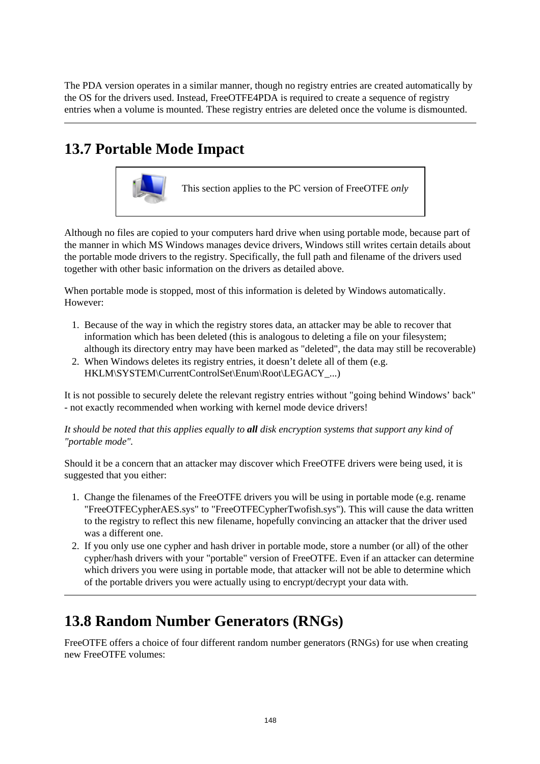The PDA version operates in a similar manner, though no registry entries are created automatically by the OS for the drivers used. Instead, FreeOTFE4PDA is required to create a sequence of registry entries when a volume is mounted. These registry entries are deleted once the volume is dismounted.

# **13.7 Portable Mode Impact**



Although no files are copied to your computers hard drive when using portable mode, because part of the manner in which MS Windows manages device drivers, Windows still writes certain details about the portable mode drivers to the registry. Specifically, the full path and filename of the drivers used together with other basic information on the drivers as detailed above.

When portable mode is stopped, most of this information is deleted by Windows automatically. However:

- 1. Because of the way in which the registry stores data, an attacker may be able to recover that information which has been deleted (this is analogous to deleting a file on your filesystem; although its directory entry may have been marked as "deleted", the data may still be recoverable)
- 2. When Windows deletes its registry entries, it doesn't delete all of them (e.g. HKLM\SYSTEM\CurrentControlSet\Enum\Root\LEGACY\_...)

It is not possible to securely delete the relevant registry entries without "going behind Windows' back" - not exactly recommended when working with kernel mode device drivers!

*It should be noted that this applies equally to all disk encryption systems that support any kind of "portable mode".*

Should it be a concern that an attacker may discover which FreeOTFE drivers were being used, it is suggested that you either:

- 1. Change the filenames of the FreeOTFE drivers you will be using in portable mode (e.g. rename "FreeOTFECypherAES.sys" to "FreeOTFECypherTwofish.sys"). This will cause the data written to the registry to reflect this new filename, hopefully convincing an attacker that the driver used was a different one.
- 2. If you only use one cypher and hash driver in portable mode, store a number (or all) of the other cypher/hash drivers with your "portable" version of FreeOTFE. Even if an attacker can determine which drivers you were using in portable mode, that attacker will not be able to determine which of the portable drivers you were actually using to encrypt/decrypt your data with.

# **13.8 Random Number Generators (RNGs)**

FreeOTFE offers a choice of four different random number generators (RNGs) for use when creating new FreeOTFE volumes: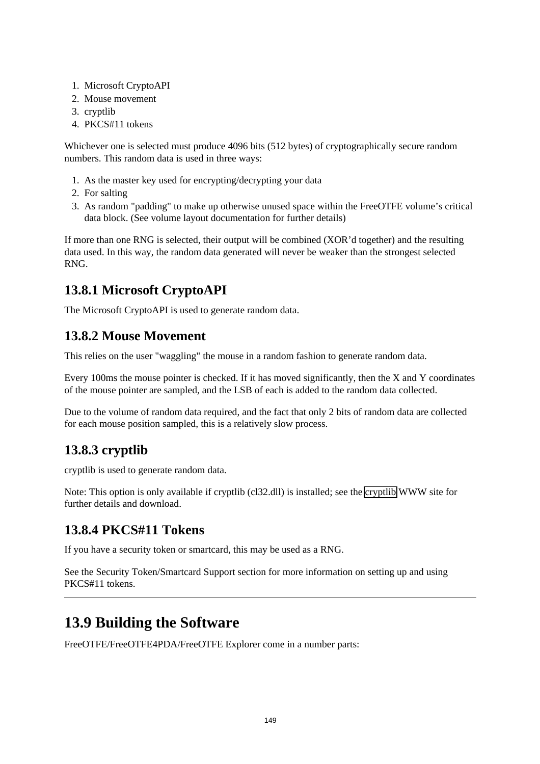- 1. Microsoft CryptoAPI
- 2. Mouse movement
- 3. cryptlib
- 4. PKCS#11 tokens

Whichever one is selected must produce 4096 bits (512 bytes) of cryptographically secure random numbers. This random data is used in three ways:

- 1. As the master key used for encrypting/decrypting your data
- 2. For salting
- 3. As random "padding" to make up otherwise unused space within the FreeOTFE volume's critical data block. (See volume layout documentation for further details)

If more than one RNG is selected, their output will be combined (XOR'd together) and the resulting data used. In this way, the random data generated will never be weaker than the strongest selected RNG.

## **13.8.1 Microsoft CryptoAPI**

The Microsoft CryptoAPI is used to generate random data.

## **13.8.2 Mouse Movement**

This relies on the user "waggling" the mouse in a random fashion to generate random data.

Every 100ms the mouse pointer is checked. If it has moved significantly, then the X and Y coordinates of the mouse pointer are sampled, and the LSB of each is added to the random data collected.

Due to the volume of random data required, and the fact that only 2 bits of random data are collected for each mouse position sampled, this is a relatively slow process.

## **13.8.3 cryptlib**

cryptlib is used to generate random data.

Note: This option is only available if cryptlib (cl32.dll) is installed; see the [cryptlib](http://www.cs.auckland.ac.nz/%7Epgut001/cryptlib/) WWW site for further details and download.

## **13.8.4 PKCS#11 Tokens**

If you have a security token or smartcard, this may be used as a RNG.

See the Security Token/Smartcard Support section for more information on setting up and using PKCS#11 tokens.

## **13.9 Building the Software**

FreeOTFE/FreeOTFE4PDA/FreeOTFE Explorer come in a number parts: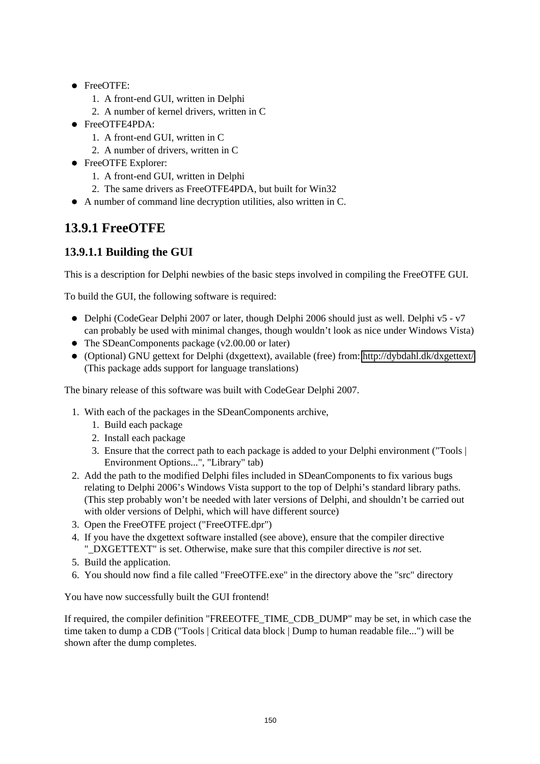- FreeOTFE:
	- 1. A front-end GUI, written in Delphi
	- 2. A number of kernel drivers, written in C
- FreeOTFE4PDA:
	- 1. A front-end GUI, written in C
	- 2. A number of drivers, written in C
- FreeOTFE Explorer:
	- 1. A front-end GUI, written in Delphi
	- 2. The same drivers as FreeOTFE4PDA, but built for Win32
- A number of command line decryption utilities, also written in C.

## **13.9.1 FreeOTFE**

#### **13.9.1.1 Building the GUI**

This is a description for Delphi newbies of the basic steps involved in compiling the FreeOTFE GUI.

To build the GUI, the following software is required:

- $\bullet$  Delphi (CodeGear Delphi 2007 or later, though Delphi 2006 should just as well. Delphi v5 v7 can probably be used with minimal changes, though wouldn't look as nice under Windows Vista)
- The SDeanComponents package (v2.00.00 or later)
- (Optional) GNU gettext for Delphi (dxgettext), available (free) from:<http://dybdahl.dk/dxgettext/> (This package adds support for language translations)

The binary release of this software was built with CodeGear Delphi 2007.

- 1. With each of the packages in the SDeanComponents archive,
	- 1. Build each package
	- 2. Install each package
	- 3. Ensure that the correct path to each package is added to your Delphi environment ("Tools | Environment Options...", "Library" tab)
- 2. Add the path to the modified Delphi files included in SDeanComponents to fix various bugs relating to Delphi 2006's Windows Vista support to the top of Delphi's standard library paths. (This step probably won't be needed with later versions of Delphi, and shouldn't be carried out with older versions of Delphi, which will have different source)
- 3. Open the FreeOTFE project ("FreeOTFE.dpr")
- 4. If you have the dxgettext software installed (see above), ensure that the compiler directive "\_DXGETTEXT" is set. Otherwise, make sure that this compiler directive is *not* set.
- 5. Build the application.
- 6. You should now find a file called "FreeOTFE.exe" in the directory above the "src" directory

You have now successfully built the GUI frontend!

If required, the compiler definition "FREEOTFE\_TIME\_CDB\_DUMP" may be set, in which case the time taken to dump a CDB ("Tools | Critical data block | Dump to human readable file...") will be shown after the dump completes.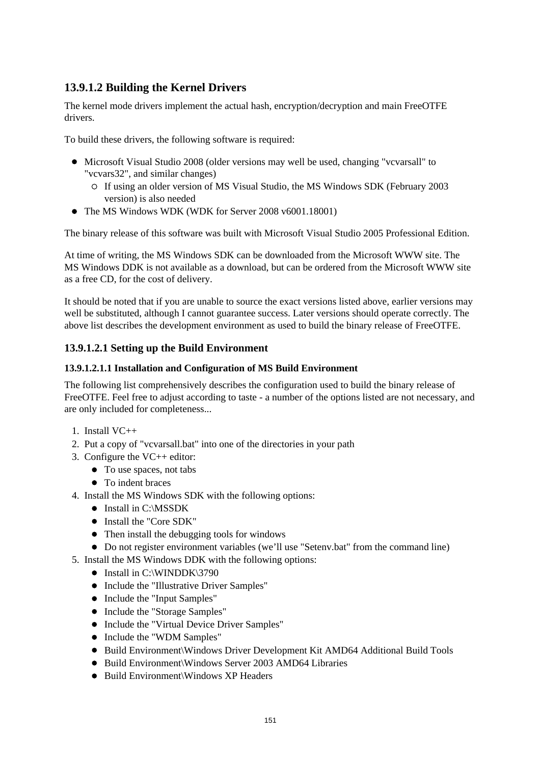#### **13.9.1.2 Building the Kernel Drivers**

The kernel mode drivers implement the actual hash, encryption/decryption and main FreeOTFE drivers.

To build these drivers, the following software is required:

- Microsoft Visual Studio 2008 (older versions may well be used, changing "vcvarsall" to "vcvars32", and similar changes)
	- If using an older version of MS Visual Studio, the MS Windows SDK (February 2003 version) is also needed
- The MS Windows WDK (WDK for Server 2008 v6001.18001)

The binary release of this software was built with Microsoft Visual Studio 2005 Professional Edition.

At time of writing, the MS Windows SDK can be downloaded from the Microsoft WWW site. The MS Windows DDK is not available as a download, but can be ordered from the Microsoft WWW site as a free CD, for the cost of delivery.

It should be noted that if you are unable to source the exact versions listed above, earlier versions may well be substituted, although I cannot guarantee success. Later versions should operate correctly. The above list describes the development environment as used to build the binary release of FreeOTFE.

#### **13.9.1.2.1 Setting up the Build Environment**

#### **13.9.1.2.1.1 Installation and Configuration of MS Build Environment**

The following list comprehensively describes the configuration used to build the binary release of FreeOTFE. Feel free to adjust according to taste - a number of the options listed are not necessary, and are only included for completeness...

- 1. Install VC++
- 2. Put a copy of "vcvarsall.bat" into one of the directories in your path
- 3. Configure the VC++ editor:
	- To use spaces, not tabs
	- To indent braces
- 4. Install the MS Windows SDK with the following options:
	- Install in C:\MSSDK
	- $\bullet$  Install the "Core SDK"
	- Then install the debugging tools for windows
	- Do not register environment variables (we'll use "Setenv.bat" from the command line)
- 5. Install the MS Windows DDK with the following options:
	- $\bullet$  Install in C:\WINDDK\3790
	- Include the "Illustrative Driver Samples"
	- Include the "Input Samples"
	- Include the "Storage Samples"
	- Include the "Virtual Device Driver Samples"
	- Include the "WDM Samples"
	- Build Environment\Windows Driver Development Kit AMD64 Additional Build Tools
	- Build Environment\Windows Server 2003 AMD64 Libraries
	- Build Environment\Windows XP Headers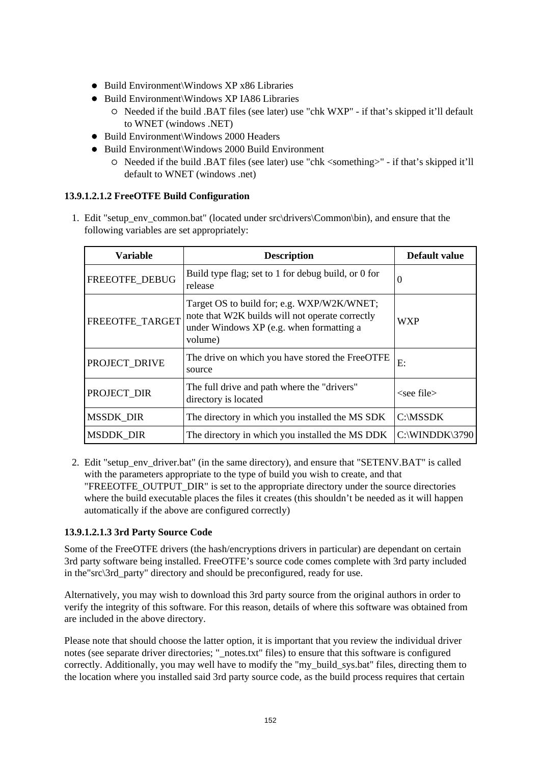- Build Environment\Windows XP x86 Libraries
- Build Environment\Windows XP IA86 Libraries
	- Needed if the build .BAT files (see later) use "chk WXP" if that's skipped it'll default to WNET (windows .NET)
- Build Environment\Windows 2000 Headers
- Build Environment\Windows 2000 Build Environment
	- Needed if the build .BAT files (see later) use "chk <something>" if that's skipped it'll default to WNET (windows .net)

#### **13.9.1.2.1.2 FreeOTFE Build Configuration**

1. Edit "setup\_env\_common.bat" (located under src\drivers\Common\bin), and ensure that the following variables are set appropriately:

| <b>Variable</b>                                                     | <b>Description</b>                                                                                                                                   |                                       |
|---------------------------------------------------------------------|------------------------------------------------------------------------------------------------------------------------------------------------------|---------------------------------------|
| FREEOTFE DEBUG                                                      | Build type flag; set to 1 for debug build, or 0 for<br>release                                                                                       | 0                                     |
| FREEOTFE_TARGET                                                     | Target OS to build for; e.g. WXP/W2K/WNET;<br>note that W2K builds will not operate correctly<br>under Windows XP (e.g. when formatting a<br>volume) | <b>WXP</b>                            |
| PROJECT DRIVE                                                       | The drive on which you have stored the FreeOTFE<br>source                                                                                            | E:                                    |
| PROJECT DIR                                                         | The full drive and path where the "drivers"<br>directory is located                                                                                  | $\epsilon$ <see file<="" td=""></see> |
| <b>MSSDK_DIR</b><br>The directory in which you installed the MS SDK |                                                                                                                                                      | C:\MSSDK                              |
| <b>MSDDK DIR</b><br>The directory in which you installed the MS DDK |                                                                                                                                                      | C:\WINDDK\3790                        |

2. Edit "setup\_env\_driver.bat" (in the same directory), and ensure that "SETENV.BAT" is called with the parameters appropriate to the type of build you wish to create, and that "FREEOTFE\_OUTPUT\_DIR" is set to the appropriate directory under the source directories where the build executable places the files it creates (this shouldn't be needed as it will happen automatically if the above are configured correctly)

#### **13.9.1.2.1.3 3rd Party Source Code**

Some of the FreeOTFE drivers (the hash/encryptions drivers in particular) are dependant on certain 3rd party software being installed. FreeOTFE's source code comes complete with 3rd party included in the "src\3rd\_party" directory and should be preconfigured, ready for use.

Alternatively, you may wish to download this 3rd party source from the original authors in order to verify the integrity of this software. For this reason, details of where this software was obtained from are included in the above directory.

Please note that should choose the latter option, it is important that you review the individual driver notes (see separate driver directories; "\_notes.txt" files) to ensure that this software is configured correctly. Additionally, you may well have to modify the "my\_build\_sys.bat" files, directing them to the location where you installed said 3rd party source code, as the build process requires that certain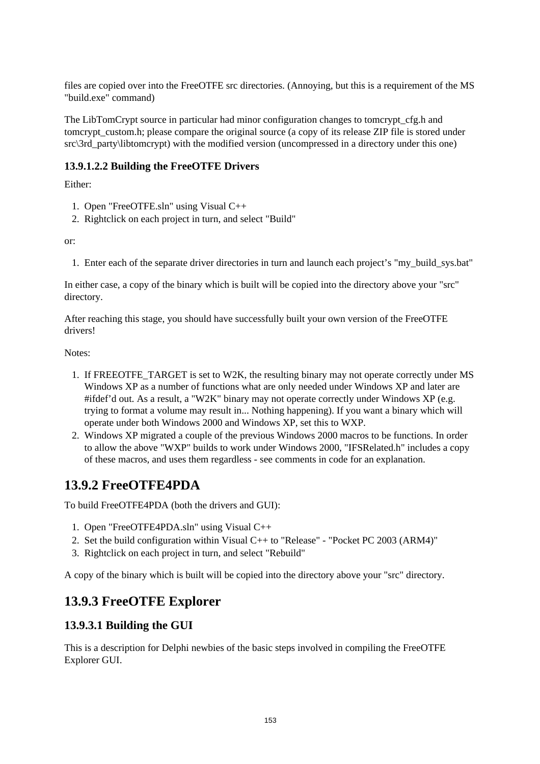files are copied over into the FreeOTFE src directories. (Annoying, but this is a requirement of the MS "build.exe" command)

The LibTomCrypt source in particular had minor configuration changes to tomcrypt\_cfg.h and tomcrypt custom.h; please compare the original source (a copy of its release ZIP file is stored under src\3rd\_party\libtomcrypt) with the modified version (uncompressed in a directory under this one)

#### **13.9.1.2.2 Building the FreeOTFE Drivers**

Either:

- 1. Open "FreeOTFE.sln" using Visual C++
- 2. Rightclick on each project in turn, and select "Build"

or:

1. Enter each of the separate driver directories in turn and launch each project's "my\_build\_sys.bat"

In either case, a copy of the binary which is built will be copied into the directory above your "src" directory.

After reaching this stage, you should have successfully built your own version of the FreeOTFE drivers!

Notes:

- 1. If FREEOTFE\_TARGET is set to W2K, the resulting binary may not operate correctly under MS Windows XP as a number of functions what are only needed under Windows XP and later are #ifdef'd out. As a result, a "W2K" binary may not operate correctly under Windows XP (e.g. trying to format a volume may result in... Nothing happening). If you want a binary which will operate under both Windows 2000 and Windows XP, set this to WXP.
- 2. Windows XP migrated a couple of the previous Windows 2000 macros to be functions. In order to allow the above "WXP" builds to work under Windows 2000, "IFSRelated.h" includes a copy of these macros, and uses them regardless - see comments in code for an explanation.

## **13.9.2 FreeOTFE4PDA**

To build FreeOTFE4PDA (both the drivers and GUI):

- 1. Open "FreeOTFE4PDA.sln" using Visual C++
- 2. Set the build configuration within Visual C++ to "Release" "Pocket PC 2003 (ARM4)"
- 3. Rightclick on each project in turn, and select "Rebuild"

A copy of the binary which is built will be copied into the directory above your "src" directory.

## **13.9.3 FreeOTFE Explorer**

#### **13.9.3.1 Building the GUI**

This is a description for Delphi newbies of the basic steps involved in compiling the FreeOTFE Explorer GUI.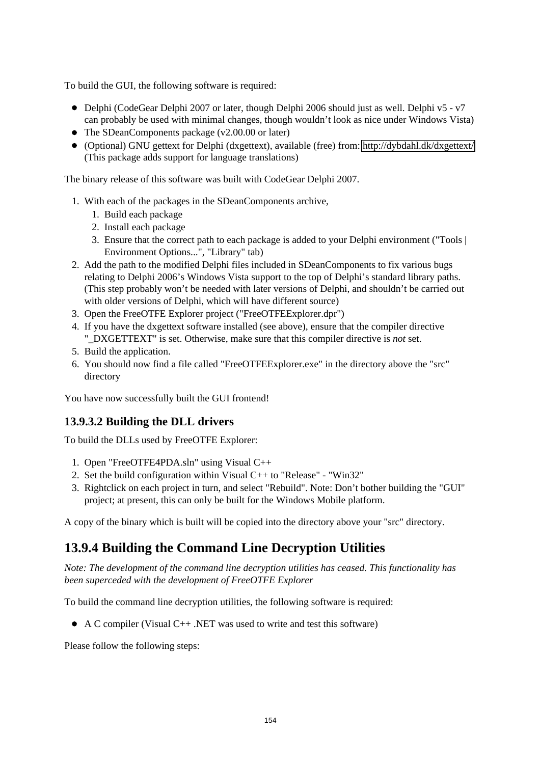To build the GUI, the following software is required:

- Delphi (CodeGear Delphi 2007 or later, though Delphi 2006 should just as well. Delphi v5 v7 can probably be used with minimal changes, though wouldn't look as nice under Windows Vista)
- The SDeanComponents package (v2.00.00 or later)
- (Optional) GNU gettext for Delphi (dxgettext), available (free) from:<http://dybdahl.dk/dxgettext/> (This package adds support for language translations)

The binary release of this software was built with CodeGear Delphi 2007.

- 1. With each of the packages in the SDeanComponents archive,
	- 1. Build each package
	- 2. Install each package
	- 3. Ensure that the correct path to each package is added to your Delphi environment ("Tools | Environment Options...", "Library" tab)
- 2. Add the path to the modified Delphi files included in SDeanComponents to fix various bugs relating to Delphi 2006's Windows Vista support to the top of Delphi's standard library paths. (This step probably won't be needed with later versions of Delphi, and shouldn't be carried out with older versions of Delphi, which will have different source)
- 3. Open the FreeOTFE Explorer project ("FreeOTFEExplorer.dpr")
- 4. If you have the dxgettext software installed (see above), ensure that the compiler directive "\_DXGETTEXT" is set. Otherwise, make sure that this compiler directive is *not* set.
- 5. Build the application.
- 6. You should now find a file called "FreeOTFEExplorer.exe" in the directory above the "src" directory

You have now successfully built the GUI frontend!

#### **13.9.3.2 Building the DLL drivers**

To build the DLLs used by FreeOTFE Explorer:

- 1. Open "FreeOTFE4PDA.sln" using Visual C++
- 2. Set the build configuration within Visual C++ to "Release" "Win32"
- 3. Rightclick on each project in turn, and select "Rebuild". Note: Don't bother building the "GUI" project; at present, this can only be built for the Windows Mobile platform.

A copy of the binary which is built will be copied into the directory above your "src" directory.

## **13.9.4 Building the Command Line Decryption Utilities**

*Note: The development of the command line decryption utilities has ceased. This functionality has been superceded with the development of FreeOTFE Explorer*

To build the command line decryption utilities, the following software is required:

A C compiler (Visual C++ .NET was used to write and test this software)

Please follow the following steps: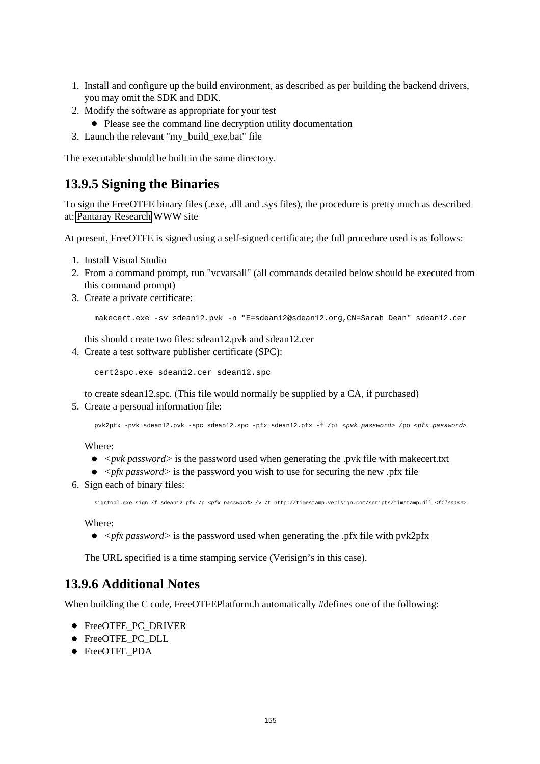- 1. Install and configure up the build environment, as described as per building the backend drivers, you may omit the SDK and DDK.
- 2. Modify the software as appropriate for your test
- Please see the command line decryption utility documentation
- 3. Launch the relevant "my\_build\_exe.bat" file

The executable should be built in the same directory.

### **13.9.5 Signing the Binaries**

To sign the FreeOTFE binary files (.exe, .dll and .sys files), the procedure is pretty much as described at: [Pantaray Research](http://www.pantaray.com/signcode.html#create_SPC) WWW site

At present, FreeOTFE is signed using a self-signed certificate; the full procedure used is as follows:

- 1. Install Visual Studio
- 2. From a command prompt, run "vcvarsall" (all commands detailed below should be executed from this command prompt)
- 3. Create a private certificate:

makecert.exe -sv sdean12.pvk -n "E=sdean12@sdean12.org,CN=Sarah Dean" sdean12.cer

this should create two files: sdean12.pvk and sdean12.cer

4. Create a test software publisher certificate (SPC):

cert2spc.exe sdean12.cer sdean12.spc

to create sdean12.spc. (This file would normally be supplied by a CA, if purchased)

5. Create a personal information file:

pvk2pfx -pvk sdean12.pvk -spc sdean12.spc -pfx sdean12.pfx -f /pi <pvk password> /po <pfx password>

Where:

- *<pvk password>* is the password used when generating the .pvk file with makecert.txt
- $\bullet$   $\lt$ *pfx password* $>$  is the password you wish to use for securing the new .pfx file
- 6. Sign each of binary files:

signtool.exe sign /f sdean12.pfx /p <pfx password> /v /t http://timestamp.verisign.com/scripts/timstamp.dll <filename>

Where:

*<pfx password>* is the password used when generating the .pfx file with pvk2pfx

The URL specified is a time stamping service (Verisign's in this case).

### **13.9.6 Additional Notes**

When building the C code, FreeOTFEPlatform.h automatically #defines one of the following:

- FreeOTFE\_PC\_DRIVER
- FreeOTFE\_PC\_DLL
- FreeOTFE\_PDA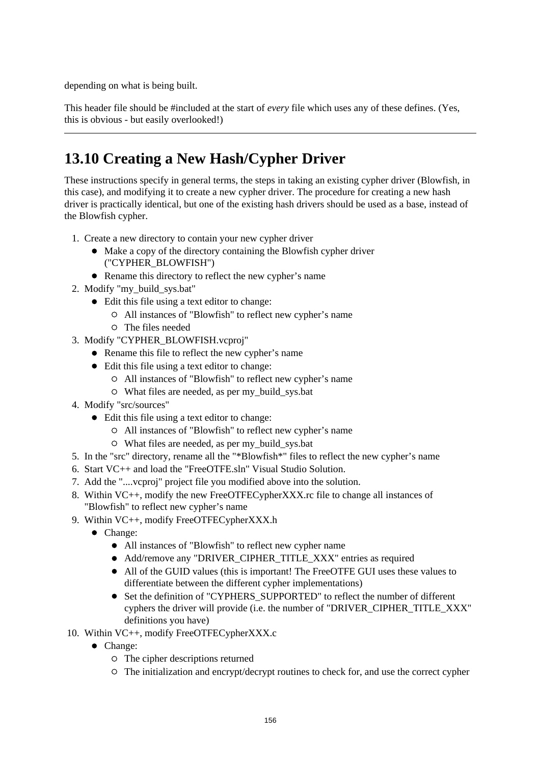depending on what is being built.

This header file should be #included at the start of *every* file which uses any of these defines. (Yes, this is obvious - but easily overlooked!)

# **13.10 Creating a New Hash/Cypher Driver**

These instructions specify in general terms, the steps in taking an existing cypher driver (Blowfish, in this case), and modifying it to create a new cypher driver. The procedure for creating a new hash driver is practically identical, but one of the existing hash drivers should be used as a base, instead of the Blowfish cypher.

- 1. Create a new directory to contain your new cypher driver
	- Make a copy of the directory containing the Blowfish cypher driver ("CYPHER\_BLOWFISH")
	- Rename this directory to reflect the new cypher's name
- 2. Modify "my\_build\_sys.bat"
	- Edit this file using a text editor to change:
		- All instances of "Blowfish" to reflect new cypher's name
		- The files needed
- 3. Modify "CYPHER\_BLOWFISH.vcproj"
	- Rename this file to reflect the new cypher's name
	- Edit this file using a text editor to change:
		- All instances of "Blowfish" to reflect new cypher's name
			- What files are needed, as per my\_build\_sys.bat
- 4. Modify "src/sources"
	- Edit this file using a text editor to change:
		- All instances of "Blowfish" to reflect new cypher's name
		- What files are needed, as per my\_build\_sys.bat
- 5. In the "src" directory, rename all the "\*Blowfish\*" files to reflect the new cypher's name
- 6. Start VC++ and load the "FreeOTFE.sln" Visual Studio Solution.
- 7. Add the "....vcproj" project file you modified above into the solution.
- 8. Within VC++, modify the new FreeOTFECypherXXX.rc file to change all instances of "Blowfish" to reflect new cypher's name
- 9. Within VC++, modify FreeOTFECypherXXX.h
	- Change:
		- All instances of "Blowfish" to reflect new cypher name
		- Add/remove any "DRIVER\_CIPHER\_TITLE\_XXX" entries as required
		- All of the GUID values (this is important! The FreeOTFE GUI uses these values to differentiate between the different cypher implementations)
		- Set the definition of "CYPHERS\_SUPPORTED" to reflect the number of different cyphers the driver will provide (i.e. the number of "DRIVER\_CIPHER\_TITLE\_XXX" definitions you have)
- 10. Within VC++, modify FreeOTFECypherXXX.c
	- Change:
		- The cipher descriptions returned
		- The initialization and encrypt/decrypt routines to check for, and use the correct cypher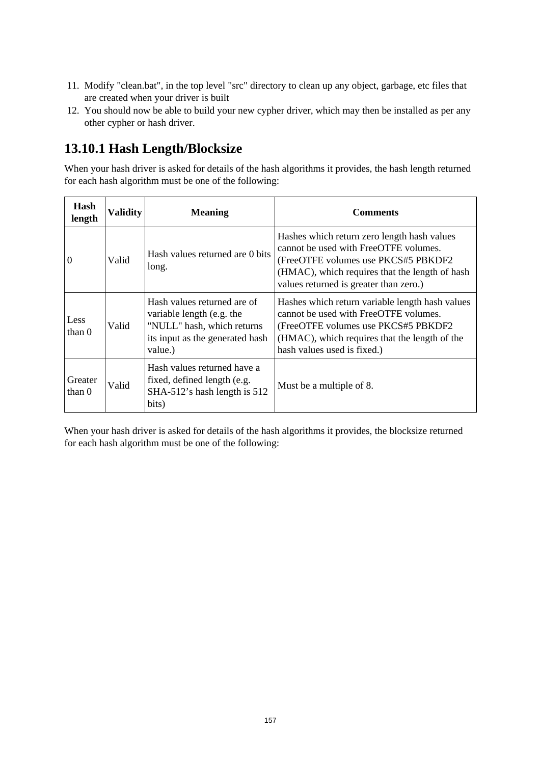- 11. Modify "clean.bat", in the top level "src" directory to clean up any object, garbage, etc files that are created when your driver is built
- 12. You should now be able to build your new cypher driver, which may then be installed as per any other cypher or hash driver.

## **13.10.1 Hash Length/Blocksize**

When your hash driver is asked for details of the hash algorithms it provides, the hash length returned for each hash algorithm must be one of the following:

| Hash<br>length      | <b>Validity</b> | <b>Meaning</b>                                                                                                                       | <b>Comments</b>                                                                                                                                                                                                         |
|---------------------|-----------------|--------------------------------------------------------------------------------------------------------------------------------------|-------------------------------------------------------------------------------------------------------------------------------------------------------------------------------------------------------------------------|
| I٥                  | Valid           | Hash values returned are 0 bits<br>long.                                                                                             | Hashes which return zero length hash values<br>cannot be used with FreeOTFE volumes.<br>(FreeOTFE volumes use PKCS#5 PBKDF2<br>(HMAC), which requires that the length of hash<br>values returned is greater than zero.) |
| Less<br>than $0$    | Valid           | Hash values returned are of<br>variable length (e.g. the<br>"NULL" hash, which returns<br>its input as the generated hash<br>value.) | Hashes which return variable length hash values<br>cannot be used with FreeOTFE volumes.<br>(FreeOTFE volumes use PKCS#5 PBKDF2)<br>(HMAC), which requires that the length of the<br>hash values used is fixed.)        |
| Greater<br>than $0$ | Valid           | Hash values returned have a<br>fixed, defined length (e.g.<br>SHA-512's hash length is 512<br>bits)                                  | Must be a multiple of 8.                                                                                                                                                                                                |

When your hash driver is asked for details of the hash algorithms it provides, the blocksize returned for each hash algorithm must be one of the following: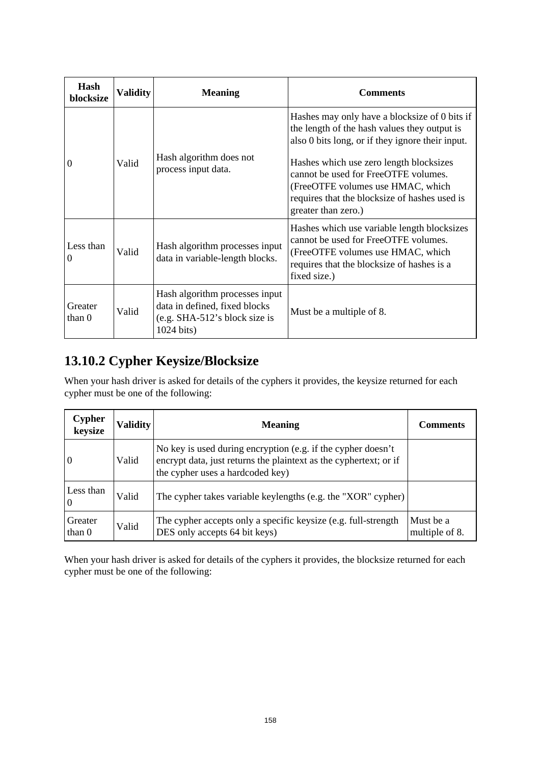| Hash<br>blocksize | <b>Validity</b> | <b>Meaning</b>                                                                                                 | <b>Comments</b>                                                                                                                                                                                                                                                                                                            |
|-------------------|-----------------|----------------------------------------------------------------------------------------------------------------|----------------------------------------------------------------------------------------------------------------------------------------------------------------------------------------------------------------------------------------------------------------------------------------------------------------------------|
| $\Omega$          | Valid           | Hash algorithm does not<br>process input data.                                                                 | Hashes may only have a blocksize of 0 bits if<br>the length of the hash values they output is<br>also 0 bits long, or if they ignore their input.<br>Hashes which use zero length blocksizes<br>cannot be used for FreeOTFE volumes.<br>(FreeOTFE volumes use HMAC, which<br>requires that the blocksize of hashes used is |
|                   |                 |                                                                                                                | greater than zero.)                                                                                                                                                                                                                                                                                                        |
| Less than<br>0    | Valid           | Hash algorithm processes input<br>data in variable-length blocks.                                              | Hashes which use variable length blocksizes<br>cannot be used for FreeOTFE volumes.<br>(FreeOTFE volumes use HMAC, which<br>requires that the blocksize of hashes is a<br>fixed size.)                                                                                                                                     |
| Greater<br>than 0 | Valid           | Hash algorithm processes input<br>data in defined, fixed blocks<br>(e.g. SHA-512's block size is<br>1024 bits) | Must be a multiple of 8.                                                                                                                                                                                                                                                                                                   |

## **13.10.2 Cypher Keysize/Blocksize**

When your hash driver is asked for details of the cyphers it provides, the keysize returned for each cypher must be one of the following:

| <b>Cypher</b><br>keysize | <b>Validity</b> | <b>Meaning</b>                                                                                                                                                        | <b>Comments</b>             |
|--------------------------|-----------------|-----------------------------------------------------------------------------------------------------------------------------------------------------------------------|-----------------------------|
| $\vert 0 \vert$          | Valid           | No key is used during encryption (e.g. if the cypher doesn't<br>encrypt data, just returns the plaintext as the cyphertext; or if<br>the cypher uses a hardcoded key) |                             |
| Less than<br>10          | Valid           | The cypher takes variable keylengths (e.g. the "XOR" cypher)                                                                                                          |                             |
| Greater<br>than 0        | Valid           | The cypher accepts only a specific keysize (e.g. full-strength<br>DES only accepts 64 bit keys)                                                                       | Must be a<br>multiple of 8. |

When your hash driver is asked for details of the cyphers it provides, the blocksize returned for each cypher must be one of the following: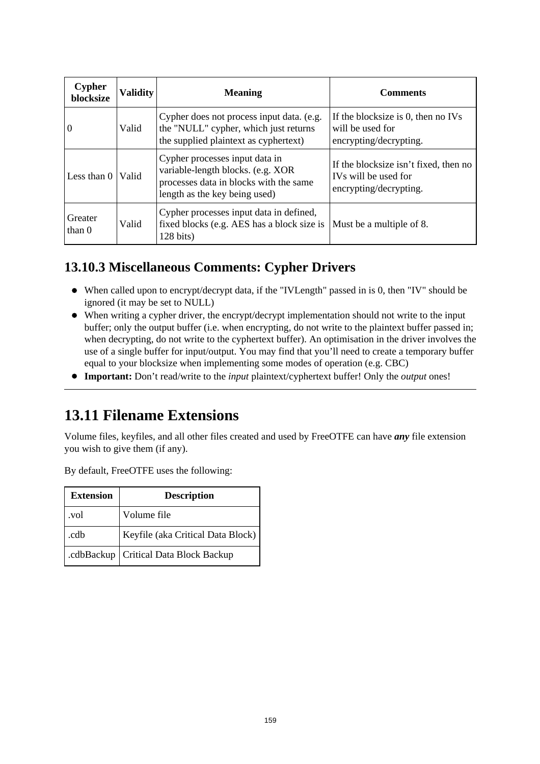| <b>Cypher</b><br>blocksize | <b>Validity</b> | <b>Meaning</b>                                                                                                                                 | <b>Comments</b>                                                                         |
|----------------------------|-----------------|------------------------------------------------------------------------------------------------------------------------------------------------|-----------------------------------------------------------------------------------------|
| $\theta$                   | Valid           | Cypher does not process input data. (e.g.<br>the "NULL" cypher, which just returns<br>the supplied plaintext as cyphertext)                    | If the blocksize is 0, then no IVs<br>will be used for<br>encrypting/decrypting.        |
| Less than $0$              | Valid           | Cypher processes input data in<br>variable-length blocks. (e.g. XOR<br>processes data in blocks with the same<br>length as the key being used) | If the blocksize isn't fixed, then no<br>IVs will be used for<br>encrypting/decrypting. |
| Greater<br>than $0$        | Valid           | Cypher processes input data in defined,<br>fixed blocks (e.g. AES has a block size is<br>128 bits)                                             | Must be a multiple of 8.                                                                |

## **13.10.3 Miscellaneous Comments: Cypher Drivers**

- When called upon to encrypt/decrypt data, if the "IVLength" passed in is 0, then "IV" should be ignored (it may be set to NULL)
- When writing a cypher driver, the encrypt/decrypt implementation should not write to the input buffer; only the output buffer (i.e. when encrypting, do not write to the plaintext buffer passed in; when decrypting, do not write to the cyphertext buffer). An optimisation in the driver involves the use of a single buffer for input/output. You may find that you'll need to create a temporary buffer equal to your blocksize when implementing some modes of operation (e.g. CBC)
- **Important:** Don't read/write to the *input* plaintext/cyphertext buffer! Only the *output* ones!

## **13.11 Filename Extensions**

Volume files, keyfiles, and all other files created and used by FreeOTFE can have *any* file extension you wish to give them (if any).

By default, FreeOTFE uses the following:

| <b>Extension</b> | <b>Description</b>                |
|------------------|-----------------------------------|
| .vol             | Volume file                       |
| .cdb             | Keyfile (aka Critical Data Block) |
| .cdbBackup       | <b>Critical Data Block Backup</b> |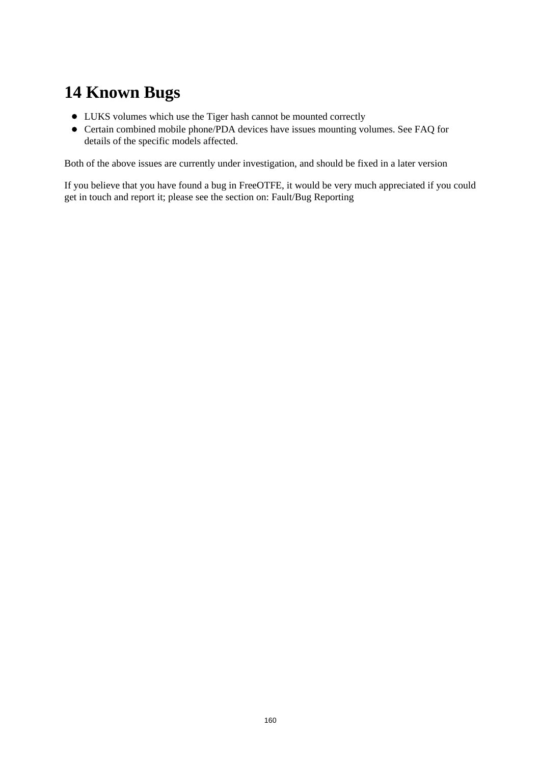# **14 Known Bugs**

- LUKS volumes which use the Tiger hash cannot be mounted correctly
- Certain combined mobile phone/PDA devices have issues mounting volumes. See FAQ for details of the specific models affected.

Both of the above issues are currently under investigation, and should be fixed in a later version

If you believe that you have found a bug in FreeOTFE, it would be very much appreciated if you could get in touch and report it; please see the section on: Fault/Bug Reporting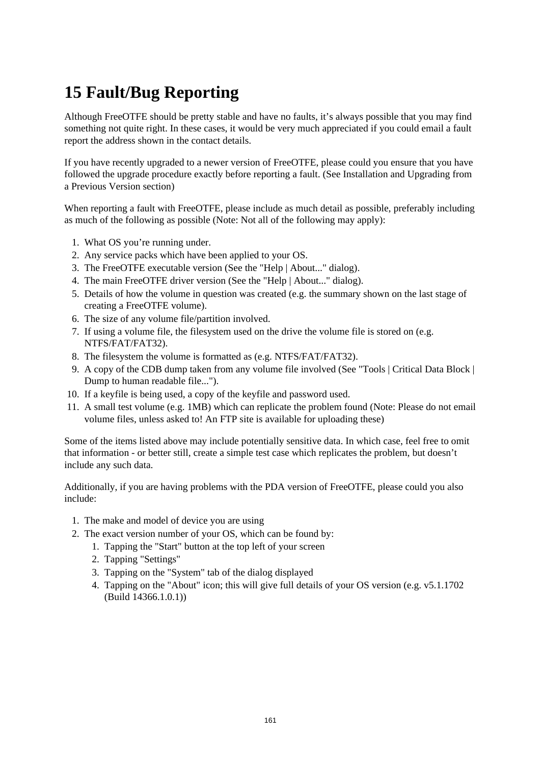# **15 Fault/Bug Reporting**

Although FreeOTFE should be pretty stable and have no faults, it's always possible that you may find something not quite right. In these cases, it would be very much appreciated if you could email a fault report the address shown in the contact details.

If you have recently upgraded to a newer version of FreeOTFE, please could you ensure that you have followed the upgrade procedure exactly before reporting a fault. (See Installation and Upgrading from a Previous Version section)

When reporting a fault with FreeOTFE, please include as much detail as possible, preferably including as much of the following as possible (Note: Not all of the following may apply):

- 1. What OS you're running under.
- 2. Any service packs which have been applied to your OS.
- 3. The FreeOTFE executable version (See the "Help | About..." dialog).
- 4. The main FreeOTFE driver version (See the "Help | About..." dialog).
- 5. Details of how the volume in question was created (e.g. the summary shown on the last stage of creating a FreeOTFE volume).
- 6. The size of any volume file/partition involved.
- 7. If using a volume file, the filesystem used on the drive the volume file is stored on (e.g. NTFS/FAT/FAT32).
- 8. The filesystem the volume is formatted as (e.g. NTFS/FAT/FAT32).
- 9. A copy of the CDB dump taken from any volume file involved (See "Tools | Critical Data Block | Dump to human readable file...").
- 10. If a keyfile is being used, a copy of the keyfile and password used.
- 11. A small test volume (e.g. 1MB) which can replicate the problem found (Note: Please do not email volume files, unless asked to! An FTP site is available for uploading these)

Some of the items listed above may include potentially sensitive data. In which case, feel free to omit that information - or better still, create a simple test case which replicates the problem, but doesn't include any such data.

Additionally, if you are having problems with the PDA version of FreeOTFE, please could you also include:

- 1. The make and model of device you are using
- 2. The exact version number of your OS, which can be found by:
	- 1. Tapping the "Start" button at the top left of your screen
	- 2. Tapping "Settings"
	- 3. Tapping on the "System" tab of the dialog displayed
	- 4. Tapping on the "About" icon; this will give full details of your OS version (e.g. v5.1.1702 (Build 14366.1.0.1))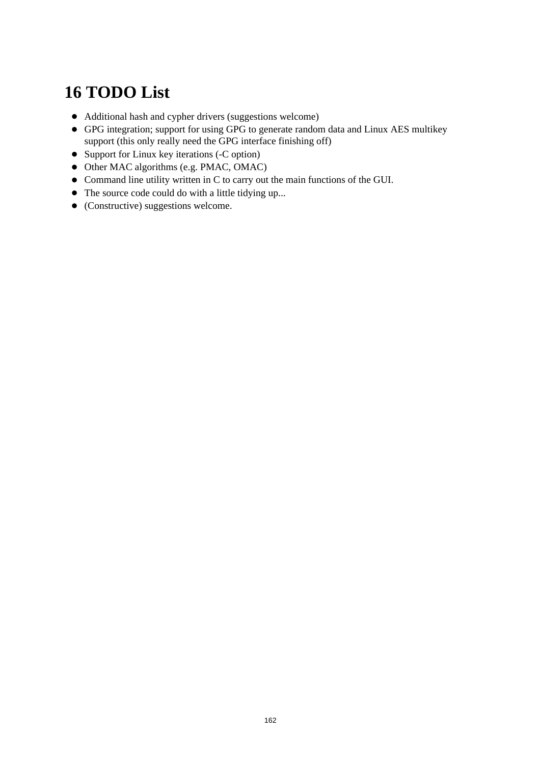# **16 TODO List**

- Additional hash and cypher drivers (suggestions welcome)
- GPG integration; support for using GPG to generate random data and Linux AES multikey support (this only really need the GPG interface finishing off)
- Support for Linux key iterations (-C option)
- Other MAC algorithms (e.g. PMAC, OMAC)
- Command line utility written in C to carry out the main functions of the GUI.
- The source code could do with a little tidying up...
- (Constructive) suggestions welcome.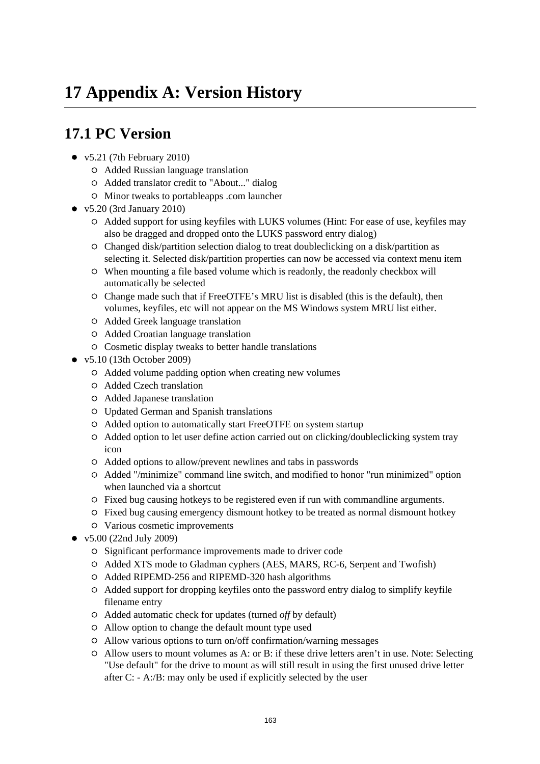## **17.1 PC Version**

- $\bullet$  v5.21 (7th February 2010)
	- Added Russian language translation
	- Added translator credit to "About..." dialog
	- Minor tweaks to portableapps .com launcher
- v5.20 (3rd January 2010)
	- Added support for using keyfiles with LUKS volumes (Hint: For ease of use, keyfiles may also be dragged and dropped onto the LUKS password entry dialog)
	- Changed disk/partition selection dialog to treat doubleclicking on a disk/partition as selecting it. Selected disk/partition properties can now be accessed via context menu item
	- When mounting a file based volume which is readonly, the readonly checkbox will automatically be selected
	- $\circ$  Change made such that if FreeOTFE's MRU list is disabled (this is the default), then volumes, keyfiles, etc will not appear on the MS Windows system MRU list either.
	- Added Greek language translation
	- Added Croatian language translation
	- Cosmetic display tweaks to better handle translations
- v5.10 (13th October 2009)
	- Added volume padding option when creating new volumes
	- Added Czech translation
	- Added Japanese translation
	- Updated German and Spanish translations
	- Added option to automatically start FreeOTFE on system startup
	- Added option to let user define action carried out on clicking/doubleclicking system tray icon
	- Added options to allow/prevent newlines and tabs in passwords
	- Added "/minimize" command line switch, and modified to honor "run minimized" option when launched via a shortcut
	- Fixed bug causing hotkeys to be registered even if run with commandline arguments.
	- Fixed bug causing emergency dismount hotkey to be treated as normal dismount hotkey
	- Various cosmetic improvements
- v5.00 (22nd July 2009)
	- Significant performance improvements made to driver code
	- Added XTS mode to Gladman cyphers (AES, MARS, RC-6, Serpent and Twofish)
	- Added RIPEMD-256 and RIPEMD-320 hash algorithms
	- Added support for dropping keyfiles onto the password entry dialog to simplify keyfile filename entry
	- Added automatic check for updates (turned *off* by default)
	- Allow option to change the default mount type used
	- Allow various options to turn on/off confirmation/warning messages
	- Allow users to mount volumes as A: or B: if these drive letters aren't in use. Note: Selecting "Use default" for the drive to mount as will still result in using the first unused drive letter after C: - A:/B: may only be used if explicitly selected by the user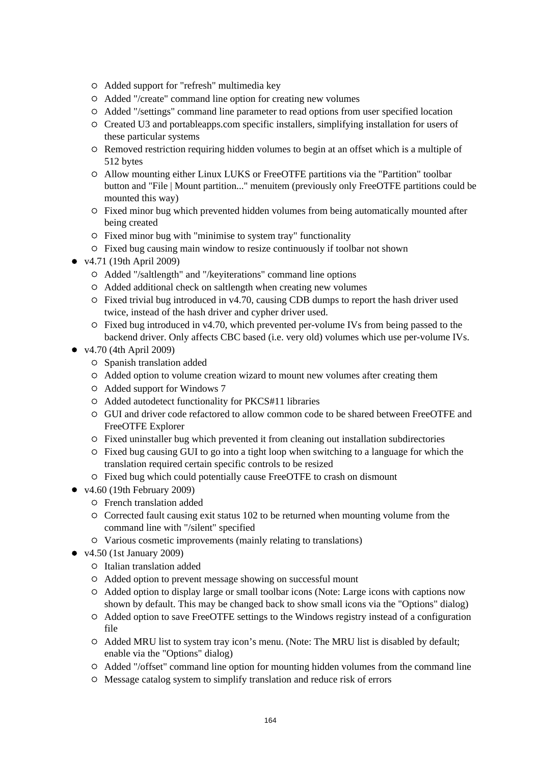- Added support for "refresh" multimedia key
- Added "/create" command line option for creating new volumes
- Added "/settings" command line parameter to read options from user specified location
- Created U3 and portableapps.com specific installers, simplifying installation for users of these particular systems
- Removed restriction requiring hidden volumes to begin at an offset which is a multiple of 512 bytes
- Allow mounting either Linux LUKS or FreeOTFE partitions via the "Partition" toolbar button and "File | Mount partition..." menuitem (previously only FreeOTFE partitions could be mounted this way)
- Fixed minor bug which prevented hidden volumes from being automatically mounted after being created
- $\circ$  Fixed minor bug with "minimise to system tray" functionality
- Fixed bug causing main window to resize continuously if toolbar not shown
- v4.71 (19th April 2009)
	- Added "/saltlength" and "/keyiterations" command line options
	- Added additional check on saltlength when creating new volumes
	- $\circ$  Fixed trivial bug introduced in v4.70, causing CDB dumps to report the hash driver used twice, instead of the hash driver and cypher driver used.
	- $\circ$  Fixed bug introduced in v4.70, which prevented per-volume IVs from being passed to the backend driver. Only affects CBC based (i.e. very old) volumes which use per-volume IVs.
- v4.70 (4th April 2009)
	- Spanish translation added
	- Added option to volume creation wizard to mount new volumes after creating them
	- Added support for Windows 7
	- Added autodetect functionality for PKCS#11 libraries
	- GUI and driver code refactored to allow common code to be shared between FreeOTFE and FreeOTFE Explorer
	- Fixed uninstaller bug which prevented it from cleaning out installation subdirectories
	- Fixed bug causing GUI to go into a tight loop when switching to a language for which the translation required certain specific controls to be resized
	- Fixed bug which could potentially cause FreeOTFE to crash on dismount
- $\bullet$  v4.60 (19th February 2009)
	- French translation added
	- $\circ$  Corrected fault causing exit status 102 to be returned when mounting volume from the command line with "/silent" specified
	- Various cosmetic improvements (mainly relating to translations)
- $\bullet$  v4.50 (1st January 2009)
	- Italian translation added
	- Added option to prevent message showing on successful mount
	- Added option to display large or small toolbar icons (Note: Large icons with captions now shown by default. This may be changed back to show small icons via the "Options" dialog)
	- Added option to save FreeOTFE settings to the Windows registry instead of a configuration file
	- Added MRU list to system tray icon's menu. (Note: The MRU list is disabled by default; enable via the "Options" dialog)
	- Added "/offset" command line option for mounting hidden volumes from the command line
	- Message catalog system to simplify translation and reduce risk of errors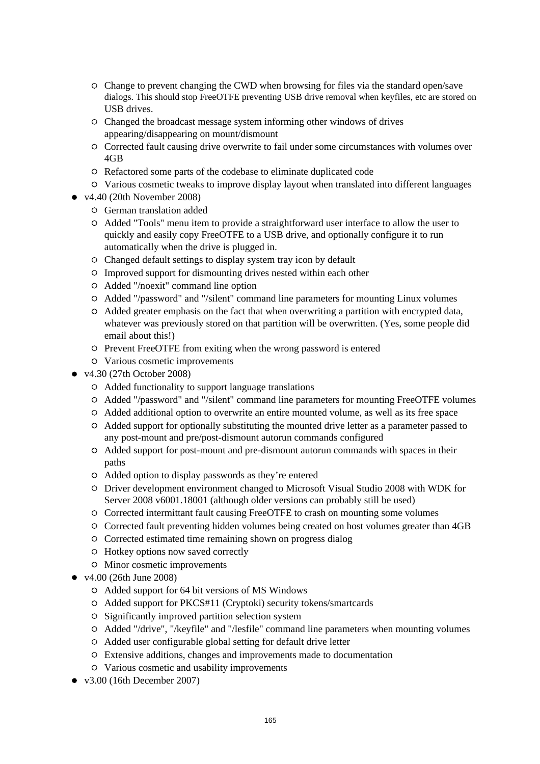- Change to prevent changing the CWD when browsing for files via the standard open/save dialogs. This should stop FreeOTFE preventing USB drive removal when keyfiles, etc are stored on USB drives.
- Changed the broadcast message system informing other windows of drives appearing/disappearing on mount/dismount
- Corrected fault causing drive overwrite to fail under some circumstances with volumes over 4GB
- Refactored some parts of the codebase to eliminate duplicated code
- Various cosmetic tweaks to improve display layout when translated into different languages
- $\bullet$  v4.40 (20th November 2008)
	- German translation added
	- Added "Tools" menu item to provide a straightforward user interface to allow the user to quickly and easily copy FreeOTFE to a USB drive, and optionally configure it to run automatically when the drive is plugged in.
	- Changed default settings to display system tray icon by default
	- Improved support for dismounting drives nested within each other
	- Added "/noexit" command line option
	- Added "/password" and "/silent" command line parameters for mounting Linux volumes
	- Added greater emphasis on the fact that when overwriting a partition with encrypted data, whatever was previously stored on that partition will be overwritten. (Yes, some people did email about this!)
	- Prevent FreeOTFE from exiting when the wrong password is entered
	- Various cosmetic improvements
- v4.30 (27th October 2008)
	- Added functionality to support language translations
	- Added "/password" and "/silent" command line parameters for mounting FreeOTFE volumes
	- Added additional option to overwrite an entire mounted volume, as well as its free space
	- Added support for optionally substituting the mounted drive letter as a parameter passed to any post-mount and pre/post-dismount autorun commands configured
	- Added support for post-mount and pre-dismount autorun commands with spaces in their paths
	- Added option to display passwords as they're entered
	- Driver development environment changed to Microsoft Visual Studio 2008 with WDK for Server 2008 v6001.18001 (although older versions can probably still be used)
	- Corrected intermittant fault causing FreeOTFE to crash on mounting some volumes
	- Corrected fault preventing hidden volumes being created on host volumes greater than 4GB
	- Corrected estimated time remaining shown on progress dialog
	- Hotkey options now saved correctly
	- $\circ$  Minor cosmetic improvements
- v4.00 (26th June 2008)
	- Added support for 64 bit versions of MS Windows
	- Added support for PKCS#11 (Cryptoki) security tokens/smartcards
	- $\circ$  Significantly improved partition selection system
	- Added "/drive", "/keyfile" and "/lesfile" command line parameters when mounting volumes
	- Added user configurable global setting for default drive letter
	- Extensive additions, changes and improvements made to documentation
	- Various cosmetic and usability improvements
- $\bullet$  v3.00 (16th December 2007)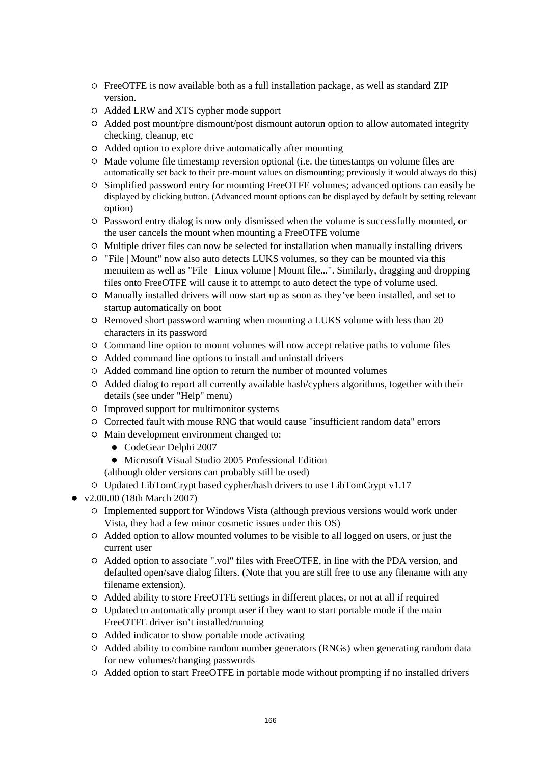- FreeOTFE is now available both as a full installation package, as well as standard ZIP version.
- Added LRW and XTS cypher mode support
- Added post mount/pre dismount/post dismount autorun option to allow automated integrity checking, cleanup, etc
- Added option to explore drive automatically after mounting
- $\circ$  Made volume file timestamp reversion optional (i.e. the timestamps on volume files are automatically set back to their pre-mount values on dismounting; previously it would always do this)
- Simplified password entry for mounting FreeOTFE volumes; advanced options can easily be displayed by clicking button. (Advanced mount options can be displayed by default by setting relevant option)
- Password entry dialog is now only dismissed when the volume is successfully mounted, or the user cancels the mount when mounting a FreeOTFE volume
- Multiple driver files can now be selected for installation when manually installing drivers
- "File | Mount" now also auto detects LUKS volumes, so they can be mounted via this menuitem as well as "File | Linux volume | Mount file...". Similarly, dragging and dropping files onto FreeOTFE will cause it to attempt to auto detect the type of volume used.
- Manually installed drivers will now start up as soon as they've been installed, and set to startup automatically on boot
- Removed short password warning when mounting a LUKS volume with less than 20 characters in its password
- Command line option to mount volumes will now accept relative paths to volume files
- Added command line options to install and uninstall drivers
- Added command line option to return the number of mounted volumes
- Added dialog to report all currently available hash/cyphers algorithms, together with their details (see under "Help" menu)
- Improved support for multimonitor systems
- Corrected fault with mouse RNG that would cause "insufficient random data" errors
- $\circ$  Main development environment changed to:
	- CodeGear Delphi 2007
	- Microsoft Visual Studio 2005 Professional Edition
	- (although older versions can probably still be used)
- Updated LibTomCrypt based cypher/hash drivers to use LibTomCrypt v1.17
- v2.00.00 (18th March 2007)
	- Implemented support for Windows Vista (although previous versions would work under Vista, they had a few minor cosmetic issues under this OS)
	- Added option to allow mounted volumes to be visible to all logged on users, or just the current user
	- Added option to associate ".vol" files with FreeOTFE, in line with the PDA version, and defaulted open/save dialog filters. (Note that you are still free to use any filename with any filename extension).
	- Added ability to store FreeOTFE settings in different places, or not at all if required
	- Updated to automatically prompt user if they want to start portable mode if the main FreeOTFE driver isn't installed/running
	- Added indicator to show portable mode activating
	- Added ability to combine random number generators (RNGs) when generating random data for new volumes/changing passwords
	- Added option to start FreeOTFE in portable mode without prompting if no installed drivers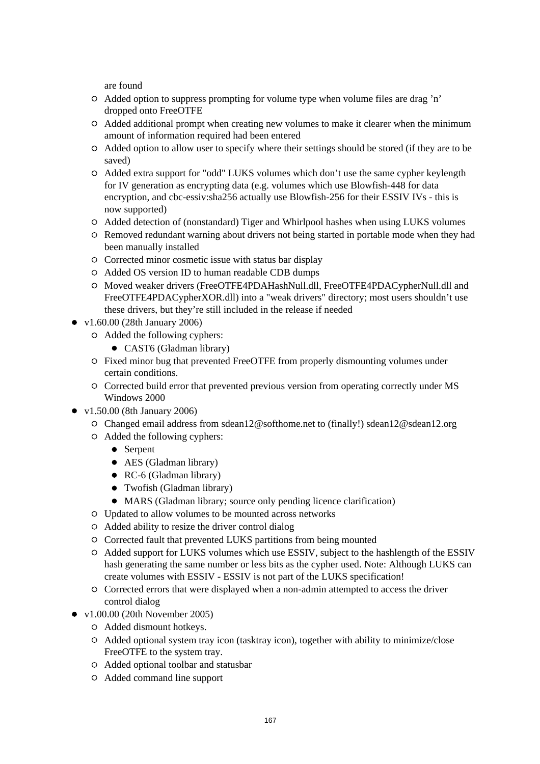are found

- Added option to suppress prompting for volume type when volume files are drag 'n' dropped onto FreeOTFE
- Added additional prompt when creating new volumes to make it clearer when the minimum amount of information required had been entered
- Added option to allow user to specify where their settings should be stored (if they are to be saved)
- Added extra support for "odd" LUKS volumes which don't use the same cypher keylength for IV generation as encrypting data (e.g. volumes which use Blowfish-448 for data encryption, and cbc-essiv:sha256 actually use Blowfish-256 for their ESSIV IVs - this is now supported)
- Added detection of (nonstandard) Tiger and Whirlpool hashes when using LUKS volumes
- Removed redundant warning about drivers not being started in portable mode when they had been manually installed
- $\circ$  Corrected minor cosmetic issue with status bar display
- Added OS version ID to human readable CDB dumps
- O Moved weaker drivers (FreeOTFE4PDAHashNull.dll, FreeOTFE4PDACypherNull.dll and FreeOTFE4PDACypherXOR.dll) into a "weak drivers" directory; most users shouldn't use these drivers, but they're still included in the release if needed
- v1.60.00 (28th January 2006)
	- Added the following cyphers:
		- CAST6 (Gladman library)
	- Fixed minor bug that prevented FreeOTFE from properly dismounting volumes under certain conditions.
	- Corrected build error that prevented previous version from operating correctly under MS Windows 2000
- v1.50.00 (8th January 2006)
	- Changed email address from sdean12@softhome.net to (finally!) sdean12@sdean12.org
	- Added the following cyphers:
		- Serpent
		- AES (Gladman library)
		- RC-6 (Gladman library)
		- Twofish (Gladman library)
		- MARS (Gladman library; source only pending licence clarification)
	- Updated to allow volumes to be mounted across networks
	- Added ability to resize the driver control dialog
	- Corrected fault that prevented LUKS partitions from being mounted
	- Added support for LUKS volumes which use ESSIV, subject to the hashlength of the ESSIV hash generating the same number or less bits as the cypher used. Note: Although LUKS can create volumes with ESSIV - ESSIV is not part of the LUKS specification!
	- Corrected errors that were displayed when a non-admin attempted to access the driver control dialog
- v1.00.00 (20th November 2005)
	- Added dismount hotkeys.
	- Added optional system tray icon (tasktray icon), together with ability to minimize/close FreeOTFE to the system tray.
	- Added optional toolbar and statusbar
	- Added command line support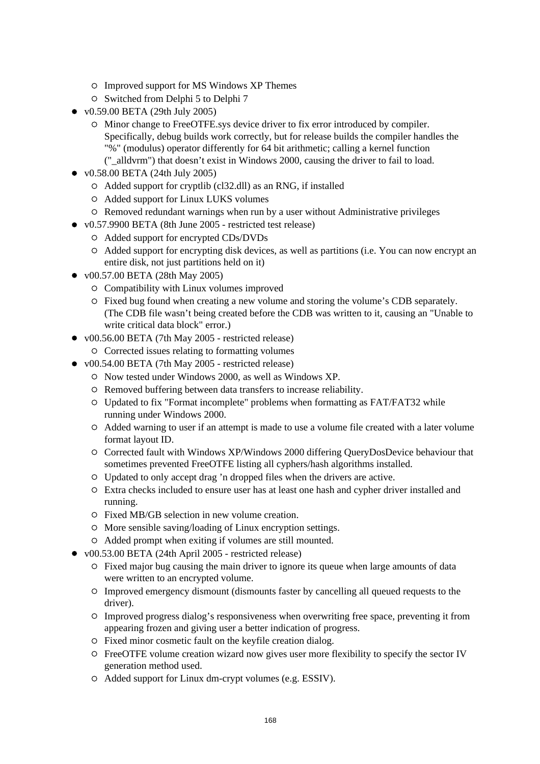- $\circ$  Improved support for MS Windows XP Themes
- Switched from Delphi 5 to Delphi 7
- v0.59.00 BETA (29th July 2005)
	- Minor change to FreeOTFE.sys device driver to fix error introduced by compiler. Specifically, debug builds work correctly, but for release builds the compiler handles the "%" (modulus) operator differently for 64 bit arithmetic; calling a kernel function ("\_alldvrm") that doesn't exist in Windows 2000, causing the driver to fail to load.
- v0.58.00 BETA (24th July 2005)
	- Added support for cryptlib (cl32.dll) as an RNG, if installed
	- Added support for Linux LUKS volumes
	- $\circ$  Removed redundant warnings when run by a user without Administrative privileges
- v0.57.9900 BETA (8th June 2005 restricted test release)
	- Added support for encrypted CDs/DVDs
	- Added support for encrypting disk devices, as well as partitions (i.e. You can now encrypt an entire disk, not just partitions held on it)
- v00.57.00 BETA (28th May 2005)
	- Compatibility with Linux volumes improved
	- Fixed bug found when creating a new volume and storing the volume's CDB separately. (The CDB file wasn't being created before the CDB was written to it, causing an "Unable to write critical data block" error.)
- v00.56.00 BETA (7th May 2005 restricted release)
	- Corrected issues relating to formatting volumes
- v00.54.00 BETA (7th May 2005 restricted release)
	- Now tested under Windows 2000, as well as Windows XP.
	- Removed buffering between data transfers to increase reliability.
	- Updated to fix "Format incomplete" problems when formatting as FAT/FAT32 while running under Windows 2000.
	- Added warning to user if an attempt is made to use a volume file created with a later volume format layout ID.
	- Corrected fault with Windows XP/Windows 2000 differing QueryDosDevice behaviour that sometimes prevented FreeOTFE listing all cyphers/hash algorithms installed.
	- Updated to only accept drag 'n dropped files when the drivers are active.
	- Extra checks included to ensure user has at least one hash and cypher driver installed and running.
	- Fixed MB/GB selection in new volume creation.
	- More sensible saving/loading of Linux encryption settings.
	- Added prompt when exiting if volumes are still mounted.
- v00.53.00 BETA (24th April 2005 restricted release)
	- Fixed major bug causing the main driver to ignore its queue when large amounts of data were written to an encrypted volume.
	- Improved emergency dismount (dismounts faster by cancelling all queued requests to the driver).
	- Improved progress dialog's responsiveness when overwriting free space, preventing it from appearing frozen and giving user a better indication of progress.
	- Fixed minor cosmetic fault on the keyfile creation dialog.
	- FreeOTFE volume creation wizard now gives user more flexibility to specify the sector IV generation method used.
	- Added support for Linux dm-crypt volumes (e.g. ESSIV).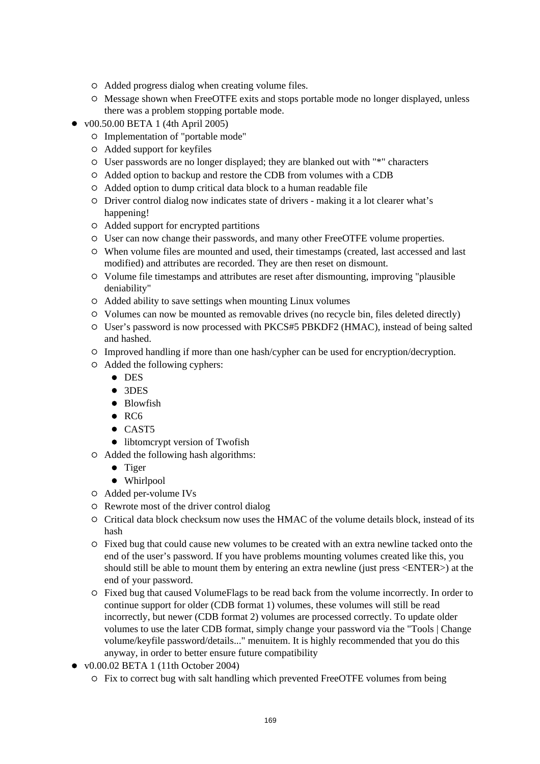- Added progress dialog when creating volume files.
- Message shown when FreeOTFE exits and stops portable mode no longer displayed, unless there was a problem stopping portable mode.
- $\bullet$  v00.50.00 BETA 1 (4th April 2005)
	- Implementation of "portable mode"
	- Added support for keyfiles
	- User passwords are no longer displayed; they are blanked out with "\*" characters
	- Added option to backup and restore the CDB from volumes with a CDB
	- Added option to dump critical data block to a human readable file
	- Driver control dialog now indicates state of drivers making it a lot clearer what's happening!
	- Added support for encrypted partitions
	- User can now change their passwords, and many other FreeOTFE volume properties.
	- When volume files are mounted and used, their timestamps (created, last accessed and last modified) and attributes are recorded. They are then reset on dismount.
	- Volume file timestamps and attributes are reset after dismounting, improving "plausible deniability"
	- Added ability to save settings when mounting Linux volumes
	- Volumes can now be mounted as removable drives (no recycle bin, files deleted directly)
	- User's password is now processed with PKCS#5 PBKDF2 (HMAC), instead of being salted and hashed.
	- Improved handling if more than one hash/cypher can be used for encryption/decryption.
	- Added the following cyphers:
		- **•** DES
		- 3DES
		- Blowfish
		- $\bullet$  RC6
		- CAST5
		- $\bullet$  libtomcrypt version of Twofish
	- Added the following hash algorithms:
		- Tiger
		- Whirlpool
	- Added per-volume IVs
	- Rewrote most of the driver control dialog
	- Critical data block checksum now uses the HMAC of the volume details block, instead of its hash
	- Fixed bug that could cause new volumes to be created with an extra newline tacked onto the end of the user's password. If you have problems mounting volumes created like this, you should still be able to mount them by entering an extra newline (just press <ENTER>) at the end of your password.
	- Fixed bug that caused VolumeFlags to be read back from the volume incorrectly. In order to continue support for older (CDB format 1) volumes, these volumes will still be read incorrectly, but newer (CDB format 2) volumes are processed correctly. To update older volumes to use the later CDB format, simply change your password via the "Tools | Change volume/keyfile password/details..." menuitem. It is highly recommended that you do this anyway, in order to better ensure future compatibility
- $\bullet$  v0.00.02 BETA 1 (11th October 2004)
	- Fix to correct bug with salt handling which prevented FreeOTFE volumes from being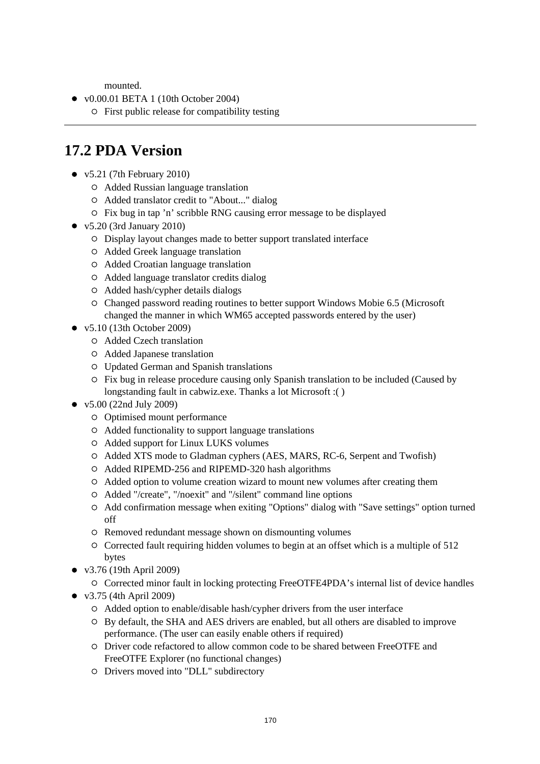mounted.

- v0.00.01 BETA 1 (10th October 2004)
	- $\circ$  First public release for compatibility testing

# **17.2 PDA Version**

- $\bullet$  v5.21 (7th February 2010)
	- Added Russian language translation
	- Added translator credit to "About..." dialog
	- Fix bug in tap 'n' scribble RNG causing error message to be displayed
- $\bullet$  v5.20 (3rd January 2010)
	- Display layout changes made to better support translated interface
	- Added Greek language translation
	- Added Croatian language translation
	- Added language translator credits dialog
	- Added hash/cypher details dialogs
	- Changed password reading routines to better support Windows Mobie 6.5 (Microsoft changed the manner in which WM65 accepted passwords entered by the user)
- v5.10 (13th October 2009)
	- Added Czech translation
	- Added Japanese translation
	- Updated German and Spanish translations
	- $\circ$  Fix bug in release procedure causing only Spanish translation to be included (Caused by longstanding fault in cabwiz.exe. Thanks a lot Microsoft :( )
- v5.00 (22nd July 2009)
	- Optimised mount performance
	- Added functionality to support language translations
	- Added support for Linux LUKS volumes
	- Added XTS mode to Gladman cyphers (AES, MARS, RC-6, Serpent and Twofish)
	- Added RIPEMD-256 and RIPEMD-320 hash algorithms
	- Added option to volume creation wizard to mount new volumes after creating them
	- Added "/create", "/noexit" and "/silent" command line options
	- Add confirmation message when exiting "Options" dialog with "Save settings" option turned off
	- Removed redundant message shown on dismounting volumes
	- $\circ$  Corrected fault requiring hidden volumes to begin at an offset which is a multiple of 512 bytes
- v3.76 (19th April 2009)
	- Corrected minor fault in locking protecting FreeOTFE4PDA's internal list of device handles
- v3.75 (4th April 2009)
	- Added option to enable/disable hash/cypher drivers from the user interface
	- By default, the SHA and AES drivers are enabled, but all others are disabled to improve performance. (The user can easily enable others if required)
	- Driver code refactored to allow common code to be shared between FreeOTFE and FreeOTFE Explorer (no functional changes)
	- Drivers moved into "DLL" subdirectory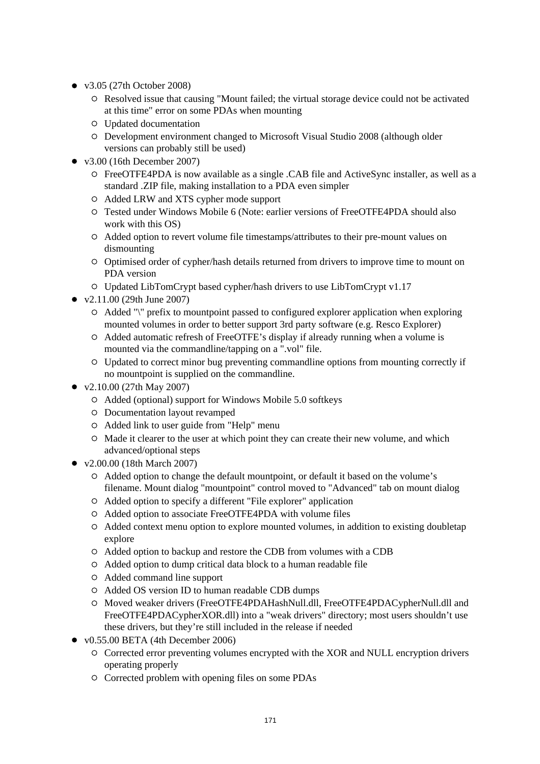- v3.05 (27th October 2008)
	- $\circ$  Resolved issue that causing "Mount failed; the virtual storage device could not be activated at this time" error on some PDAs when mounting
	- Updated documentation
	- Development environment changed to Microsoft Visual Studio 2008 (although older versions can probably still be used)
- $\bullet$  v3.00 (16th December 2007)
	- FreeOTFE4PDA is now available as a single .CAB file and ActiveSync installer, as well as a standard .ZIP file, making installation to a PDA even simpler
	- Added LRW and XTS cypher mode support
	- Tested under Windows Mobile 6 (Note: earlier versions of FreeOTFE4PDA should also work with this OS)
	- Added option to revert volume file timestamps/attributes to their pre-mount values on dismounting
	- Optimised order of cypher/hash details returned from drivers to improve time to mount on PDA version
	- Updated LibTomCrypt based cypher/hash drivers to use LibTomCrypt v1.17
- v2.11.00 (29th June 2007)
	- Added "\" prefix to mountpoint passed to configured explorer application when exploring mounted volumes in order to better support 3rd party software (e.g. Resco Explorer)
	- Added automatic refresh of FreeOTFE's display if already running when a volume is mounted via the commandline/tapping on a ".vol" file.
	- Updated to correct minor bug preventing commandline options from mounting correctly if no mountpoint is supplied on the commandline.
- v2.10.00 (27th May 2007)
	- Added (optional) support for Windows Mobile 5.0 softkeys
	- Documentation layout revamped
	- Added link to user guide from "Help" menu
	- $\circ$  Made it clearer to the user at which point they can create their new volume, and which advanced/optional steps
- v2.00.00 (18th March 2007)
	- Added option to change the default mountpoint, or default it based on the volume's filename. Mount dialog "mountpoint" control moved to "Advanced" tab on mount dialog
	- Added option to specify a different "File explorer" application
	- Added option to associate FreeOTFE4PDA with volume files
	- Added context menu option to explore mounted volumes, in addition to existing doubletap explore
	- Added option to backup and restore the CDB from volumes with a CDB
	- Added option to dump critical data block to a human readable file
	- Added command line support
	- Added OS version ID to human readable CDB dumps
	- Moved weaker drivers (FreeOTFE4PDAHashNull.dll, FreeOTFE4PDACypherNull.dll and FreeOTFE4PDACypherXOR.dll) into a "weak drivers" directory; most users shouldn't use these drivers, but they're still included in the release if needed
- $\bullet$  v0.55.00 BETA (4th December 2006)
	- $\circ$  Corrected error preventing volumes encrypted with the XOR and NULL encryption drivers operating properly
	- Corrected problem with opening files on some PDAs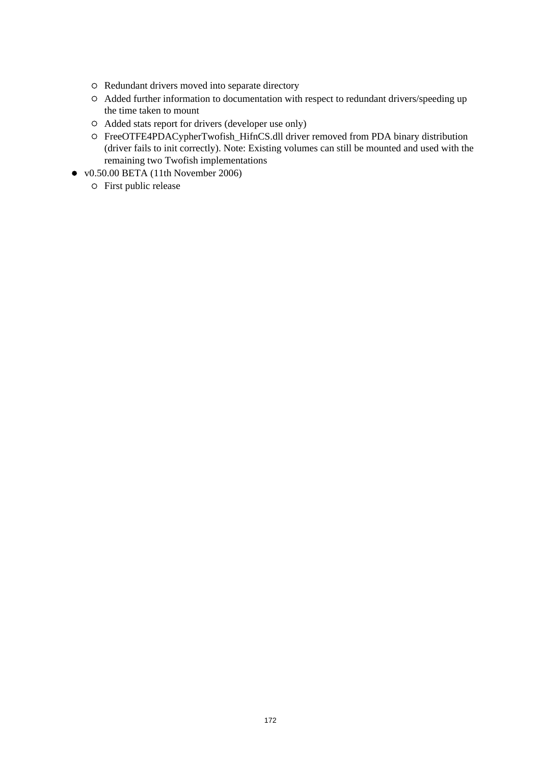- Redundant drivers moved into separate directory
- Added further information to documentation with respect to redundant drivers/speeding up the time taken to mount
- Added stats report for drivers (developer use only)
- FreeOTFE4PDACypherTwofish\_HifnCS.dll driver removed from PDA binary distribution (driver fails to init correctly). Note: Existing volumes can still be mounted and used with the remaining two Twofish implementations
- v0.50.00 BETA (11th November 2006)
	- First public release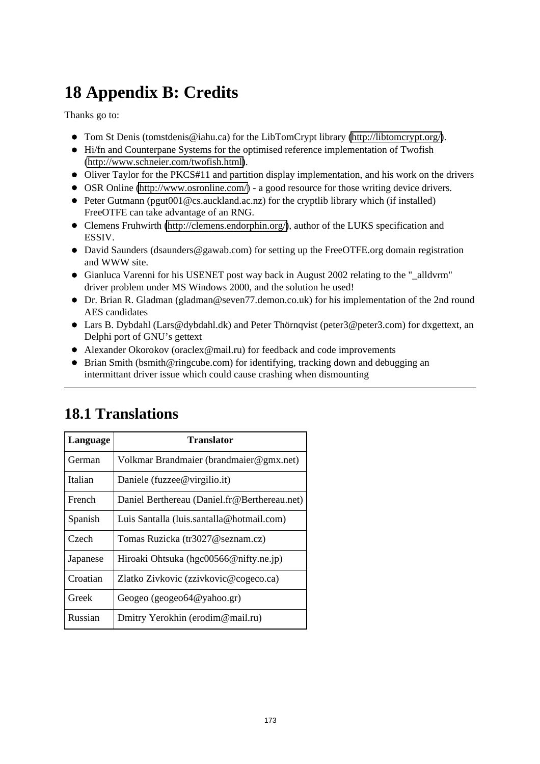# **18 Appendix B: Credits**

Thanks go to:

- Tom St Denis (tomstdenis@iahu.ca) for the LibTomCrypt library [\(http://libtomcrypt.org/\)](http://libtomcrypt.org/).
- Hi/fn and Counterpane Systems for the optimised reference implementation of Twofish [\(http://www.schneier.com/twofish.html\)](http://www.schneier.com/twofish.html).
- Oliver Taylor for the PKCS#11 and partition display implementation, and his work on the drivers
- OSR Online [\(http://www.osronline.com/\)](http://www.osronline.com/) a good resource for those writing device drivers.
- $\bullet$  Peter Gutmann (pgut001@cs.auckland.ac.nz) for the cryptlib library which (if installed) FreeOTFE can take advantage of an RNG.
- Clemens Fruhwirth [\(http://clemens.endorphin.org/\)](http://clemens.endorphin.org/), author of the LUKS specification and ESSIV.
- David Saunders (dsaunders@gawab.com) for setting up the FreeOTFE.org domain registration and WWW site.
- Gianluca Varenni for his USENET post way back in August 2002 relating to the " alldyrm" driver problem under MS Windows 2000, and the solution he used!
- Dr. Brian R. Gladman (gladman@seven77.demon.co.uk) for his implementation of the 2nd round AES candidates
- Lars B. Dybdahl (Lars@dybdahl.dk) and Peter Thörnqvist (peter3@peter3.com) for dxgettext, an Delphi port of GNU's gettext
- Alexander Okorokov (oraclex@mail.ru) for feedback and code improvements
- Brian Smith (bsmith@ringcube.com) for identifying, tracking down and debugging an intermittant driver issue which could cause crashing when dismounting

| Language | Translator                                   |
|----------|----------------------------------------------|
| German   | Volkmar Brandmaier (brandmaier@gmx.net)      |
| Italian  | Daniele (fuzzee@virgilio.it)                 |
| French   | Daniel Berthereau (Daniel.fr@Berthereau.net) |
| Spanish  | Luis Santalla (luis.santalla@hotmail.com)    |
| Czech    | Tomas Ruzicka (tr3027@seznam.cz)             |
| Japanese | Hiroaki Ohtsuka (hgc00566@nifty.ne.jp)       |
| Croatian | Zlatko Zivkovic (zzivkovic@cogeco.ca)        |
| Greek    | Geogeo (geogeo64@yahoo.gr)                   |
| Russian  | Dmitry Yerokhin (erodim@mail.ru)             |

# **18.1 Translations**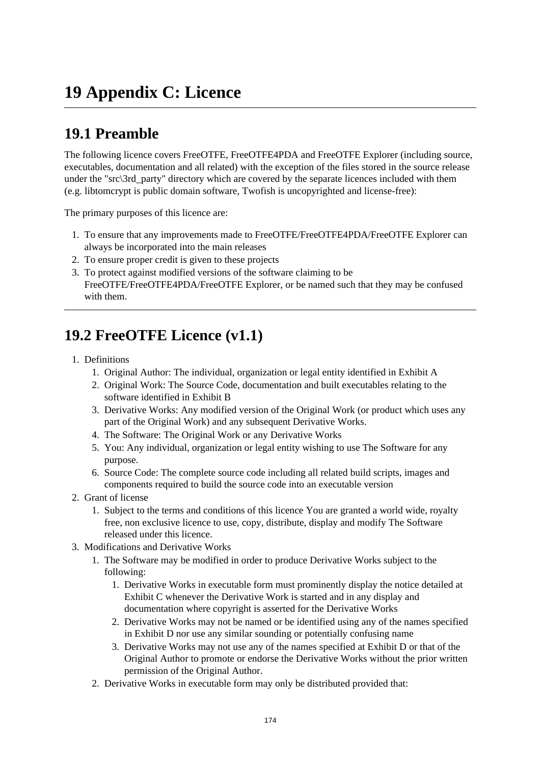# **19 Appendix C: Licence**

# **19.1 Preamble**

The following licence covers FreeOTFE, FreeOTFE4PDA and FreeOTFE Explorer (including source, executables, documentation and all related) with the exception of the files stored in the source release under the "src\3rd\_party" directory which are covered by the separate licences included with them (e.g. libtomcrypt is public domain software, Twofish is uncopyrighted and license-free):

The primary purposes of this licence are:

- 1. To ensure that any improvements made to FreeOTFE/FreeOTFE4PDA/FreeOTFE Explorer can always be incorporated into the main releases
- 2. To ensure proper credit is given to these projects
- 3. To protect against modified versions of the software claiming to be FreeOTFE/FreeOTFE4PDA/FreeOTFE Explorer, or be named such that they may be confused with them.

# **19.2 FreeOTFE Licence (v1.1)**

- 1. Definitions
	- 1. Original Author: The individual, organization or legal entity identified in Exhibit A
	- 2. Original Work: The Source Code, documentation and built executables relating to the software identified in Exhibit B
	- 3. Derivative Works: Any modified version of the Original Work (or product which uses any part of the Original Work) and any subsequent Derivative Works.
	- 4. The Software: The Original Work or any Derivative Works
	- 5. You: Any individual, organization or legal entity wishing to use The Software for any purpose.
	- 6. Source Code: The complete source code including all related build scripts, images and components required to build the source code into an executable version
- 2. Grant of license
	- 1. Subject to the terms and conditions of this licence You are granted a world wide, royalty free, non exclusive licence to use, copy, distribute, display and modify The Software released under this licence.
- 3. Modifications and Derivative Works
	- 1. The Software may be modified in order to produce Derivative Works subject to the following:
		- 1. Derivative Works in executable form must prominently display the notice detailed at Exhibit C whenever the Derivative Work is started and in any display and documentation where copyright is asserted for the Derivative Works
		- 2. Derivative Works may not be named or be identified using any of the names specified in Exhibit D nor use any similar sounding or potentially confusing name
		- 3. Derivative Works may not use any of the names specified at Exhibit D or that of the Original Author to promote or endorse the Derivative Works without the prior written permission of the Original Author.
	- 2. Derivative Works in executable form may only be distributed provided that: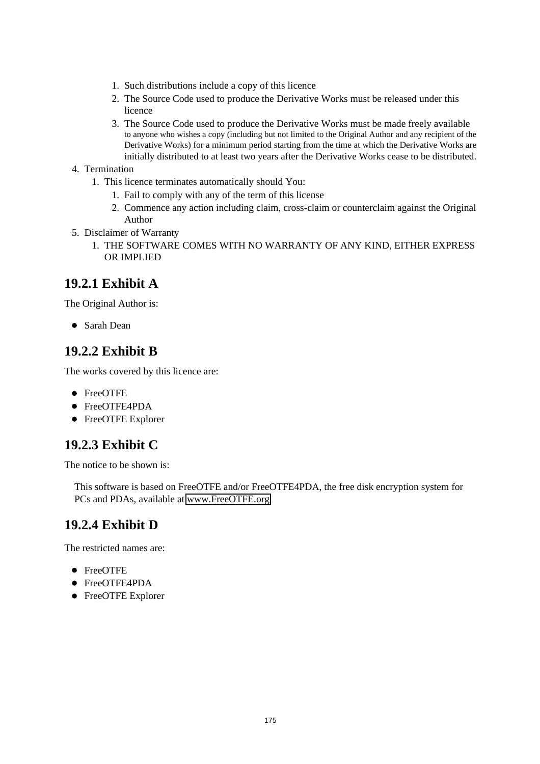- 1. Such distributions include a copy of this licence
- 2. The Source Code used to produce the Derivative Works must be released under this licence
- 3. The Source Code used to produce the Derivative Works must be made freely available to anyone who wishes a copy (including but not limited to the Original Author and any recipient of the Derivative Works) for a minimum period starting from the time at which the Derivative Works are initially distributed to at least two years after the Derivative Works cease to be distributed.

### 4. Termination

- 1. This licence terminates automatically should You:
	- 1. Fail to comply with any of the term of this license
	- 2. Commence any action including claim, cross-claim or counterclaim against the Original Author
- 5. Disclaimer of Warranty
	- 1. THE SOFTWARE COMES WITH NO WARRANTY OF ANY KIND, EITHER EXPRESS OR IMPLIED

### **19.2.1 Exhibit A**

The Original Author is:

Sarah Dean

### **19.2.2 Exhibit B**

The works covered by this licence are:

- FreeOTFE
- FreeOTFE4PDA
- FreeOTFE Explorer

### **19.2.3 Exhibit C**

The notice to be shown is:

This software is based on FreeOTFE and/or FreeOTFE4PDA, the free disk encryption system for PCs and PDAs, available at [www.FreeOTFE.org](http://www.FreeOTFE.org/)

### **19.2.4 Exhibit D**

The restricted names are:

- FreeOTFE
- FreeOTFE4PDA
- FreeOTFE Explorer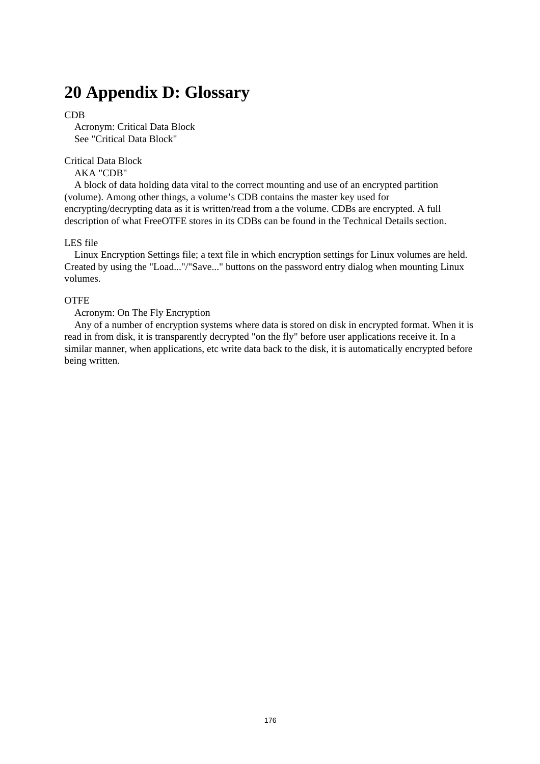## **20 Appendix D: Glossary**

### CDB

 Acronym: Critical Data Block See "Critical Data Block"

### Critical Data Block

### AKA "CDB"

 A block of data holding data vital to the correct mounting and use of an encrypted partition (volume). Among other things, a volume's CDB contains the master key used for encrypting/decrypting data as it is written/read from a the volume. CDBs are encrypted. A full description of what FreeOTFE stores in its CDBs can be found in the Technical Details section.

#### LES file

 Linux Encryption Settings file; a text file in which encryption settings for Linux volumes are held. Created by using the "Load..."/"Save..." buttons on the password entry dialog when mounting Linux volumes.

#### **OTFE**

### Acronym: On The Fly Encryption

 Any of a number of encryption systems where data is stored on disk in encrypted format. When it is read in from disk, it is transparently decrypted "on the fly" before user applications receive it. In a similar manner, when applications, etc write data back to the disk, it is automatically encrypted before being written.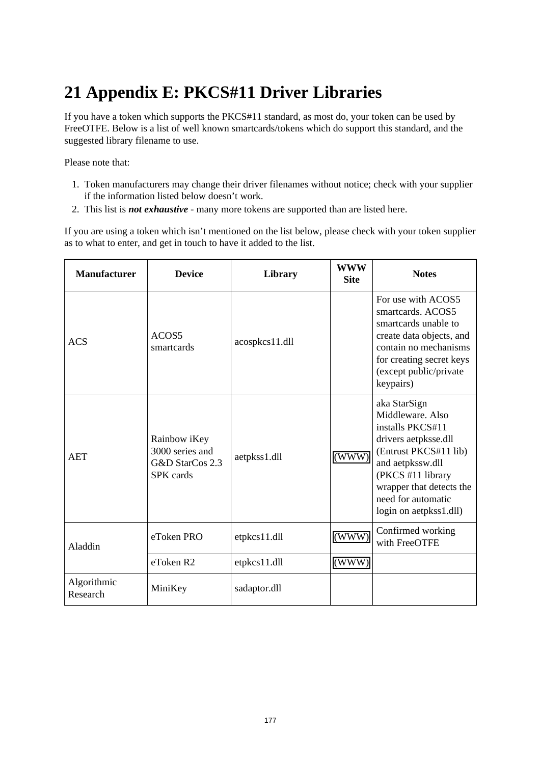# **21 Appendix E: PKCS#11 Driver Libraries**

If you have a token which supports the PKCS#11 standard, as most do, your token can be used by FreeOTFE. Below is a list of well known smartcards/tokens which do support this standard, and the suggested library filename to use.

Please note that:

- 1. Token manufacturers may change their driver filenames without notice; check with your supplier if the information listed below doesn't work.
- 2. This list is *not exhaustive* many more tokens are supported than are listed here.

If you are using a token which isn't mentioned on the list below, please check with your token supplier as to what to enter, and get in touch to have it added to the list.

| <b>Manufacturer</b>     | <b>Device</b>                                                   | Library        | <b>WWW</b><br><b>Site</b> | <b>Notes</b>                                                                                                                                                                                                               |
|-------------------------|-----------------------------------------------------------------|----------------|---------------------------|----------------------------------------------------------------------------------------------------------------------------------------------------------------------------------------------------------------------------|
| <b>ACS</b>              | ACOS5<br>smartcards                                             | acospkcs11.dll |                           | For use with ACOS5<br>smartcards. ACOS5<br>smartcards unable to<br>create data objects, and<br>contain no mechanisms<br>for creating secret keys<br>(except public/private<br>keypairs)                                    |
| <b>AET</b>              | Rainbow iKey<br>3000 series and<br>G&D StarCos 2.3<br>SPK cards | aetpkss1.dll   | (WWW)                     | aka StarSign<br>Middleware, Also<br>installs PKCS#11<br>drivers aetpksse.dll<br>(Entrust PKCS#11 lib)<br>and aetpkssw.dll<br>(PKCS #11 library<br>wrapper that detects the<br>need for automatic<br>login on aetpkss1.dll) |
| Aladdin                 | eToken PRO                                                      | etpkcs11.dll   | (WWW)                     | Confirmed working<br>with FreeOTFE                                                                                                                                                                                         |
|                         | eToken R2                                                       | etpkcs11.dll   | (WWW)                     |                                                                                                                                                                                                                            |
| Algorithmic<br>Research | MiniKey                                                         | sadaptor.dll   |                           |                                                                                                                                                                                                                            |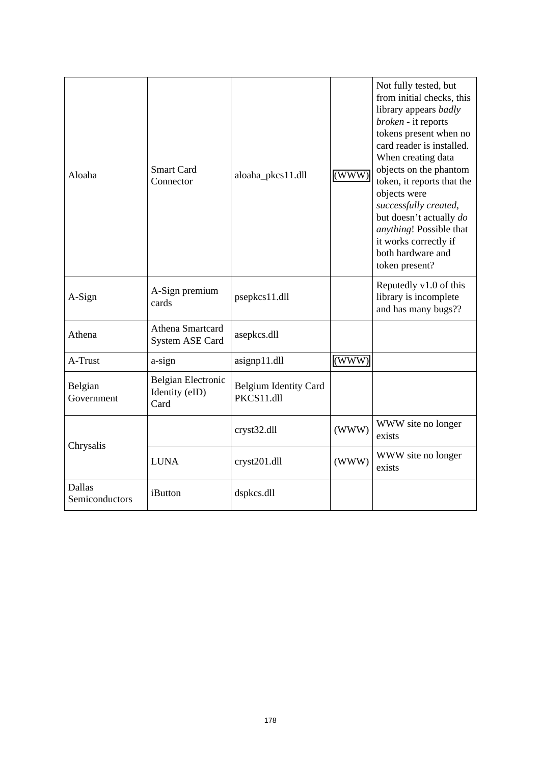| Aloaha                          | <b>Smart Card</b><br>Connector                      | aloaha_pkcs11.dll                          | (WWW) | Not fully tested, but<br>from initial checks, this<br>library appears <i>badly</i><br>broken - it reports<br>tokens present when no<br>card reader is installed.<br>When creating data<br>objects on the phantom<br>token, it reports that the<br>objects were<br>successfully created,<br>but doesn't actually do<br>anything! Possible that<br>it works correctly if<br>both hardware and<br>token present? |
|---------------------------------|-----------------------------------------------------|--------------------------------------------|-------|---------------------------------------------------------------------------------------------------------------------------------------------------------------------------------------------------------------------------------------------------------------------------------------------------------------------------------------------------------------------------------------------------------------|
| A-Sign                          | A-Sign premium<br>cards                             | psepkcs11.dll                              |       | Reputedly v1.0 of this<br>library is incomplete<br>and has many bugs??                                                                                                                                                                                                                                                                                                                                        |
| Athena                          | Athena Smartcard<br><b>System ASE Card</b>          | asepkcs.dll                                |       |                                                                                                                                                                                                                                                                                                                                                                                                               |
| A-Trust                         | a-sign                                              | asignp11.dll                               | (WWW) |                                                                                                                                                                                                                                                                                                                                                                                                               |
| Belgian<br>Government           | <b>Belgian Electronic</b><br>Identity (eID)<br>Card | <b>Belgium Identity Card</b><br>PKCS11.dll |       |                                                                                                                                                                                                                                                                                                                                                                                                               |
| Chrysalis                       |                                                     | cryst32.dll                                | (WWW) | WWW site no longer<br>exists                                                                                                                                                                                                                                                                                                                                                                                  |
|                                 | <b>LUNA</b>                                         | cryst201.dll                               | (WWW) | WWW site no longer<br>exists                                                                                                                                                                                                                                                                                                                                                                                  |
| <b>Dallas</b><br>Semiconductors | iButton                                             | dspkcs.dll                                 |       |                                                                                                                                                                                                                                                                                                                                                                                                               |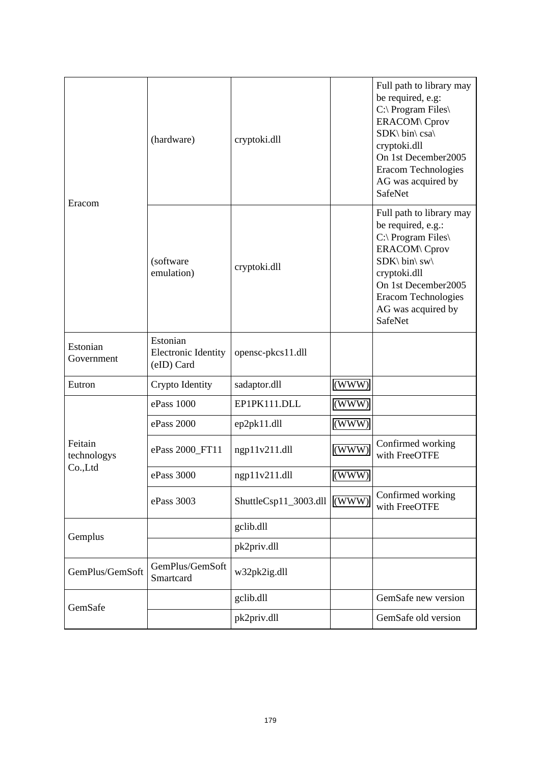| Eracom                            | (hardware)                                           | cryptoki.dll          |       | Full path to library may<br>be required, e.g:<br>C:\ Program Files\<br><b>ERACOM\</b> Cprov<br>SDK\ bin\ csa\<br>cryptoki.dll<br>On 1st December2005<br><b>Eracom Technologies</b><br>AG was acquired by<br><b>SafeNet</b> |
|-----------------------------------|------------------------------------------------------|-----------------------|-------|----------------------------------------------------------------------------------------------------------------------------------------------------------------------------------------------------------------------------|
|                                   | (software<br>emulation)                              | cryptoki.dll          |       | Full path to library may<br>be required, e.g.:<br>C:\ Program Files\<br><b>ERACOM\</b> Cprov<br>SDK\ bin\ sw\<br>cryptoki.dll<br>On 1st December2005<br><b>Eracom Technologies</b><br>AG was acquired by<br><b>SafeNet</b> |
| Estonian<br>Government            | Estonian<br><b>Electronic Identity</b><br>(eID) Card | opensc-pkcs11.dll     |       |                                                                                                                                                                                                                            |
| Eutron                            | Crypto Identity                                      | sadaptor.dll          | (WWW) |                                                                                                                                                                                                                            |
|                                   | ePass 1000                                           | EP1PK111.DLL          | (WWW) |                                                                                                                                                                                                                            |
| Feitain<br>technologys<br>Co.,Ltd | ePass 2000                                           | ep2pk11.dll           | (WWW) |                                                                                                                                                                                                                            |
|                                   | ePass 2000_FT11                                      | ngp11v211.dll         | (WWW) | Confirmed working<br>with FreeOTFE                                                                                                                                                                                         |
|                                   | ePass 3000                                           | ngp11v211.dll         | (WWW) |                                                                                                                                                                                                                            |
|                                   | ePass 3003                                           | ShuttleCsp11_3003.dll | (WWW) | Confirmed working<br>with FreeOTFE                                                                                                                                                                                         |
| Gemplus                           |                                                      | gclib.dll             |       |                                                                                                                                                                                                                            |
|                                   |                                                      | pk2priv.dll           |       |                                                                                                                                                                                                                            |
| GemPlus/GemSoft                   | GemPlus/GemSoft<br>Smartcard                         | w32pk2ig.dll          |       |                                                                                                                                                                                                                            |
| GemSafe                           |                                                      | gclib.dll             |       | GemSafe new version                                                                                                                                                                                                        |
|                                   |                                                      | pk2priv.dll           |       | GemSafe old version                                                                                                                                                                                                        |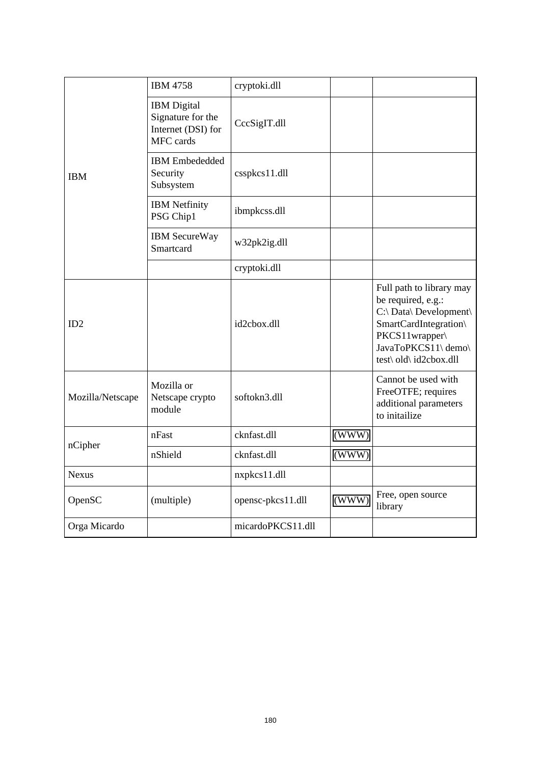| <b>IBM</b>       | <b>IBM 4758</b>                                                            | cryptoki.dll      |       |                                                                                                                                                                      |
|------------------|----------------------------------------------------------------------------|-------------------|-------|----------------------------------------------------------------------------------------------------------------------------------------------------------------------|
|                  | <b>IBM</b> Digital<br>Signature for the<br>Internet (DSI) for<br>MFC cards | CccSigIT.dll      |       |                                                                                                                                                                      |
|                  | <b>IBM</b> Embededded<br>Security<br>Subsystem                             | csspkcs11.dll     |       |                                                                                                                                                                      |
|                  | <b>IBM</b> Netfinity<br>PSG Chip1                                          | ibmpkcss.dll      |       |                                                                                                                                                                      |
|                  | <b>IBM</b> SecureWay<br>Smartcard                                          | w32pk2ig.dll      |       |                                                                                                                                                                      |
|                  |                                                                            | cryptoki.dll      |       |                                                                                                                                                                      |
| ID2              |                                                                            | id2cbox.dll       |       | Full path to library may<br>be required, e.g.:<br>C:\ Data\ Development\<br>SmartCardIntegration\<br>PKCS11wrapper\<br>JavaToPKCS11\ demo\<br>test\ old\ id2cbox.dll |
| Mozilla/Netscape | Mozilla or<br>Netscape crypto<br>module                                    | softokn3.dll      |       | Cannot be used with<br>FreeOTFE; requires<br>additional parameters<br>to initailize                                                                                  |
|                  | nFast                                                                      | cknfast.dll       | (WWW) |                                                                                                                                                                      |
| nCipher          | nShield                                                                    | cknfast.dll       | (WWW) |                                                                                                                                                                      |
| <b>Nexus</b>     |                                                                            | nxpkcs11.dll      |       |                                                                                                                                                                      |
| OpenSC           | (multiple)                                                                 | opensc-pkcs11.dll | (WWW) | Free, open source<br>library                                                                                                                                         |
| Orga Micardo     |                                                                            | micardoPKCS11.dll |       |                                                                                                                                                                      |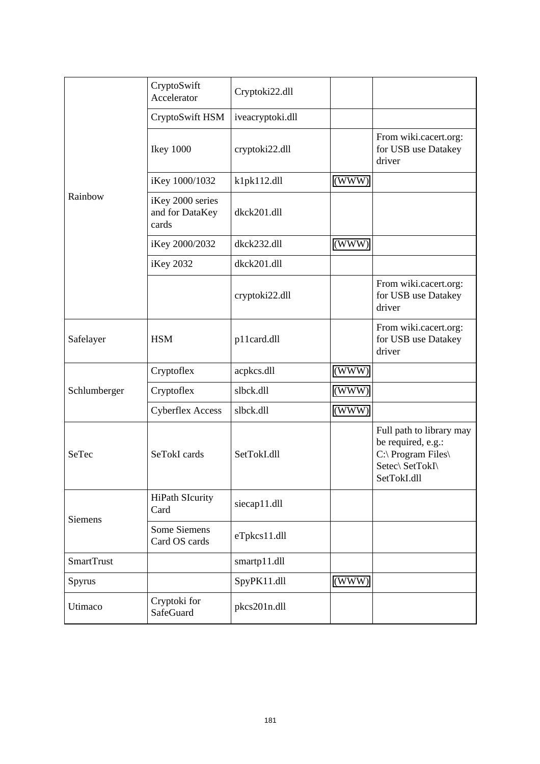| Rainbow           | CryptoSwift<br>Accelerator                   | Cryptoki22.dll   |       |                                                                                                        |
|-------------------|----------------------------------------------|------------------|-------|--------------------------------------------------------------------------------------------------------|
|                   | CryptoSwift HSM                              | iveacryptoki.dll |       |                                                                                                        |
|                   | <b>Ikey 1000</b>                             | cryptoki22.dll   |       | From wiki.cacert.org:<br>for USB use Datakey<br>driver                                                 |
|                   | iKey 1000/1032                               | k1pk112.dll      | (WWW) |                                                                                                        |
|                   | iKey 2000 series<br>and for DataKey<br>cards | dkck201.dll      |       |                                                                                                        |
|                   | iKey 2000/2032                               | dkck232.dll      | (WWW) |                                                                                                        |
|                   | iKey 2032                                    | dkck201.dll      |       |                                                                                                        |
|                   |                                              | cryptoki22.dll   |       | From wiki.cacert.org:<br>for USB use Datakey<br>driver                                                 |
| Safelayer         | <b>HSM</b>                                   | p11card.dll      |       | From wiki.cacert.org:<br>for USB use Datakey<br>driver                                                 |
|                   | Cryptoflex                                   | acpkcs.dll       | (WWW) |                                                                                                        |
| Schlumberger      | Cryptoflex                                   | slbck.dll        | (WWW) |                                                                                                        |
|                   | <b>Cyberflex Access</b>                      | slbck.dll        | (WWW) |                                                                                                        |
| SeTec             | SeTokI cards                                 | SetTokI.dll      |       | Full path to library may<br>be required, e.g.:<br>C:\ Program Files\<br>Setec\ SetTokI\<br>SetTokI.dll |
| <b>Siemens</b>    | <b>HiPath SIcurity</b><br>Card               | siecap11.dll     |       |                                                                                                        |
|                   | Some Siemens<br>Card OS cards                | eTpkcs11.dll     |       |                                                                                                        |
| <b>SmartTrust</b> |                                              | smartp11.dll     |       |                                                                                                        |
| Spyrus            |                                              | SpyPK11.dll      | (WWW) |                                                                                                        |
| Utimaco           | Cryptoki for<br>SafeGuard                    | pkcs201n.dll     |       |                                                                                                        |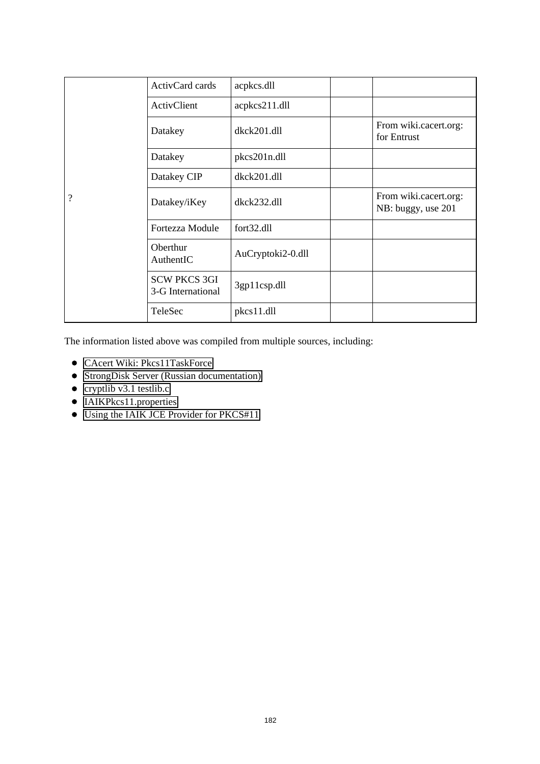|                    | ActivCard cards                          | acpkcs.dll        |                                             |
|--------------------|------------------------------------------|-------------------|---------------------------------------------|
|                    | ActivClient                              | acpkcs211.dll     |                                             |
|                    | Datakey                                  | dkck201.dll       | From wiki.cacert.org:<br>for Entrust        |
|                    | Datakey                                  | pkcs201n.dll      |                                             |
|                    | Datakey CIP                              | dkck201.dll       |                                             |
| $\overline{\cdot}$ | Datakey/iKey                             | $dkck232$ .dll    | From wiki.cacert.org:<br>NB: buggy, use 201 |
|                    | Fortezza Module                          | fort32.dll        |                                             |
|                    | Oberthur<br>AuthentIC                    | AuCryptoki2-0.dll |                                             |
|                    | <b>SCW PKCS 3GI</b><br>3-G International | 3gp11csp.dll      |                                             |
|                    | TeleSec                                  | $pkcs11.$ dll     |                                             |

The information listed above was compiled from multiple sources, including:

- [CAcert Wiki: Pkcs11TaskForce](http://wiki.cacert.org/wiki/Pkcs11TaskForce)
- [StrongDisk Server \(Russian documentation\)](http://209.85.165.104/search?q=cache:-QugArnZ2I8J:www.strongdisk.ru/free/tech/SDSSettings.pdf+eutron+sadaptor.dll&hl=en&ct=clnk&cd=13)
- cryptlib v3.1 testlib.c
- IAIKPkcs11.properties
- Using the IAIK JCE Provider for PKCS#11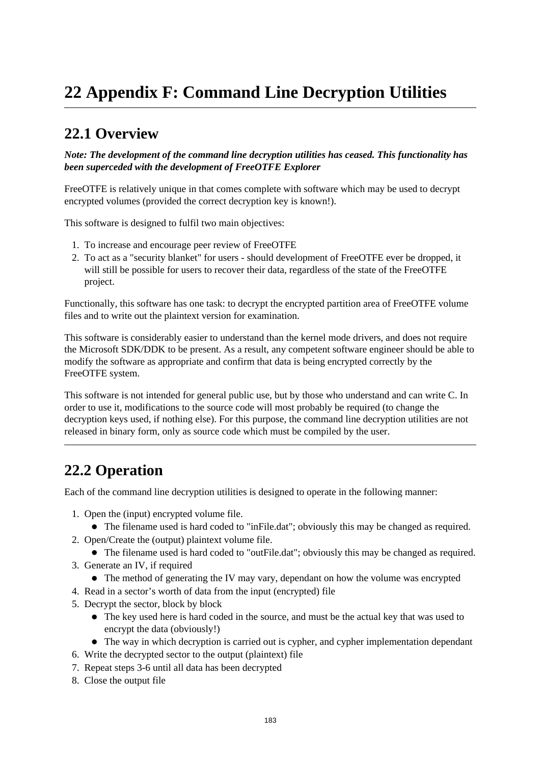# **22 Appendix F: Command Line Decryption Utilities**

## **22.1 Overview**

*Note: The development of the command line decryption utilities has ceased. This functionality has been superceded with the development of FreeOTFE Explorer*

FreeOTFE is relatively unique in that comes complete with software which may be used to decrypt encrypted volumes (provided the correct decryption key is known!).

This software is designed to fulfil two main objectives:

- 1. To increase and encourage peer review of FreeOTFE
- 2. To act as a "security blanket" for users should development of FreeOTFE ever be dropped, it will still be possible for users to recover their data, regardless of the state of the FreeOTFE project.

Functionally, this software has one task: to decrypt the encrypted partition area of FreeOTFE volume files and to write out the plaintext version for examination.

This software is considerably easier to understand than the kernel mode drivers, and does not require the Microsoft SDK/DDK to be present. As a result, any competent software engineer should be able to modify the software as appropriate and confirm that data is being encrypted correctly by the FreeOTFE system.

This software is not intended for general public use, but by those who understand and can write C. In order to use it, modifications to the source code will most probably be required (to change the decryption keys used, if nothing else). For this purpose, the command line decryption utilities are not released in binary form, only as source code which must be compiled by the user.

## **22.2 Operation**

Each of the command line decryption utilities is designed to operate in the following manner:

- 1. Open the (input) encrypted volume file.
	- The filename used is hard coded to "inFile.dat"; obviously this may be changed as required.
- 2. Open/Create the (output) plaintext volume file.
	- The filename used is hard coded to "outFile.dat"; obviously this may be changed as required.
- 3. Generate an IV, if required
	- The method of generating the IV may vary, dependant on how the volume was encrypted
- 4. Read in a sector's worth of data from the input (encrypted) file
- 5. Decrypt the sector, block by block
	- The key used here is hard coded in the source, and must be the actual key that was used to encrypt the data (obviously!)
	- The way in which decryption is carried out is cypher, and cypher implementation dependant
- 6. Write the decrypted sector to the output (plaintext) file
- 7. Repeat steps 3-6 until all data has been decrypted
- 8. Close the output file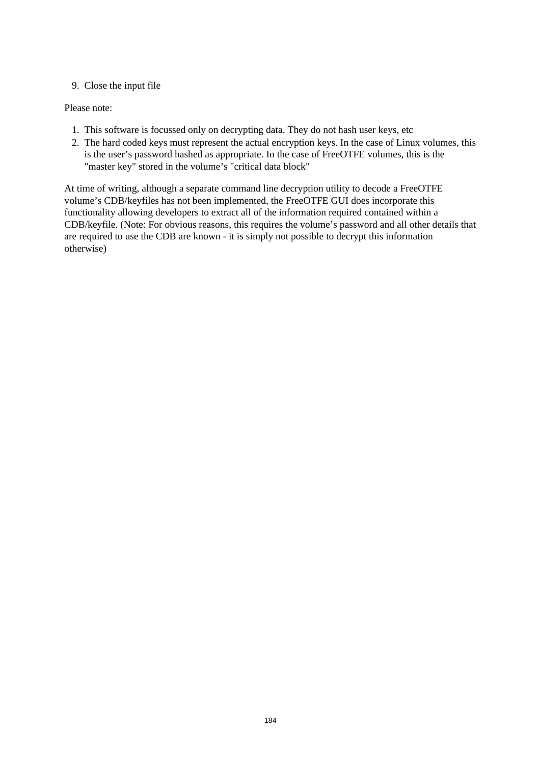### 9. Close the input file

### Please note:

- 1. This software is focussed only on decrypting data. They do not hash user keys, etc
- 2. The hard coded keys must represent the actual encryption keys. In the case of Linux volumes, this is the user's password hashed as appropriate. In the case of FreeOTFE volumes, this is the "master key" stored in the volume's "critical data block"

At time of writing, although a separate command line decryption utility to decode a FreeOTFE volume's CDB/keyfiles has not been implemented, the FreeOTFE GUI does incorporate this functionality allowing developers to extract all of the information required contained within a CDB/keyfile. (Note: For obvious reasons, this requires the volume's password and all other details that are required to use the CDB are known - it is simply not possible to decrypt this information otherwise)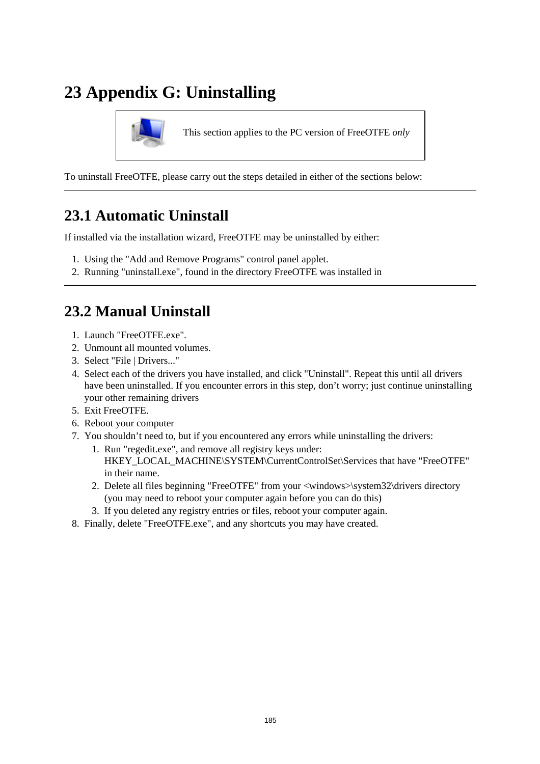# **23 Appendix G: Uninstalling**



This section applies to the PC version of FreeOTFE *only*

To uninstall FreeOTFE, please carry out the steps detailed in either of the sections below:

## **23.1 Automatic Uninstall**

If installed via the installation wizard, FreeOTFE may be uninstalled by either:

- 1. Using the "Add and Remove Programs" control panel applet.
- 2. Running "uninstall.exe", found in the directory FreeOTFE was installed in

## **23.2 Manual Uninstall**

- 1. Launch "FreeOTFE.exe"
- 2. Unmount all mounted volumes.
- 3. Select "File | Drivers..."
- 4. Select each of the drivers you have installed, and click "Uninstall". Repeat this until all drivers have been uninstalled. If you encounter errors in this step, don't worry; just continue uninstalling your other remaining drivers
- 5. Exit FreeOTFE.
- 6. Reboot your computer
- 7. You shouldn't need to, but if you encountered any errors while uninstalling the drivers:
	- 1. Run "regedit.exe", and remove all registry keys under: HKEY\_LOCAL\_MACHINE\SYSTEM\CurrentControlSet\Services that have "FreeOTFE" in their name.
	- 2. Delete all files beginning "FreeOTFE" from your <windows>\system32\drivers directory (you may need to reboot your computer again before you can do this)
	- 3. If you deleted any registry entries or files, reboot your computer again.
- 8. Finally, delete "FreeOTFE.exe", and any shortcuts you may have created.